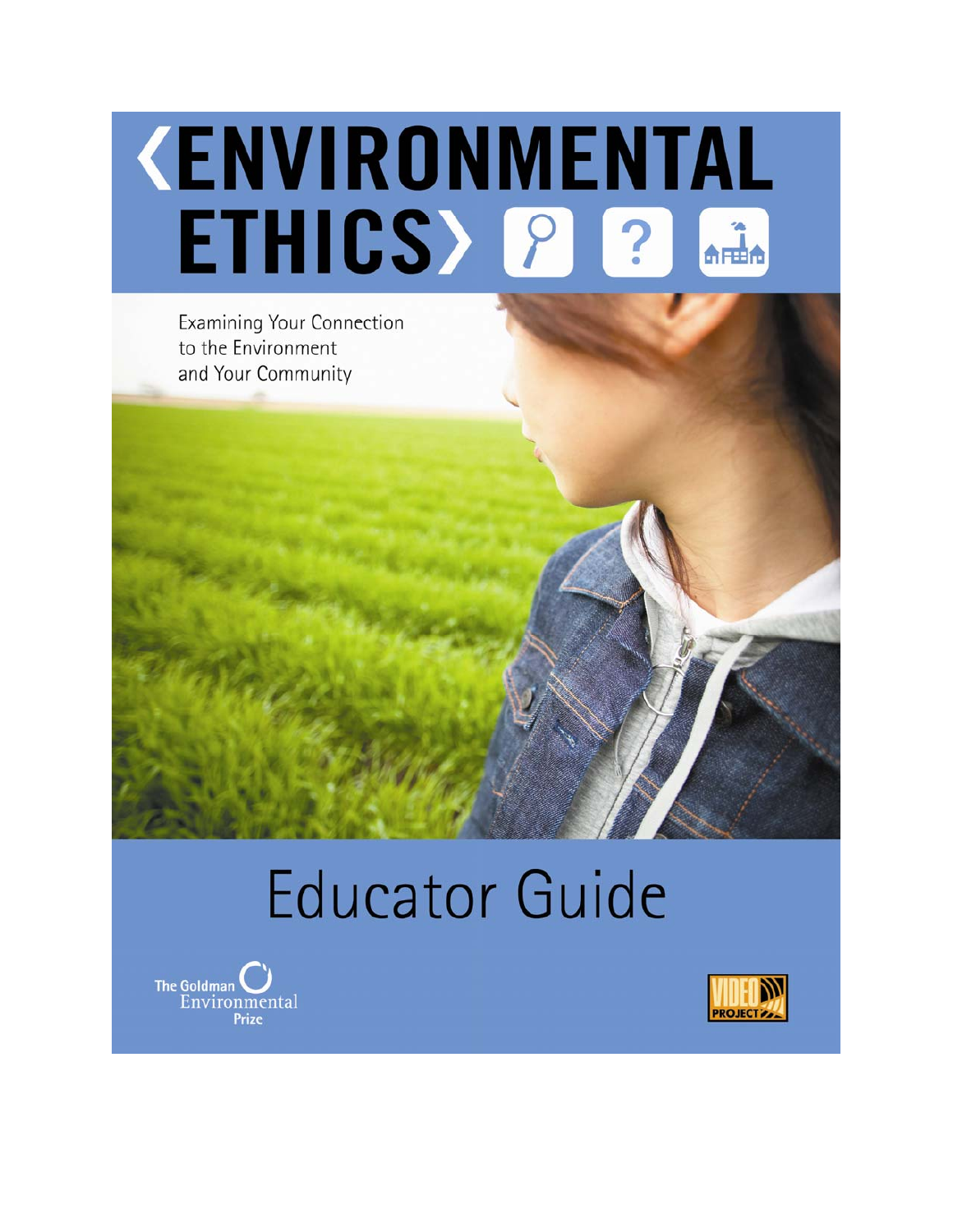# **KENVIRONMENTAL** ETHICS> 2 ? and

**Examining Your Connection** to the Environment and Your Community

# **Educator Guide**



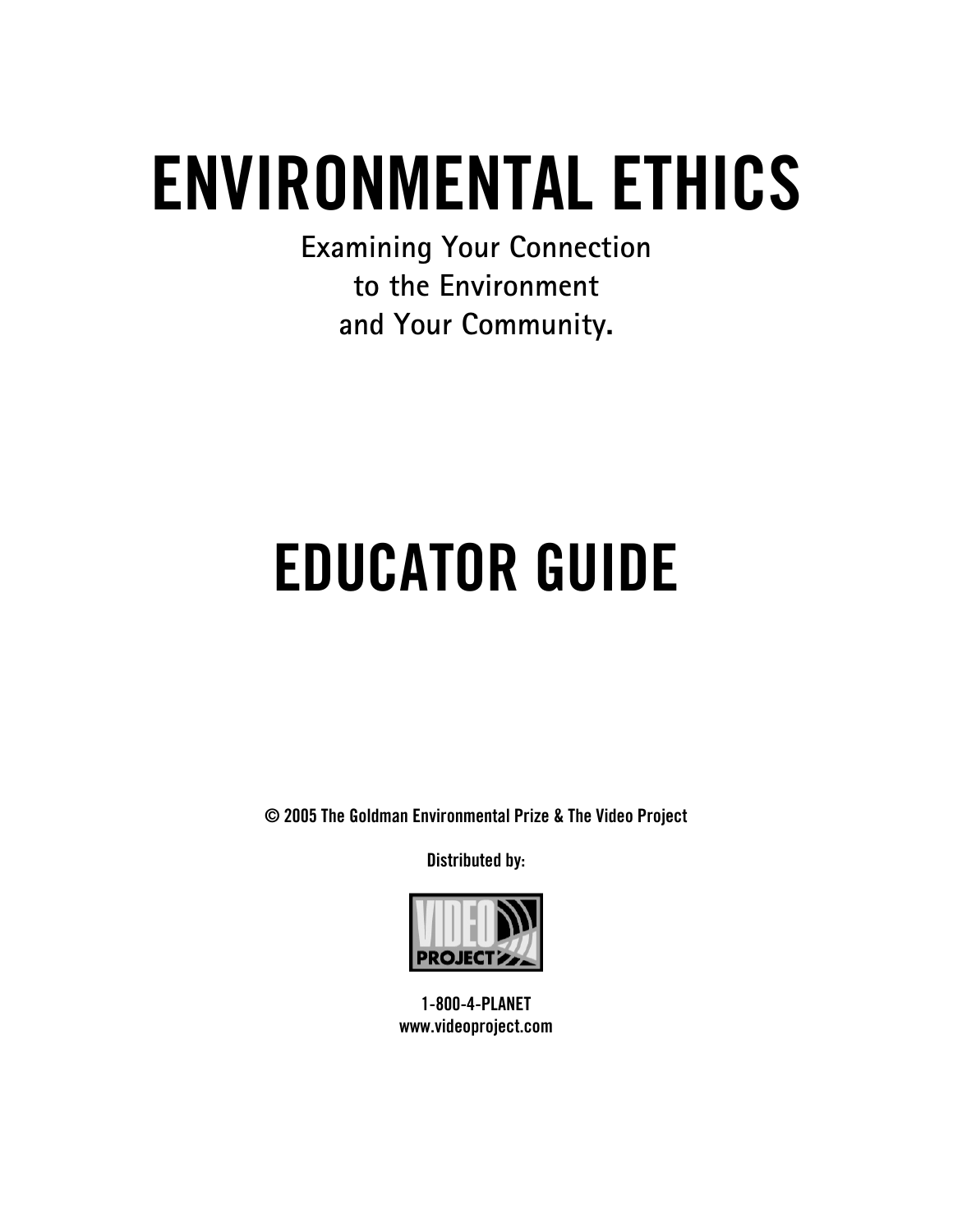# **ENVIRONMENTAL ETHICS**

**Examining Your Connection to the Environment and Your Community.** 

# **EDUCATOR GUIDE**

**© 2005 The Goldman Environmental Prize & The Video Project** 

**Distributed by:** 



**1-800-4-PLANET www.videoproject.com**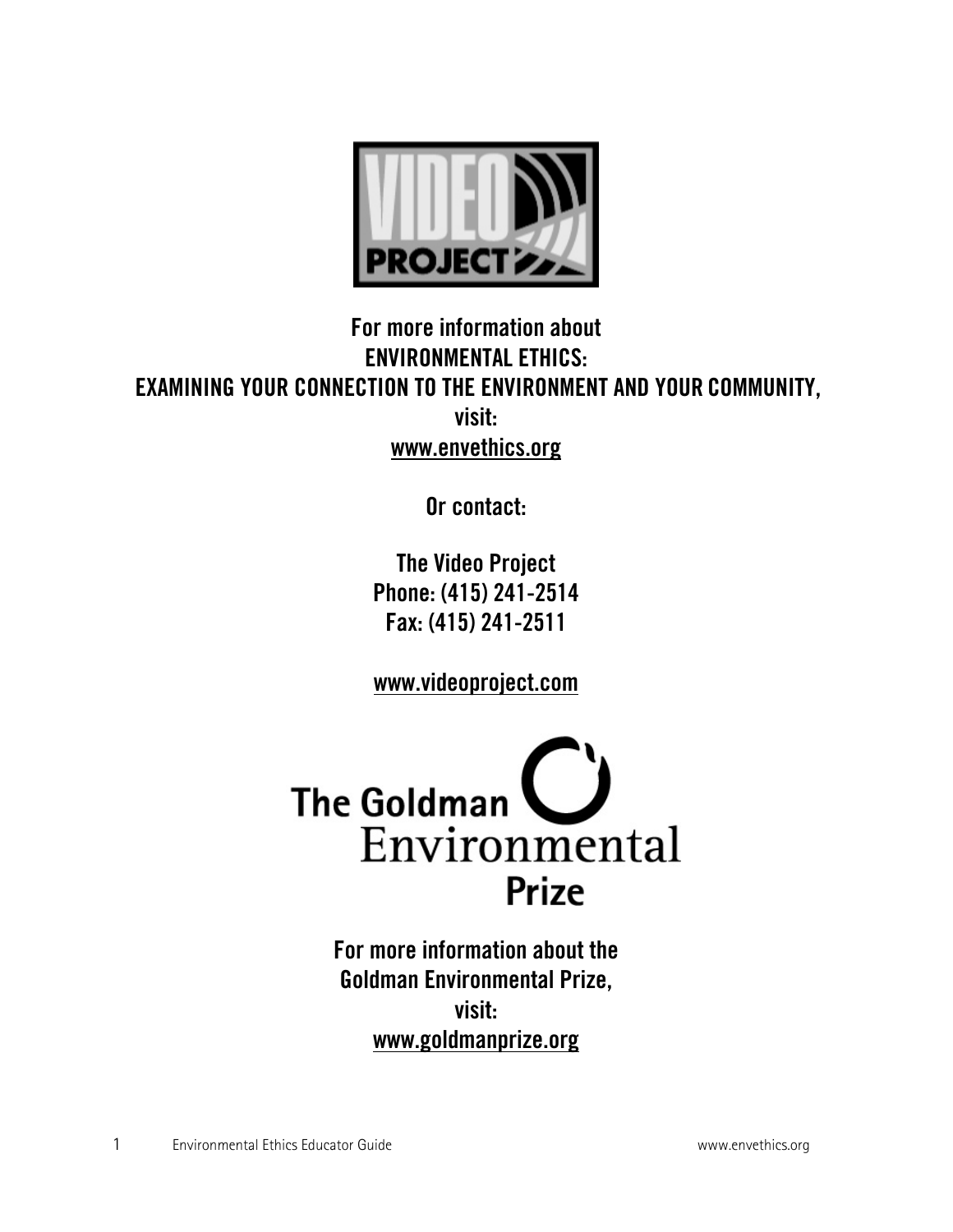

### **For more information about ENVIRONMENTAL ETHICS: EXAMINING YOUR CONNECTION TO THE ENVIRONMENT AND YOUR COMMUNITY, visit: www.envethics.org**

**Or contact:** 

**The Video Project Phone: (415) 241-2514 Fax: (415) 241-2511** 

**www.videoproject.com**



**For more information about the Goldman Environmental Prize, visit: www.goldmanprize.org**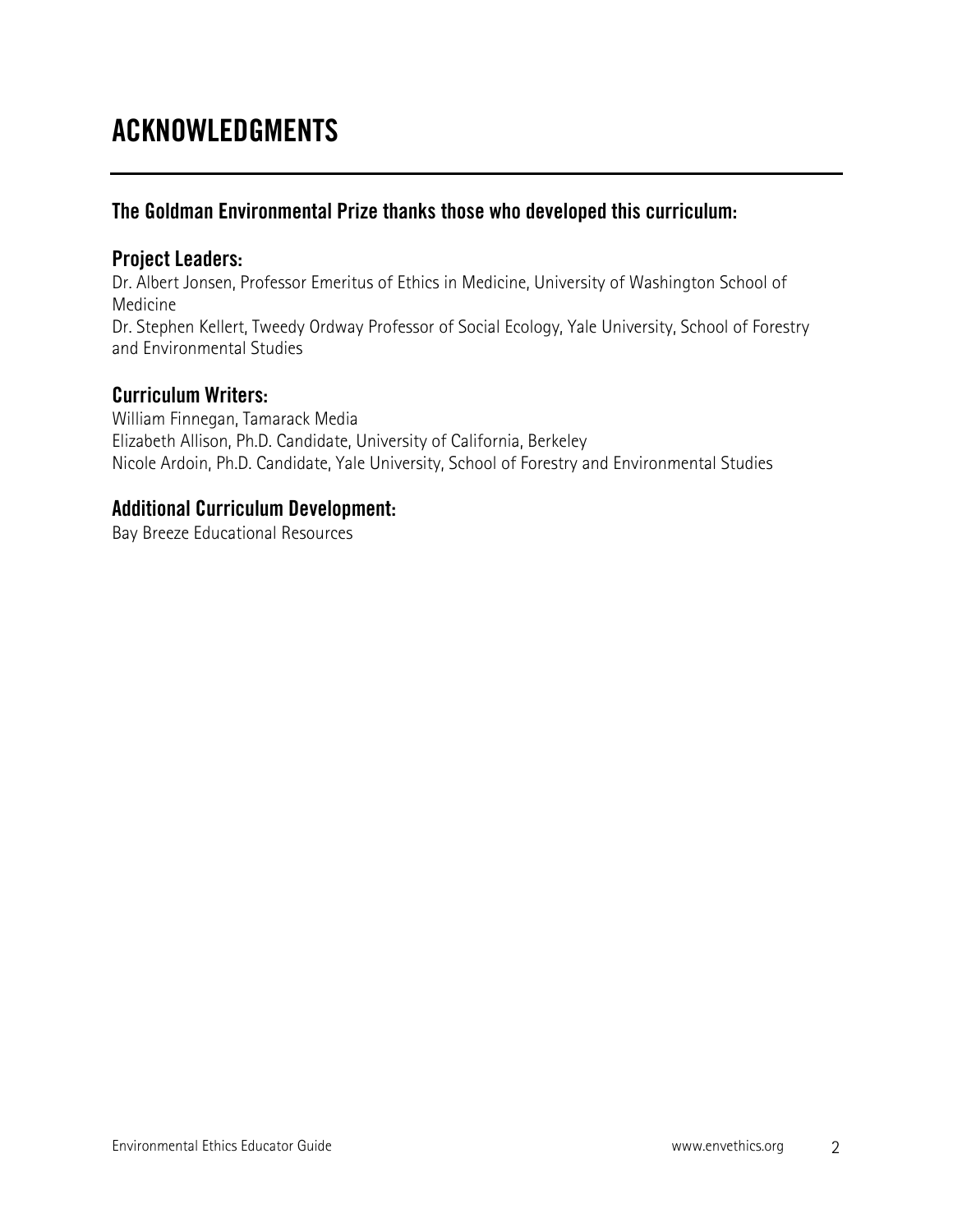### **ACKNOWLEDGMENTS**

### **The Goldman Environmental Prize thanks those who developed this curriculum:**

### **Project Leaders:**

Dr. Albert Jonsen, Professor Emeritus of Ethics in Medicine, University of Washington School of Medicine Dr. Stephen Kellert, Tweedy Ordway Professor of Social Ecology, Yale University, School of Forestry and Environmental Studies

### **Curriculum Writers:**

William Finnegan, Tamarack Media Elizabeth Allison, Ph.D. Candidate, University of California, Berkeley Nicole Ardoin, Ph.D. Candidate, Yale University, School of Forestry and Environmental Studies

### **Additional Curriculum Development:**

Bay Breeze Educational Resources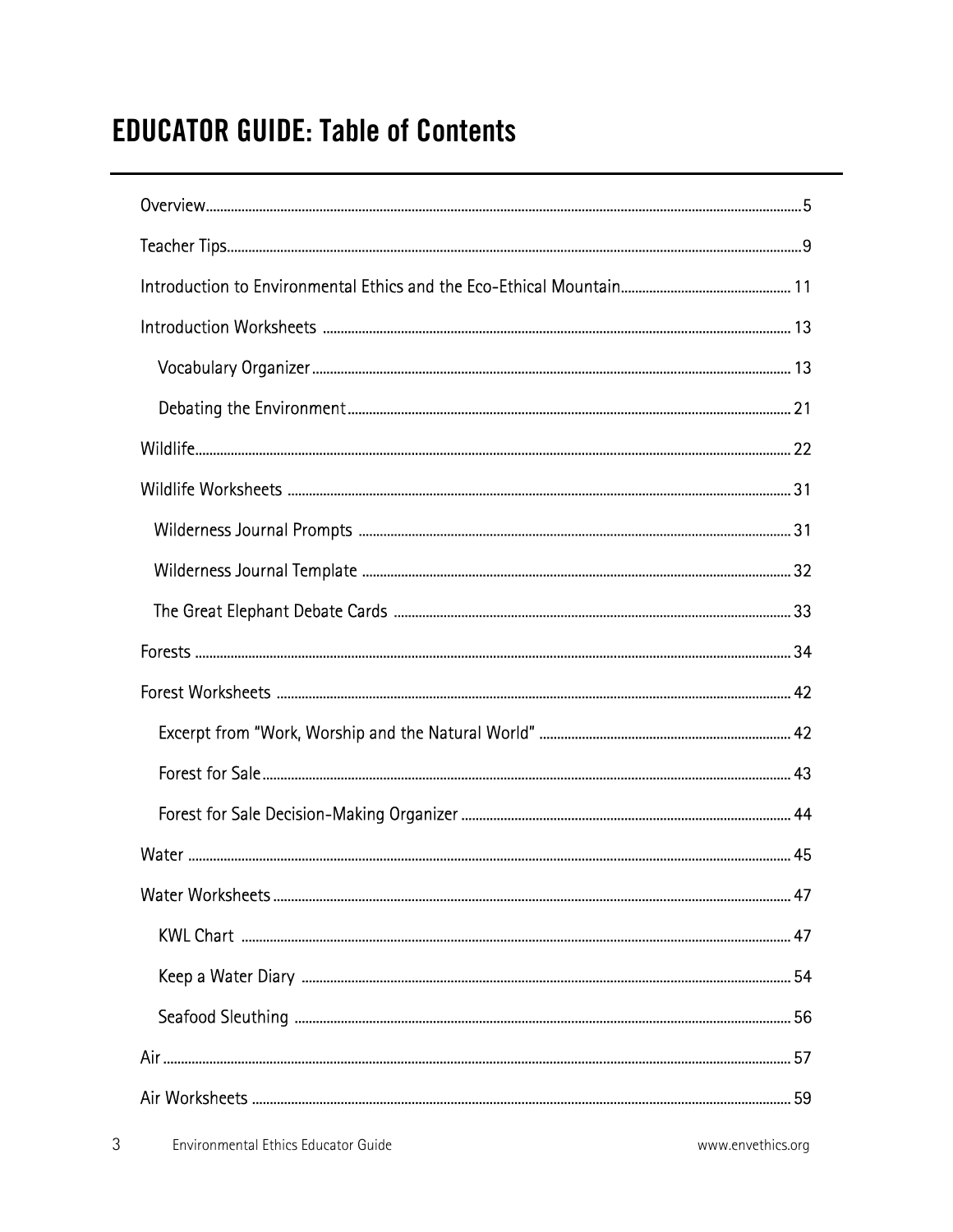## **EDUCATOR GUIDE: Table of Contents**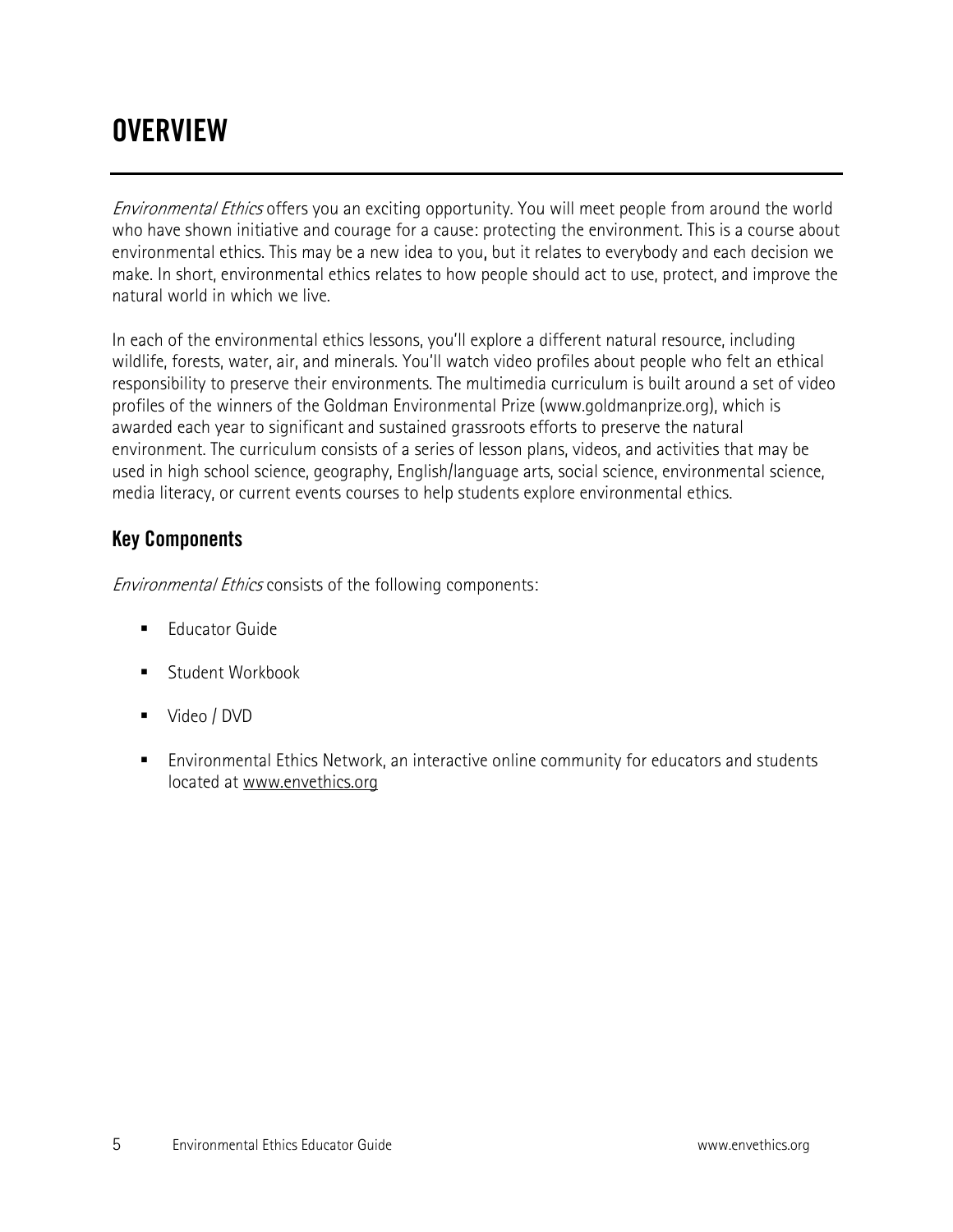## **OVERVIEW**

Environmental Ethics offers you an exciting opportunity. You will meet people from around the world who have shown initiative and courage for a cause: protecting the environment. This is a course about environmental ethics. This may be a new idea to you, but it relates to everybody and each decision we make. In short, environmental ethics relates to how people should act to use, protect, and improve the natural world in which we live.

In each of the environmental ethics lessons, you'll explore a different natural resource, including wildlife, forests, water, air, and minerals. You'll watch video profiles about people who felt an ethical responsibility to preserve their environments. The multimedia curriculum is built around a set of video profiles of the winners of the Goldman Environmental Prize (www.goldmanprize.org), which is awarded each year to significant and sustained grassroots efforts to preserve the natural environment. The curriculum consists of a series of lesson plans, videos, and activities that may be used in high school science, geography, English/language arts, social science, environmental science, media literacy, or current events courses to help students explore environmental ethics.

### **Key Components**

Environmental Ethics consists of the following components:

- $\blacksquare$  Educator Guide
- Student Workbook
- Video / DVD
- Environmental Ethics Network, an interactive online community for educators and students located at www.envethics.org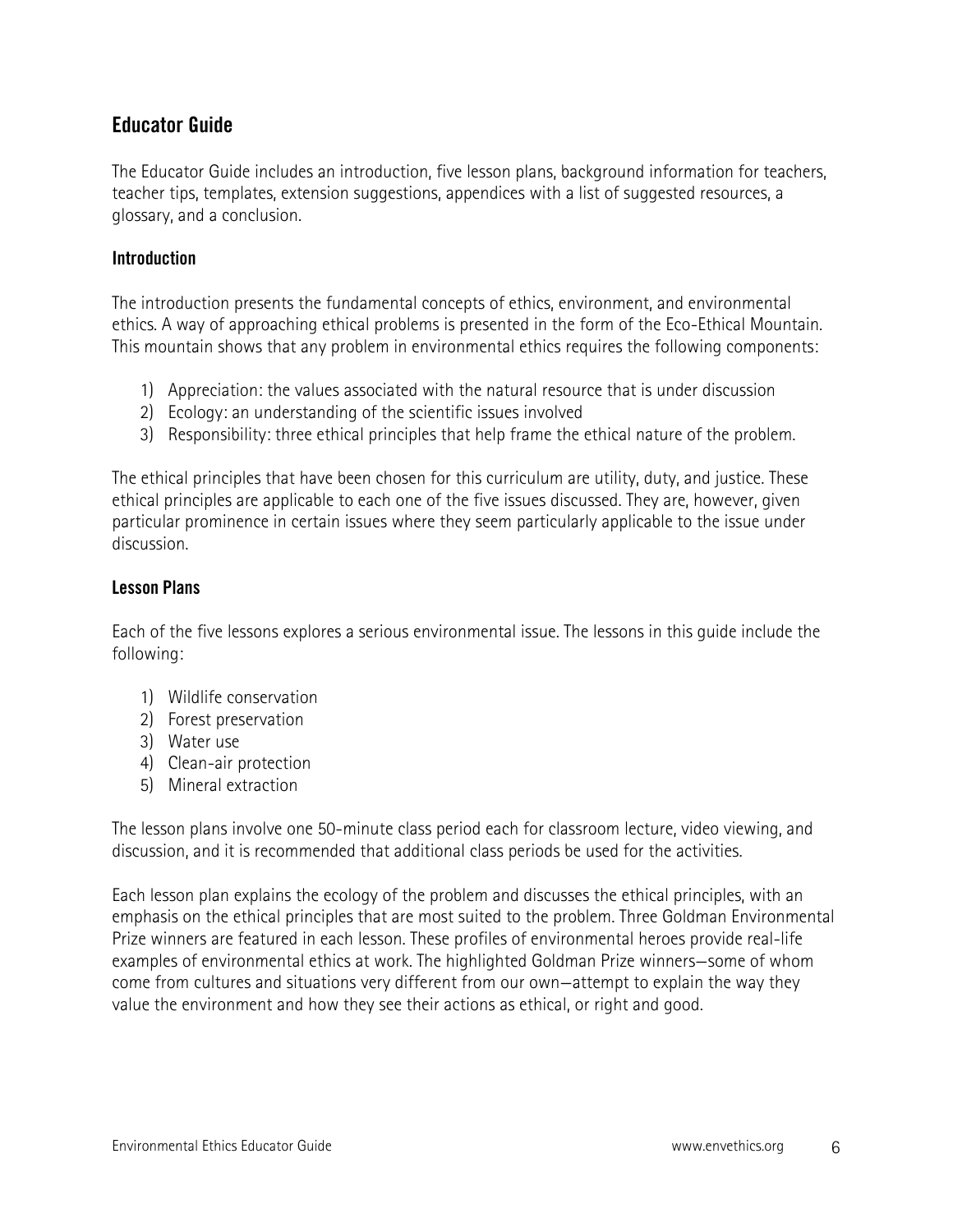### **Educator Guide**

The Educator Guide includes an introduction, five lesson plans, background information for teachers, teacher tips, templates, extension suggestions, appendices with a list of suggested resources, a glossary, and a conclusion.

#### **Introduction**

The introduction presents the fundamental concepts of ethics, environment, and environmental ethics. A way of approaching ethical problems is presented in the form of the Eco-Ethical Mountain. This mountain shows that any problem in environmental ethics requires the following components:

- 1) Appreciation: the values associated with the natural resource that is under discussion
- 2) Ecology: an understanding of the scientific issues involved
- 3) Responsibility: three ethical principles that help frame the ethical nature of the problem.

The ethical principles that have been chosen for this curriculum are utility, duty, and justice. These ethical principles are applicable to each one of the five issues discussed. They are, however, given particular prominence in certain issues where they seem particularly applicable to the issue under discussion.

#### **Lesson Plans**

Each of the five lessons explores a serious environmental issue. The lessons in this guide include the following:

- 1) Wildlife conservation
- 2) Forest preservation
- 3) Water use
- 4) Clean-air protection
- 5) Mineral extraction

The lesson plans involve one 50-minute class period each for classroom lecture, video viewing, and discussion, and it is recommended that additional class periods be used for the activities.

Each lesson plan explains the ecology of the problem and discusses the ethical principles, with an emphasis on the ethical principles that are most suited to the problem. Three Goldman Environmental Prize winners are featured in each lesson. These profiles of environmental heroes provide real-life examples of environmental ethics at work. The highlighted Goldman Prize winners—some of whom come from cultures and situations very different from our own—attempt to explain the way they value the environment and how they see their actions as ethical, or right and good.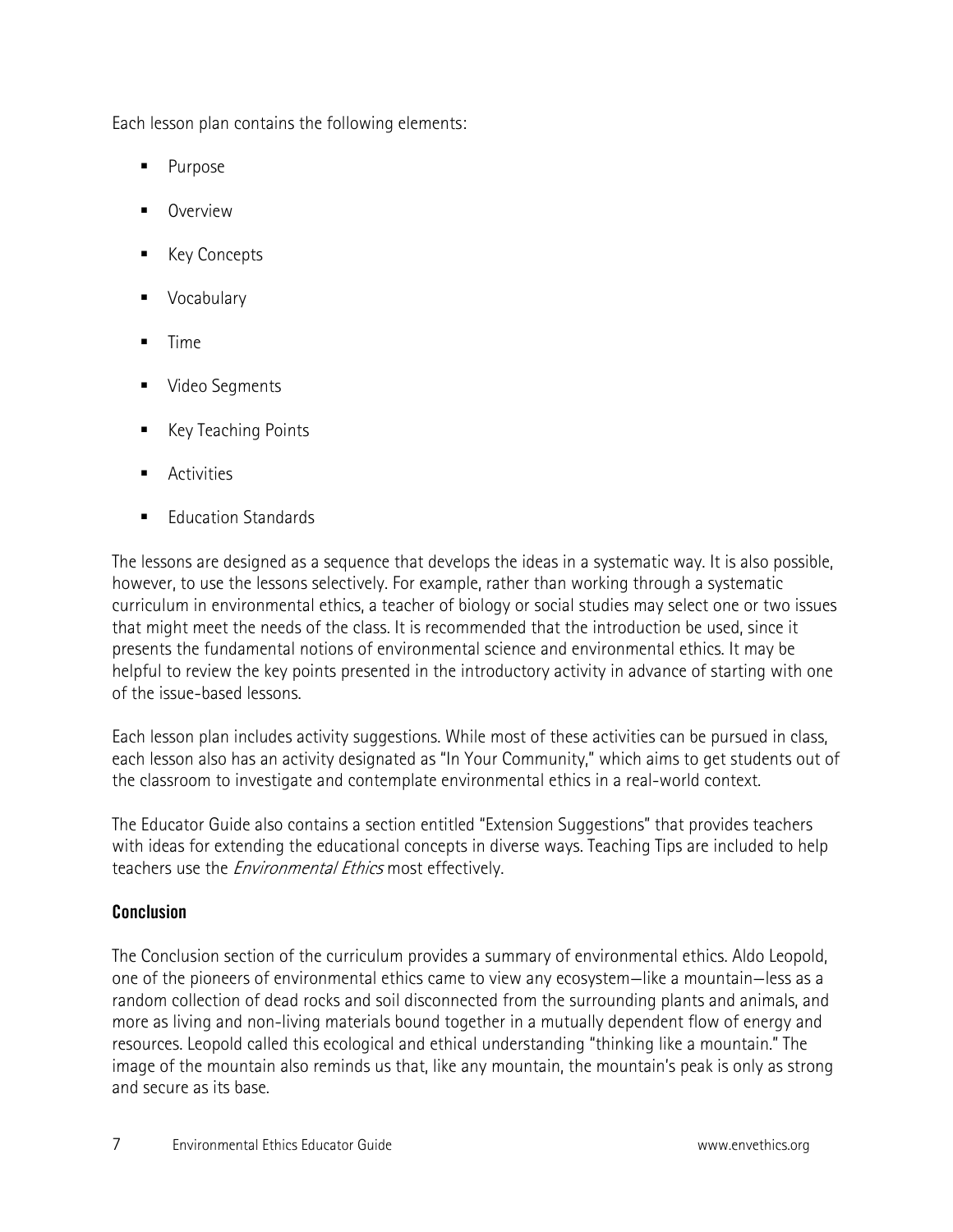Each lesson plan contains the following elements:

- **Purpose**
- **C** Overview
- Key Concepts
- **v** Vocabulary
- $\blacksquare$  Time
- **Video Segments**
- Key Teaching Points
- **Activities**
- **Education Standards**

The lessons are designed as a sequence that develops the ideas in a systematic way. It is also possible, however, to use the lessons selectively. For example, rather than working through a systematic curriculum in environmental ethics, a teacher of biology or social studies may select one or two issues that might meet the needs of the class. It is recommended that the introduction be used, since it presents the fundamental notions of environmental science and environmental ethics. It may be helpful to review the key points presented in the introductory activity in advance of starting with one of the issue-based lessons.

Each lesson plan includes activity suggestions. While most of these activities can be pursued in class, each lesson also has an activity designated as "In Your Community," which aims to get students out of the classroom to investigate and contemplate environmental ethics in a real-world context.

The Educator Guide also contains a section entitled "Extension Suggestions" that provides teachers with ideas for extending the educational concepts in diverse ways. Teaching Tips are included to help teachers use the *Environmental Ethics* most effectively.

### **Conclusion**

The Conclusion section of the curriculum provides a summary of environmental ethics. Aldo Leopold, one of the pioneers of environmental ethics came to view any ecosystem—like a mountain—less as a random collection of dead rocks and soil disconnected from the surrounding plants and animals, and more as living and non-living materials bound together in a mutually dependent flow of energy and resources. Leopold called this ecological and ethical understanding "thinking like a mountain." The image of the mountain also reminds us that, like any mountain, the mountain's peak is only as strong and secure as its base.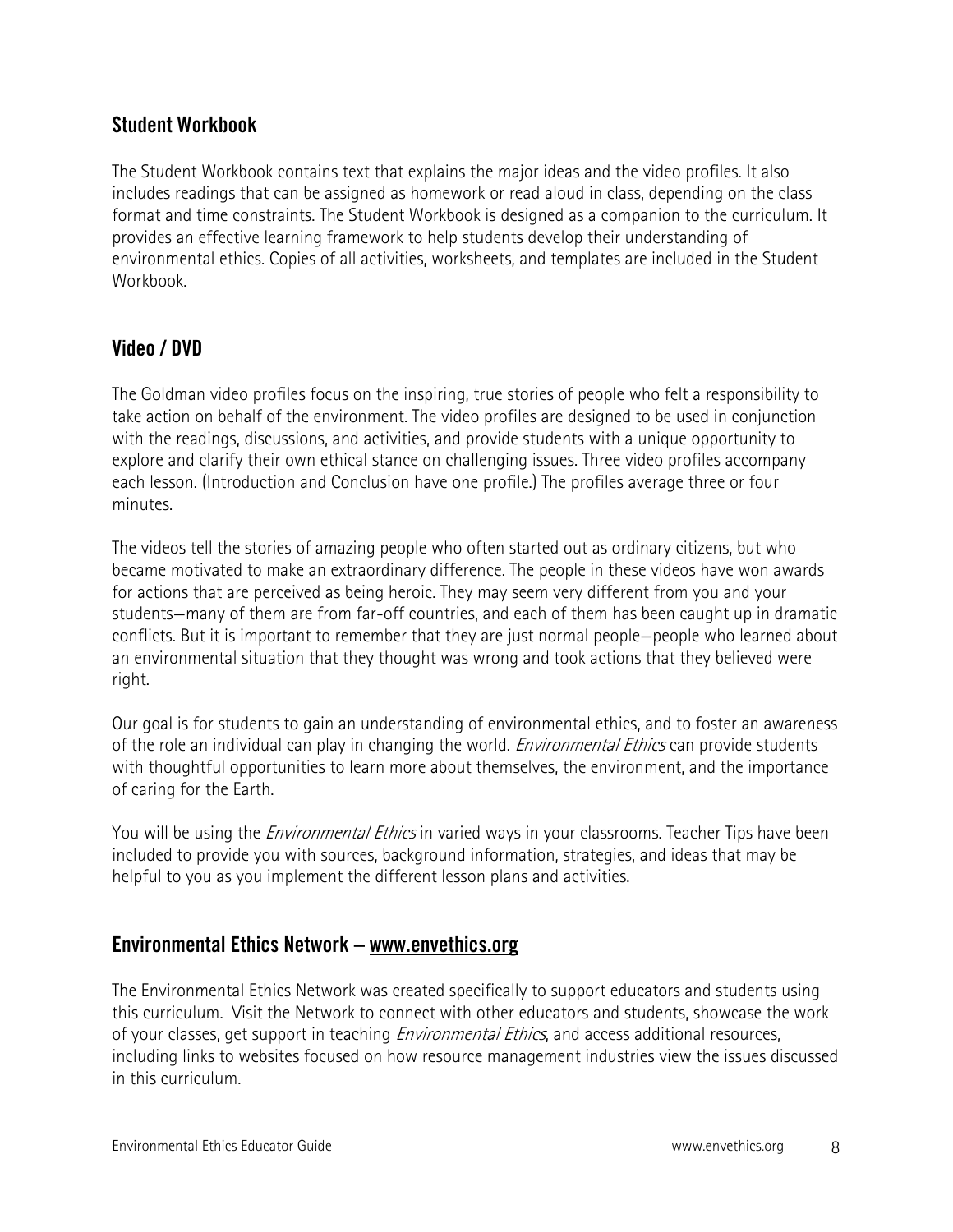### **Student Workbook**

The Student Workbook contains text that explains the major ideas and the video profiles. It also includes readings that can be assigned as homework or read aloud in class, depending on the class format and time constraints. The Student Workbook is designed as a companion to the curriculum. It provides an effective learning framework to help students develop their understanding of environmental ethics. Copies of all activities, worksheets, and templates are included in the Student Workbook.

### **Video / DVD**

The Goldman video profiles focus on the inspiring, true stories of people who felt a responsibility to take action on behalf of the environment. The video profiles are designed to be used in conjunction with the readings, discussions, and activities, and provide students with a unique opportunity to explore and clarify their own ethical stance on challenging issues. Three video profiles accompany each lesson. (Introduction and Conclusion have one profile.) The profiles average three or four minutes.

The videos tell the stories of amazing people who often started out as ordinary citizens, but who became motivated to make an extraordinary difference. The people in these videos have won awards for actions that are perceived as being heroic. They may seem very different from you and your students—many of them are from far-off countries, and each of them has been caught up in dramatic conflicts. But it is important to remember that they are just normal people—people who learned about an environmental situation that they thought was wrong and took actions that they believed were right.

Our goal is for students to gain an understanding of environmental ethics, and to foster an awareness of the role an individual can play in changing the world. *Environmental Ethics* can provide students with thoughtful opportunities to learn more about themselves, the environment, and the importance of caring for the Earth.

You will be using the *Environmental Ethics* in varied ways in your classrooms. Teacher Tips have been included to provide you with sources, background information, strategies, and ideas that may be helpful to you as you implement the different lesson plans and activities.

### **Environmental Ethics Network – www.envethics.org**

The Environmental Ethics Network was created specifically to support educators and students using this curriculum. Visit the Network to connect with other educators and students, showcase the work of your classes, get support in teaching *Environmental Ethics*, and access additional resources, including links to websites focused on how resource management industries view the issues discussed in this curriculum.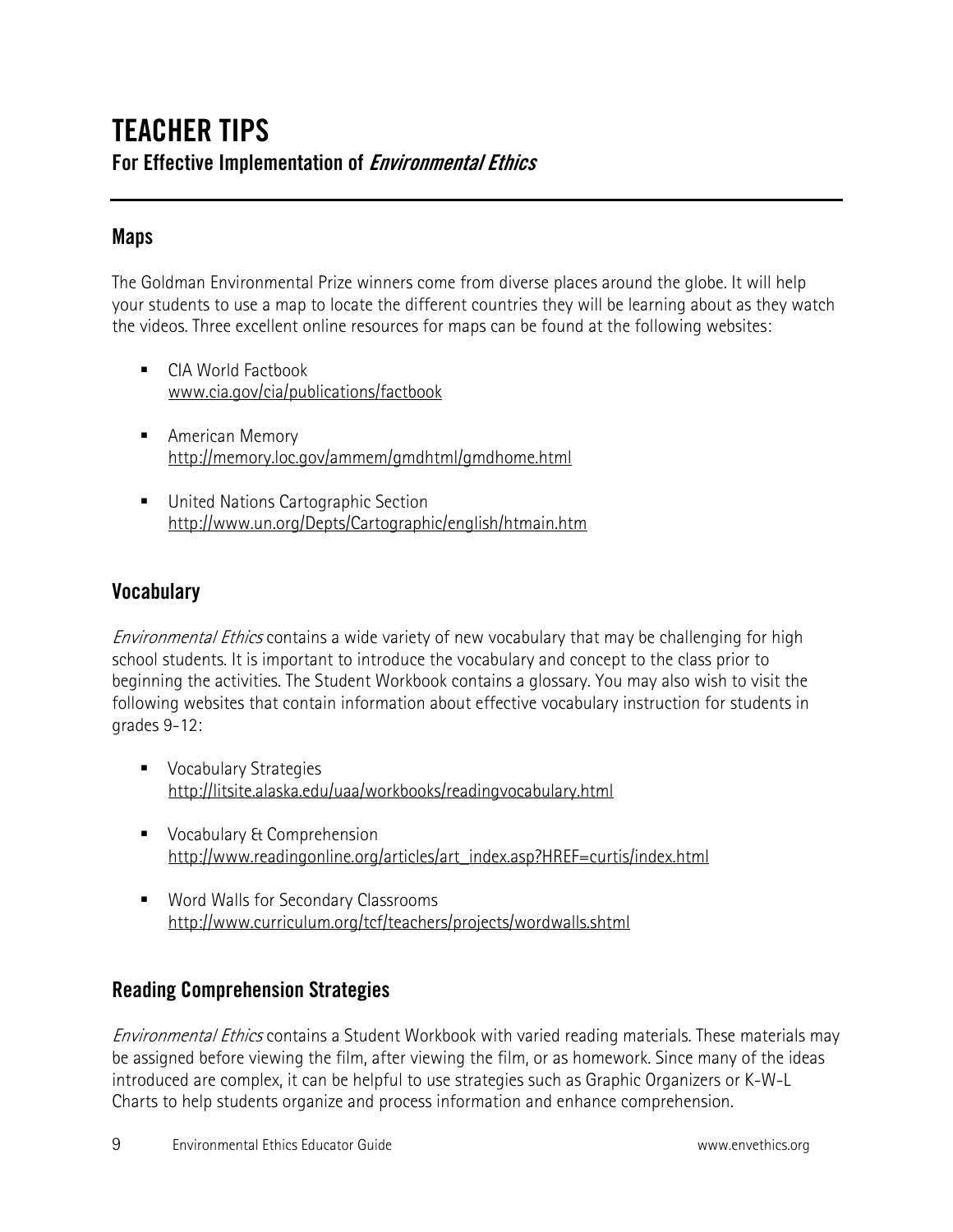### **Maps**

The Goldman Environmental Prize winners come from diverse places around the globe. It will help your students to use a map to locate the different countries they will be learning about as they watch the videos. Three excellent online resources for maps can be found at the following websites:

- CIA World Factbook www.cia.gov/cia/publications/factbook
- **American Memory** http://memory.loc.gov/ammem/gmdhtml/gmdhome.html
- United Nations Cartographic Section http://www.un.org/Depts/Cartographic/english/htmain.htm

### **Vocabulary**

Environmental Ethics contains a wide variety of new vocabulary that may be challenging for high school students. It is important to introduce the vocabulary and concept to the class prior to beginning the activities. The Student Workbook contains a glossary. You may also wish to visit the following websites that contain information about effective vocabulary instruction for students in grades 9-12:

- **Vocabulary Strategies** http://litsite.alaska.edu/uaa/workbooks/readingvocabulary.html
- Vocabulary & Comprehension http://www.readingonline.org/articles/art\_index.asp?HREF=curtis/index.html
- **Word Walls for Secondary Classrooms** http://www.curriculum.org/tcf/teachers/projects/wordwalls.shtml

### **Reading Comprehension Strategies**

Environmental Ethics contains a Student Workbook with varied reading materials. These materials may be assigned before viewing the film, after viewing the film, or as homework. Since many of the ideas introduced are complex, it can be helpful to use strategies such as Graphic Organizers or K-W-L Charts to help students organize and process information and enhance comprehension.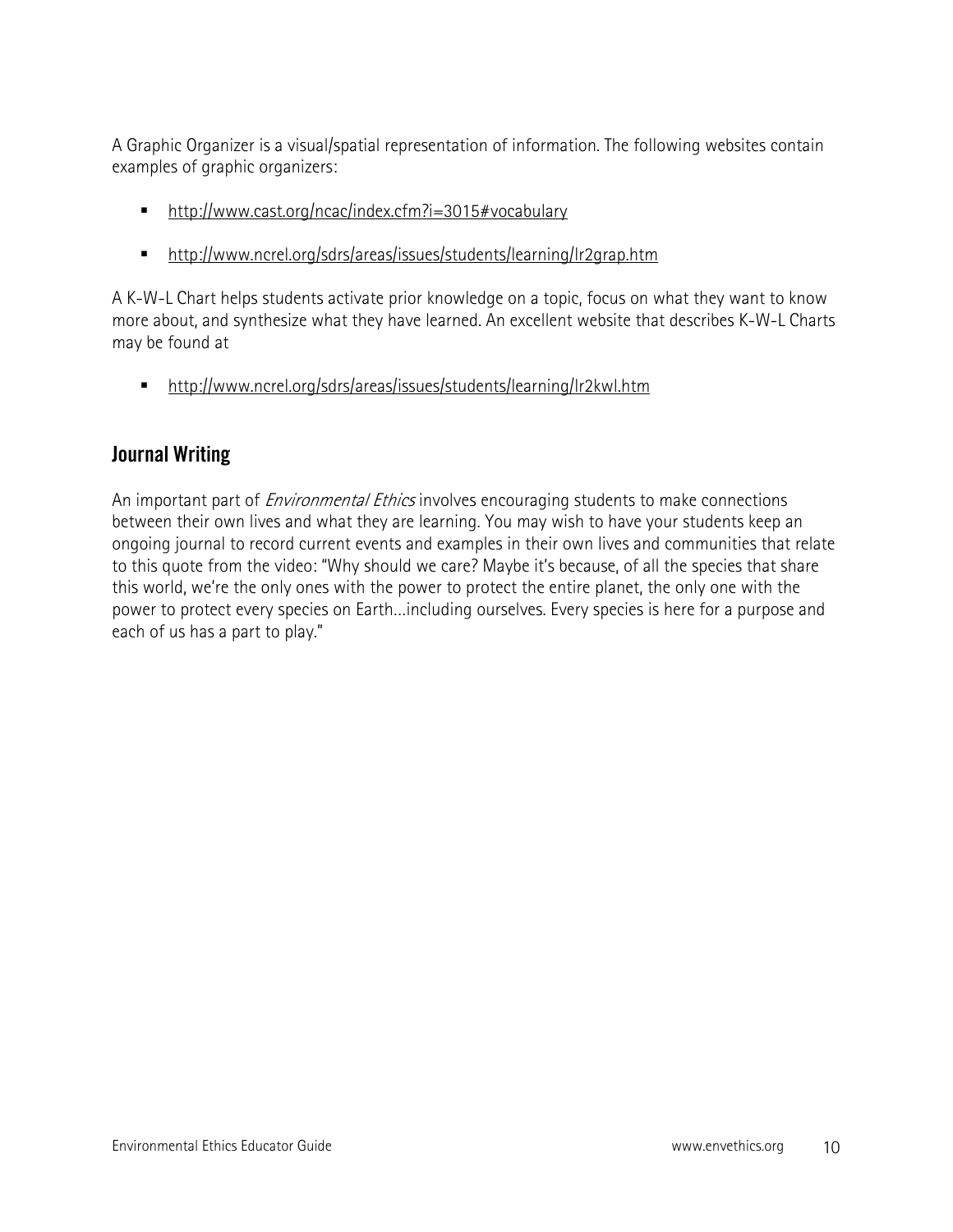A Graphic Organizer is a visual/spatial representation of information. The following websites contain examples of graphic organizers:

- http://www.cast.org/ncac/index.cfm?i=3015#vocabulary
- http://www.ncrel.org/sdrs/areas/issues/students/learning/lr2grap.htm

A K-W-L Chart helps students activate prior knowledge on a topic, focus on what they want to know more about, and synthesize what they have learned. An excellent website that describes K-W-L Charts may be found at

■ http://www.ncrel.org/sdrs/areas/issues/students/learning/lr2kwl.htm

### **Journal Writing**

An important part of *Environmental Ethics* involves encouraging students to make connections between their own lives and what they are learning. You may wish to have your students keep an ongoing journal to record current events and examples in their own lives and communities that relate to this quote from the video: "Why should we care? Maybe it's because, of all the species that share this world, we're the only ones with the power to protect the entire planet, the only one with the power to protect every species on Earth…including ourselves. Every species is here for a purpose and each of us has a part to play."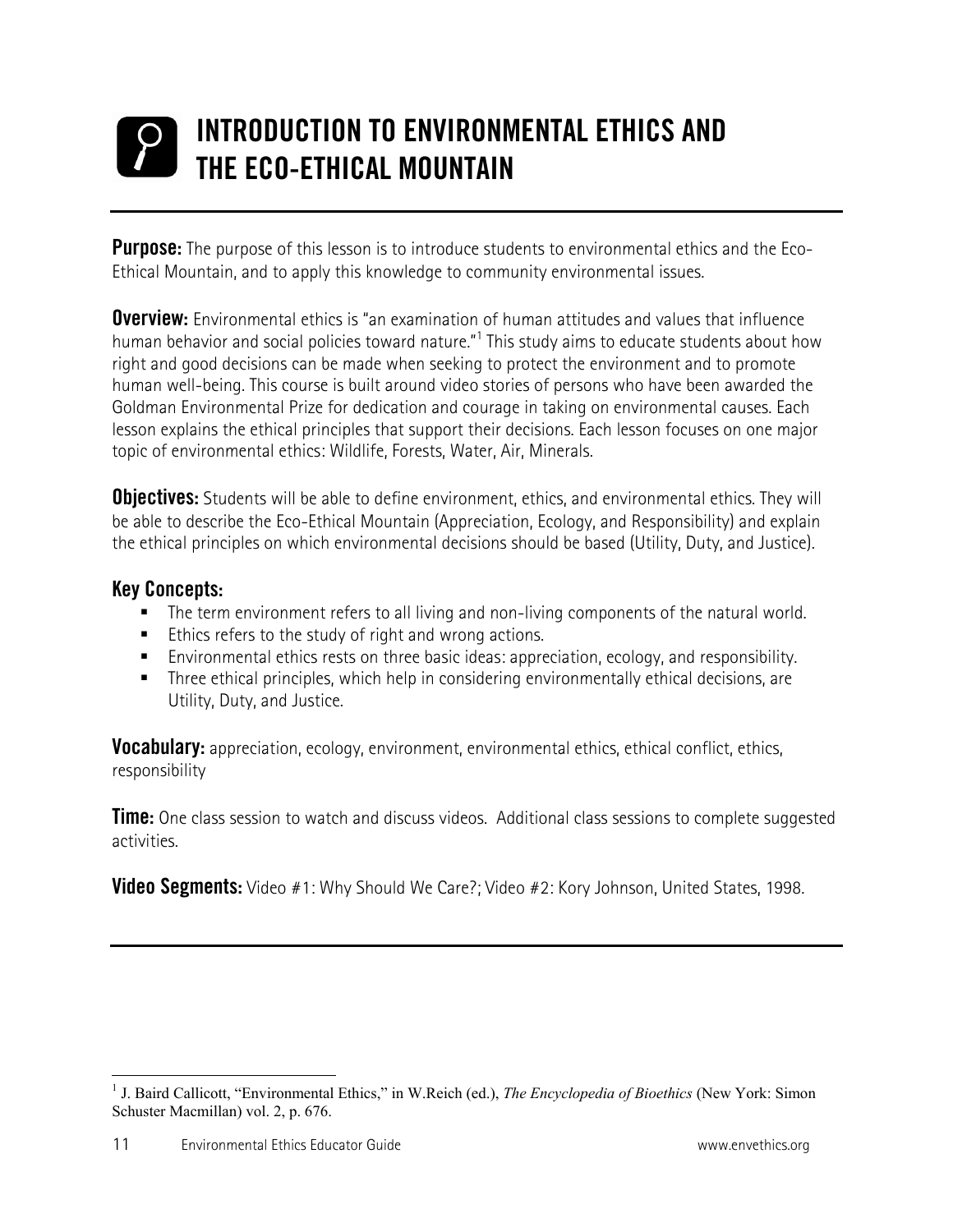

## **INTRODUCTION TO ENVIRONMENTAL ETHICS AND THE ECO-ETHICAL MOUNTAIN**

**Purpose:** The purpose of this lesson is to introduce students to environmental ethics and the Eco-Ethical Mountain, and to apply this knowledge to community environmental issues.

**Overview:** Environmental ethics is "an examination of human attitudes and values that influence human behavior and social policies toward nature."<sup>1</sup> This study aims to educate students about how right and good decisions can be made when seeking to protect the environment and to promote human well-being. This course is built around video stories of persons who have been awarded the Goldman Environmental Prize for dedication and courage in taking on environmental causes. Each lesson explains the ethical principles that support their decisions. Each lesson focuses on one major topic of environmental ethics: Wildlife, Forests, Water, Air, Minerals.

**Objectives:** Students will be able to define environment, ethics, and environmental ethics. They will be able to describe the Eco-Ethical Mountain (Appreciation, Ecology, and Responsibility) and explain the ethical principles on which environmental decisions should be based (Utility, Duty, and Justice).

### **Key Concepts:**

- The term environment refers to all living and non-living components of the natural world.
- Ethics refers to the study of right and wrong actions.
- Environmental ethics rests on three basic ideas: appreciation, ecology, and responsibility.
- **Three ethical principles, which help in considering environmentally ethical decisions, are** Utility, Duty, and Justice.

**Vocabulary:** appreciation, ecology, environment, environmental ethics, ethical conflict, ethics, responsibility

**Time:** One class session to watch and discuss videos. Additional class sessions to complete suggested activities.

**Video Segments:** Video #1: Why Should We Care?; Video #2: Kory Johnson, United States, 1998.

 $\overline{a}$ <sup>1</sup> J. Baird Callicott, "Environmental Ethics," in W.Reich (ed.), *The Encyclopedia of Bioethics* (New York: Simon Schuster Macmillan) vol. 2, p. 676.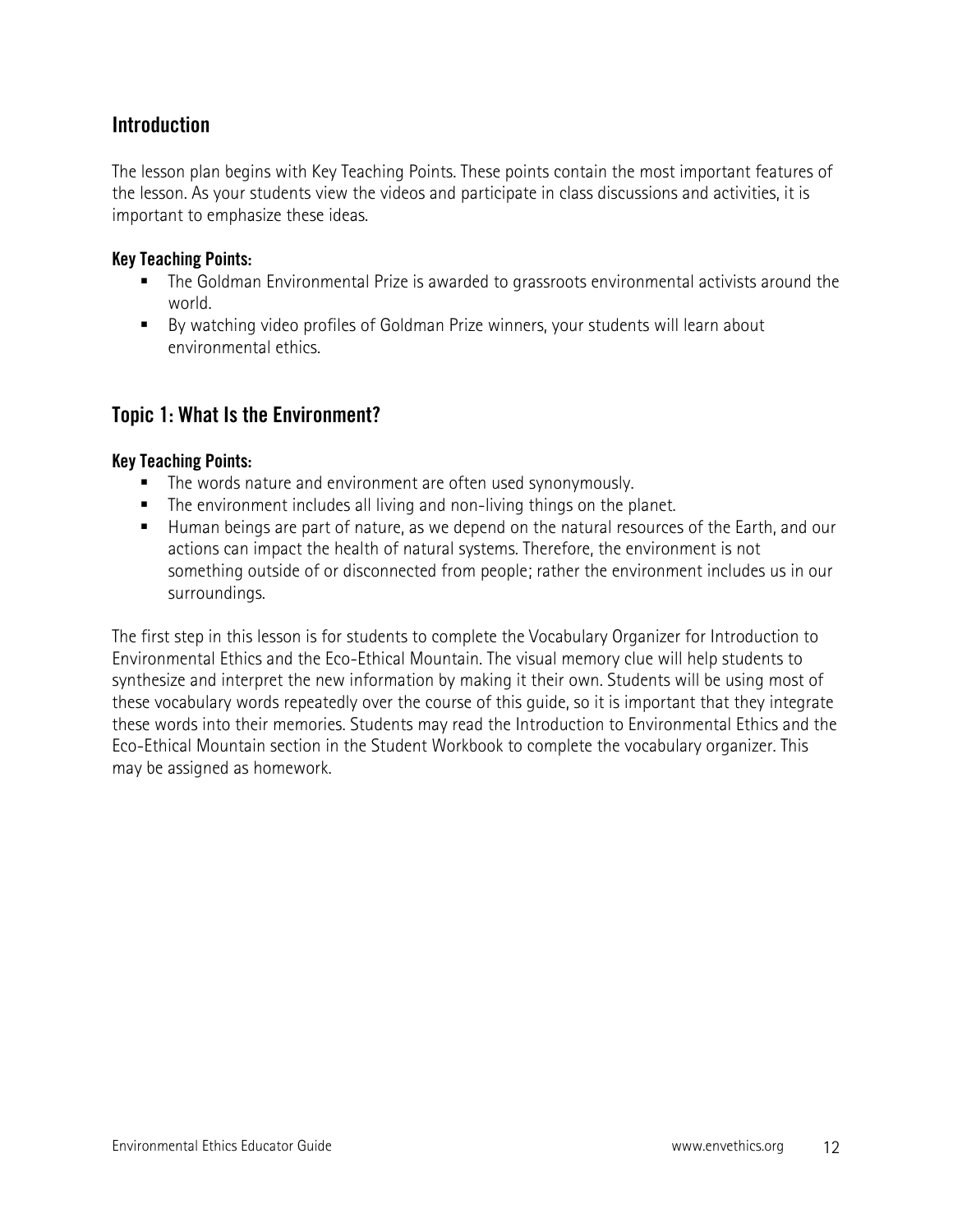### **Introduction**

The lesson plan begins with Key Teaching Points. These points contain the most important features of the lesson. As your students view the videos and participate in class discussions and activities, it is important to emphasize these ideas.

### **Key Teaching Points:**

- The Goldman Environmental Prize is awarded to grassroots environmental activists around the world.
- By watching video profiles of Goldman Prize winners, your students will learn about environmental ethics.

### **Topic 1: What Is the Environment?**

### **Key Teaching Points:**

- The words nature and environment are often used synonymously.
- **The environment includes all living and non-living things on the planet.**
- Human beings are part of nature, as we depend on the natural resources of the Earth, and our actions can impact the health of natural systems. Therefore, the environment is not something outside of or disconnected from people; rather the environment includes us in our surroundings.

The first step in this lesson is for students to complete the Vocabulary Organizer for Introduction to Environmental Ethics and the Eco-Ethical Mountain. The visual memory clue will help students to synthesize and interpret the new information by making it their own. Students will be using most of these vocabulary words repeatedly over the course of this guide, so it is important that they integrate these words into their memories. Students may read the Introduction to Environmental Ethics and the Eco-Ethical Mountain section in the Student Workbook to complete the vocabulary organizer. This may be assigned as homework.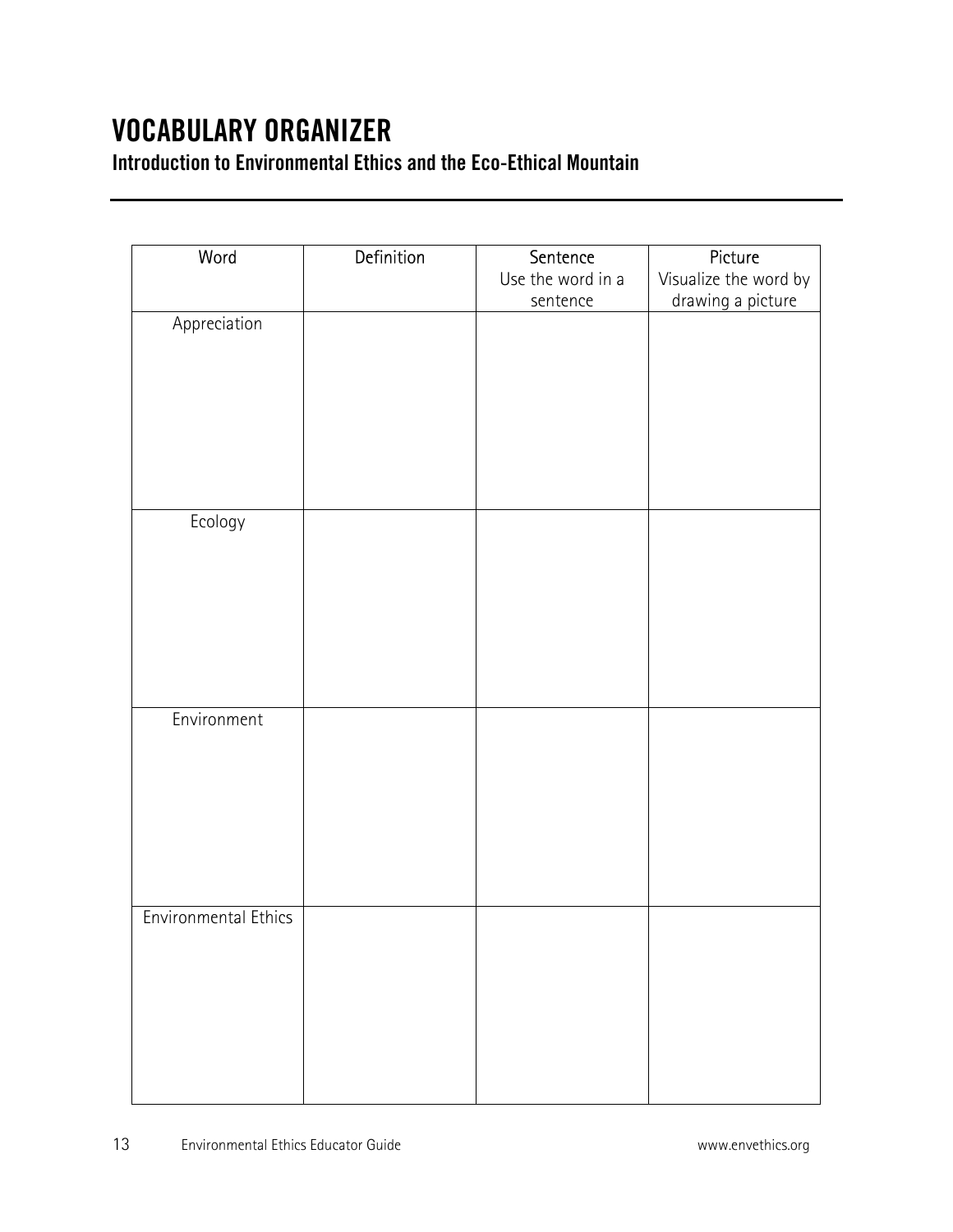## **VOCABULARY ORGANIZER**

**Introduction to Environmental Ethics and the Eco-Ethical Mountain** 

| Word                 | <b>Definition</b> | Sentence          | Picture               |
|----------------------|-------------------|-------------------|-----------------------|
|                      |                   | Use the word in a | Visualize the word by |
|                      |                   | sentence          | drawing a picture     |
| Appreciation         |                   |                   |                       |
|                      |                   |                   |                       |
|                      |                   |                   |                       |
|                      |                   |                   |                       |
|                      |                   |                   |                       |
|                      |                   |                   |                       |
|                      |                   |                   |                       |
|                      |                   |                   |                       |
|                      |                   |                   |                       |
| Ecology              |                   |                   |                       |
|                      |                   |                   |                       |
|                      |                   |                   |                       |
|                      |                   |                   |                       |
|                      |                   |                   |                       |
|                      |                   |                   |                       |
|                      |                   |                   |                       |
|                      |                   |                   |                       |
| Environment          |                   |                   |                       |
|                      |                   |                   |                       |
|                      |                   |                   |                       |
|                      |                   |                   |                       |
|                      |                   |                   |                       |
|                      |                   |                   |                       |
|                      |                   |                   |                       |
|                      |                   |                   |                       |
|                      |                   |                   |                       |
| Environmental Ethics |                   |                   |                       |
|                      |                   |                   |                       |
|                      |                   |                   |                       |
|                      |                   |                   |                       |
|                      |                   |                   |                       |
|                      |                   |                   |                       |
|                      |                   |                   |                       |
|                      |                   |                   |                       |
|                      |                   |                   |                       |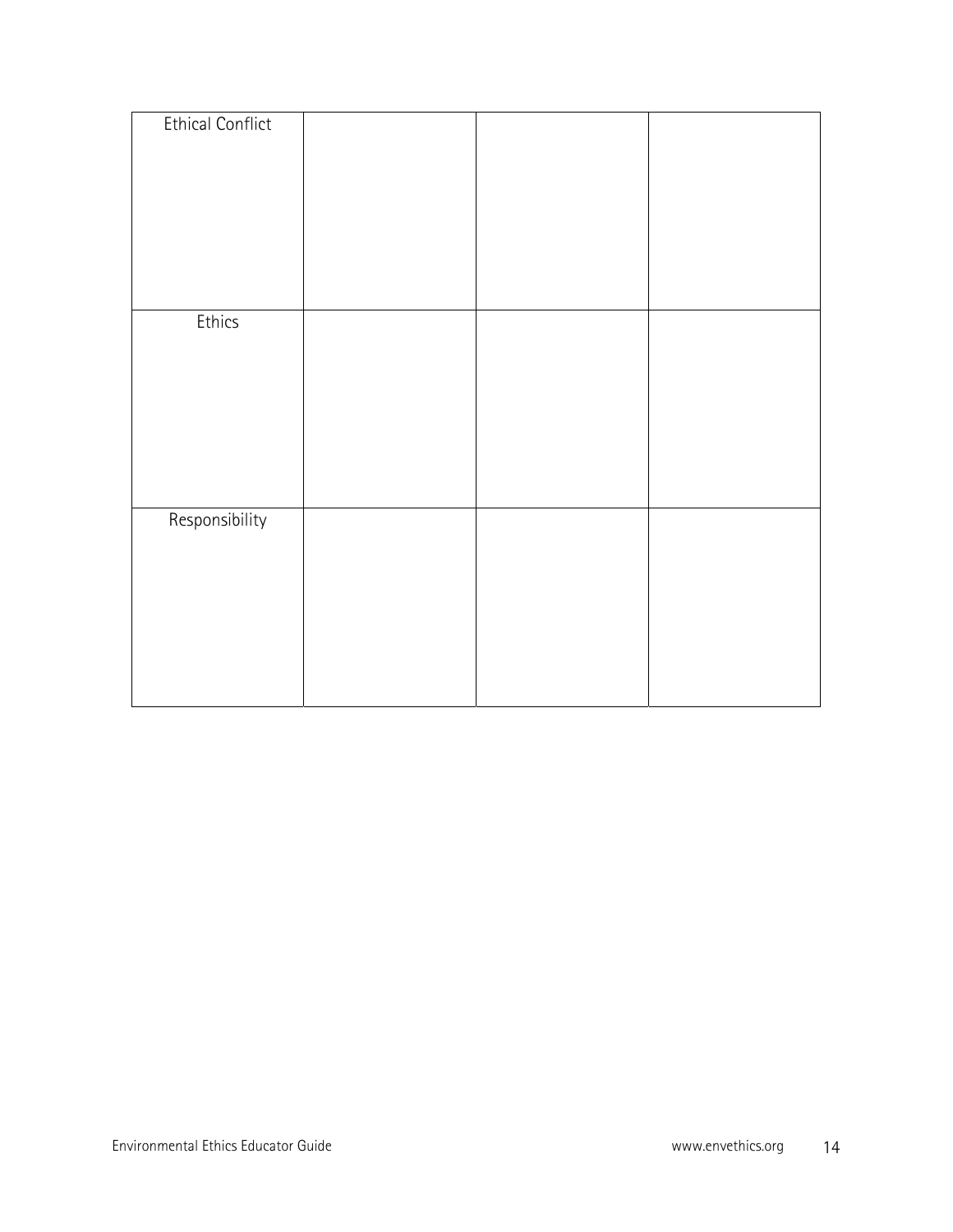| Ethical Conflict |  |  |
|------------------|--|--|
|                  |  |  |
|                  |  |  |
|                  |  |  |
|                  |  |  |
|                  |  |  |
|                  |  |  |
|                  |  |  |
|                  |  |  |
|                  |  |  |
|                  |  |  |
|                  |  |  |
|                  |  |  |
|                  |  |  |
|                  |  |  |
| <b>Ethics</b>    |  |  |
|                  |  |  |
|                  |  |  |
|                  |  |  |
|                  |  |  |
|                  |  |  |
|                  |  |  |
|                  |  |  |
|                  |  |  |
|                  |  |  |
|                  |  |  |
|                  |  |  |
|                  |  |  |
|                  |  |  |
|                  |  |  |
|                  |  |  |
| Responsibility   |  |  |
|                  |  |  |
|                  |  |  |
|                  |  |  |
|                  |  |  |
|                  |  |  |
|                  |  |  |
|                  |  |  |
|                  |  |  |
|                  |  |  |
|                  |  |  |
|                  |  |  |
|                  |  |  |
|                  |  |  |
|                  |  |  |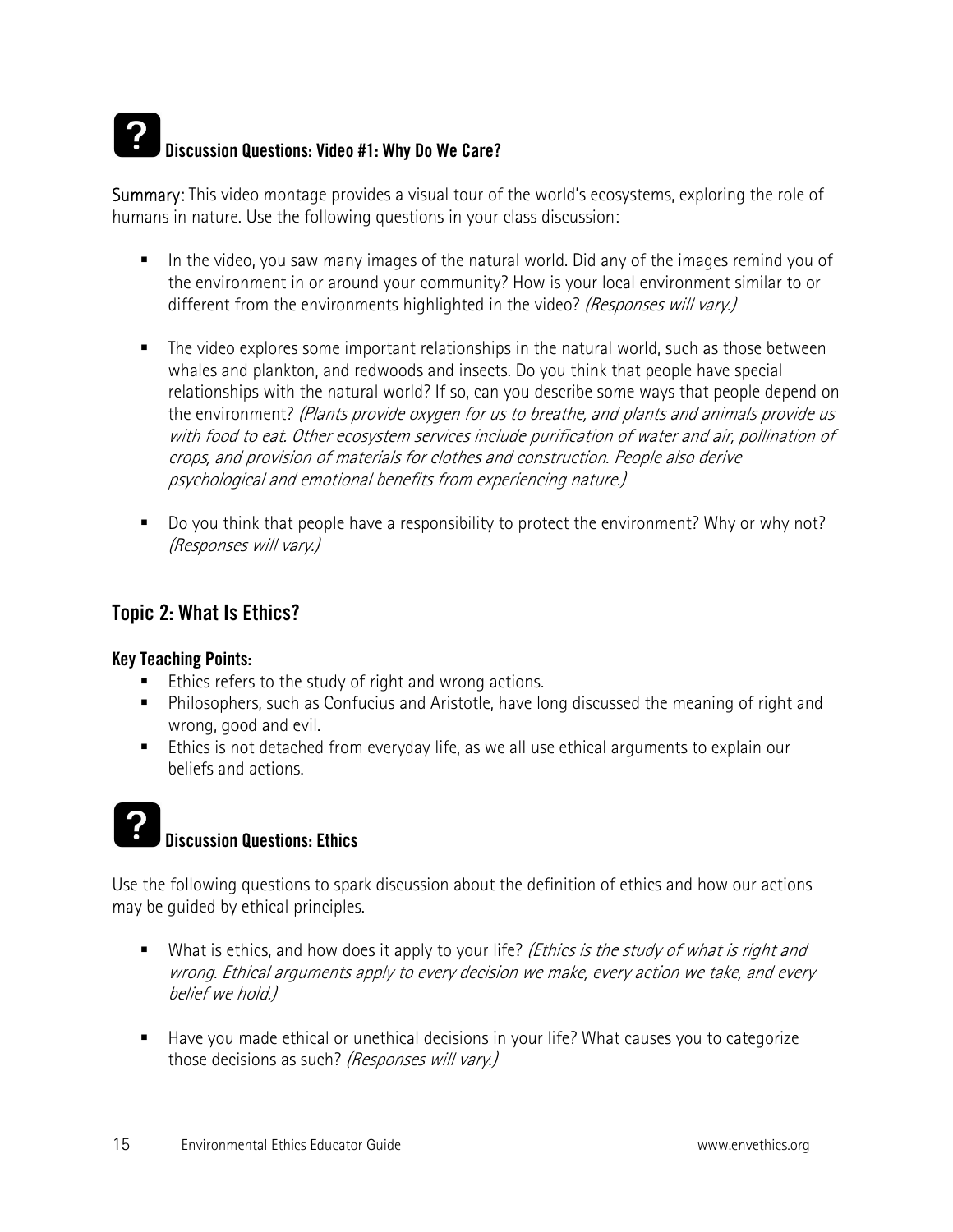# **Discussion Questions: Video #1: Why Do We Care?**

Summary: This video montage provides a visual tour of the world's ecosystems, exploring the role of humans in nature. Use the following questions in your class discussion:

- In the video, you saw many images of the natural world. Did any of the images remind you of the environment in or around your community? How is your local environment similar to or different from the environments highlighted in the video? (Responses will vary.)
- The video explores some important relationships in the natural world, such as those between whales and plankton, and redwoods and insects. Do you think that people have special relationships with the natural world? If so, can you describe some ways that people depend on the environment? (Plants provide oxygen for us to breathe, and plants and animals provide us with food to eat. Other ecosystem services include purification of water and air, pollination of crops, and provision of materials for clothes and construction. People also derive psychological and emotional benefits from experiencing nature.)
- Do you think that people have a responsibility to protect the environment? Why or why not? (Responses will vary.)

### **Topic 2: What Is Ethics?**

### **Key Teaching Points:**

- Ethics refers to the study of right and wrong actions.
- Philosophers, such as Confucius and Aristotle, have long discussed the meaning of right and wrong, good and evil.
- Ethics is not detached from everyday life, as we all use ethical arguments to explain our beliefs and actions.



### **Discussion Questions: Ethics**

Use the following questions to spark discussion about the definition of ethics and how our actions may be guided by ethical principles.

- What is ethics, and how does it apply to your life? (Ethics is the study of what is right and wrong. Ethical arguments apply to every decision we make, every action we take, and every belief we hold.)
- Have you made ethical or unethical decisions in your life? What causes you to categorize those decisions as such? (Responses will vary.)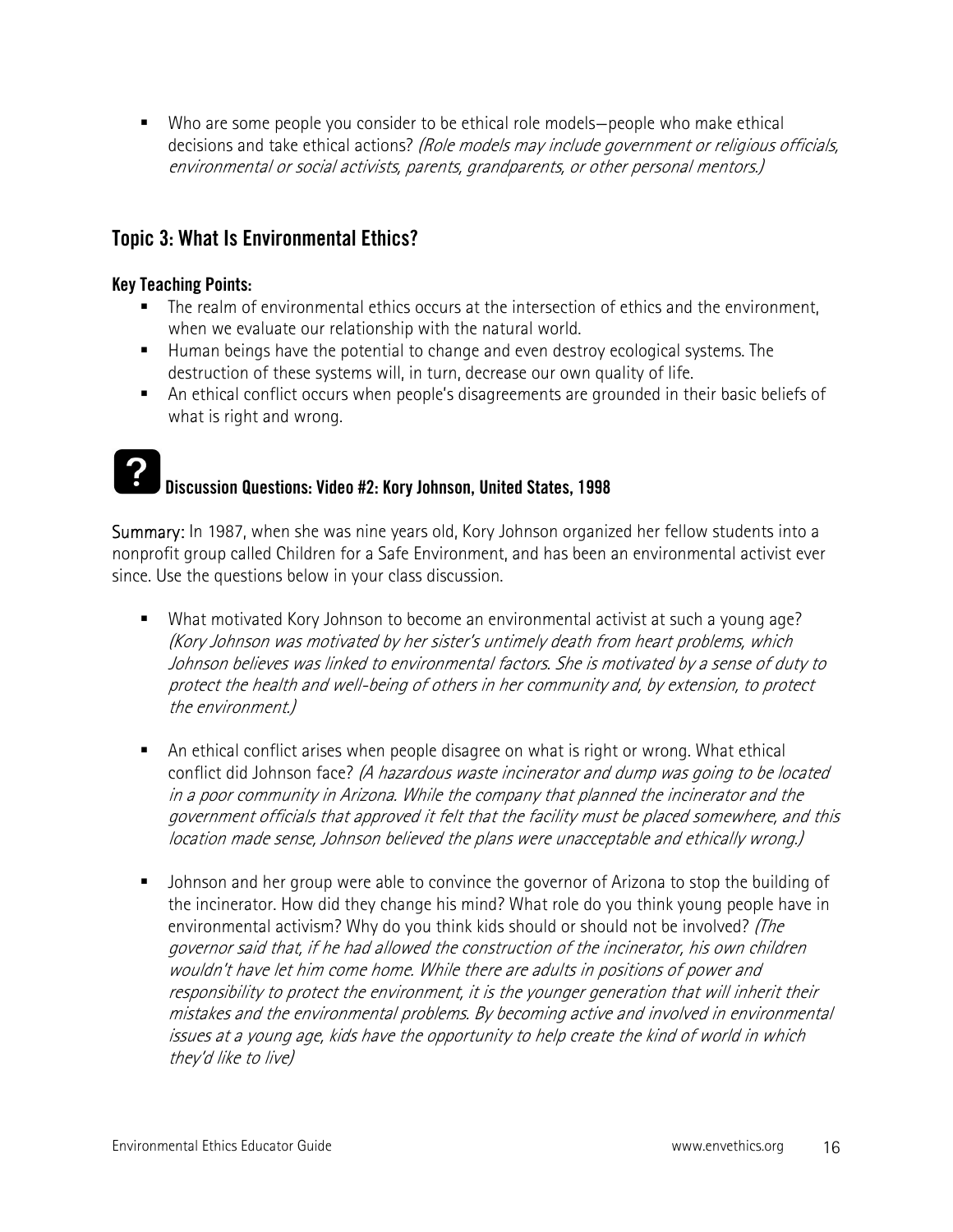Who are some people you consider to be ethical role models—people who make ethical decisions and take ethical actions? (Role models may include government or religious officials, environmental or social activists, parents, grandparents, or other personal mentors.)

### **Topic 3: What Is Environmental Ethics?**

### **Key Teaching Points:**

- The realm of environmental ethics occurs at the intersection of ethics and the environment, when we evaluate our relationship with the natural world.
- Human beings have the potential to change and even destroy ecological systems. The destruction of these systems will, in turn, decrease our own quality of life.
- An ethical conflict occurs when people's disagreements are grounded in their basic beliefs of what is right and wrong.

# **Discussion Questions: Video #2: Kory Johnson, United States, 1998**

Summary: In 1987, when she was nine years old, Kory Johnson organized her fellow students into a nonprofit group called Children for a Safe Environment, and has been an environmental activist ever since. Use the questions below in your class discussion.

- What motivated Kory Johnson to become an environmental activist at such a young age? (Kory Johnson was motivated by her sister's untimely death from heart problems, which Johnson believes was linked to environmental factors. She is motivated by a sense of duty to protect the health and well-being of others in her community and, by extension, to protect the environment.)
- An ethical conflict arises when people disagree on what is right or wrong. What ethical conflict did Johnson face? (A hazardous waste incinerator and dump was going to be located in a poor community in Arizona. While the company that planned the incinerator and the government officials that approved it felt that the facility must be placed somewhere, and this location made sense, Johnson believed the plans were unacceptable and ethically wrong.)
- Johnson and her group were able to convince the governor of Arizona to stop the building of the incinerator. How did they change his mind? What role do you think young people have in environmental activism? Why do you think kids should or should not be involved? (The governor said that, if he had allowed the construction of the incinerator, his own children wouldn't have let him come home. While there are adults in positions of power and responsibility to protect the environment, it is the younger generation that will inherit their mistakes and the environmental problems. By becoming active and involved in environmental issues at a young age, kids have the opportunity to help create the kind of world in which they'd like to live)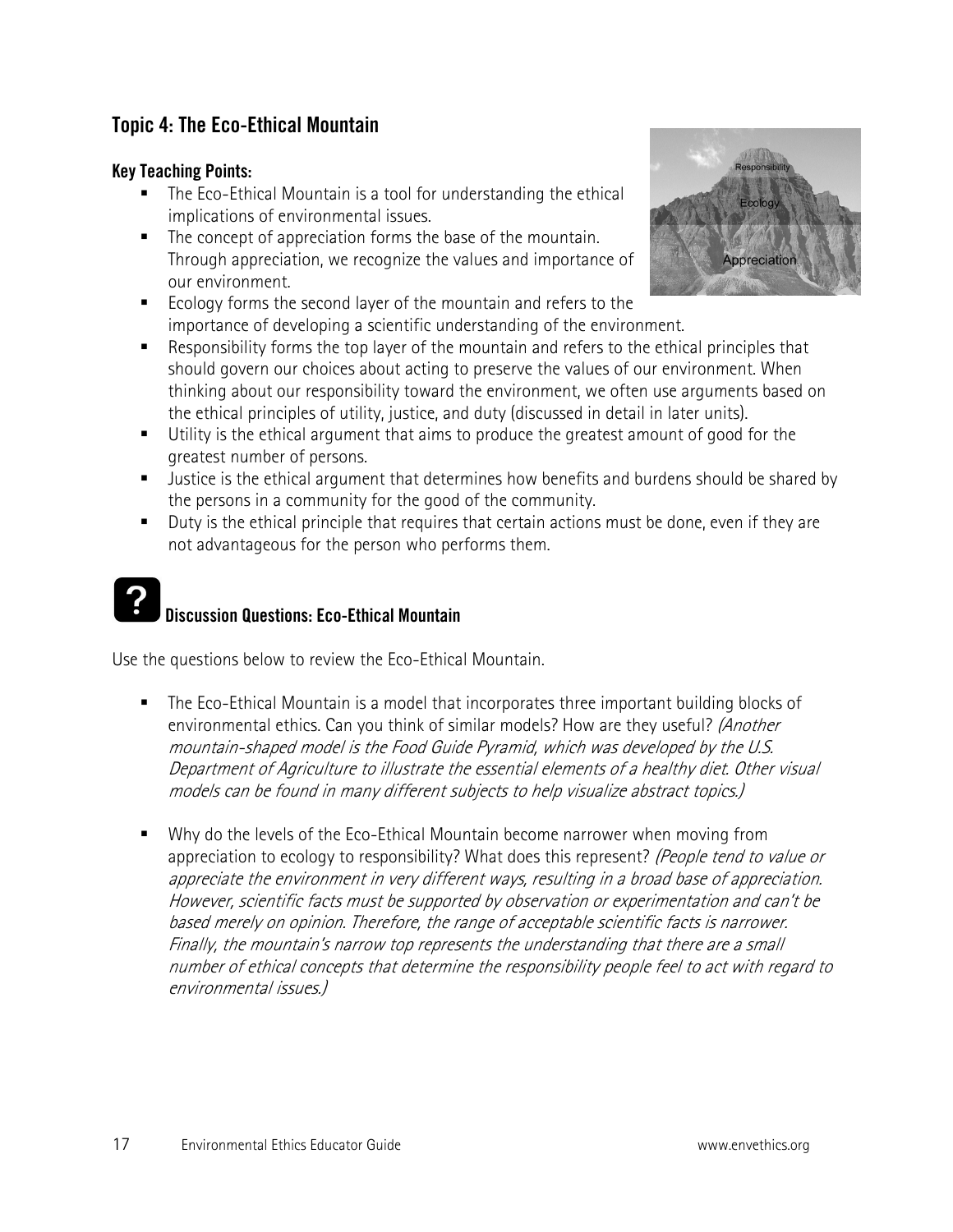### **Topic 4: The Eco-Ethical Mountain**

### **Key Teaching Points:**

- The Eco-Ethical Mountain is a tool for understanding the ethical implications of environmental issues.
- The concept of appreciation forms the base of the mountain. Through appreciation, we recognize the values and importance of our environment.
- Ecology forms the second layer of the mountain and refers to the importance of developing a scientific understanding of the environment.
- Responsibility forms the top layer of the mountain and refers to the ethical principles that should govern our choices about acting to preserve the values of our environment. When thinking about our responsibility toward the environment, we often use arguments based on the ethical principles of utility, justice, and duty (discussed in detail in later units).
- Utility is the ethical argument that aims to produce the greatest amount of good for the greatest number of persons.
- Uustice is the ethical argument that determines how benefits and burdens should be shared by the persons in a community for the good of the community.
- **Duty is the ethical principle that requires that certain actions must be done, even if they are** not advantageous for the person who performs them.

# **Discussion Questions: Eco-Ethical Mountain**

Use the questions below to review the Eco-Ethical Mountain.

- The Eco-Ethical Mountain is a model that incorporates three important building blocks of environmental ethics. Can you think of similar models? How are they useful? (Another mountain-shaped model is the Food Guide Pyramid, which was developed by the U.S. Department of Agriculture to illustrate the essential elements of a healthy diet. Other visual models can be found in many different subjects to help visualize abstract topics.)
- Why do the levels of the Eco-Ethical Mountain become narrower when moving from appreciation to ecology to responsibility? What does this represent? (People tend to value or appreciate the environment in very different ways, resulting in a broad base of appreciation. However, scientific facts must be supported by observation or experimentation and can't be based merely on opinion. Therefore, the range of acceptable scientific facts is narrower. Finally, the mountain's narrow top represents the understanding that there are a small number of ethical concepts that determine the responsibility people feel to act with regard to environmental issues.)

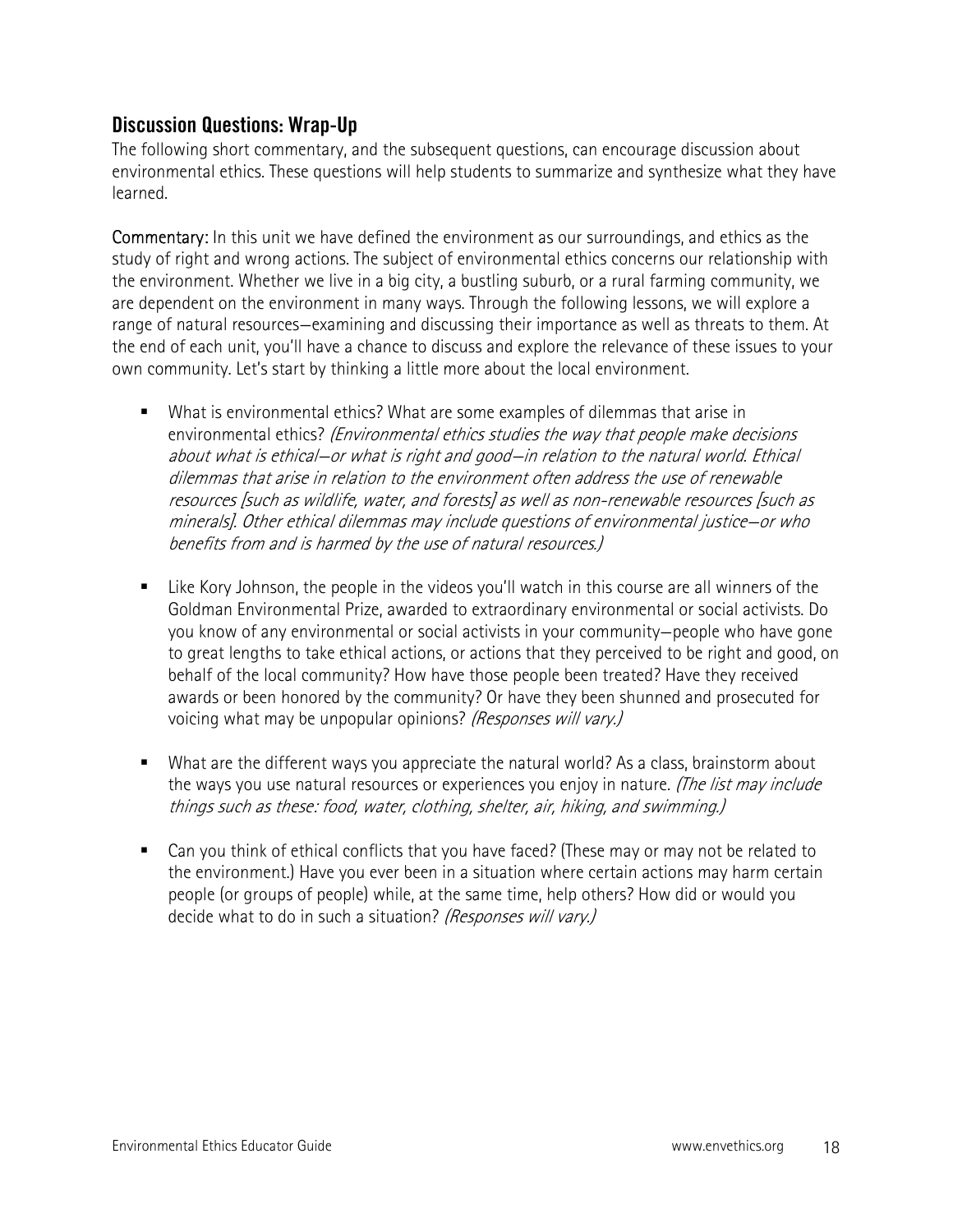### **Discussion Questions: Wrap-Up**

The following short commentary, and the subsequent questions, can encourage discussion about environmental ethics. These questions will help students to summarize and synthesize what they have learned.

Commentary: In this unit we have defined the environment as our surroundings, and ethics as the study of right and wrong actions. The subject of environmental ethics concerns our relationship with the environment. Whether we live in a big city, a bustling suburb, or a rural farming community, we are dependent on the environment in many ways. Through the following lessons, we will explore a range of natural resources—examining and discussing their importance as well as threats to them. At the end of each unit, you'll have a chance to discuss and explore the relevance of these issues to your own community. Let's start by thinking a little more about the local environment.

- What is environmental ethics? What are some examples of dilemmas that arise in environmental ethics? (Environmental ethics studies the way that people make decisions about what is ethical—or what is right and good—in relation to the natural world. Ethical dilemmas that arise in relation to the environment often address the use of renewable resources [such as wildlife, water, and forests] as well as non-renewable resources [such as minerals]. Other ethical dilemmas may include questions of environmental justice—or who benefits from and is harmed by the use of natural resources.)
- Like Kory Johnson, the people in the videos you'll watch in this course are all winners of the Goldman Environmental Prize, awarded to extraordinary environmental or social activists. Do you know of any environmental or social activists in your community—people who have gone to great lengths to take ethical actions, or actions that they perceived to be right and good, on behalf of the local community? How have those people been treated? Have they received awards or been honored by the community? Or have they been shunned and prosecuted for voicing what may be unpopular opinions? (Responses will vary.)
- What are the different ways you appreciate the natural world? As a class, brainstorm about the ways you use natural resources or experiences you enjoy in nature. (The list may include things such as these: food, water, clothing, shelter, air, hiking, and swimming.)
- Can you think of ethical conflicts that you have faced? (These may or may not be related to the environment.) Have you ever been in a situation where certain actions may harm certain people (or groups of people) while, at the same time, help others? How did or would you decide what to do in such a situation? (Responses will vary.)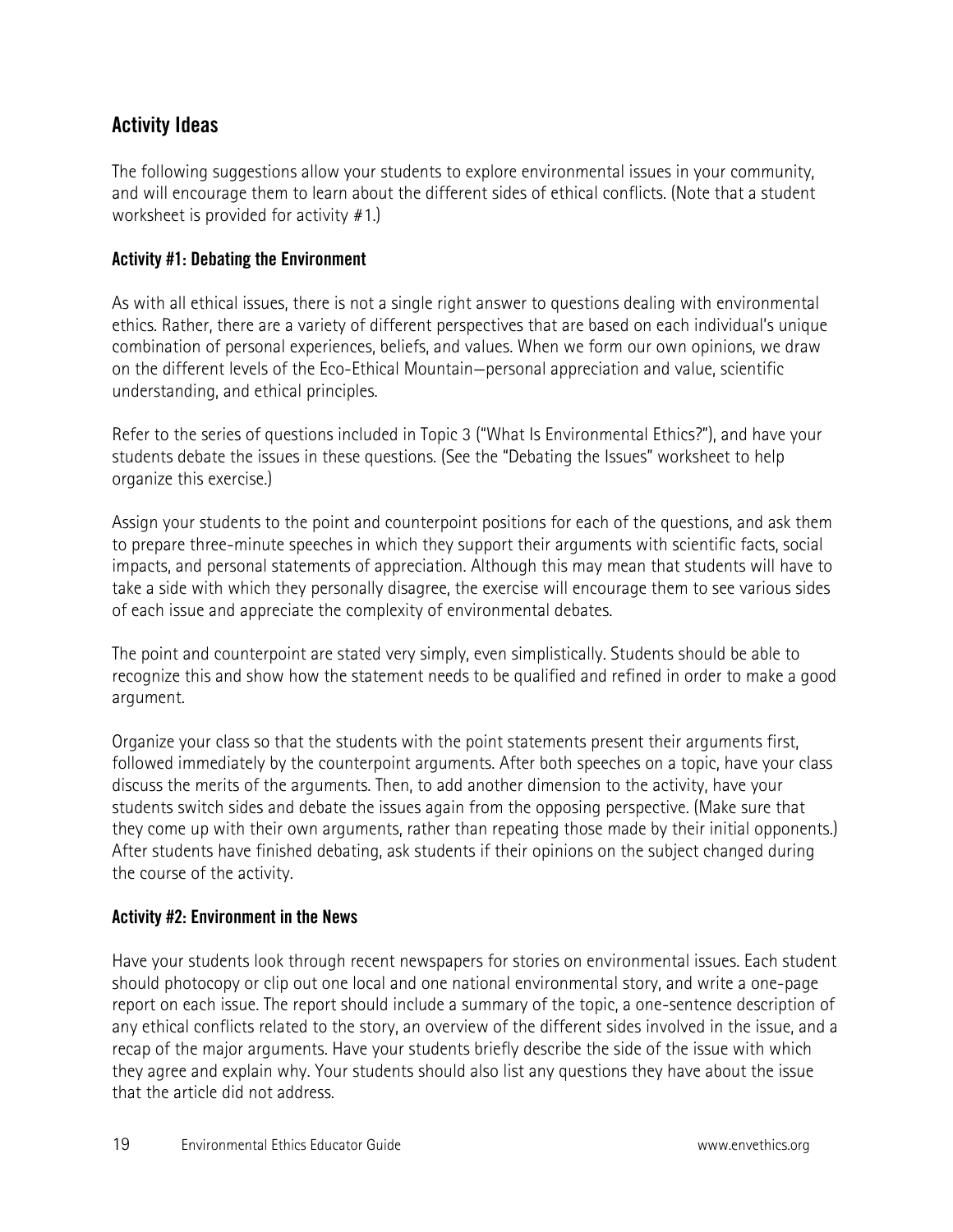### **Activity Ideas**

The following suggestions allow your students to explore environmental issues in your community, and will encourage them to learn about the different sides of ethical conflicts. (Note that a student worksheet is provided for activity #1.)

### **Activity #1: Debating the Environment**

As with all ethical issues, there is not a single right answer to questions dealing with environmental ethics. Rather, there are a variety of different perspectives that are based on each individual's unique combination of personal experiences, beliefs, and values. When we form our own opinions, we draw on the different levels of the Eco-Ethical Mountain—personal appreciation and value, scientific understanding, and ethical principles.

Refer to the series of questions included in Topic 3 ("What Is Environmental Ethics?"), and have your students debate the issues in these questions. (See the "Debating the Issues" worksheet to help organize this exercise.)

Assign your students to the point and counterpoint positions for each of the questions, and ask them to prepare three-minute speeches in which they support their arguments with scientific facts, social impacts, and personal statements of appreciation. Although this may mean that students will have to take a side with which they personally disagree, the exercise will encourage them to see various sides of each issue and appreciate the complexity of environmental debates.

The point and counterpoint are stated very simply, even simplistically. Students should be able to recognize this and show how the statement needs to be qualified and refined in order to make a good argument.

Organize your class so that the students with the point statements present their arguments first, followed immediately by the counterpoint arguments. After both speeches on a topic, have your class discuss the merits of the arguments. Then, to add another dimension to the activity, have your students switch sides and debate the issues again from the opposing perspective. (Make sure that they come up with their own arguments, rather than repeating those made by their initial opponents.) After students have finished debating, ask students if their opinions on the subject changed during the course of the activity.

### **Activity #2: Environment in the News**

Have your students look through recent newspapers for stories on environmental issues. Each student should photocopy or clip out one local and one national environmental story, and write a one-page report on each issue. The report should include a summary of the topic, a one-sentence description of any ethical conflicts related to the story, an overview of the different sides involved in the issue, and a recap of the major arguments. Have your students briefly describe the side of the issue with which they agree and explain why. Your students should also list any questions they have about the issue that the article did not address.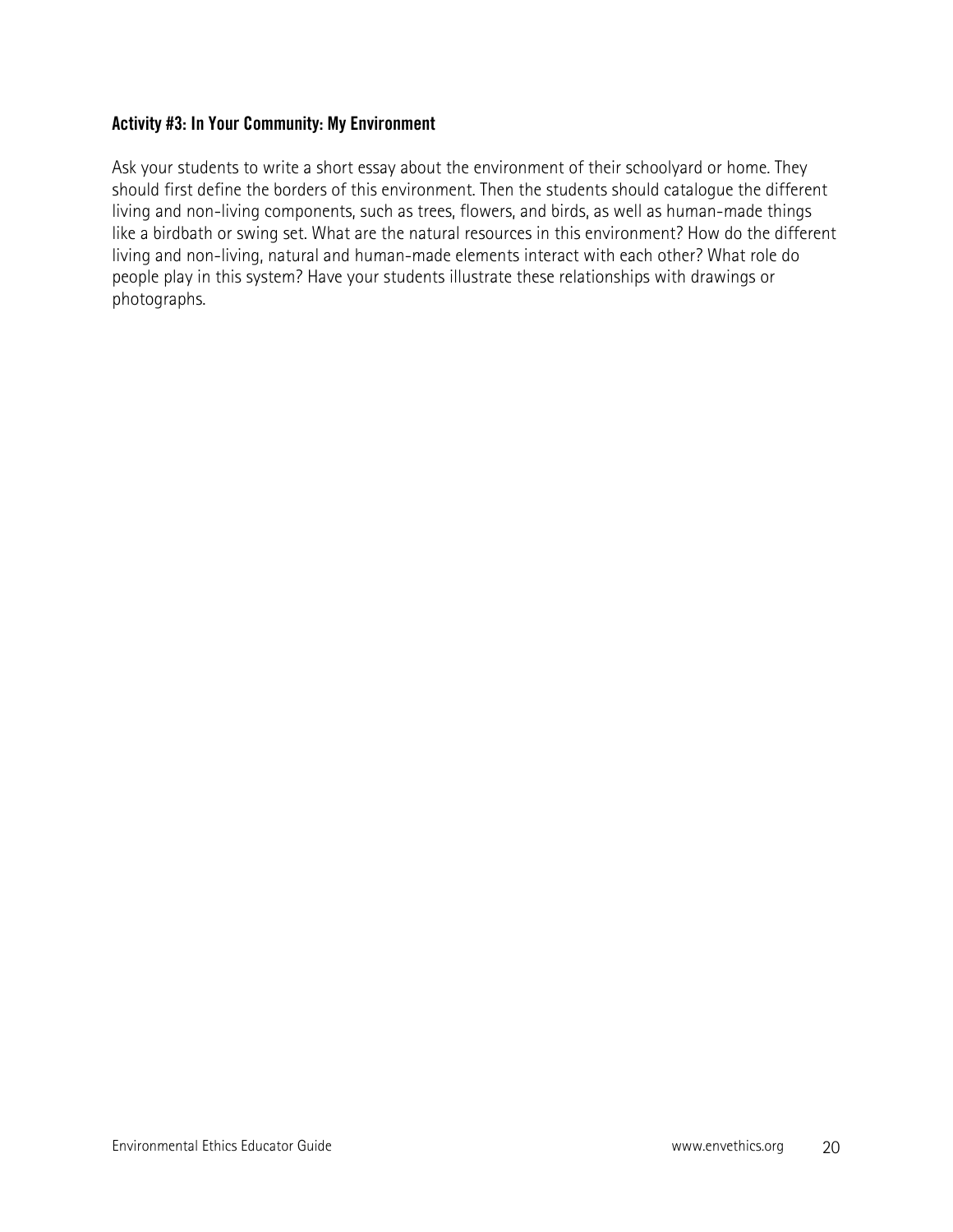### **Activity #3: In Your Community: My Environment**

Ask your students to write a short essay about the environment of their schoolyard or home. They should first define the borders of this environment. Then the students should catalogue the different living and non-living components, such as trees, flowers, and birds, as well as human-made things like a birdbath or swing set. What are the natural resources in this environment? How do the different living and non-living, natural and human-made elements interact with each other? What role do people play in this system? Have your students illustrate these relationships with drawings or photographs.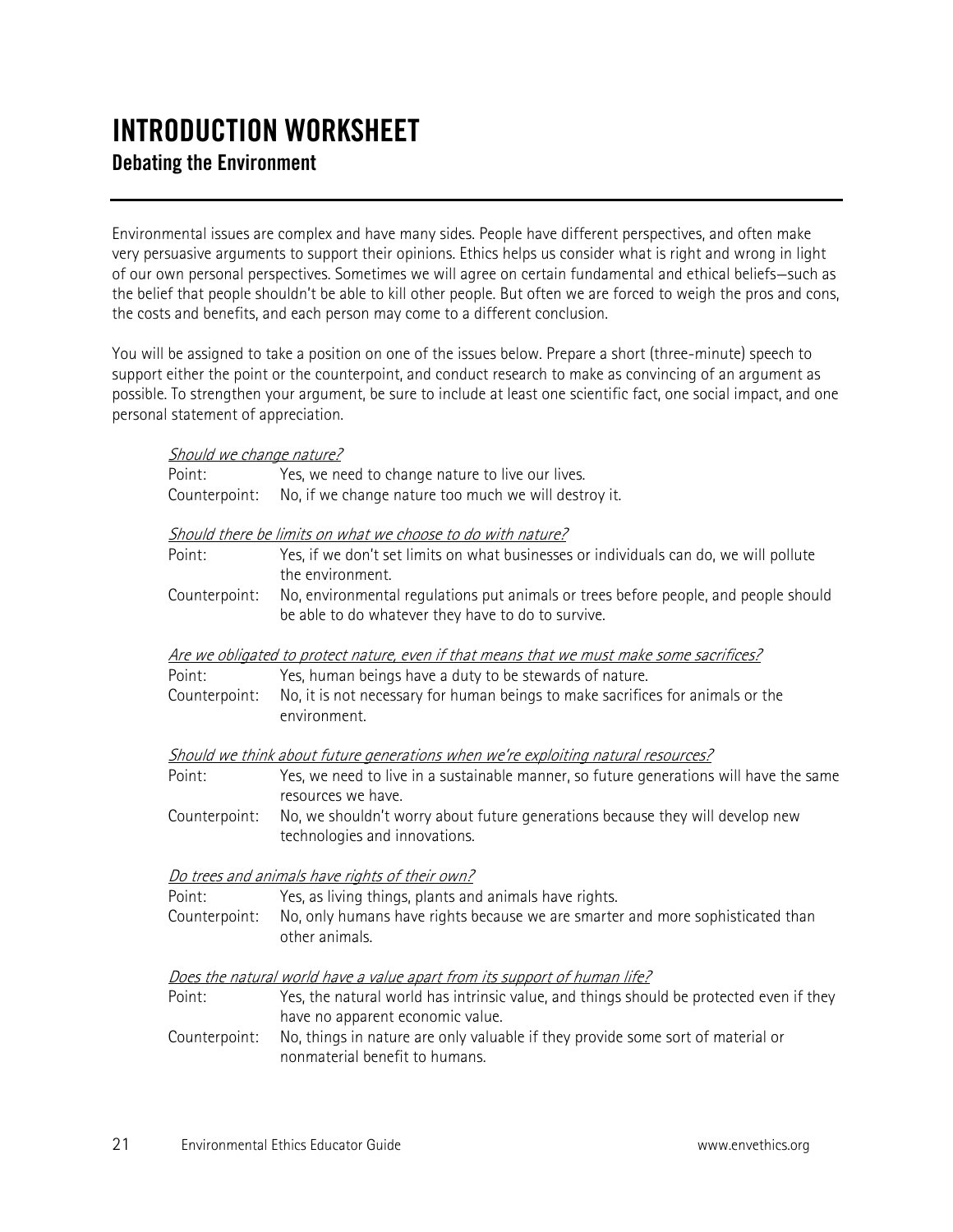### **INTRODUCTION WORKSHEET Debating the Environment**

Environmental issues are complex and have many sides. People have different perspectives, and often make very persuasive arguments to support their opinions. Ethics helps us consider what is right and wrong in light of our own personal perspectives. Sometimes we will agree on certain fundamental and ethical beliefs—such as the belief that people shouldn't be able to kill other people. But often we are forced to weigh the pros and cons, the costs and benefits, and each person may come to a different conclusion.

You will be assigned to take a position on one of the issues below. Prepare a short (three-minute) speech to support either the point or the counterpoint, and conduct research to make as convincing of an argument as possible. To strengthen your argument, be sure to include at least one scientific fact, one social impact, and one personal statement of appreciation.

| Should we change nature? |                                                                                                                                           |
|--------------------------|-------------------------------------------------------------------------------------------------------------------------------------------|
| Point:                   | Yes, we need to change nature to live our lives.                                                                                          |
| Counterpoint:            | No, if we change nature too much we will destroy it.                                                                                      |
|                          | Should there be limits on what we choose to do with nature?                                                                               |
| Point:                   | Yes, if we don't set limits on what businesses or individuals can do, we will pollute<br>the environment.                                 |
| Counterpoint:            | No, environmental regulations put animals or trees before people, and people should<br>be able to do whatever they have to do to survive. |
|                          | <u>Are we obligated to protect nature, even if that means that we must make some sacrifices?</u>                                          |
| Point:                   | Yes, human beings have a duty to be stewards of nature.                                                                                   |
| Counterpoint:            | No, it is not necessary for human beings to make sacrifices for animals or the<br>environment.                                            |
|                          | Should we think about future generations when we're exploiting natural resources?                                                         |
| Point:                   | Yes, we need to live in a sustainable manner, so future generations will have the same<br>resources we have.                              |
| Counterpoint:            | No, we shouldn't worry about future generations because they will develop new<br>technologies and innovations.                            |
|                          | Do trees and animals have rights of their own?                                                                                            |
| Point:                   | Yes, as living things, plants and animals have rights.                                                                                    |
| Counterpoint:            | No, only humans have rights because we are smarter and more sophisticated than<br>other animals.                                          |
|                          | Does the natural world have a value apart from its support of human life?                                                                 |
| Point:                   | Yes, the natural world has intrinsic value, and things should be protected even if they<br>have no apparent economic value.               |
| Counterpoint:            | No, things in nature are only valuable if they provide some sort of material or<br>nonmaterial benefit to humans.                         |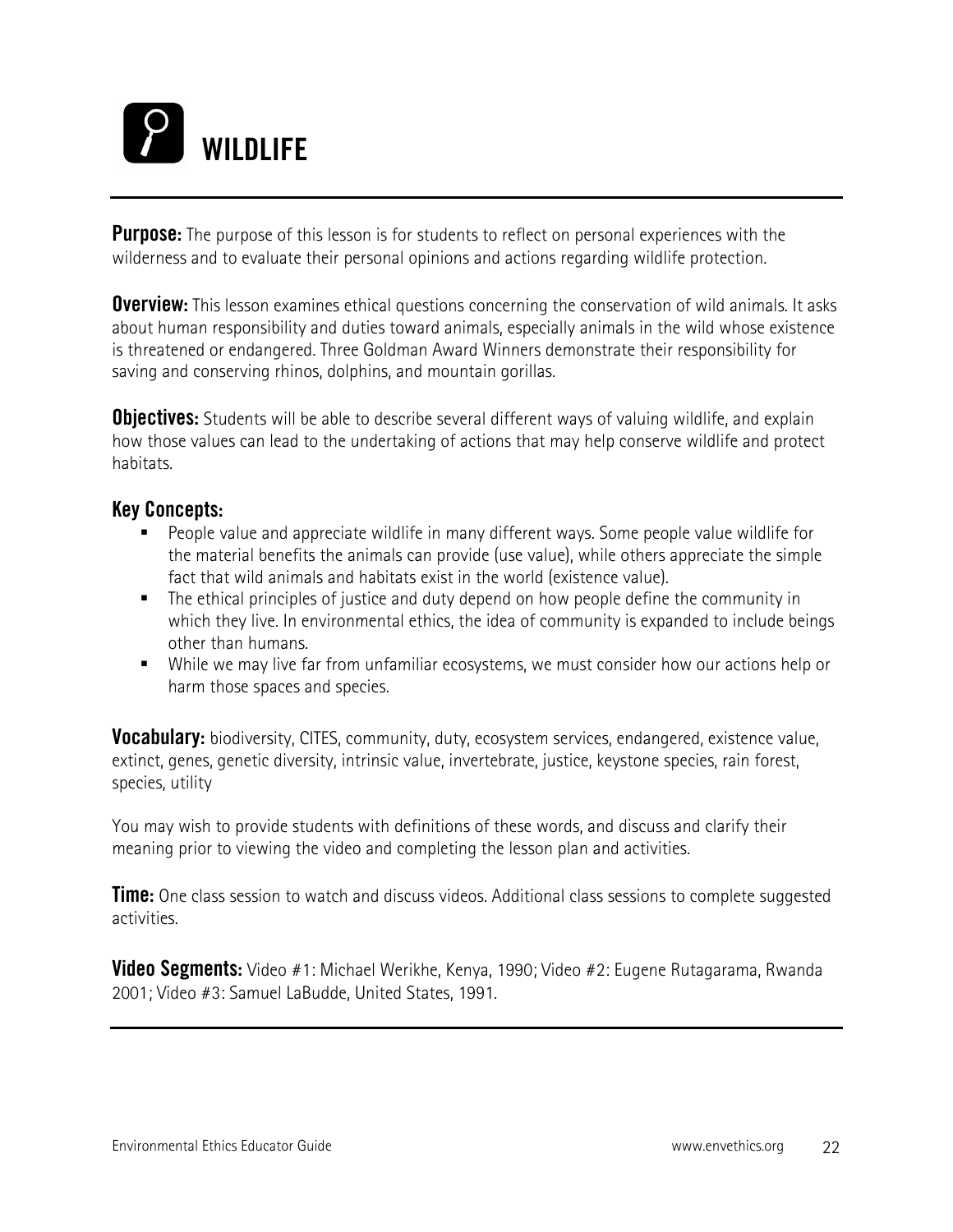

**Purpose:** The purpose of this lesson is for students to reflect on personal experiences with the wilderness and to evaluate their personal opinions and actions regarding wildlife protection.

**Overview:** This lesson examines ethical questions concerning the conservation of wild animals. It asks about human responsibility and duties toward animals, especially animals in the wild whose existence is threatened or endangered. Three Goldman Award Winners demonstrate their responsibility for saving and conserving rhinos, dolphins, and mountain gorillas.

**Objectives:** Students will be able to describe several different ways of valuing wildlife, and explain how those values can lead to the undertaking of actions that may help conserve wildlife and protect habitats.

### **Key Concepts:**

- People value and appreciate wildlife in many different ways. Some people value wildlife for the material benefits the animals can provide (use value), while others appreciate the simple fact that wild animals and habitats exist in the world (existence value).
- **The ethical principles of justice and duty depend on how people define the community in** which they live. In environmental ethics, the idea of community is expanded to include beings other than humans.
- While we may live far from unfamiliar ecosystems, we must consider how our actions help or harm those spaces and species.

**Vocabulary:** biodiversity, CITES, community, duty, ecosystem services, endangered, existence value, extinct, genes, genetic diversity, intrinsic value, invertebrate, justice, keystone species, rain forest, species, utility

You may wish to provide students with definitions of these words, and discuss and clarify their meaning prior to viewing the video and completing the lesson plan and activities.

**Time:** One class session to watch and discuss videos. Additional class sessions to complete suggested activities.

**Video Segments:** Video #1: Michael Werikhe, Kenya, 1990; Video #2: Eugene Rutagarama, Rwanda 2001; Video #3: Samuel LaBudde, United States, 1991.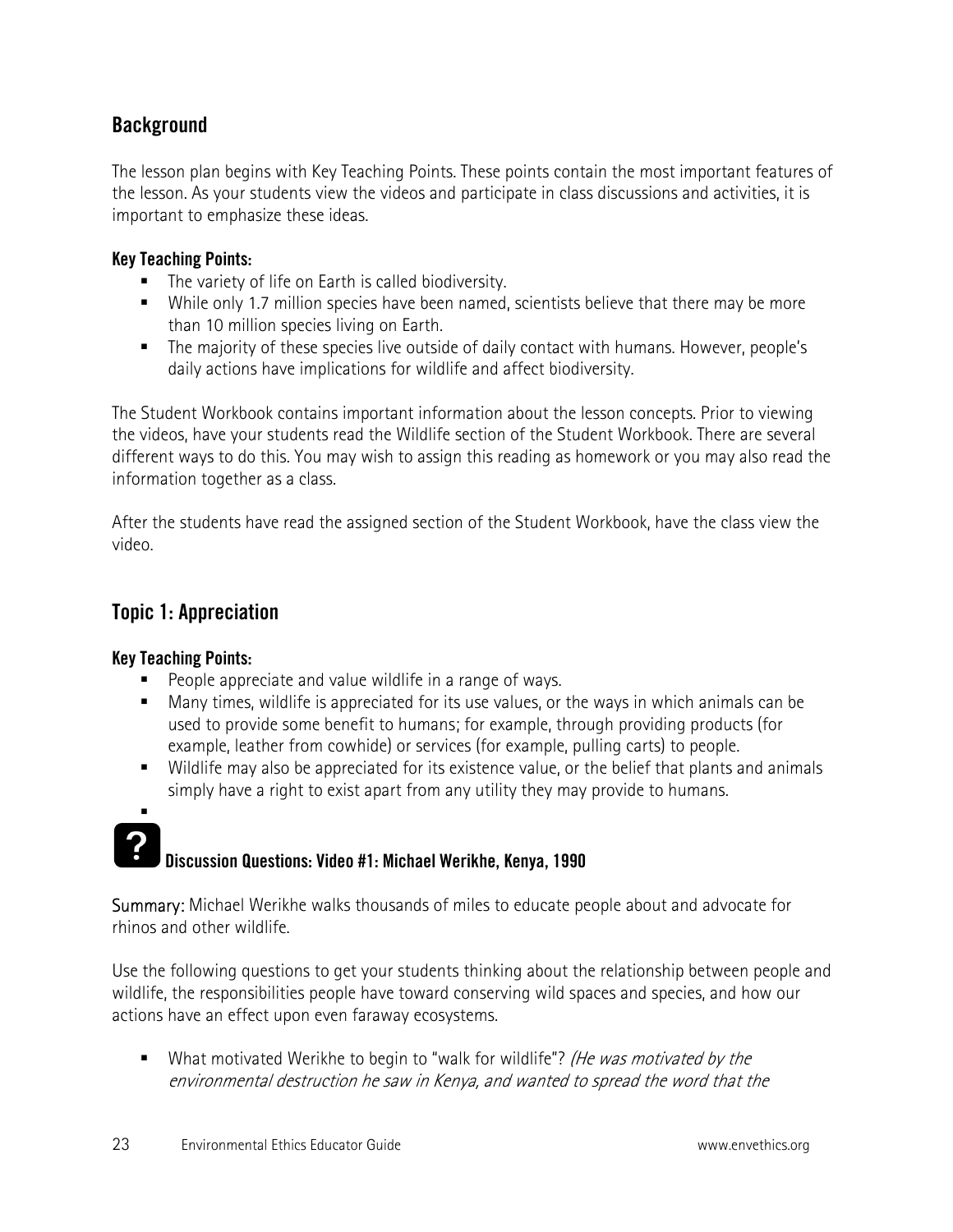### **Background**

The lesson plan begins with Key Teaching Points. These points contain the most important features of the lesson. As your students view the videos and participate in class discussions and activities, it is important to emphasize these ideas.

### **Key Teaching Points:**

- The variety of life on Earth is called biodiversity.
- While only 1.7 million species have been named, scientists believe that there may be more than 10 million species living on Earth.
- The majority of these species live outside of daily contact with humans. However, people's daily actions have implications for wildlife and affect biodiversity.

The Student Workbook contains important information about the lesson concepts. Prior to viewing the videos, have your students read the Wildlife section of the Student Workbook. There are several different ways to do this. You may wish to assign this reading as homework or you may also read the information together as a class.

After the students have read the assigned section of the Student Workbook, have the class view the video.

### **Topic 1: Appreciation**

### **Key Teaching Points:**

- **People appreciate and value wildlife in a range of ways.**
- Many times, wildlife is appreciated for its use values, or the ways in which animals can be used to provide some benefit to humans; for example, through providing products (for example, leather from cowhide) or services (for example, pulling carts) to people.
- Wildlife may also be appreciated for its existence value, or the belief that plants and animals simply have a right to exist apart from any utility they may provide to humans.
- $\blacksquare$

### **Discussion Questions: Video #1: Michael Werikhe, Kenya, 1990**

Summary: Michael Werikhe walks thousands of miles to educate people about and advocate for rhinos and other wildlife.

Use the following questions to get your students thinking about the relationship between people and wildlife, the responsibilities people have toward conserving wild spaces and species, and how our actions have an effect upon even faraway ecosystems.

■ What motivated Werikhe to begin to "walk for wildlife"? (He was motivated by the environmental destruction he saw in Kenya, and wanted to spread the word that the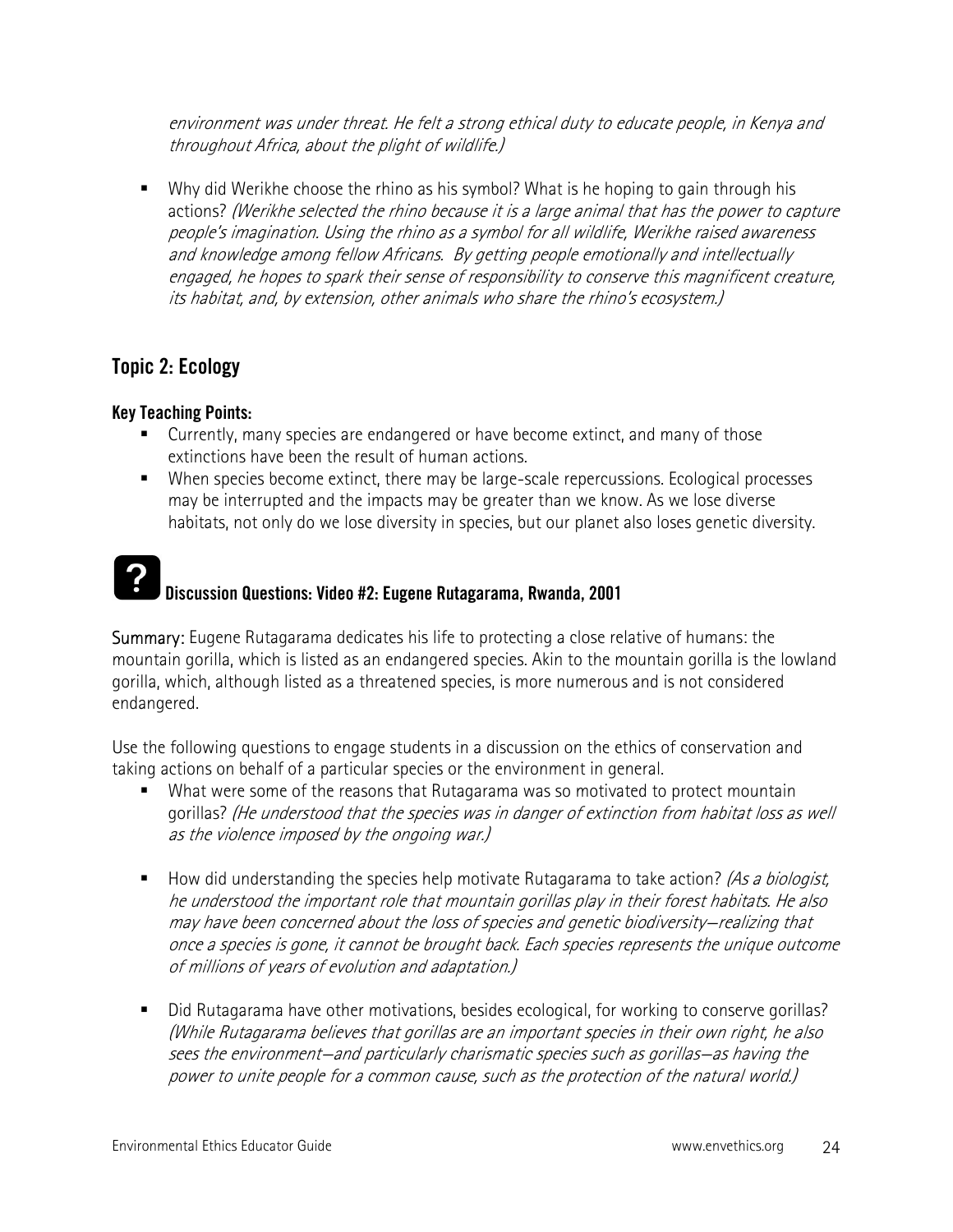environment was under threat. He felt a strong ethical duty to educate people, in Kenya and throughout Africa, about the plight of wildlife.)

 Why did Werikhe choose the rhino as his symbol? What is he hoping to gain through his actions? (Werikhe selected the rhino because it is a large animal that has the power to capture people's imagination. Using the rhino as a symbol for all wildlife, Werikhe raised awareness and knowledge among fellow Africans. By getting people emotionally and intellectually engaged, he hopes to spark their sense of responsibility to conserve this magnificent creature, its habitat, and, by extension, other animals who share the rhino's ecosystem.)

### **Topic 2: Ecology**

### **Key Teaching Points:**

- **Currently, many species are endangered or have become extinct, and many of those** extinctions have been the result of human actions.
- When species become extinct, there may be large-scale repercussions. Ecological processes may be interrupted and the impacts may be greater than we know. As we lose diverse habitats, not only do we lose diversity in species, but our planet also loses genetic diversity.

# **Discussion Questions: Video #2: Eugene Rutagarama, Rwanda, 2001**

Summary: Eugene Rutagarama dedicates his life to protecting a close relative of humans: the mountain gorilla, which is listed as an endangered species. Akin to the mountain gorilla is the lowland gorilla, which, although listed as a threatened species, is more numerous and is not considered endangered.

Use the following questions to engage students in a discussion on the ethics of conservation and taking actions on behalf of a particular species or the environment in general.

- What were some of the reasons that Rutagarama was so motivated to protect mountain gorillas? (He understood that the species was in danger of extinction from habitat loss as well as the violence imposed by the ongoing war.)
- How did understanding the species help motivate Rutagarama to take action? (As a biologist, he understood the important role that mountain gorillas play in their forest habitats. He also may have been concerned about the loss of species and genetic biodiversity—realizing that once a species is gone, it cannot be brought back. Each species represents the unique outcome of millions of years of evolution and adaptation.)
- Did Rutagarama have other motivations, besides ecological, for working to conserve gorillas? (While Rutagarama believes that gorillas are an important species in their own right, he also sees the environment—and particularly charismatic species such as gorillas—as having the power to unite people for a common cause, such as the protection of the natural world.)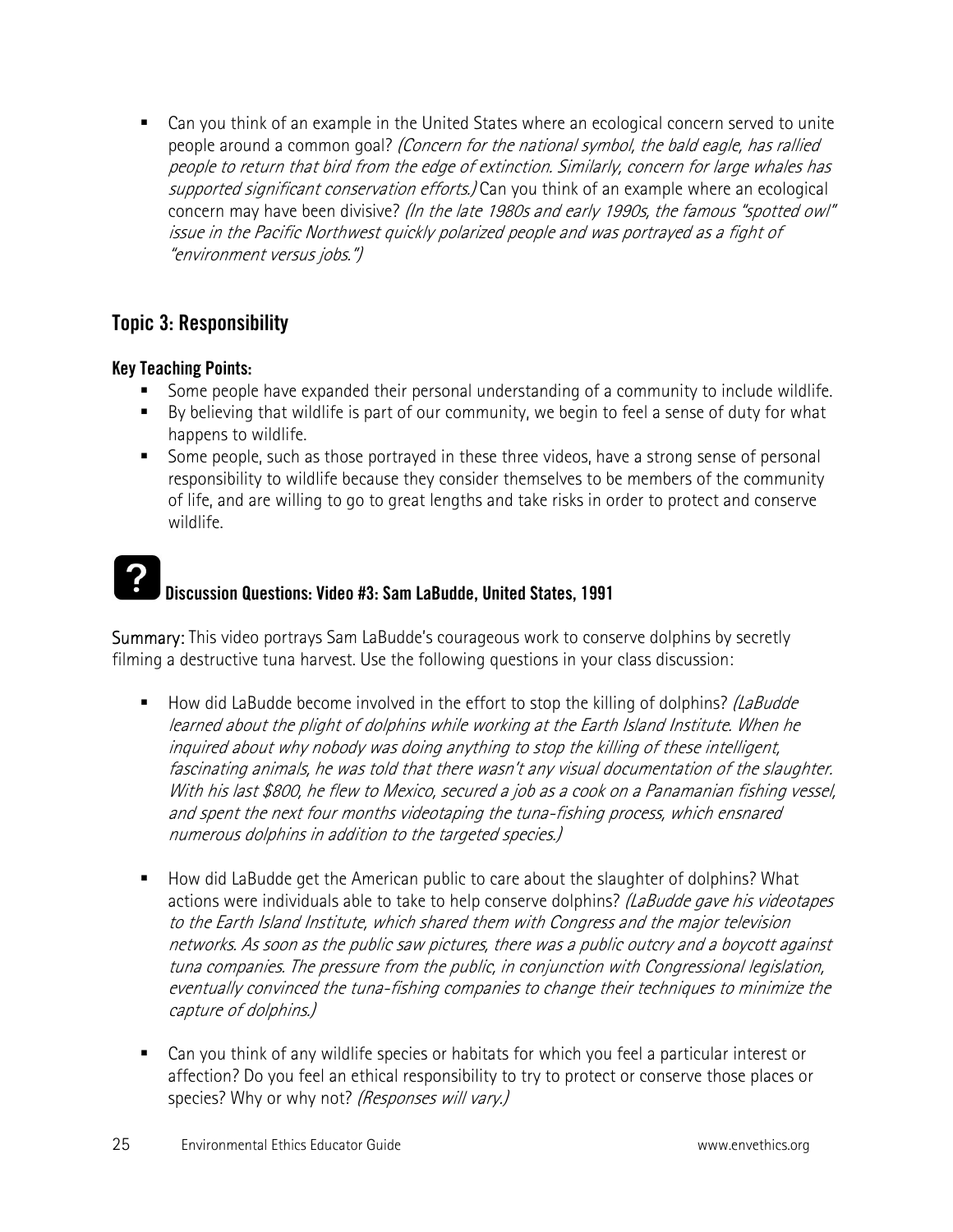Can you think of an example in the United States where an ecological concern served to unite people around a common goal? (Concern for the national symbol, the bald eagle, has rallied people to return that bird from the edge of extinction. Similarly, concern for large whales has supported significant conservation efforts. Can you think of an example where an ecological concern may have been divisive? (In the late 1980s and early 1990s, the famous "spotted owl" issue in the Pacific Northwest quickly polarized people and was portrayed as a fight of "environment versus jobs.")

### **Topic 3: Responsibility**

### **Key Teaching Points:**

- Some people have expanded their personal understanding of a community to include wildlife.
- By believing that wildlife is part of our community, we begin to feel a sense of duty for what happens to wildlife.
- Some people, such as those portrayed in these three videos, have a strong sense of personal responsibility to wildlife because they consider themselves to be members of the community of life, and are willing to go to great lengths and take risks in order to protect and conserve wildlife.

# **Discussion Questions: Video #3: Sam LaBudde, United States, 1991**

Summary: This video portrays Sam LaBudde's courageous work to conserve dolphins by secretly filming a destructive tuna harvest. Use the following questions in your class discussion:

- How did LaBudde become involved in the effort to stop the killing of dolphins? *(LaBudde*) learned about the plight of dolphins while working at the Earth Island Institute. When he inquired about why nobody was doing anything to stop the killing of these intelligent, fascinating animals, he was told that there wasn't any visual documentation of the slaughter. With his last \$800, he flew to Mexico, secured a job as a cook on a Panamanian fishing vessel, and spent the next four months videotaping the tuna-fishing process, which ensnared numerous dolphins in addition to the targeted species.)
- How did LaBudde get the American public to care about the slaughter of dolphins? What actions were individuals able to take to help conserve dolphins? (LaBudde gave his videotapes to the Earth Island Institute, which shared them with Congress and the major television networks. As soon as the public saw pictures, there was a public outcry and a boycott against tuna companies. The pressure from the public, in conjunction with Congressional legislation, eventually convinced the tuna-fishing companies to change their techniques to minimize the capture of dolphins.)
- Can you think of any wildlife species or habitats for which you feel a particular interest or affection? Do you feel an ethical responsibility to try to protect or conserve those places or species? Why or why not? (Responses will vary.)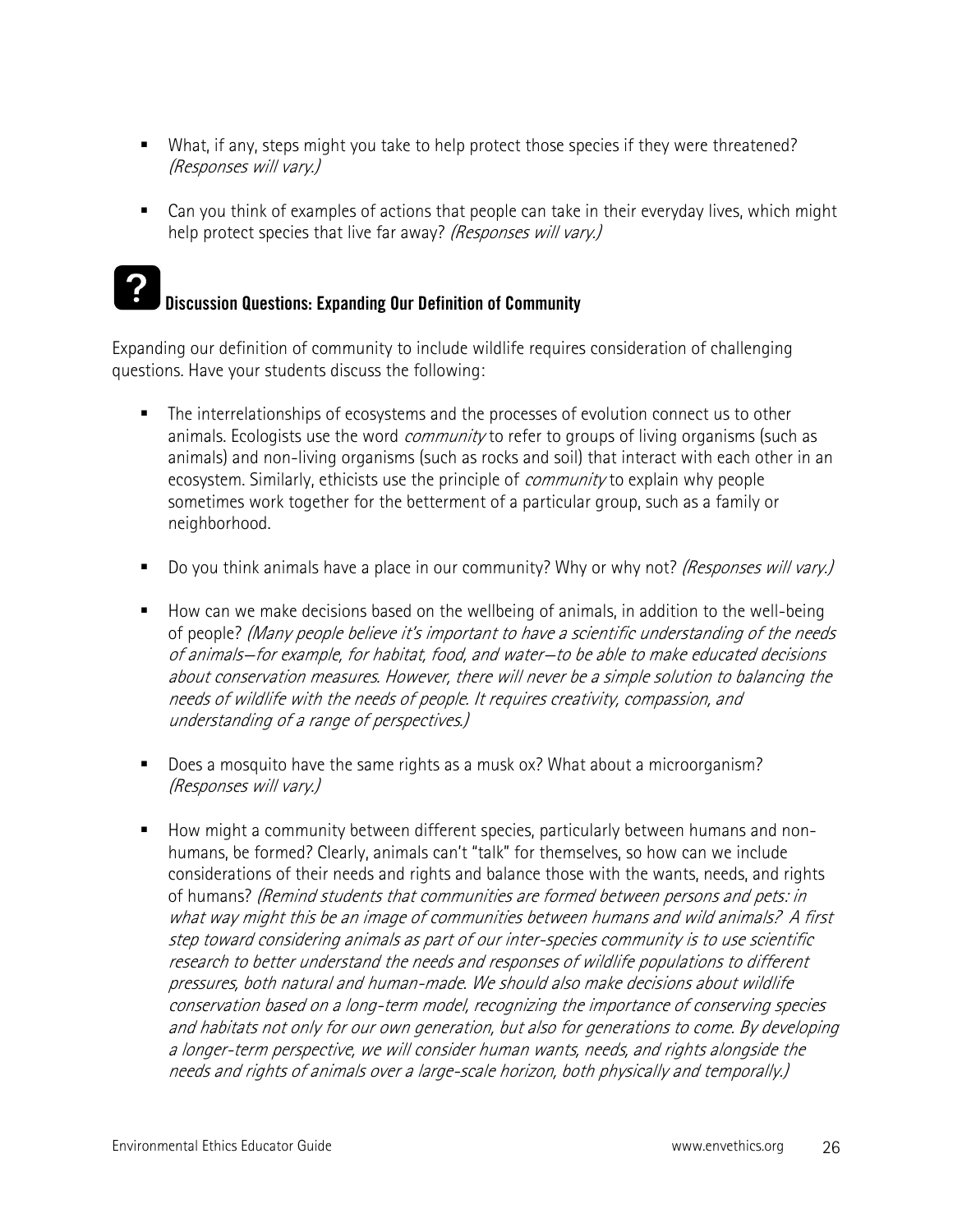- What, if any, steps might you take to help protect those species if they were threatened? (Responses will vary.)
- Can you think of examples of actions that people can take in their everyday lives, which might help protect species that live far away? (Responses will vary.)

# **Discussion Questions: Expanding Our Definition of Community**

Expanding our definition of community to include wildlife requires consideration of challenging questions. Have your students discuss the following:

- The interrelationships of ecosystems and the processes of evolution connect us to other animals. Ecologists use the word *community* to refer to groups of living organisms (such as animals) and non-living organisms (such as rocks and soil) that interact with each other in an ecosystem. Similarly, ethicists use the principle of *community* to explain why people sometimes work together for the betterment of a particular group, such as a family or neighborhood.
- Do you think animals have a place in our community? Why or why not? (Responses will vary.)
- $\blacksquare$  How can we make decisions based on the wellbeing of animals, in addition to the well-being of people? (Many people believe it's important to have a scientific understanding of the needs of animals—for example, for habitat, food, and water—to be able to make educated decisions about conservation measures. However, there will never be a simple solution to balancing the needs of wildlife with the needs of people. It requires creativity, compassion, and understanding of a range of perspectives.)
- Does a mosquito have the same rights as a musk ox? What about a microorganism? (Responses will vary.)
- How might a community between different species, particularly between humans and nonhumans, be formed? Clearly, animals can't "talk" for themselves, so how can we include considerations of their needs and rights and balance those with the wants, needs, and rights of humans? (Remind students that communities are formed between persons and pets: in what way might this be an image of communities between humans and wild animals? A first step toward considering animals as part of our inter-species community is to use scientific research to better understand the needs and responses of wildlife populations to different pressures, both natural and human-made. We should also make decisions about wildlife conservation based on a long-term model, recognizing the importance of conserving species and habitats not only for our own generation, but also for generations to come. By developing a longer-term perspective, we will consider human wants, needs, and rights alongside the needs and rights of animals over a large-scale horizon, both physically and temporally.)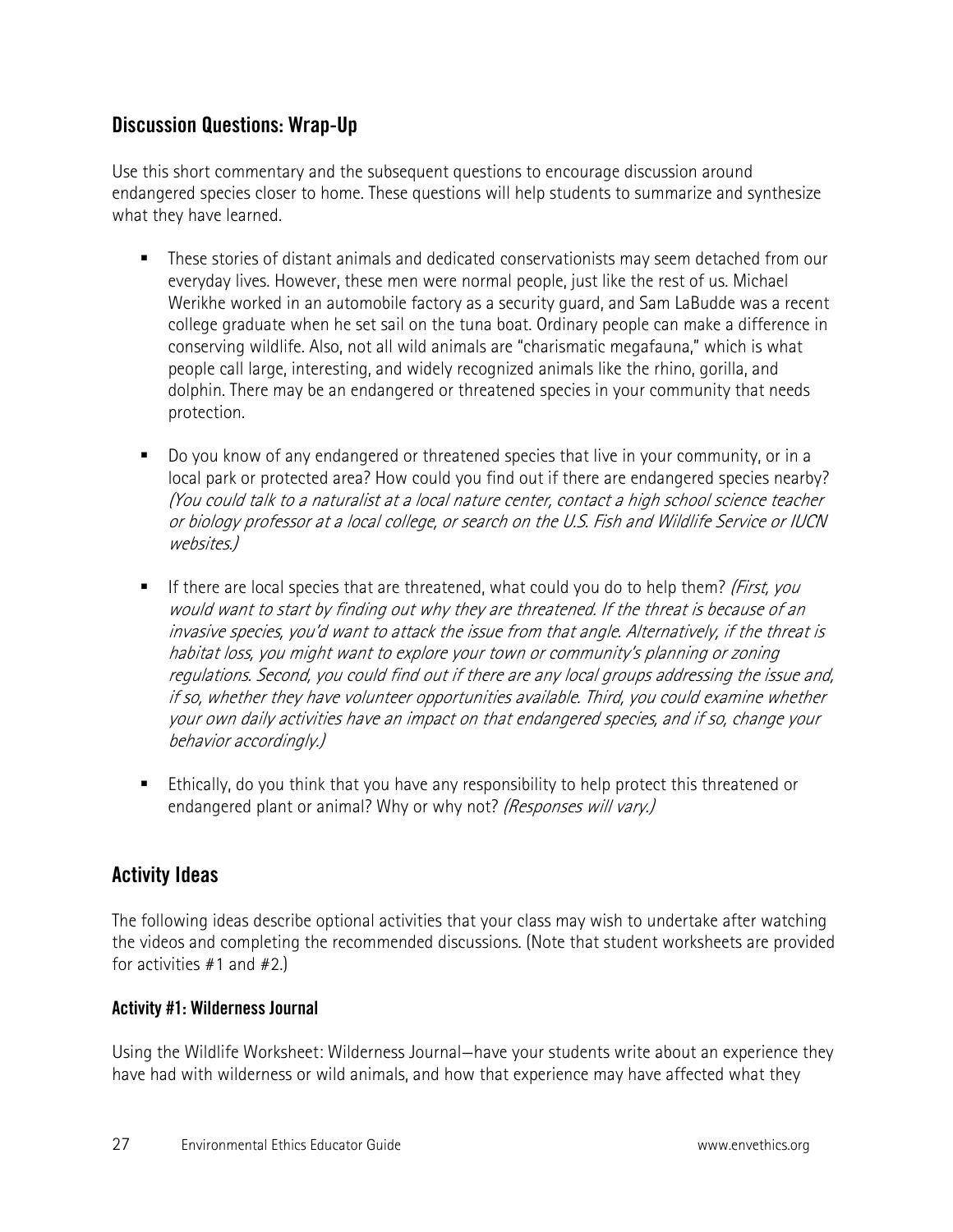### **Discussion Questions: Wrap-Up**

Use this short commentary and the subsequent questions to encourage discussion around endangered species closer to home. These questions will help students to summarize and synthesize what they have learned.

- These stories of distant animals and dedicated conservationists may seem detached from our everyday lives. However, these men were normal people, just like the rest of us. Michael Werikhe worked in an automobile factory as a security guard, and Sam LaBudde was a recent college graduate when he set sail on the tuna boat. Ordinary people can make a difference in conserving wildlife. Also, not all wild animals are "charismatic megafauna," which is what people call large, interesting, and widely recognized animals like the rhino, gorilla, and dolphin. There may be an endangered or threatened species in your community that needs protection.
- Do you know of any endangered or threatened species that live in your community, or in a local park or protected area? How could you find out if there are endangered species nearby? (You could talk to a naturalist at a local nature center, contact a high school science teacher or biology professor at a local college, or search on the U.S. Fish and Wildlife Service or IUCN websites.
- If there are local species that are threatened, what could you do to help them? (First, you would want to start by finding out why they are threatened. If the threat is because of an invasive species, you'd want to attack the issue from that angle. Alternatively, if the threat is habitat loss, you might want to explore your town or community's planning or zoning regulations. Second, you could find out if there are any local groups addressing the issue and, if so, whether they have volunteer opportunities available. Third, you could examine whether your own daily activities have an impact on that endangered species, and if so, change your behavior accordingly.)
- Ethically, do you think that you have any responsibility to help protect this threatened or endangered plant or animal? Why or why not? (Responses will vary.)

### **Activity Ideas**

The following ideas describe optional activities that your class may wish to undertake after watching the videos and completing the recommended discussions. (Note that student worksheets are provided for activities  $#1$  and  $#2$ .

### **Activity #1: Wilderness Journal**

Using the Wildlife Worksheet: Wilderness Journal—have your students write about an experience they have had with wilderness or wild animals, and how that experience may have affected what they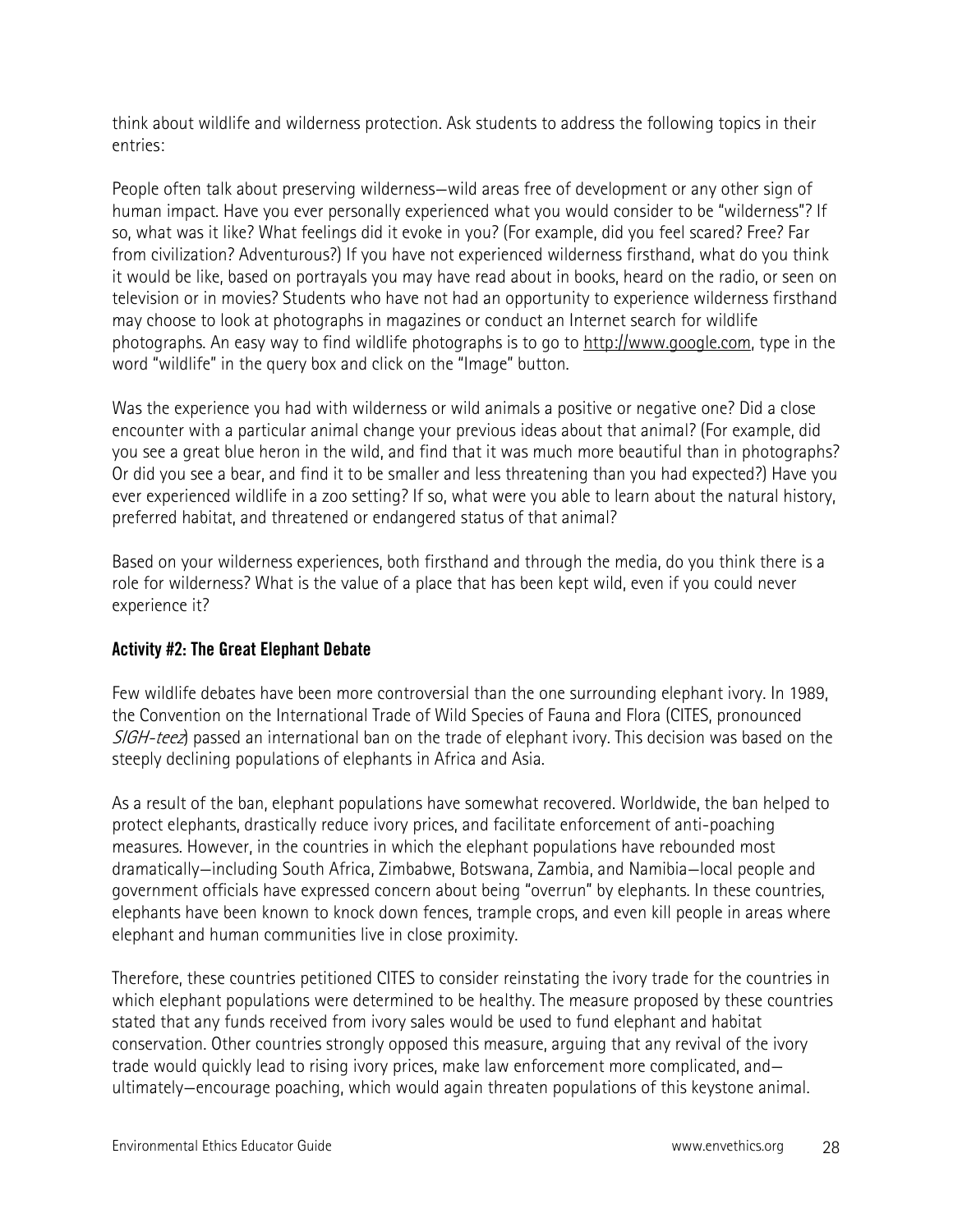think about wildlife and wilderness protection. Ask students to address the following topics in their entries:

People often talk about preserving wilderness—wild areas free of development or any other sign of human impact. Have you ever personally experienced what you would consider to be "wilderness"? If so, what was it like? What feelings did it evoke in you? (For example, did you feel scared? Free? Far from civilization? Adventurous?) If you have not experienced wilderness firsthand, what do you think it would be like, based on portrayals you may have read about in books, heard on the radio, or seen on television or in movies? Students who have not had an opportunity to experience wilderness firsthand may choose to look at photographs in magazines or conduct an Internet search for wildlife photographs. An easy way to find wildlife photographs is to go to http://www.google.com, type in the word "wildlife" in the query box and click on the "Image" button.

Was the experience you had with wilderness or wild animals a positive or negative one? Did a close encounter with a particular animal change your previous ideas about that animal? (For example, did you see a great blue heron in the wild, and find that it was much more beautiful than in photographs? Or did you see a bear, and find it to be smaller and less threatening than you had expected?) Have you ever experienced wildlife in a zoo setting? If so, what were you able to learn about the natural history, preferred habitat, and threatened or endangered status of that animal?

Based on your wilderness experiences, both firsthand and through the media, do you think there is a role for wilderness? What is the value of a place that has been kept wild, even if you could never experience it?

### **Activity #2: The Great Elephant Debate**

Few wildlife debates have been more controversial than the one surrounding elephant ivory. In 1989, the Convention on the International Trade of Wild Species of Fauna and Flora (CITES, pronounced SIGH-teez) passed an international ban on the trade of elephant ivory. This decision was based on the steeply declining populations of elephants in Africa and Asia.

As a result of the ban, elephant populations have somewhat recovered. Worldwide, the ban helped to protect elephants, drastically reduce ivory prices, and facilitate enforcement of anti-poaching measures. However, in the countries in which the elephant populations have rebounded most dramatically—including South Africa, Zimbabwe, Botswana, Zambia, and Namibia—local people and government officials have expressed concern about being "overrun" by elephants. In these countries, elephants have been known to knock down fences, trample crops, and even kill people in areas where elephant and human communities live in close proximity.

Therefore, these countries petitioned CITES to consider reinstating the ivory trade for the countries in which elephant populations were determined to be healthy. The measure proposed by these countries stated that any funds received from ivory sales would be used to fund elephant and habitat conservation. Other countries strongly opposed this measure, arguing that any revival of the ivory trade would quickly lead to rising ivory prices, make law enforcement more complicated, and ultimately—encourage poaching, which would again threaten populations of this keystone animal.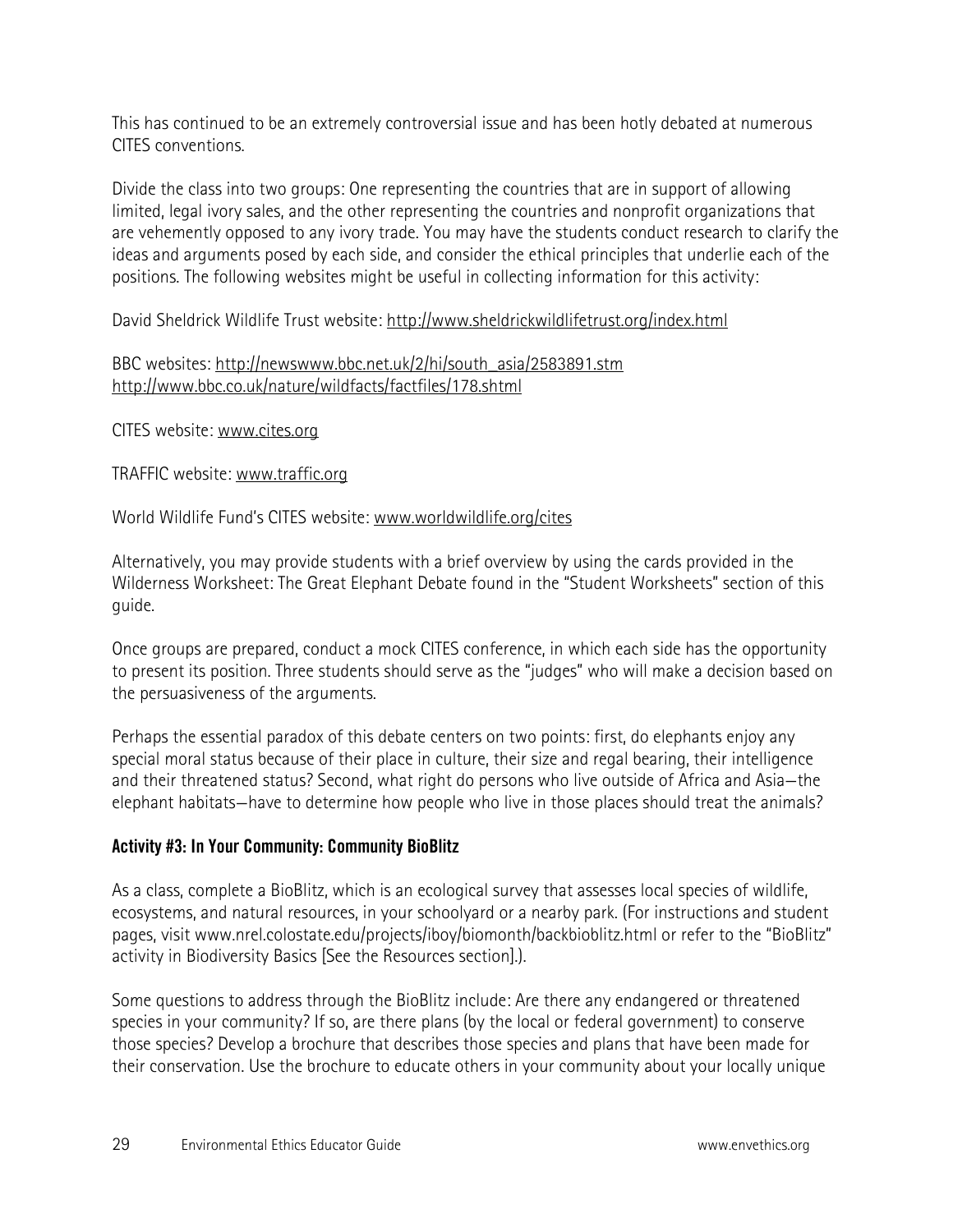This has continued to be an extremely controversial issue and has been hotly debated at numerous CITES conventions.

Divide the class into two groups: One representing the countries that are in support of allowing limited, legal ivory sales, and the other representing the countries and nonprofit organizations that are vehemently opposed to any ivory trade. You may have the students conduct research to clarify the ideas and arguments posed by each side, and consider the ethical principles that underlie each of the positions. The following websites might be useful in collecting information for this activity:

David Sheldrick Wildlife Trust website: http://www.sheldrickwildlifetrust.org/index.html

BBC websites: http://newswww.bbc.net.uk/2/hi/south\_asia/2583891.stm http://www.bbc.co.uk/nature/wildfacts/factfiles/178.shtml

CITES website: www.cites.org

TRAFFIC website: www.traffic.org

World Wildlife Fund's CITES website: www.worldwildlife.org/cites

Alternatively, you may provide students with a brief overview by using the cards provided in the Wilderness Worksheet: The Great Elephant Debate found in the "Student Worksheets" section of this guide.

Once groups are prepared, conduct a mock CITES conference, in which each side has the opportunity to present its position. Three students should serve as the "judges" who will make a decision based on the persuasiveness of the arguments.

Perhaps the essential paradox of this debate centers on two points: first, do elephants enjoy any special moral status because of their place in culture, their size and regal bearing, their intelligence and their threatened status? Second, what right do persons who live outside of Africa and Asia—the elephant habitats—have to determine how people who live in those places should treat the animals?

### **Activity #3: In Your Community: Community BioBlitz**

As a class, complete a BioBlitz, which is an ecological survey that assesses local species of wildlife, ecosystems, and natural resources, in your schoolyard or a nearby park. (For instructions and student pages, visit www.nrel.colostate.edu/projects/iboy/biomonth/backbioblitz.html or refer to the "BioBlitz" activity in Biodiversity Basics [See the Resources section].).

Some questions to address through the BioBlitz include: Are there any endangered or threatened species in your community? If so, are there plans (by the local or federal government) to conserve those species? Develop a brochure that describes those species and plans that have been made for their conservation. Use the brochure to educate others in your community about your locally unique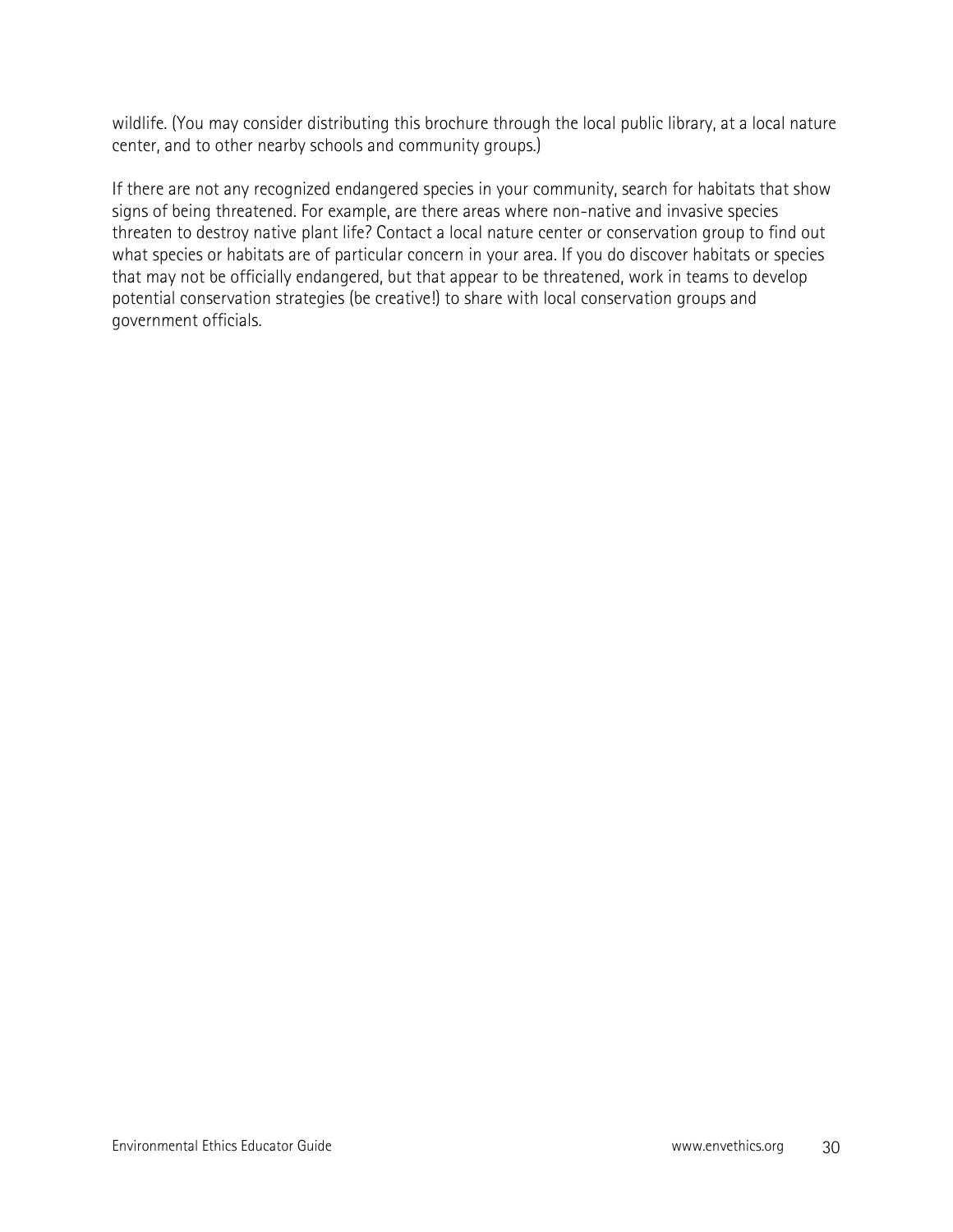wildlife. (You may consider distributing this brochure through the local public library, at a local nature center, and to other nearby schools and community groups.)

If there are not any recognized endangered species in your community, search for habitats that show signs of being threatened. For example, are there areas where non-native and invasive species threaten to destroy native plant life? Contact a local nature center or conservation group to find out what species or habitats are of particular concern in your area. If you do discover habitats or species that may not be officially endangered, but that appear to be threatened, work in teams to develop potential conservation strategies (be creative!) to share with local conservation groups and government officials.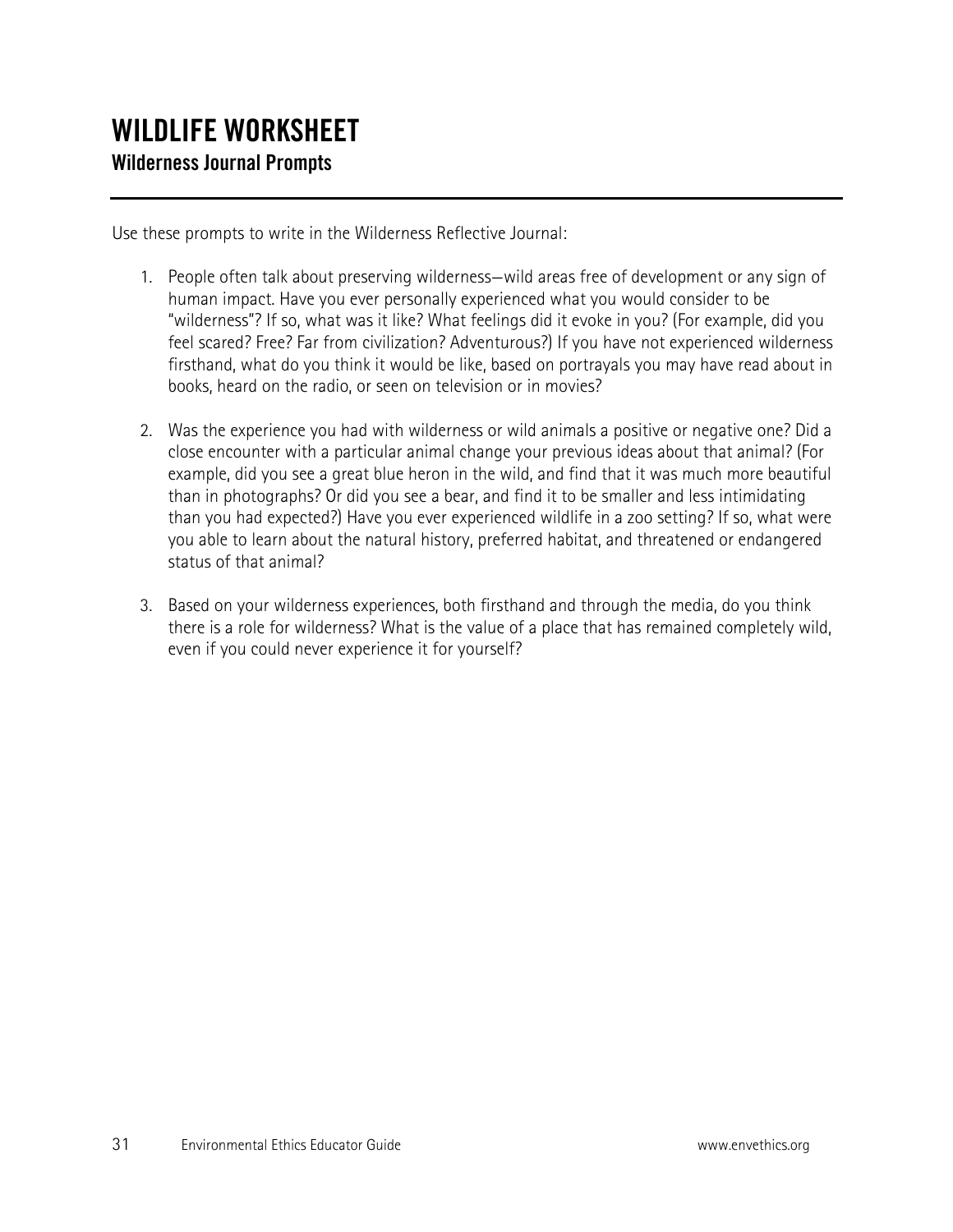### **WILDLIFE WORKSHEET Wilderness Journal Prompts**

Use these prompts to write in the Wilderness Reflective Journal:

- 1. People often talk about preserving wilderness—wild areas free of development or any sign of human impact. Have you ever personally experienced what you would consider to be "wilderness"? If so, what was it like? What feelings did it evoke in you? (For example, did you feel scared? Free? Far from civilization? Adventurous?) If you have not experienced wilderness firsthand, what do you think it would be like, based on portrayals you may have read about in books, heard on the radio, or seen on television or in movies?
- 2. Was the experience you had with wilderness or wild animals a positive or negative one? Did a close encounter with a particular animal change your previous ideas about that animal? (For example, did you see a great blue heron in the wild, and find that it was much more beautiful than in photographs? Or did you see a bear, and find it to be smaller and less intimidating than you had expected?) Have you ever experienced wildlife in a zoo setting? If so, what were you able to learn about the natural history, preferred habitat, and threatened or endangered status of that animal?
- 3. Based on your wilderness experiences, both firsthand and through the media, do you think there is a role for wilderness? What is the value of a place that has remained completely wild, even if you could never experience it for yourself?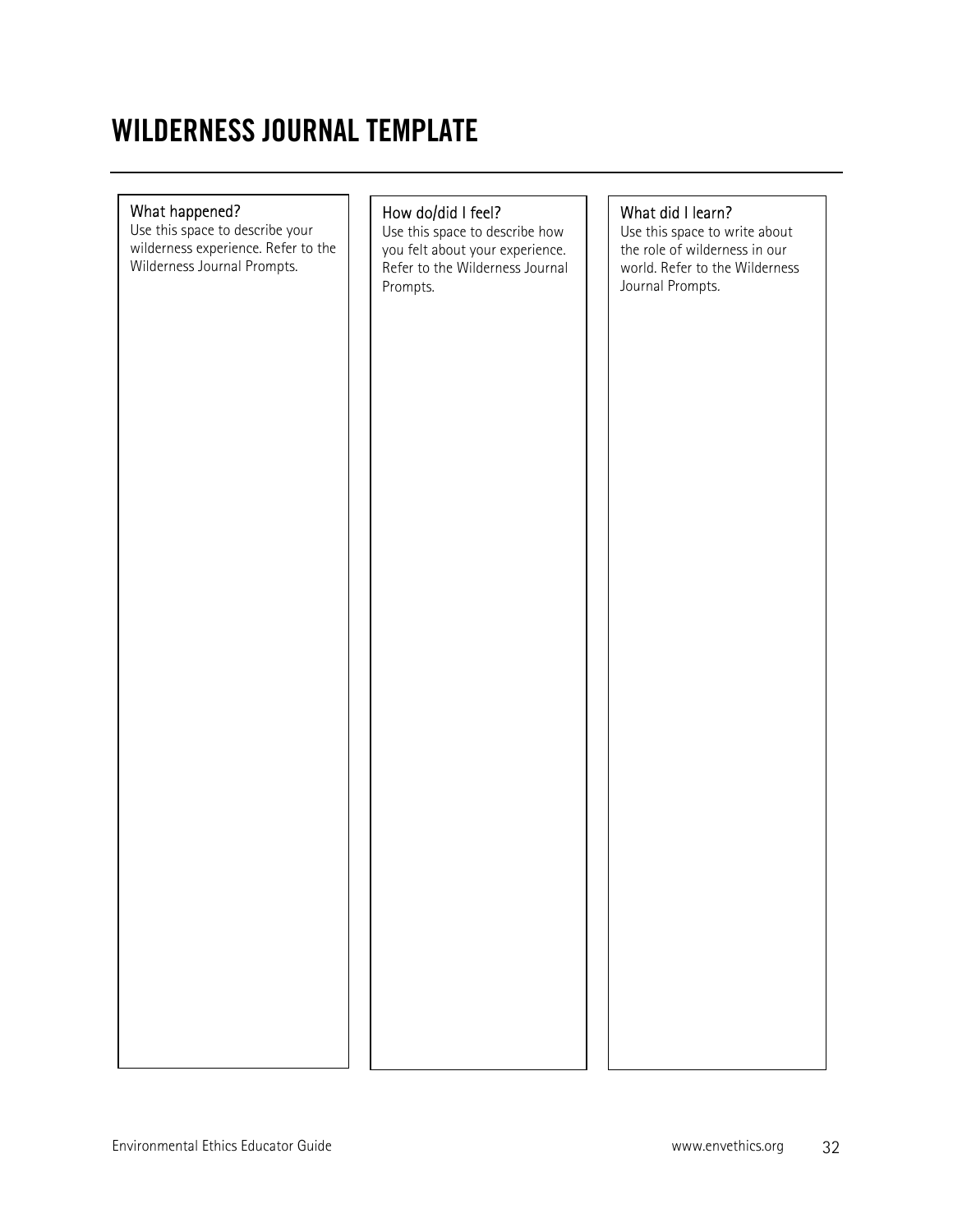## **WILDERNESS JOURNAL TEMPLATE**

#### What happened?

Use this space to describe your wilderness experience. Refer to the Wilderness Journal Prompts.

#### How do/did I feel?

Use this space to describe how you felt about your experience. Refer to the Wilderness Journal Prompts.

#### What did I learn?

Use this space to write about the role of wilderness in our world. Refer to the Wilderness Journal Prompts.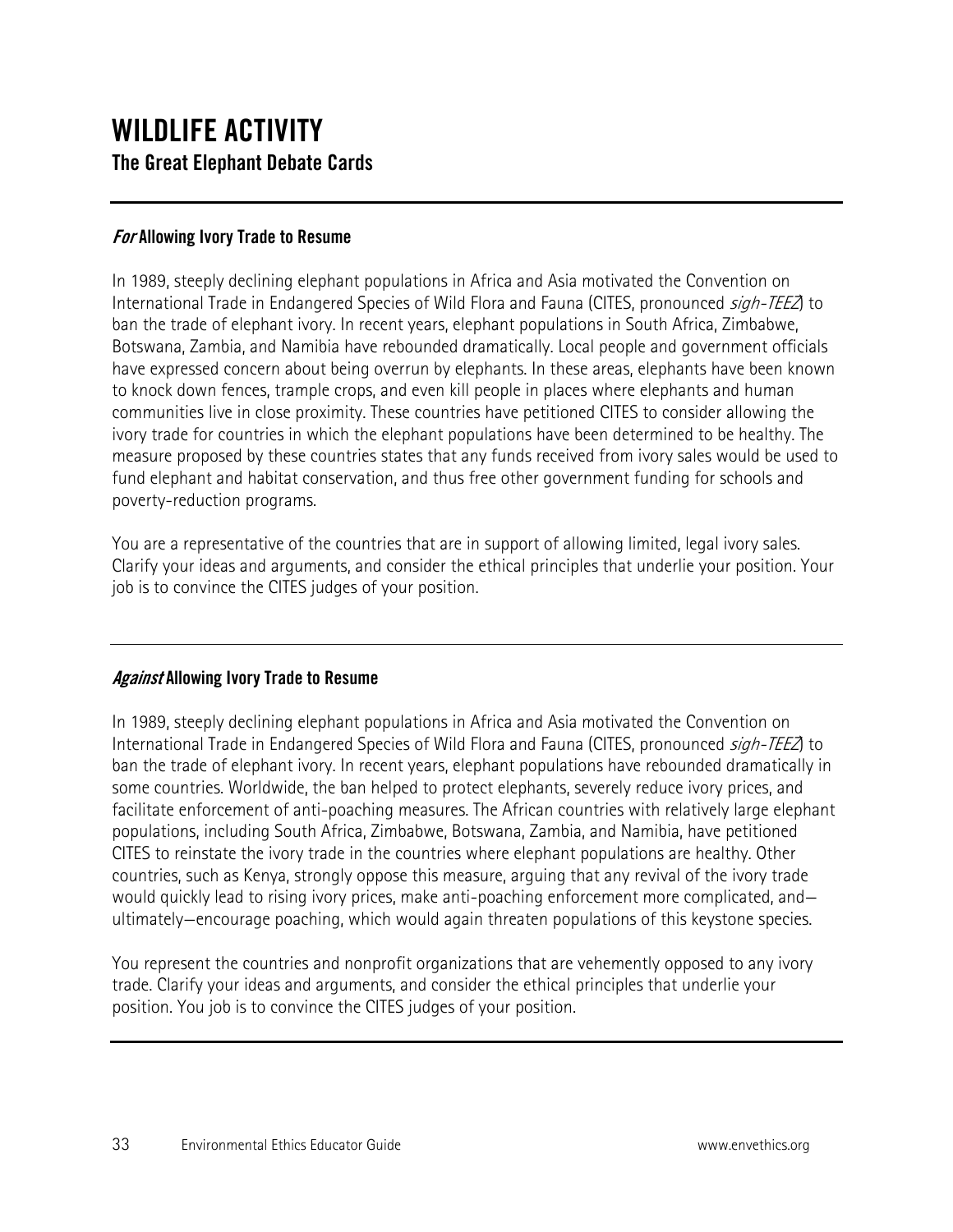### **WILDLIFE ACTIVITY The Great Elephant Debate Cards**

### **For Allowing Ivory Trade to Resume**

In 1989, steeply declining elephant populations in Africa and Asia motivated the Convention on International Trade in Endangered Species of Wild Flora and Fauna (CITES, pronounced sigh-TEEZ) to ban the trade of elephant ivory. In recent years, elephant populations in South Africa, Zimbabwe, Botswana, Zambia, and Namibia have rebounded dramatically. Local people and government officials have expressed concern about being overrun by elephants. In these areas, elephants have been known to knock down fences, trample crops, and even kill people in places where elephants and human communities live in close proximity. These countries have petitioned CITES to consider allowing the ivory trade for countries in which the elephant populations have been determined to be healthy. The measure proposed by these countries states that any funds received from ivory sales would be used to fund elephant and habitat conservation, and thus free other government funding for schools and poverty-reduction programs.

You are a representative of the countries that are in support of allowing limited, legal ivory sales. Clarify your ideas and arguments, and consider the ethical principles that underlie your position. Your job is to convince the CITES judges of your position.

### **Against Allowing Ivory Trade to Resume**

In 1989, steeply declining elephant populations in Africa and Asia motivated the Convention on International Trade in Endangered Species of Wild Flora and Fauna (CITES, pronounced sigh-TEEZ) to ban the trade of elephant ivory. In recent years, elephant populations have rebounded dramatically in some countries. Worldwide, the ban helped to protect elephants, severely reduce ivory prices, and facilitate enforcement of anti-poaching measures. The African countries with relatively large elephant populations, including South Africa, Zimbabwe, Botswana, Zambia, and Namibia, have petitioned CITES to reinstate the ivory trade in the countries where elephant populations are healthy. Other countries, such as Kenya, strongly oppose this measure, arguing that any revival of the ivory trade would quickly lead to rising ivory prices, make anti-poaching enforcement more complicated, and ultimately—encourage poaching, which would again threaten populations of this keystone species.

You represent the countries and nonprofit organizations that are vehemently opposed to any ivory trade. Clarify your ideas and arguments, and consider the ethical principles that underlie your position. You job is to convince the CITES judges of your position.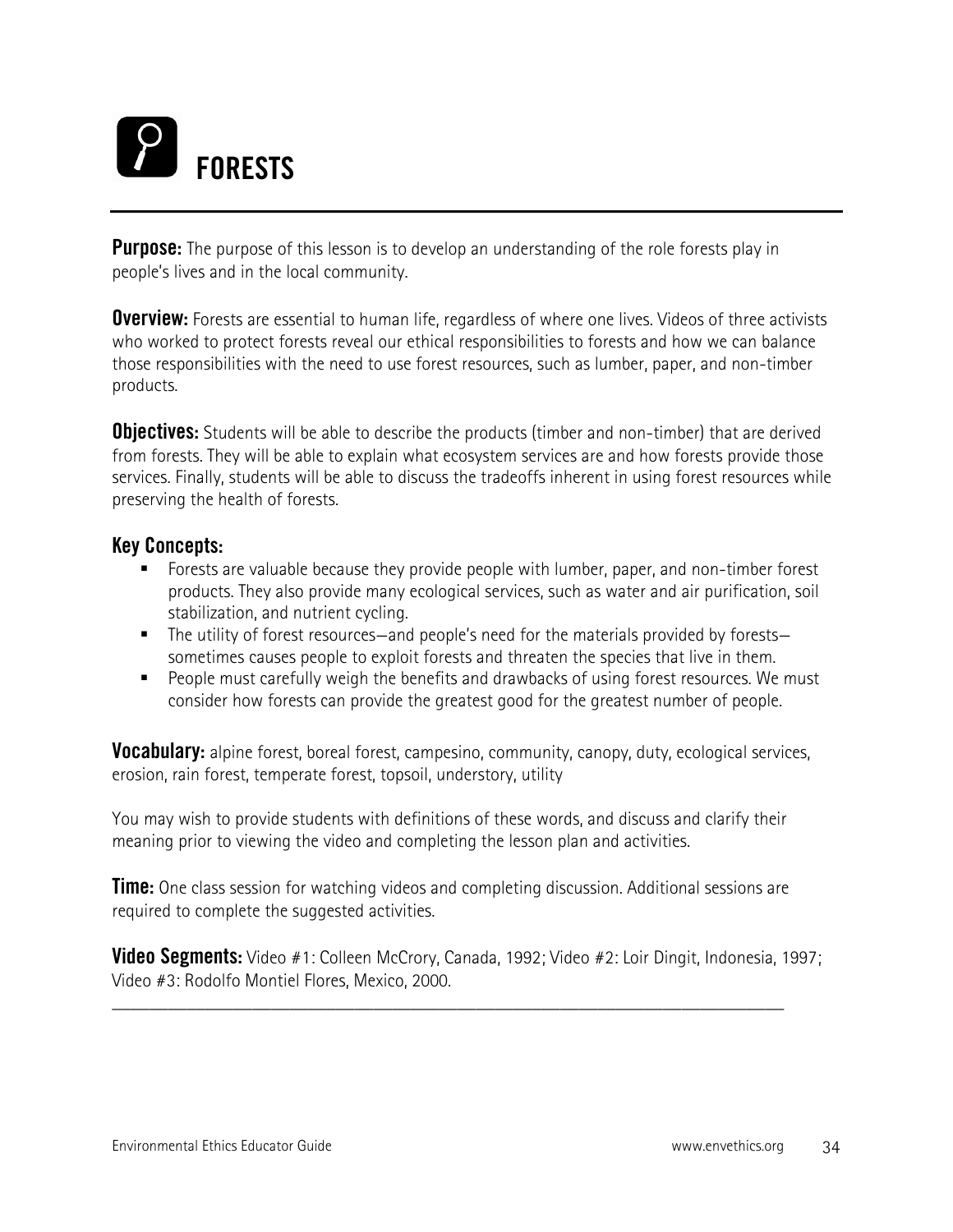

**Purpose:** The purpose of this lesson is to develop an understanding of the role forests play in people's lives and in the local community.

**Overview:** Forests are essential to human life, regardless of where one lives. Videos of three activists who worked to protect forests reveal our ethical responsibilities to forests and how we can balance those responsibilities with the need to use forest resources, such as lumber, paper, and non-timber products.

**Objectives:** Students will be able to describe the products (timber and non-timber) that are derived from forests. They will be able to explain what ecosystem services are and how forests provide those services. Finally, students will be able to discuss the tradeoffs inherent in using forest resources while preserving the health of forests.

### **Key Concepts:**

- Forests are valuable because they provide people with lumber, paper, and non-timber forest products. They also provide many ecological services, such as water and air purification, soil stabilization, and nutrient cycling.
- The utility of forest resources—and people's need for the materials provided by forests sometimes causes people to exploit forests and threaten the species that live in them.
- People must carefully weigh the benefits and drawbacks of using forest resources. We must consider how forests can provide the greatest good for the greatest number of people.

**Vocabulary:** alpine forest, boreal forest, campesino, community, canopy, duty, ecological services, erosion, rain forest, temperate forest, topsoil, understory, utility

You may wish to provide students with definitions of these words, and discuss and clarify their meaning prior to viewing the video and completing the lesson plan and activities.

**Time:** One class session for watching videos and completing discussion. Additional sessions are required to complete the suggested activities.

\_\_\_\_\_\_\_\_\_\_\_\_\_\_\_\_\_\_\_\_\_\_\_\_\_\_\_\_\_\_\_\_\_\_\_\_\_\_\_\_\_\_\_\_\_\_\_\_\_\_\_\_\_\_\_\_\_\_\_\_\_\_\_\_\_\_\_\_\_\_\_\_

**Video Segments:** Video #1: Colleen McCrory, Canada, 1992; Video #2: Loir Dingit, Indonesia, 1997; Video #3: Rodolfo Montiel Flores, Mexico, 2000.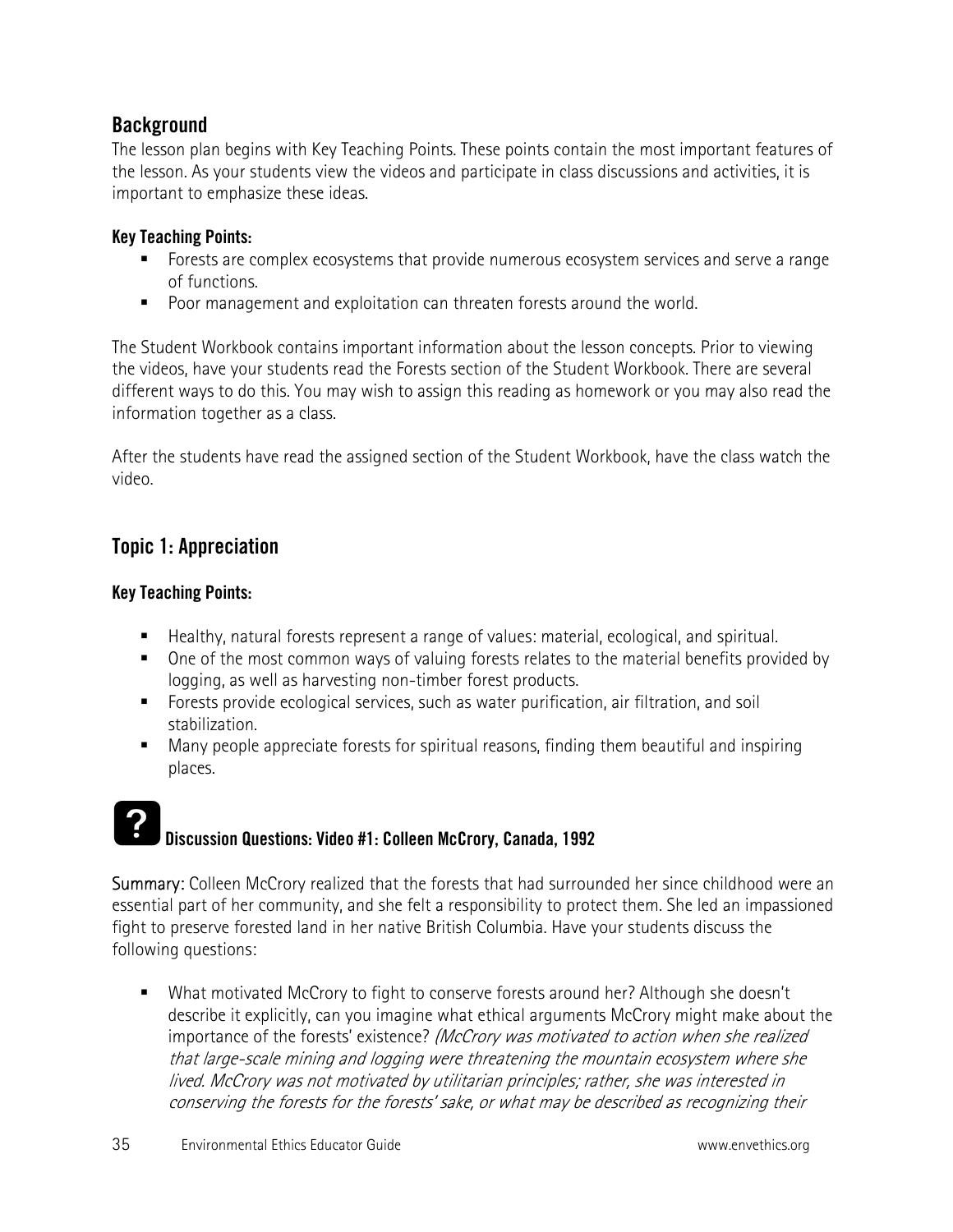#### **Background**

The lesson plan begins with Key Teaching Points. These points contain the most important features of the lesson. As your students view the videos and participate in class discussions and activities, it is important to emphasize these ideas.

#### **Key Teaching Points:**

- Forests are complex ecosystems that provide numerous ecosystem services and serve a range of functions.
- **Poor management and exploitation can threaten forests around the world.**

The Student Workbook contains important information about the lesson concepts. Prior to viewing the videos, have your students read the Forests section of the Student Workbook. There are several different ways to do this. You may wish to assign this reading as homework or you may also read the information together as a class.

After the students have read the assigned section of the Student Workbook, have the class watch the video.

### **Topic 1: Appreciation**

#### **Key Teaching Points:**

- Healthy, natural forests represent a range of values: material, ecological, and spiritual.
- **•** One of the most common ways of valuing forests relates to the material benefits provided by logging, as well as harvesting non-timber forest products.
- Forests provide ecological services, such as water purification, air filtration, and soil stabilization.
- Many people appreciate forests for spiritual reasons, finding them beautiful and inspiring places.

# **Discussion Questions: Video #1: Colleen McCrory, Canada, 1992**

Summary: Colleen McCrory realized that the forests that had surrounded her since childhood were an essential part of her community, and she felt a responsibility to protect them. She led an impassioned fight to preserve forested land in her native British Columbia. Have your students discuss the following questions:

 What motivated McCrory to fight to conserve forests around her? Although she doesn't describe it explicitly, can you imagine what ethical arguments McCrory might make about the importance of the forests' existence? (McCrory was motivated to action when she realized that large-scale mining and logging were threatening the mountain ecosystem where she lived. McCrory was not motivated by utilitarian principles; rather, she was interested in conserving the forests for the forests' sake, or what may be described as recognizing their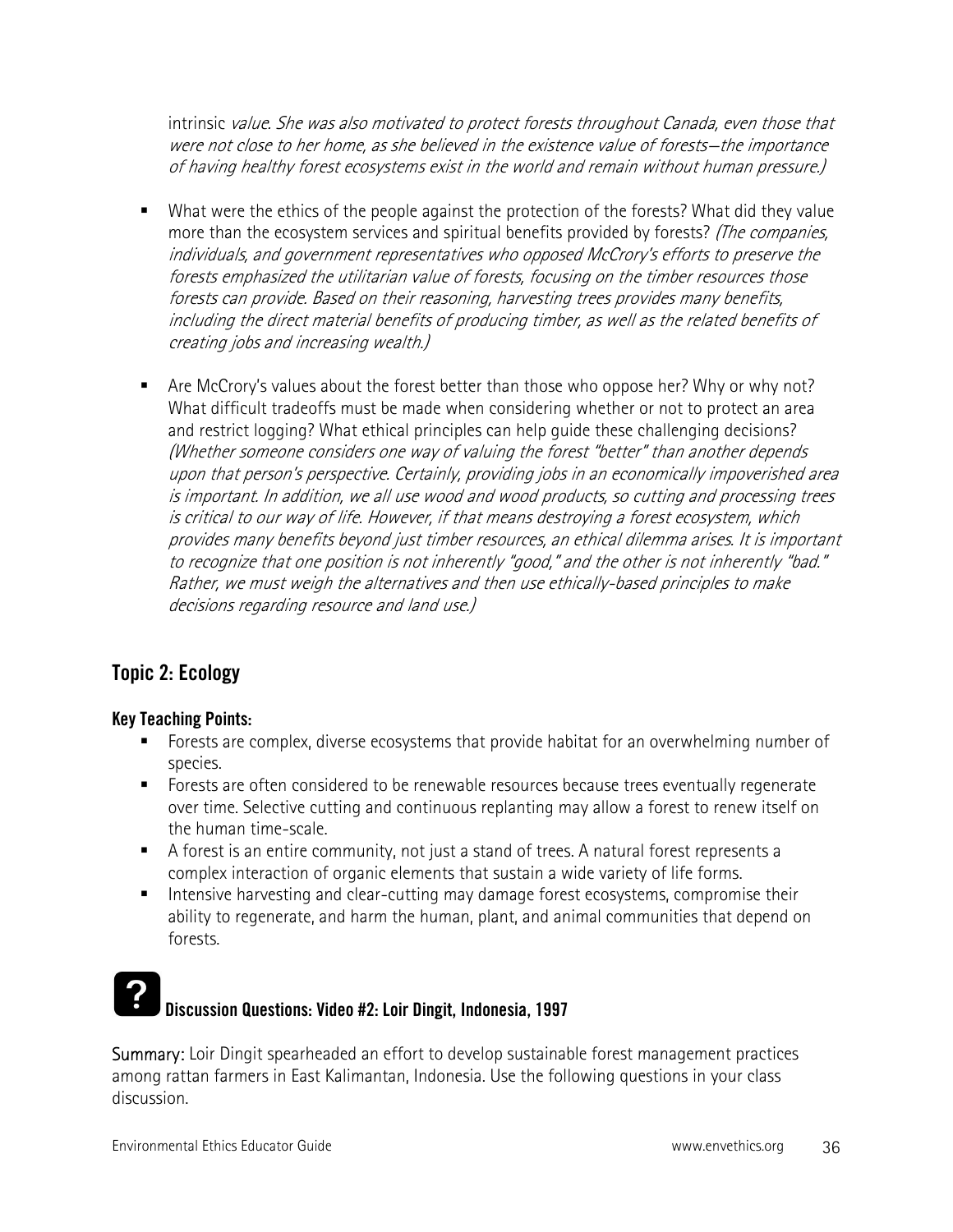intrinsic value. She was also motivated to protect forests throughout Canada, even those that were not close to her home, as she believed in the existence value of forests—the importance of having healthy forest ecosystems exist in the world and remain without human pressure.)

- What were the ethics of the people against the protection of the forests? What did they value more than the ecosystem services and spiritual benefits provided by forests? (The companies, individuals, and government representatives who opposed McCrory's efforts to preserve the forests emphasized the utilitarian value of forests, focusing on the timber resources those forests can provide. Based on their reasoning, harvesting trees provides many benefits, including the direct material benefits of producing timber, as well as the related benefits of creating jobs and increasing wealth.)
- Are McCrory's values about the forest better than those who oppose her? Why or why not? What difficult tradeoffs must be made when considering whether or not to protect an area and restrict logging? What ethical principles can help guide these challenging decisions? (Whether someone considers one way of valuing the forest "better" than another depends upon that person's perspective. Certainly, providing jobs in an economically impoverished area is important. In addition, we all use wood and wood products, so cutting and processing trees is critical to our way of life. However, if that means destroying a forest ecosystem, which provides many benefits beyond just timber resources, an ethical dilemma arises. It is important to recognize that one position is not inherently "good," and the other is not inherently "bad." Rather, we must weigh the alternatives and then use ethically-based principles to make decisions regarding resource and land use.)

## **Topic 2: Ecology**

#### **Key Teaching Points:**

- Forests are complex, diverse ecosystems that provide habitat for an overwhelming number of species.
- Forests are often considered to be renewable resources because trees eventually regenerate over time. Selective cutting and continuous replanting may allow a forest to renew itself on the human time-scale.
- A forest is an entire community, not just a stand of trees. A natural forest represents a complex interaction of organic elements that sustain a wide variety of life forms.
- Intensive harvesting and clear-cutting may damage forest ecosystems, compromise their ability to regenerate, and harm the human, plant, and animal communities that depend on forests.



Summary: Loir Dingit spearheaded an effort to develop sustainable forest management practices among rattan farmers in East Kalimantan, Indonesia. Use the following questions in your class discussion.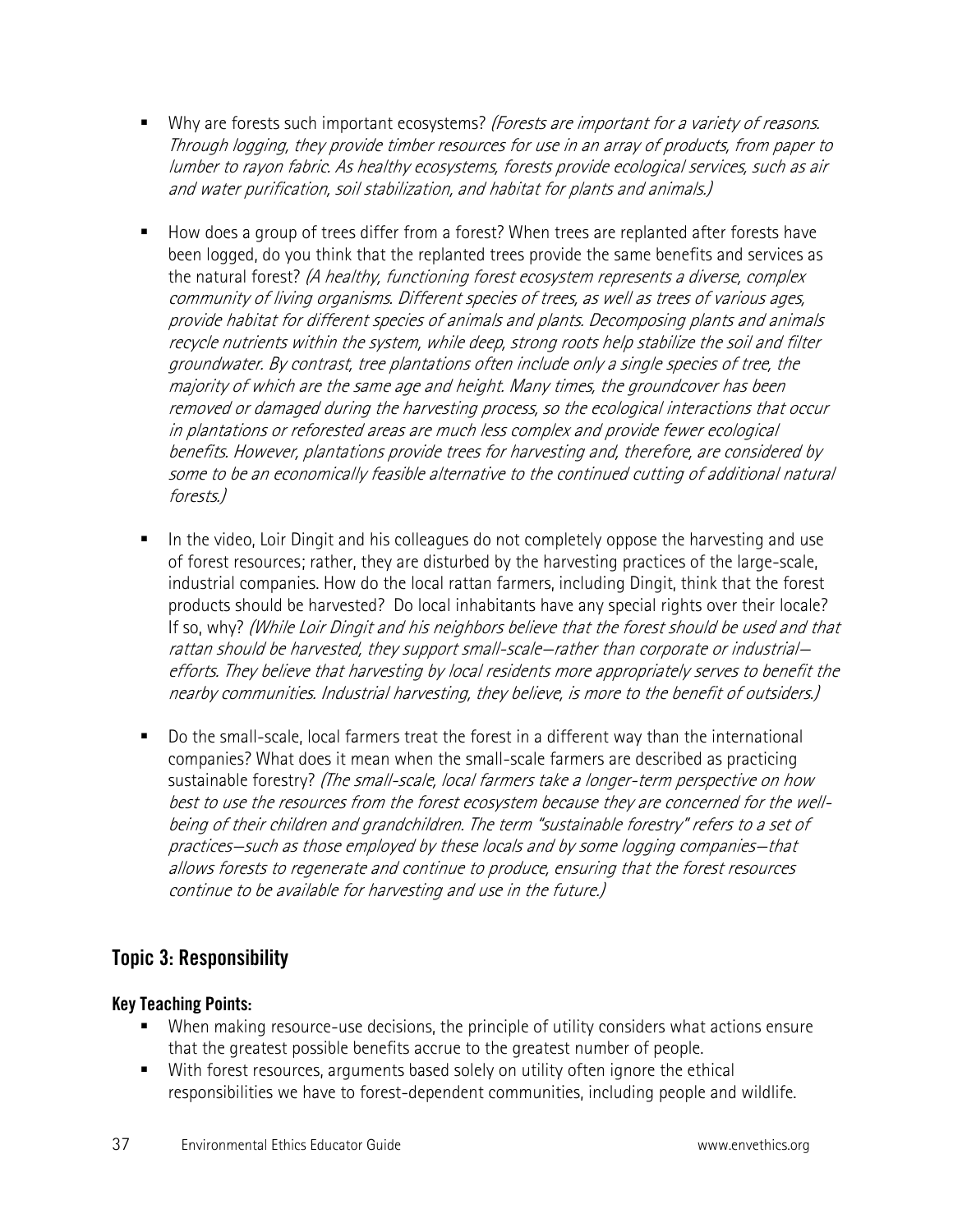- Why are forests such important ecosystems? (Forests are important for a variety of reasons. Through logging, they provide timber resources for use in an array of products, from paper to lumber to rayon fabric. As healthy ecosystems, forests provide ecological services, such as air and water purification, soil stabilization, and habitat for plants and animals.)
- How does a group of trees differ from a forest? When trees are replanted after forests have been logged, do you think that the replanted trees provide the same benefits and services as the natural forest? (A healthy, functioning forest ecosystem represents a diverse, complex community of living organisms. Different species of trees, as well as trees of various ages, provide habitat for different species of animals and plants. Decomposing plants and animals recycle nutrients within the system, while deep, strong roots help stabilize the soil and filter groundwater. By contrast, tree plantations often include only a single species of tree, the majority of which are the same age and height. Many times, the groundcover has been removed or damaged during the harvesting process, so the ecological interactions that occur in plantations or reforested areas are much less complex and provide fewer ecological benefits. However, plantations provide trees for harvesting and, therefore, are considered by some to be an economically feasible alternative to the continued cutting of additional natural forests.)
- In the video, Loir Dingit and his colleagues do not completely oppose the harvesting and use of forest resources; rather, they are disturbed by the harvesting practices of the large-scale, industrial companies. How do the local rattan farmers, including Dingit, think that the forest products should be harvested? Do local inhabitants have any special rights over their locale? If so, why? (While Loir Dingit and his neighbors believe that the forest should be used and that rattan should be harvested, they support small-scale—rather than corporate or industrial efforts. They believe that harvesting by local residents more appropriately serves to benefit the nearby communities. Industrial harvesting, they believe, is more to the benefit of outsiders.)
- Do the small-scale, local farmers treat the forest in a different way than the international companies? What does it mean when the small-scale farmers are described as practicing sustainable forestry? (The small-scale, local farmers take a longer-term perspective on how best to use the resources from the forest ecosystem because they are concerned for the wellbeing of their children and grandchildren. The term "sustainable forestry" refers to a set of practices—such as those employed by these locals and by some logging companies—that allows forests to regenerate and continue to produce, ensuring that the forest resources continue to be available for harvesting and use in the future.)

#### **Topic 3: Responsibility**

#### **Key Teaching Points:**

- When making resource-use decisions, the principle of utility considers what actions ensure that the greatest possible benefits accrue to the greatest number of people.
- With forest resources, arguments based solely on utility often ignore the ethical responsibilities we have to forest-dependent communities, including people and wildlife.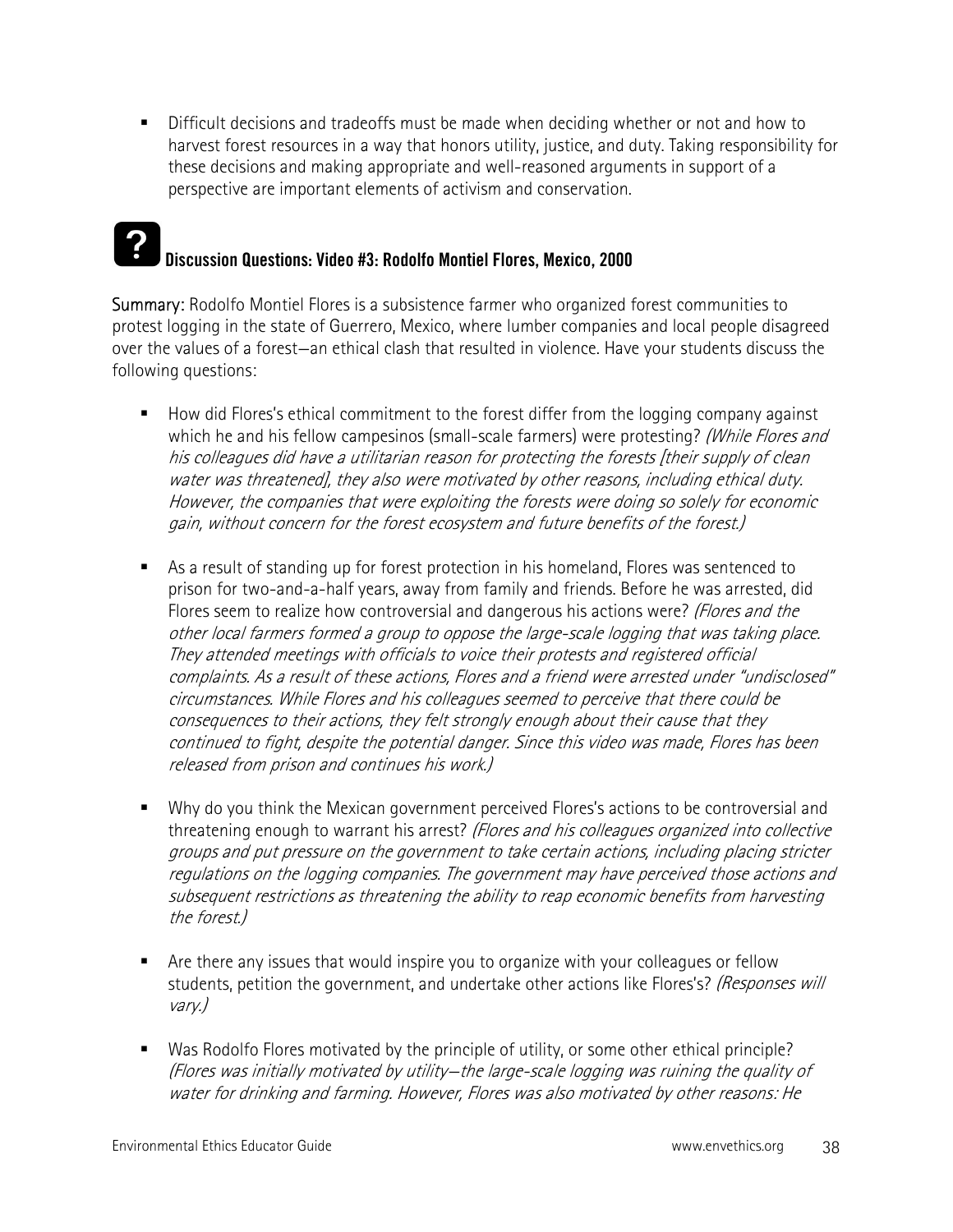Difficult decisions and tradeoffs must be made when deciding whether or not and how to harvest forest resources in a way that honors utility, justice, and duty. Taking responsibility for these decisions and making appropriate and well-reasoned arguments in support of a perspective are important elements of activism and conservation.

# **Discussion Questions: Video #3: Rodolfo Montiel Flores, Mexico, 2000**

Summary: Rodolfo Montiel Flores is a subsistence farmer who organized forest communities to protest logging in the state of Guerrero, Mexico, where lumber companies and local people disagreed over the values of a forest—an ethical clash that resulted in violence. Have your students discuss the following questions:

- How did Flores's ethical commitment to the forest differ from the logging company against which he and his fellow campesinos (small-scale farmers) were protesting? (While Flores and his colleagues did have a utilitarian reason for protecting the forests [their supply of clean water was threatened], they also were motivated by other reasons, including ethical duty. However, the companies that were exploiting the forests were doing so solely for economic gain, without concern for the forest ecosystem and future benefits of the forest.)
- As a result of standing up for forest protection in his homeland, Flores was sentenced to prison for two-and-a-half years, away from family and friends. Before he was arrested, did Flores seem to realize how controversial and dangerous his actions were? (Flores and the other local farmers formed a group to oppose the large-scale logging that was taking place. They attended meetings with officials to voice their protests and registered official complaints. As a result of these actions, Flores and a friend were arrested under "undisclosed" circumstances. While Flores and his colleagues seemed to perceive that there could be consequences to their actions, they felt strongly enough about their cause that they continued to fight, despite the potential danger. Since this video was made, Flores has been released from prison and continues his work.)
- Why do you think the Mexican government perceived Flores's actions to be controversial and threatening enough to warrant his arrest? (Flores and his colleagues organized into collective groups and put pressure on the government to take certain actions, including placing stricter regulations on the logging companies. The government may have perceived those actions and subsequent restrictions as threatening the ability to reap economic benefits from harvesting the forest.)
- Are there any issues that would inspire you to organize with your colleagues or fellow students, petition the government, and undertake other actions like Flores's? (Responses will vary.)
- Was Rodolfo Flores motivated by the principle of utility, or some other ethical principle? (Flores was initially motivated by utility—the large-scale logging was ruining the quality of water for drinking and farming. However, Flores was also motivated by other reasons: He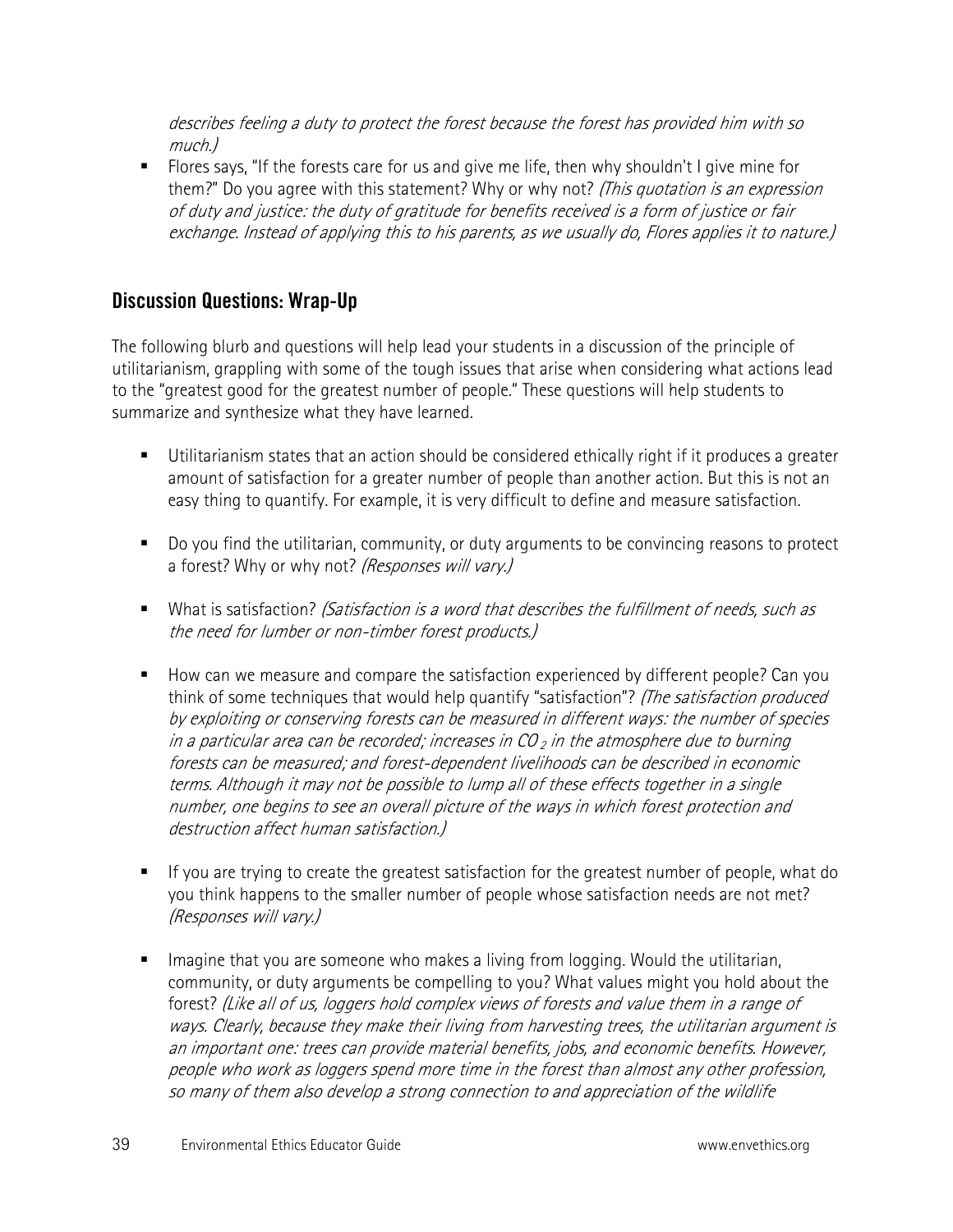describes feeling a duty to protect the forest because the forest has provided him with so much.)

 Flores says, "If the forests care for us and give me life, then why shouldn't I give mine for them?" Do you agree with this statement? Why or why not? *(This quotation is an expression* of duty and justice: the duty of gratitude for benefits received is a form of justice or fair exchange. Instead of applying this to his parents, as we usually do, Flores applies it to nature.)

### **Discussion Questions: Wrap-Up**

The following blurb and questions will help lead your students in a discussion of the principle of utilitarianism, grappling with some of the tough issues that arise when considering what actions lead to the "greatest good for the greatest number of people." These questions will help students to summarize and synthesize what they have learned.

- Utilitarianism states that an action should be considered ethically right if it produces a greater amount of satisfaction for a greater number of people than another action. But this is not an easy thing to quantify. For example, it is very difficult to define and measure satisfaction.
- Do you find the utilitarian, community, or duty arguments to be convincing reasons to protect a forest? Why or why not? (Responses will vary.)
- What is satisfaction? (Satisfaction is a word that describes the fulfillment of needs, such as the need for lumber or non-timber forest products.)
- How can we measure and compare the satisfaction experienced by different people? Can you think of some techniques that would help quantify "satisfaction"? (The satisfaction produced by exploiting or conserving forests can be measured in different ways: the number of species in a particular area can be recorded; increases in  $CO_2$  in the atmosphere due to burning forests can be measured; and forest-dependent livelihoods can be described in economic terms. Although it may not be possible to lump all of these effects together in a single number, one begins to see an overall picture of the ways in which forest protection and destruction affect human satisfaction.)
- If you are trying to create the greatest satisfaction for the greatest number of people, what do you think happens to the smaller number of people whose satisfaction needs are not met? (Responses will vary.)
- **IMagine that you are someone who makes a living from logging. Would the utilitarian,** community, or duty arguments be compelling to you? What values might you hold about the forest? (Like all of us, loggers hold complex views of forests and value them in a range of ways. Clearly, because they make their living from harvesting trees, the utilitarian argument is an important one: trees can provide material benefits, jobs, and economic benefits. However, people who work as loggers spend more time in the forest than almost any other profession, so many of them also develop a strong connection to and appreciation of the wildlife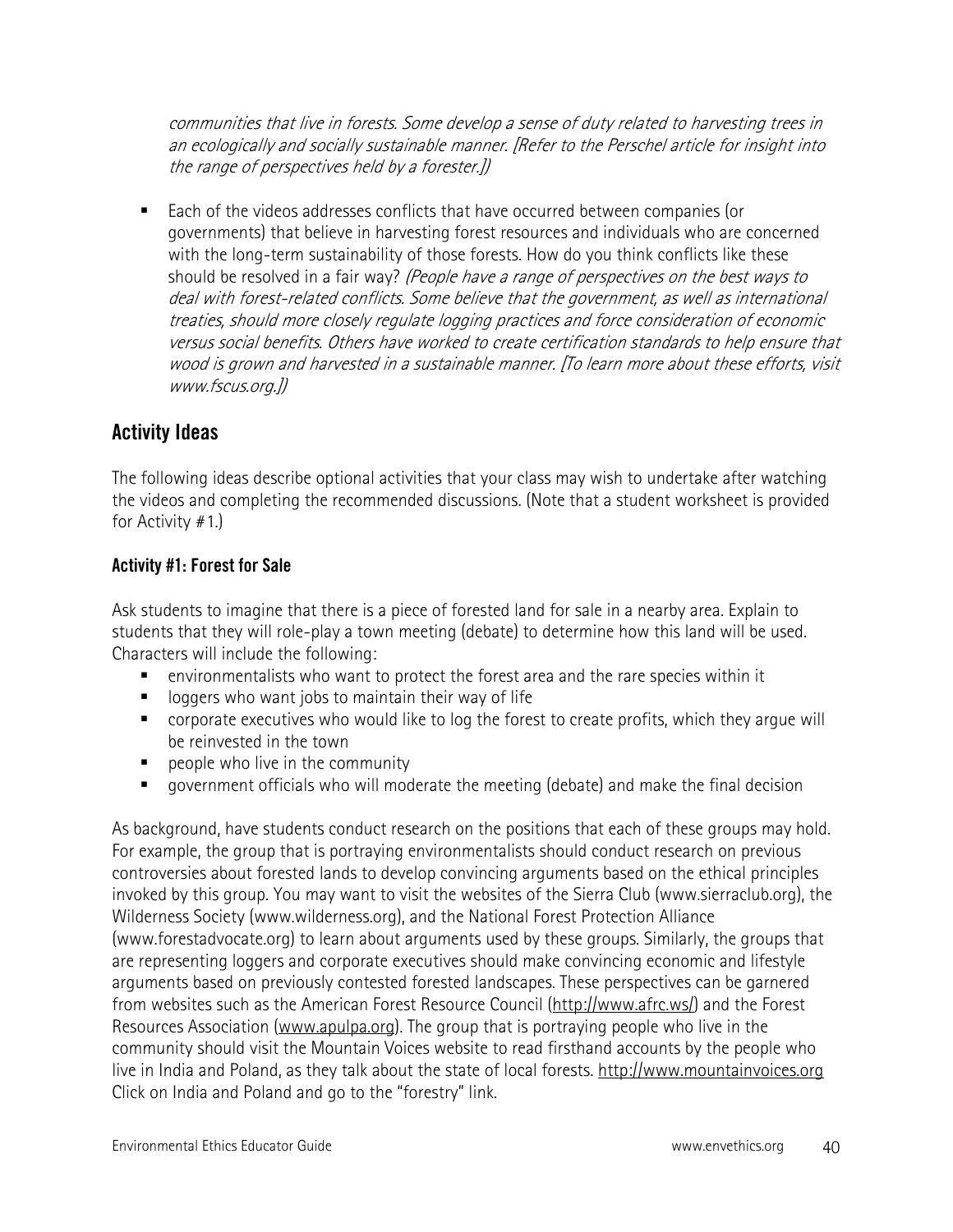communities that live in forests. Some develop a sense of duty related to harvesting trees in an ecologically and socially sustainable manner. [Refer to the Perschel article for insight into the range of perspectives held by a forester.])

 Each of the videos addresses conflicts that have occurred between companies (or governments) that believe in harvesting forest resources and individuals who are concerned with the long-term sustainability of those forests. How do you think conflicts like these should be resolved in a fair way? (People have a range of perspectives on the best ways to deal with forest-related conflicts. Some believe that the government, as well as international treaties, should more closely regulate logging practices and force consideration of economic versus social benefits. Others have worked to create certification standards to help ensure that wood is grown and harvested in a sustainable manner. [To learn more about these efforts, visit www.fscus.org.])

#### **Activity Ideas**

The following ideas describe optional activities that your class may wish to undertake after watching the videos and completing the recommended discussions. (Note that a student worksheet is provided for Activity #1.)

#### **Activity #1: Forest for Sale**

Ask students to imagine that there is a piece of forested land for sale in a nearby area. Explain to students that they will role-play a town meeting (debate) to determine how this land will be used. Characters will include the following:

- environmentalists who want to protect the forest area and the rare species within it
- $\blacksquare$  loggers who want jobs to maintain their way of life
- **Corporate executives who would like to log the forest to create profits, which they argue will** be reinvested in the town
- $\blacksquare$  people who live in the community
- government officials who will moderate the meeting (debate) and make the final decision

As background, have students conduct research on the positions that each of these groups may hold. For example, the group that is portraying environmentalists should conduct research on previous controversies about forested lands to develop convincing arguments based on the ethical principles invoked by this group. You may want to visit the websites of the Sierra Club (www.sierraclub.org), the Wilderness Society (www.wilderness.org), and the National Forest Protection Alliance (www.forestadvocate.org) to learn about arguments used by these groups. Similarly, the groups that are representing loggers and corporate executives should make convincing economic and lifestyle arguments based on previously contested forested landscapes. These perspectives can be garnered from websites such as the American Forest Resource Council (http://www.afrc.ws/) and the Forest Resources Association (www.apulpa.org). The group that is portraying people who live in the community should visit the Mountain Voices website to read firsthand accounts by the people who live in India and Poland, as they talk about the state of local forests. http://www.mountainvoices.org Click on India and Poland and go to the "forestry" link.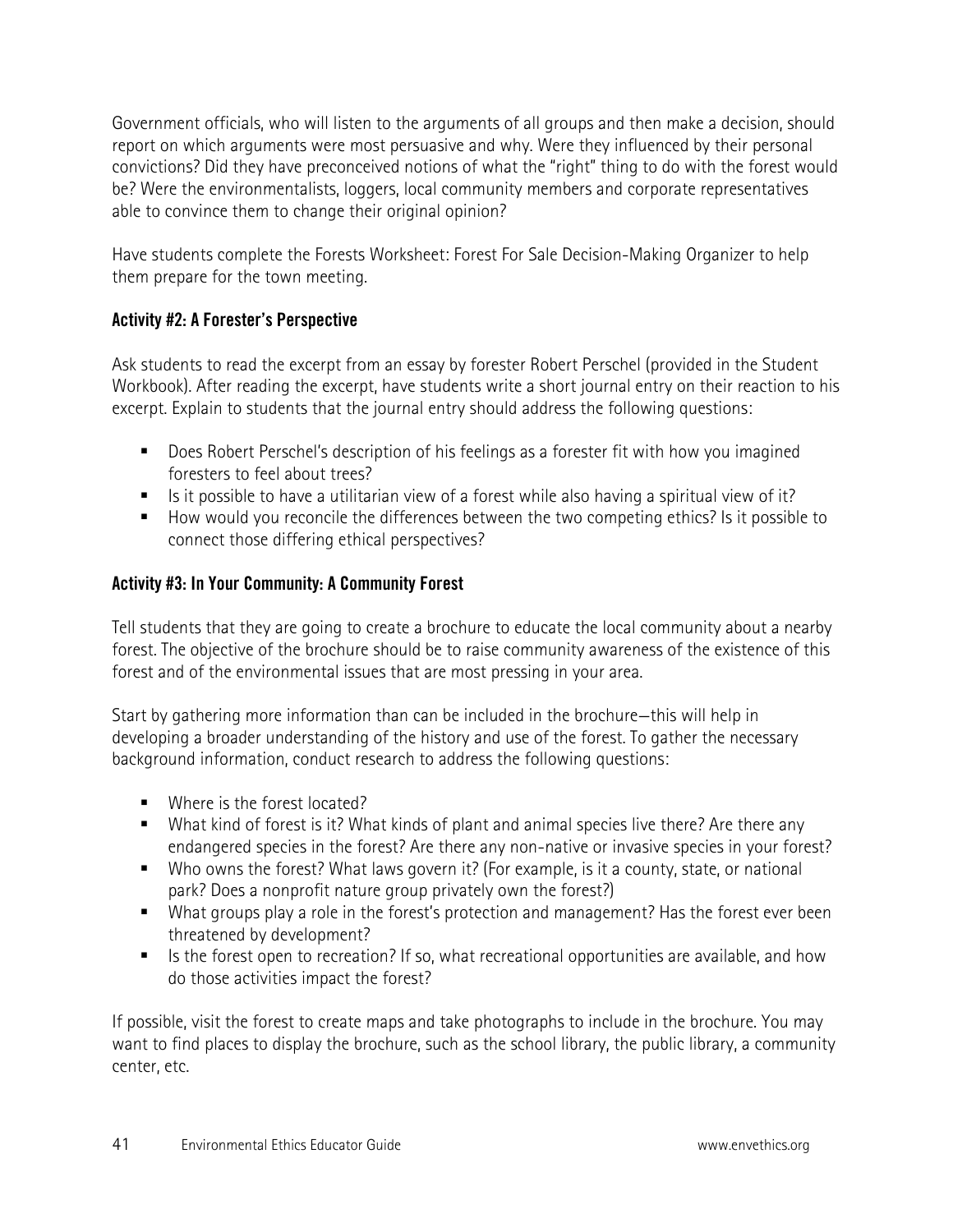Government officials, who will listen to the arguments of all groups and then make a decision, should report on which arguments were most persuasive and why. Were they influenced by their personal convictions? Did they have preconceived notions of what the "right" thing to do with the forest would be? Were the environmentalists, loggers, local community members and corporate representatives able to convince them to change their original opinion?

Have students complete the Forests Worksheet: Forest For Sale Decision-Making Organizer to help them prepare for the town meeting.

#### **Activity #2: A Forester's Perspective**

Ask students to read the excerpt from an essay by forester Robert Perschel (provided in the Student Workbook). After reading the excerpt, have students write a short journal entry on their reaction to his excerpt. Explain to students that the journal entry should address the following questions:

- **Does Robert Perschel's description of his feelings as a forester fit with how you imagined** foresters to feel about trees?
- Is it possible to have a utilitarian view of a forest while also having a spiritual view of it?
- How would you reconcile the differences between the two competing ethics? Is it possible to connect those differing ethical perspectives?

#### **Activity #3: In Your Community: A Community Forest**

Tell students that they are going to create a brochure to educate the local community about a nearby forest. The objective of the brochure should be to raise community awareness of the existence of this forest and of the environmental issues that are most pressing in your area.

Start by gathering more information than can be included in the brochure—this will help in developing a broader understanding of the history and use of the forest. To gather the necessary background information, conduct research to address the following questions:

- Where is the forest located?
- What kind of forest is it? What kinds of plant and animal species live there? Are there any endangered species in the forest? Are there any non-native or invasive species in your forest?
- Who owns the forest? What laws govern it? (For example, is it a county, state, or national park? Does a nonprofit nature group privately own the forest?)
- What groups play a role in the forest's protection and management? Has the forest ever been threatened by development?
- Is the forest open to recreation? If so, what recreational opportunities are available, and how do those activities impact the forest?

If possible, visit the forest to create maps and take photographs to include in the brochure. You may want to find places to display the brochure, such as the school library, the public library, a community center, etc.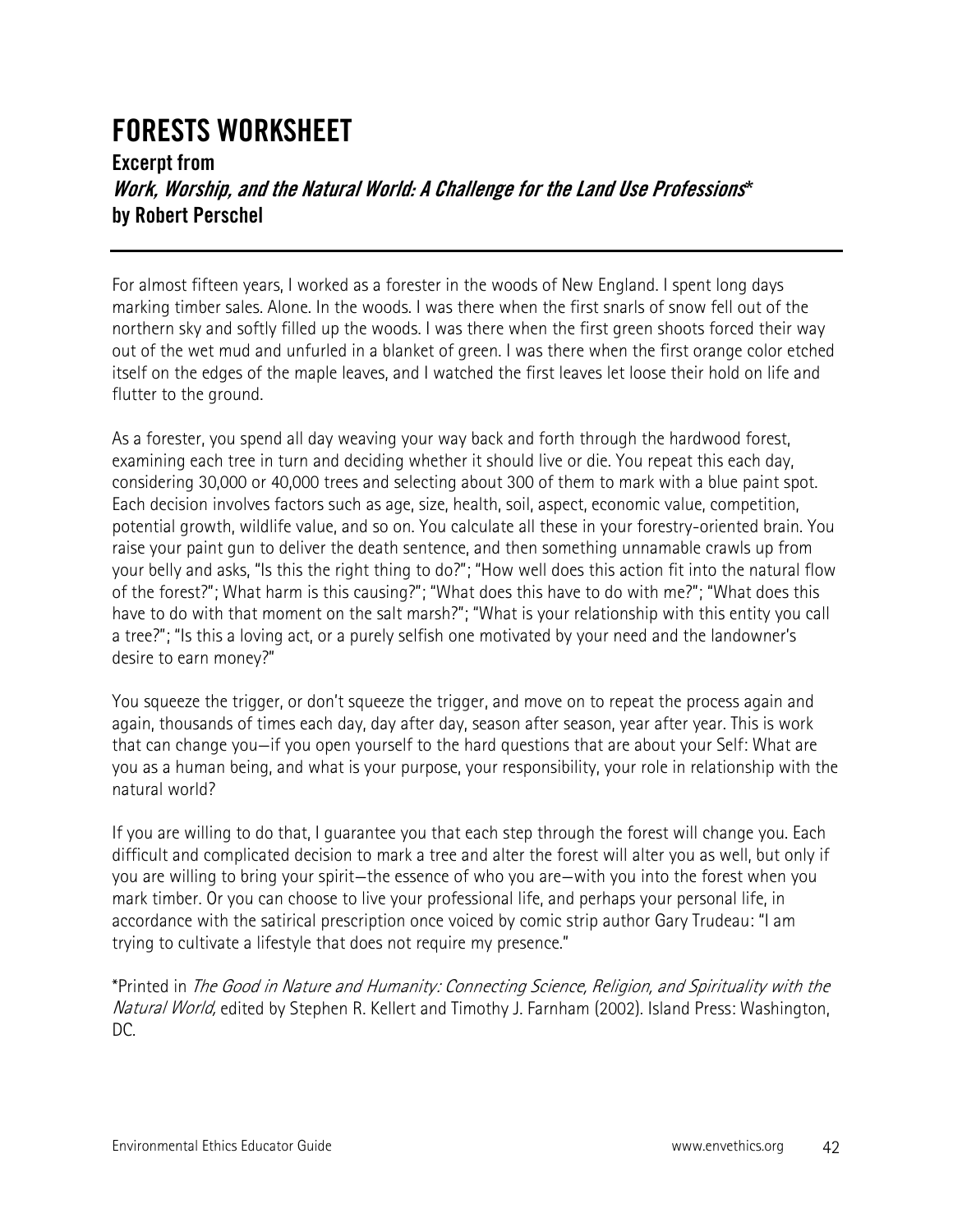# **FORESTS WORKSHEET**

**Excerpt from Work, Worship, and the Natural World: A Challenge for the Land Use Professions\* by Robert Perschel** 

For almost fifteen years, I worked as a forester in the woods of New England. I spent long days marking timber sales. Alone. In the woods. I was there when the first snarls of snow fell out of the northern sky and softly filled up the woods. I was there when the first green shoots forced their way out of the wet mud and unfurled in a blanket of green. I was there when the first orange color etched itself on the edges of the maple leaves, and I watched the first leaves let loose their hold on life and flutter to the ground.

As a forester, you spend all day weaving your way back and forth through the hardwood forest, examining each tree in turn and deciding whether it should live or die. You repeat this each day, considering 30,000 or 40,000 trees and selecting about 300 of them to mark with a blue paint spot. Each decision involves factors such as age, size, health, soil, aspect, economic value, competition, potential growth, wildlife value, and so on. You calculate all these in your forestry-oriented brain. You raise your paint gun to deliver the death sentence, and then something unnamable crawls up from your belly and asks, "Is this the right thing to do?"; "How well does this action fit into the natural flow of the forest?"; What harm is this causing?"; "What does this have to do with me?"; "What does this have to do with that moment on the salt marsh?"; "What is your relationship with this entity you call a tree?"; "Is this a loving act, or a purely selfish one motivated by your need and the landowner's desire to earn money?"

You squeeze the trigger, or don't squeeze the trigger, and move on to repeat the process again and again, thousands of times each day, day after day, season after season, year after year. This is work that can change you—if you open yourself to the hard questions that are about your Self: What are you as a human being, and what is your purpose, your responsibility, your role in relationship with the natural world?

If you are willing to do that, I guarantee you that each step through the forest will change you. Each difficult and complicated decision to mark a tree and alter the forest will alter you as well, but only if you are willing to bring your spirit—the essence of who you are—with you into the forest when you mark timber. Or you can choose to live your professional life, and perhaps your personal life, in accordance with the satirical prescription once voiced by comic strip author Gary Trudeau: "I am trying to cultivate a lifestyle that does not require my presence."

\*Printed in The Good in Nature and Humanity: Connecting Science, Religion, and Spirituality with the Natural World, edited by Stephen R. Kellert and Timothy J. Farnham (2002). Island Press: Washington, DC.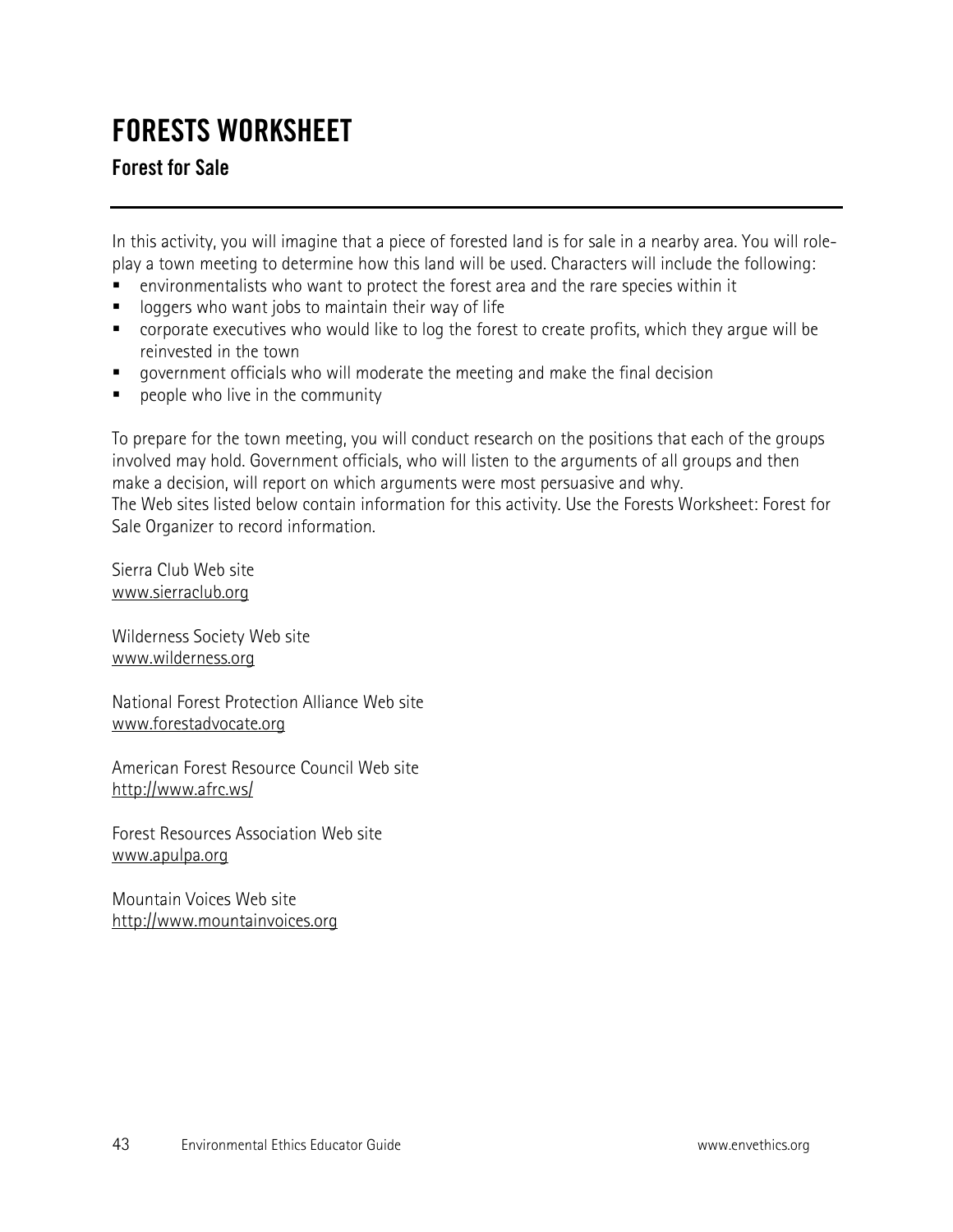# **FORESTS WORKSHEET**

**Forest for Sale** 

In this activity, you will imagine that a piece of forested land is for sale in a nearby area. You will roleplay a town meeting to determine how this land will be used. Characters will include the following:

- environmentalists who want to protect the forest area and the rare species within it
- $\blacksquare$  loggers who want jobs to maintain their way of life
- corporate executives who would like to log the forest to create profits, which they argue will be reinvested in the town
- government officials who will moderate the meeting and make the final decision
- people who live in the community

To prepare for the town meeting, you will conduct research on the positions that each of the groups involved may hold. Government officials, who will listen to the arguments of all groups and then make a decision, will report on which arguments were most persuasive and why. The Web sites listed below contain information for this activity. Use the Forests Worksheet: Forest for Sale Organizer to record information.

Sierra Club Web site www.sierraclub.org

Wilderness Society Web site www.wilderness.org

National Forest Protection Alliance Web site www.forestadvocate.org

American Forest Resource Council Web site http://www.afrc.ws/

Forest Resources Association Web site www.apulpa.org

Mountain Voices Web site http://www.mountainvoices.org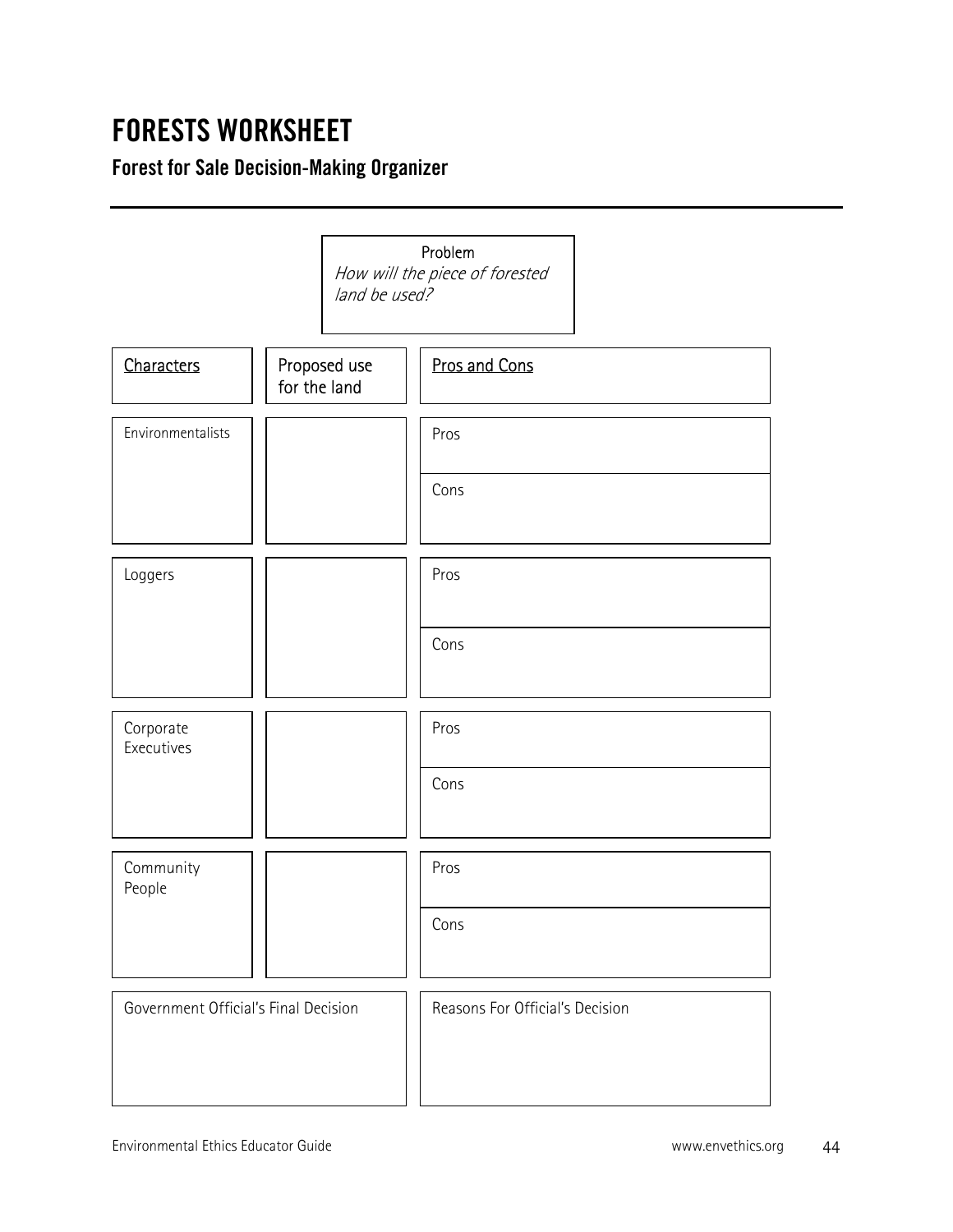# **FORESTS WORKSHEET**

# **Forest for Sale Decision-Making Organizer**

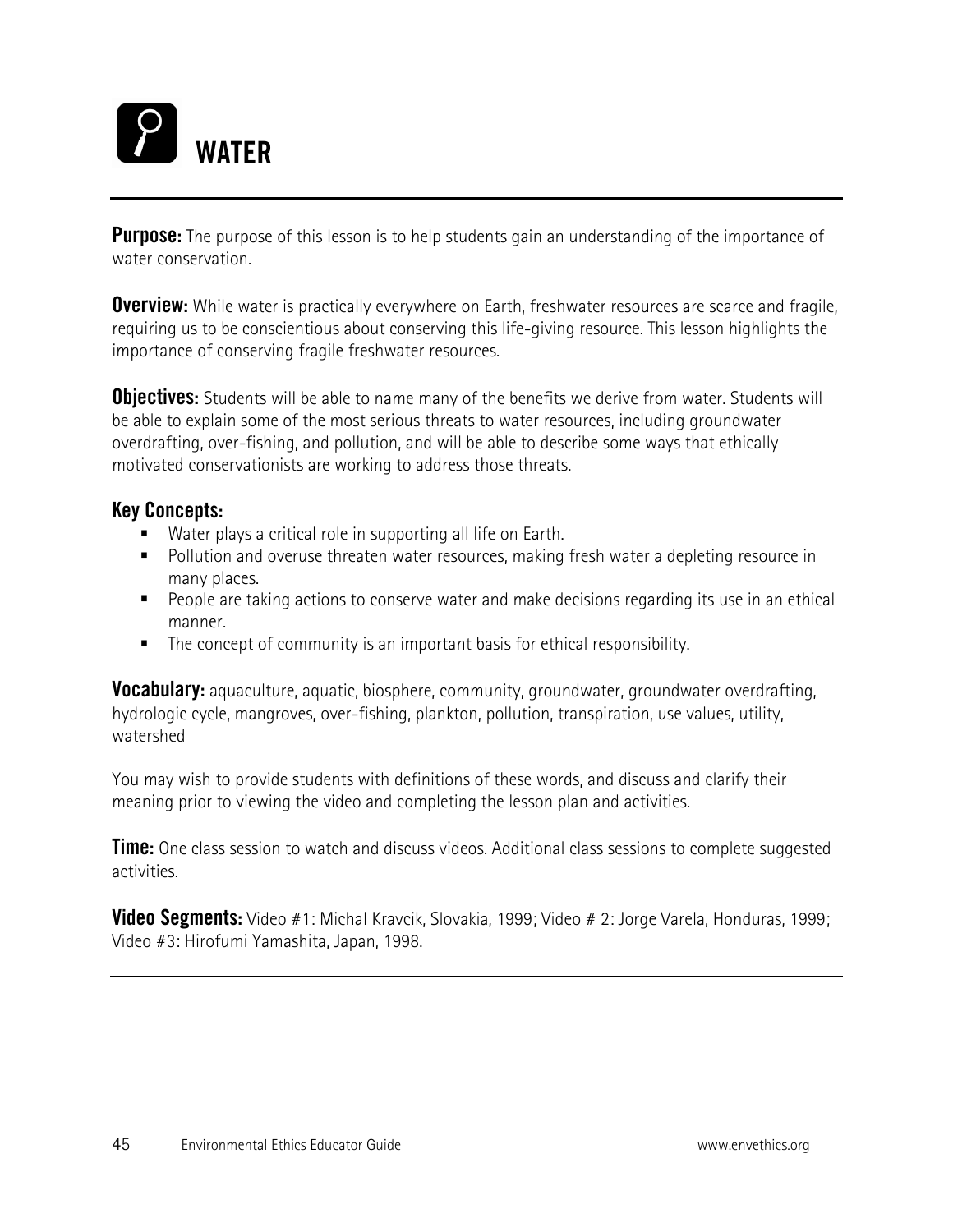

**Purpose:** The purpose of this lesson is to help students gain an understanding of the importance of water conservation.

**Overview:** While water is practically everywhere on Earth, freshwater resources are scarce and fragile, requiring us to be conscientious about conserving this life-giving resource. This lesson highlights the importance of conserving fragile freshwater resources.

**Objectives:** Students will be able to name many of the benefits we derive from water. Students will be able to explain some of the most serious threats to water resources, including groundwater overdrafting, over-fishing, and pollution, and will be able to describe some ways that ethically motivated conservationists are working to address those threats.

#### **Key Concepts:**

- Water plays a critical role in supporting all life on Earth.
- **Pollution and overuse threaten water resources, making fresh water a depleting resource in** many places.
- **People are taking actions to conserve water and make decisions regarding its use in an ethical** manner.
- The concept of community is an important basis for ethical responsibility.

**Vocabulary:** aquaculture, aquatic, biosphere, community, groundwater, groundwater overdrafting, hydrologic cycle, mangroves, over-fishing, plankton, pollution, transpiration, use values, utility, watershed

You may wish to provide students with definitions of these words, and discuss and clarify their meaning prior to viewing the video and completing the lesson plan and activities.

**Time:** One class session to watch and discuss videos. Additional class sessions to complete suggested activities.

**Video Segments:** Video #1: Michal Kravcik, Slovakia, 1999; Video # 2: Jorge Varela, Honduras, 1999; Video #3: Hirofumi Yamashita, Japan, 1998.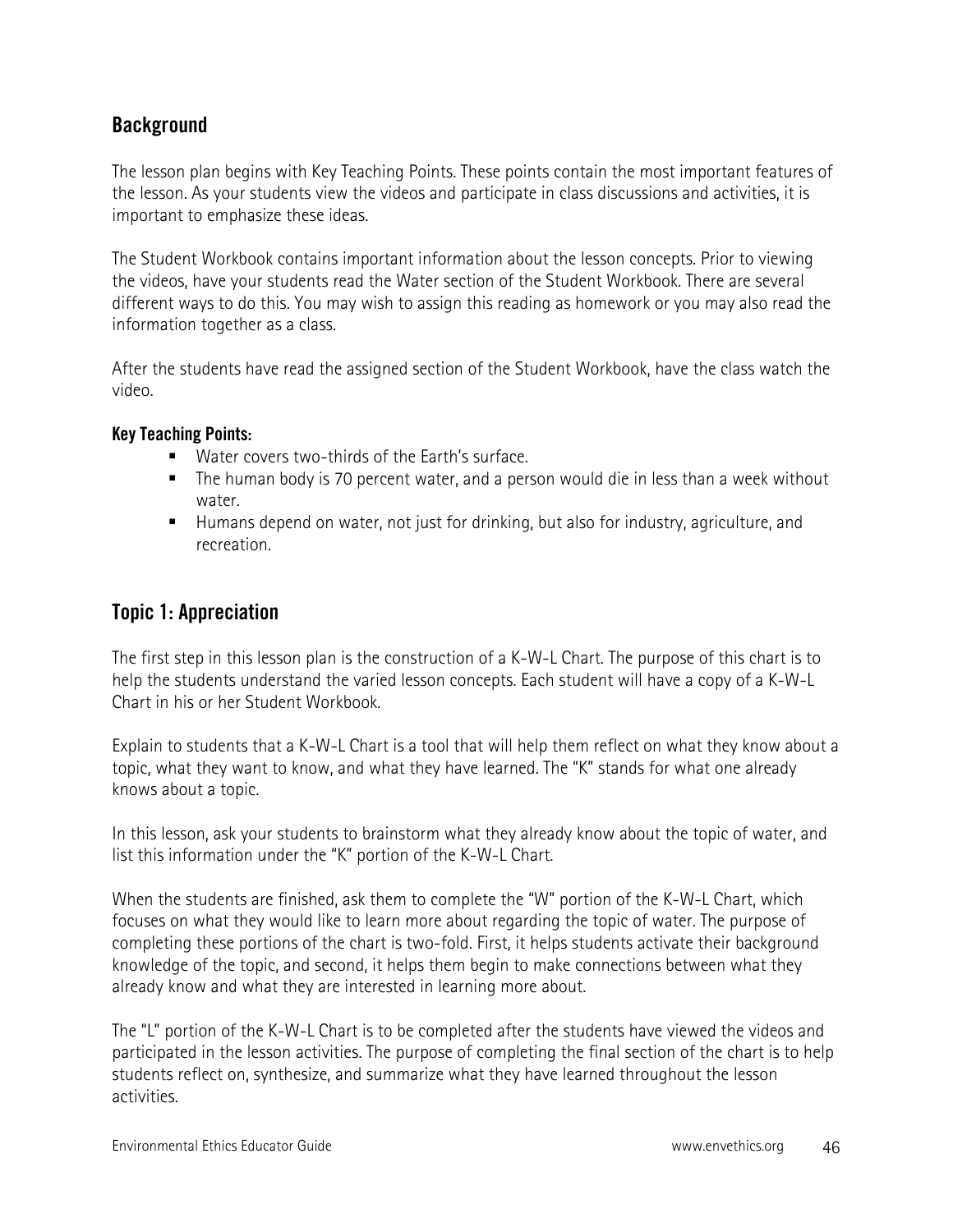#### **Background**

The lesson plan begins with Key Teaching Points. These points contain the most important features of the lesson. As your students view the videos and participate in class discussions and activities, it is important to emphasize these ideas.

The Student Workbook contains important information about the lesson concepts. Prior to viewing the videos, have your students read the Water section of the Student Workbook. There are several different ways to do this. You may wish to assign this reading as homework or you may also read the information together as a class.

After the students have read the assigned section of the Student Workbook, have the class watch the video.

#### **Key Teaching Points:**

- Water covers two-thirds of the Earth's surface.
- The human body is 70 percent water, and a person would die in less than a week without water.
- Humans depend on water, not just for drinking, but also for industry, agriculture, and recreation.

#### **Topic 1: Appreciation**

The first step in this lesson plan is the construction of a K-W-L Chart. The purpose of this chart is to help the students understand the varied lesson concepts. Each student will have a copy of a K-W-L Chart in his or her Student Workbook.

Explain to students that a K-W-L Chart is a tool that will help them reflect on what they know about a topic, what they want to know, and what they have learned. The "K" stands for what one already knows about a topic.

In this lesson, ask your students to brainstorm what they already know about the topic of water, and list this information under the "K" portion of the K-W-L Chart.

When the students are finished, ask them to complete the "W" portion of the K-W-L Chart, which focuses on what they would like to learn more about regarding the topic of water. The purpose of completing these portions of the chart is two-fold. First, it helps students activate their background knowledge of the topic, and second, it helps them begin to make connections between what they already know and what they are interested in learning more about.

The "L" portion of the K-W-L Chart is to be completed after the students have viewed the videos and participated in the lesson activities. The purpose of completing the final section of the chart is to help students reflect on, synthesize, and summarize what they have learned throughout the lesson activities.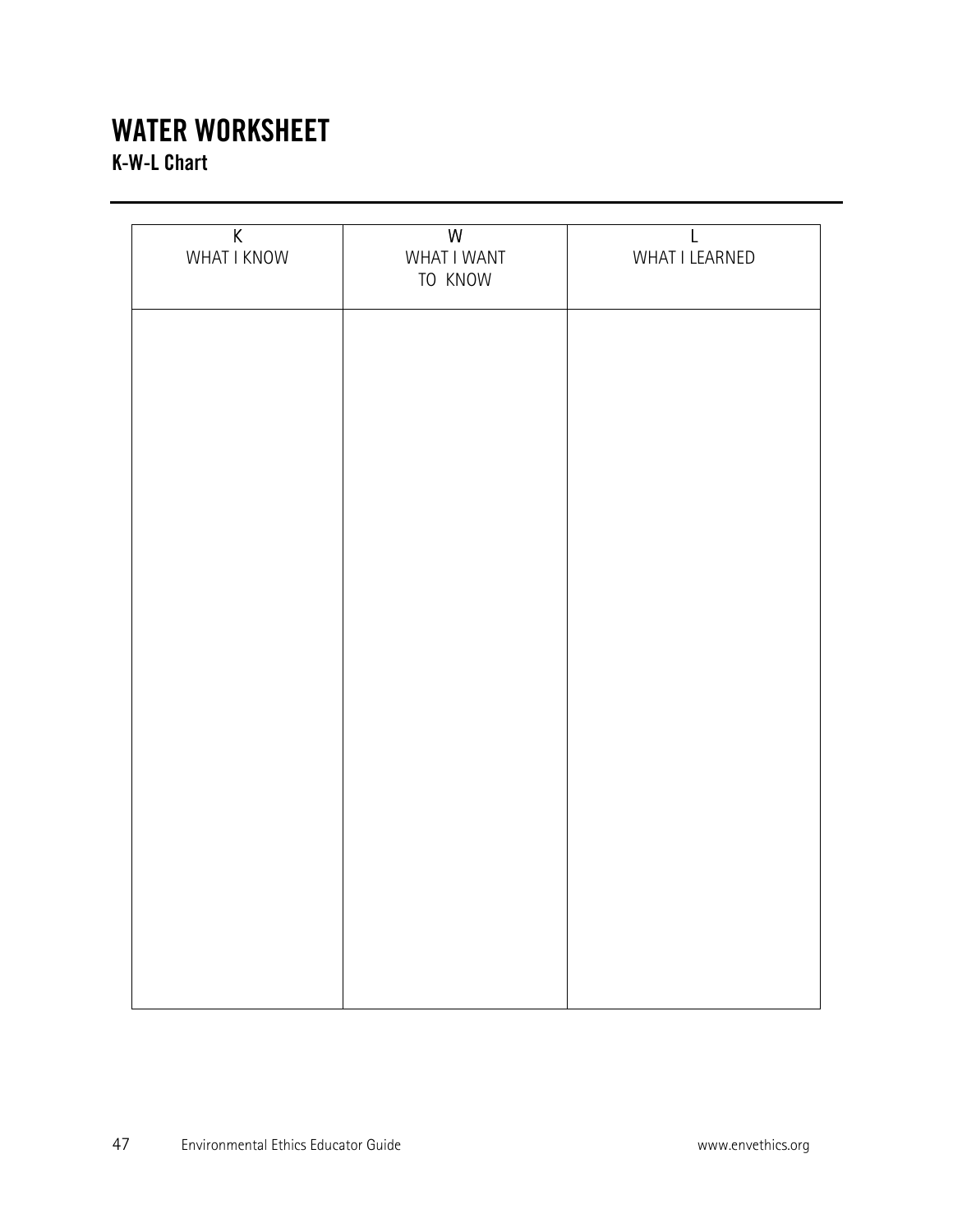# **WATER WORKSHEET**

**K-W-L Chart** 

| $\overline{K}$<br>WHAT I KNOW | $\overline{\mathsf{W}}$<br>WHAT I WANT<br>TO KNOW | $\mathsf{L}$<br>WHAT I LEARNED |  |  |
|-------------------------------|---------------------------------------------------|--------------------------------|--|--|
|                               |                                                   |                                |  |  |
|                               |                                                   |                                |  |  |
|                               |                                                   |                                |  |  |
|                               |                                                   |                                |  |  |
|                               |                                                   |                                |  |  |
|                               |                                                   |                                |  |  |
|                               |                                                   |                                |  |  |
|                               |                                                   |                                |  |  |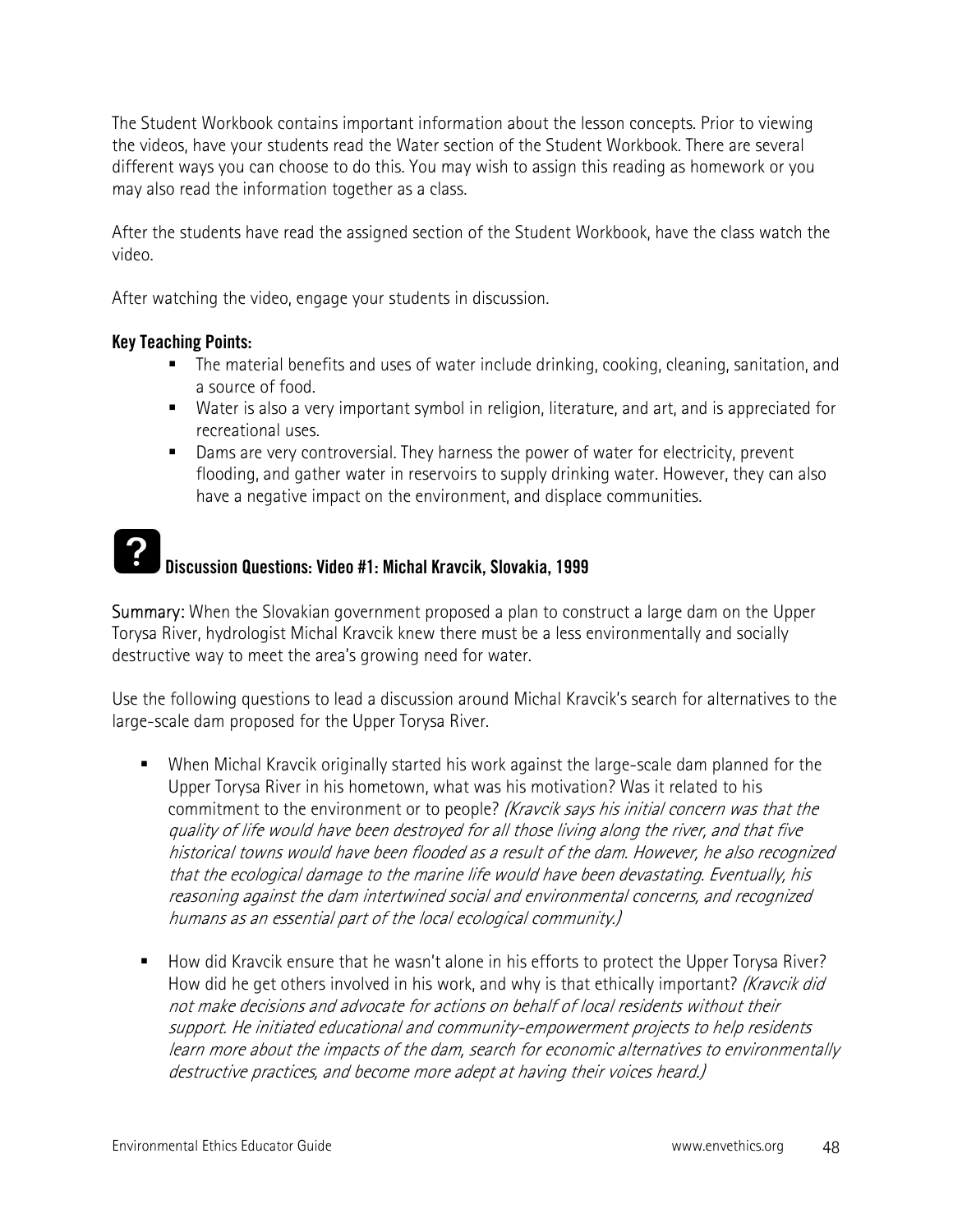The Student Workbook contains important information about the lesson concepts. Prior to viewing the videos, have your students read the Water section of the Student Workbook. There are several different ways you can choose to do this. You may wish to assign this reading as homework or you may also read the information together as a class.

After the students have read the assigned section of the Student Workbook, have the class watch the video.

After watching the video, engage your students in discussion.

#### **Key Teaching Points:**

- The material benefits and uses of water include drinking, cooking, cleaning, sanitation, and a source of food.
- Water is also a very important symbol in religion, literature, and art, and is appreciated for recreational uses.
- **Dams are very controversial. They harness the power of water for electricity, prevent** flooding, and gather water in reservoirs to supply drinking water. However, they can also have a negative impact on the environment, and displace communities.

# **Discussion Questions: Video #1: Michal Kravcik, Slovakia, 1999**

Summary: When the Slovakian government proposed a plan to construct a large dam on the Upper Torysa River, hydrologist Michal Kravcik knew there must be a less environmentally and socially destructive way to meet the area's growing need for water.

Use the following questions to lead a discussion around Michal Kravcik's search for alternatives to the large-scale dam proposed for the Upper Torysa River.

- When Michal Kravcik originally started his work against the large-scale dam planned for the Upper Torysa River in his hometown, what was his motivation? Was it related to his commitment to the environment or to people? (Kravcik says his initial concern was that the quality of life would have been destroyed for all those living along the river, and that five historical towns would have been flooded as a result of the dam. However, he also recognized that the ecological damage to the marine life would have been devastating. Eventually, his reasoning against the dam intertwined social and environmental concerns, and recognized humans as an essential part of the local ecological community.)
- How did Kravcik ensure that he wasn't alone in his efforts to protect the Upper Torysa River? How did he get others involved in his work, and why is that ethically important? (Kravcik did not make decisions and advocate for actions on behalf of local residents without their support. He initiated educational and community-empowerment projects to help residents learn more about the impacts of the dam, search for economic alternatives to environmentally destructive practices, and become more adept at having their voices heard.)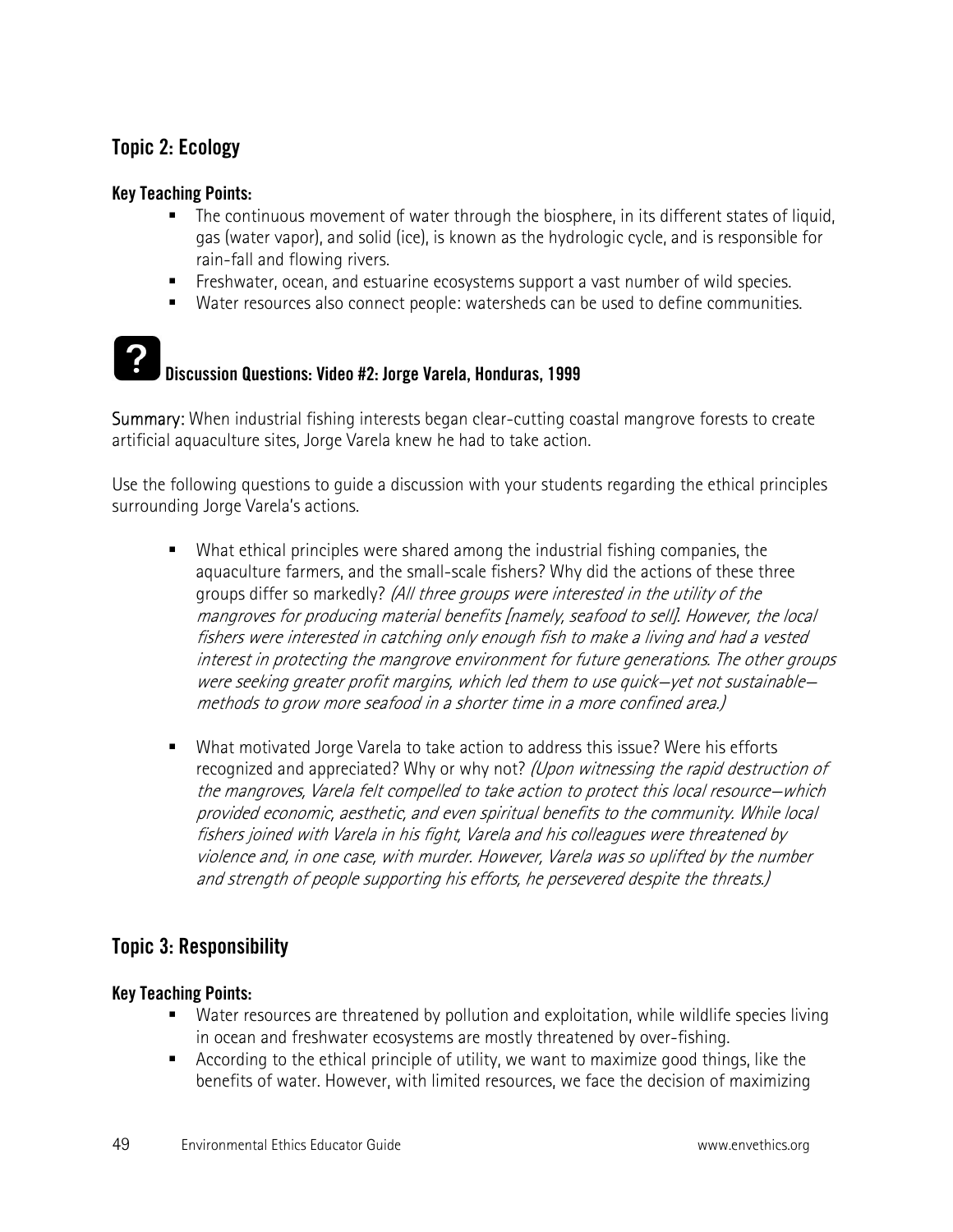### **Topic 2: Ecology**

#### **Key Teaching Points:**

- The continuous movement of water through the biosphere, in its different states of liquid, gas (water vapor), and solid (ice), is known as the hydrologic cycle, and is responsible for rain-fall and flowing rivers.
- **Filter** Freshwater, ocean, and estuarine ecosystems support a vast number of wild species.
- Water resources also connect people: watersheds can be used to define communities.

#### $\ddot{?}$  **Discussion Questions: Video #2: Jorge Varela, Honduras, 1999**

Summary: When industrial fishing interests began clear-cutting coastal mangrove forests to create artificial aquaculture sites, Jorge Varela knew he had to take action.

Use the following questions to guide a discussion with your students regarding the ethical principles surrounding Jorge Varela's actions.

- What ethical principles were shared among the industrial fishing companies, the aquaculture farmers, and the small-scale fishers? Why did the actions of these three groups differ so markedly? (All three groups were interested in the utility of the mangroves for producing material benefits [namely, seafood to sell]. However, the local fishers were interested in catching only enough fish to make a living and had a vested interest in protecting the mangrove environment for future generations. The other groups were seeking greater profit margins, which led them to use quick—yet not sustainable methods to grow more seafood in a shorter time in a more confined area.)
- What motivated Jorge Varela to take action to address this issue? Were his efforts recognized and appreciated? Why or why not? (Upon witnessing the rapid destruction of the mangroves, Varela felt compelled to take action to protect this local resource—which provided economic, aesthetic, and even spiritual benefits to the community. While local fishers joined with Varela in his fight, Varela and his colleagues were threatened by violence and, in one case, with murder. However, Varela was so uplifted by the number and strength of people supporting his efforts, he persevered despite the threats.)

#### **Topic 3: Responsibility**

#### **Key Teaching Points:**

- Water resources are threatened by pollution and exploitation, while wildlife species living in ocean and freshwater ecosystems are mostly threatened by over-fishing.
- According to the ethical principle of utility, we want to maximize good things, like the benefits of water. However, with limited resources, we face the decision of maximizing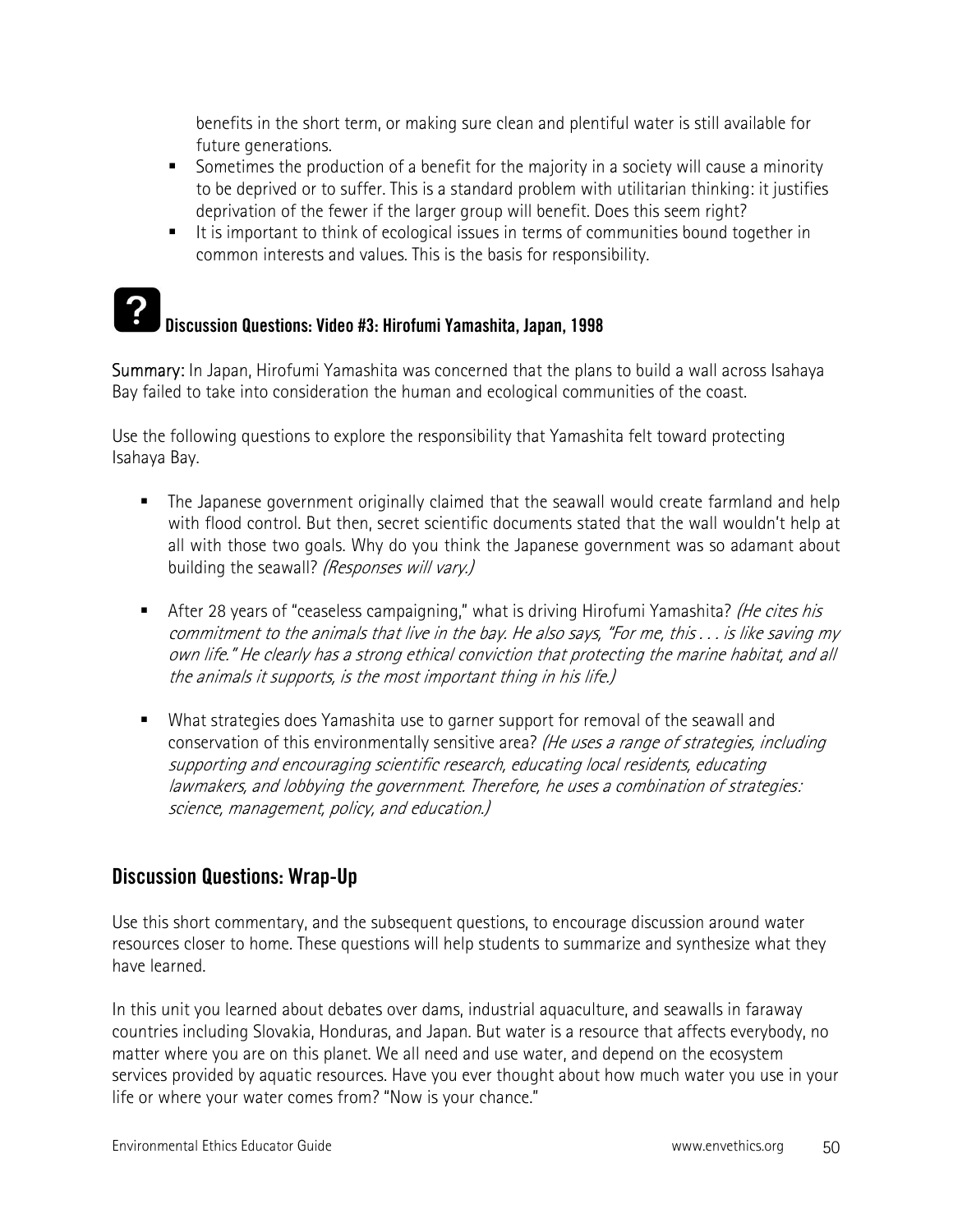benefits in the short term, or making sure clean and plentiful water is still available for future generations.

- Sometimes the production of a benefit for the majority in a society will cause a minority to be deprived or to suffer. This is a standard problem with utilitarian thinking: it justifies deprivation of the fewer if the larger group will benefit. Does this seem right?
- It is important to think of ecological issues in terms of communities bound together in common interests and values. This is the basis for responsibility.

# **Discussion Questions: Video #3: Hirofumi Yamashita, Japan, 1998**

Summary: In Japan, Hirofumi Yamashita was concerned that the plans to build a wall across Isahaya Bay failed to take into consideration the human and ecological communities of the coast.

Use the following questions to explore the responsibility that Yamashita felt toward protecting Isahaya Bay.

- **The Japanese government originally claimed that the seawall would create farmland and help** with flood control. But then, secret scientific documents stated that the wall wouldn't help at all with those two goals. Why do you think the Japanese government was so adamant about building the seawall? (Responses will vary.)
- After 28 years of "ceaseless campaigning," what is driving Hirofumi Yamashita? (He cites his commitment to the animals that live in the bay. He also says, "For me, this . . . is like saving my own life." He clearly has a strong ethical conviction that protecting the marine habitat, and all the animals it supports, is the most important thing in his life.)
- What strategies does Yamashita use to garner support for removal of the seawall and conservation of this environmentally sensitive area? (He uses a range of strategies, including supporting and encouraging scientific research, educating local residents, educating lawmakers, and lobbying the government. Therefore, he uses a combination of strategies: science, management, policy, and education.)

### **Discussion Questions: Wrap-Up**

Use this short commentary, and the subsequent questions, to encourage discussion around water resources closer to home. These questions will help students to summarize and synthesize what they have learned.

In this unit you learned about debates over dams, industrial aquaculture, and seawalls in faraway countries including Slovakia, Honduras, and Japan. But water is a resource that affects everybody, no matter where you are on this planet. We all need and use water, and depend on the ecosystem services provided by aquatic resources. Have you ever thought about how much water you use in your life or where your water comes from? "Now is your chance."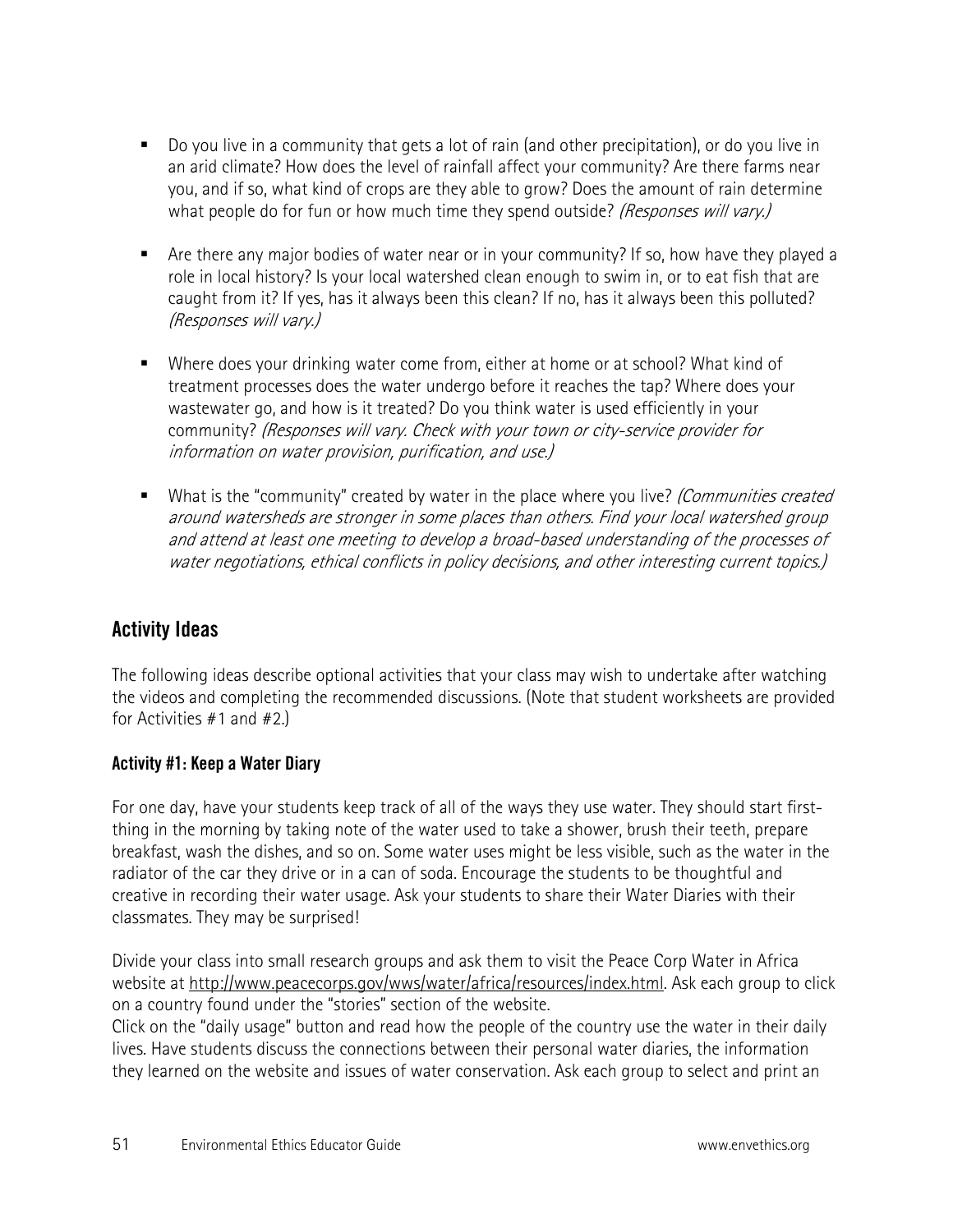- Do you live in a community that gets a lot of rain (and other precipitation), or do you live in an arid climate? How does the level of rainfall affect your community? Are there farms near you, and if so, what kind of crops are they able to grow? Does the amount of rain determine what people do for fun or how much time they spend outside? (Responses will vary.)
- Are there any major bodies of water near or in your community? If so, how have they played a role in local history? Is your local watershed clean enough to swim in, or to eat fish that are caught from it? If yes, has it always been this clean? If no, has it always been this polluted? (Responses will vary.)
- Where does your drinking water come from, either at home or at school? What kind of treatment processes does the water undergo before it reaches the tap? Where does your wastewater go, and how is it treated? Do you think water is used efficiently in your community? (Responses will vary. Check with your town or city-service provider for information on water provision, purification, and use.)
- What is the "community" created by water in the place where you live? (Communities created around watersheds are stronger in some places than others. Find your local watershed group and attend at least one meeting to develop a broad-based understanding of the processes of water negotiations, ethical conflicts in policy decisions, and other interesting current topics.)

### **Activity Ideas**

The following ideas describe optional activities that your class may wish to undertake after watching the videos and completing the recommended discussions. (Note that student worksheets are provided for Activities #1 and #2.)

#### **Activity #1: Keep a Water Diary**

For one day, have your students keep track of all of the ways they use water. They should start firstthing in the morning by taking note of the water used to take a shower, brush their teeth, prepare breakfast, wash the dishes, and so on. Some water uses might be less visible, such as the water in the radiator of the car they drive or in a can of soda. Encourage the students to be thoughtful and creative in recording their water usage. Ask your students to share their Water Diaries with their classmates. They may be surprised!

Divide your class into small research groups and ask them to visit the Peace Corp Water in Africa website at http://www.peacecorps.gov/wws/water/africa/resources/index.html. Ask each group to click on a country found under the "stories" section of the website.

Click on the "daily usage" button and read how the people of the country use the water in their daily lives. Have students discuss the connections between their personal water diaries, the information they learned on the website and issues of water conservation. Ask each group to select and print an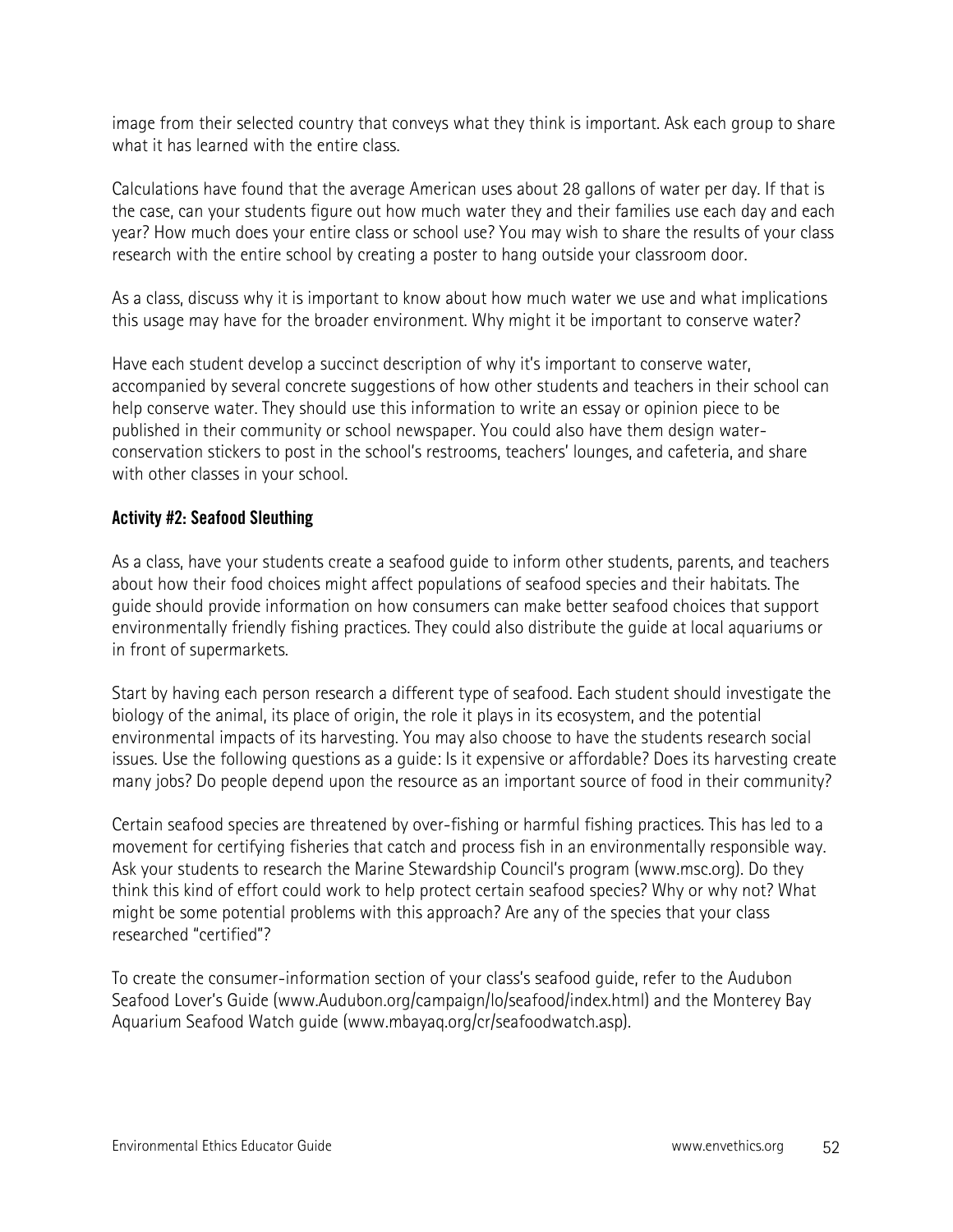image from their selected country that conveys what they think is important. Ask each group to share what it has learned with the entire class.

Calculations have found that the average American uses about 28 gallons of water per day. If that is the case, can your students figure out how much water they and their families use each day and each year? How much does your entire class or school use? You may wish to share the results of your class research with the entire school by creating a poster to hang outside your classroom door.

As a class, discuss why it is important to know about how much water we use and what implications this usage may have for the broader environment. Why might it be important to conserve water?

Have each student develop a succinct description of why it's important to conserve water, accompanied by several concrete suggestions of how other students and teachers in their school can help conserve water. They should use this information to write an essay or opinion piece to be published in their community or school newspaper. You could also have them design waterconservation stickers to post in the school's restrooms, teachers' lounges, and cafeteria, and share with other classes in your school.

#### **Activity #2: Seafood Sleuthing**

As a class, have your students create a seafood guide to inform other students, parents, and teachers about how their food choices might affect populations of seafood species and their habitats. The guide should provide information on how consumers can make better seafood choices that support environmentally friendly fishing practices. They could also distribute the guide at local aquariums or in front of supermarkets.

Start by having each person research a different type of seafood. Each student should investigate the biology of the animal, its place of origin, the role it plays in its ecosystem, and the potential environmental impacts of its harvesting. You may also choose to have the students research social issues. Use the following questions as a guide: Is it expensive or affordable? Does its harvesting create many jobs? Do people depend upon the resource as an important source of food in their community?

Certain seafood species are threatened by over-fishing or harmful fishing practices. This has led to a movement for certifying fisheries that catch and process fish in an environmentally responsible way. Ask your students to research the Marine Stewardship Council's program (www.msc.org). Do they think this kind of effort could work to help protect certain seafood species? Why or why not? What might be some potential problems with this approach? Are any of the species that your class researched "certified"?

To create the consumer-information section of your class's seafood guide, refer to the Audubon Seafood Lover's Guide (www.Audubon.org/campaign/lo/seafood/index.html) and the Monterey Bay Aquarium Seafood Watch guide (www.mbayaq.org/cr/seafoodwatch.asp).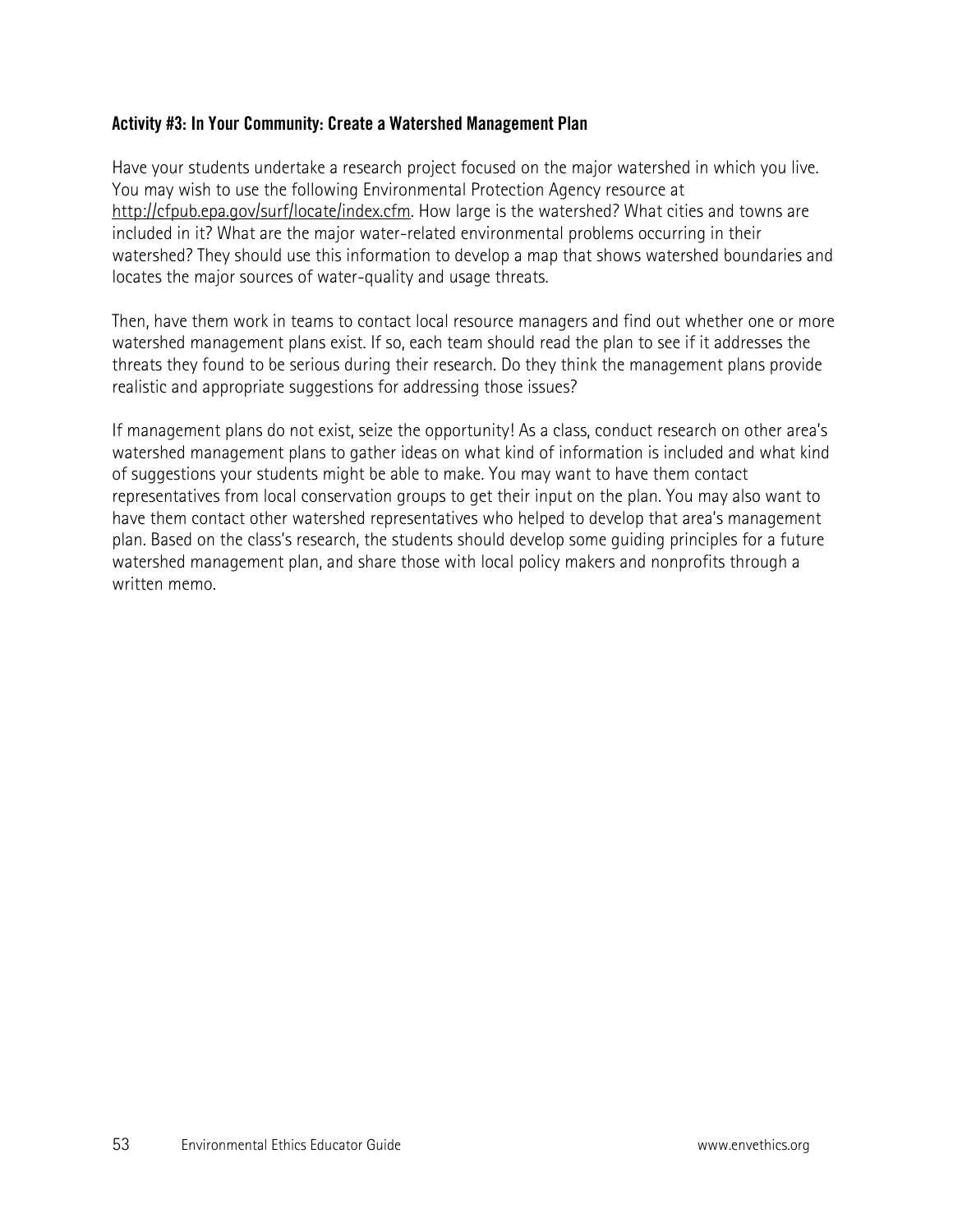#### **Activity #3: In Your Community: Create a Watershed Management Plan**

Have your students undertake a research project focused on the major watershed in which you live. You may wish to use the following Environmental Protection Agency resource at http://cfpub.epa.gov/surf/locate/index.cfm. How large is the watershed? What cities and towns are included in it? What are the major water-related environmental problems occurring in their watershed? They should use this information to develop a map that shows watershed boundaries and locates the major sources of water-quality and usage threats.

Then, have them work in teams to contact local resource managers and find out whether one or more watershed management plans exist. If so, each team should read the plan to see if it addresses the threats they found to be serious during their research. Do they think the management plans provide realistic and appropriate suggestions for addressing those issues?

If management plans do not exist, seize the opportunity! As a class, conduct research on other area's watershed management plans to gather ideas on what kind of information is included and what kind of suggestions your students might be able to make. You may want to have them contact representatives from local conservation groups to get their input on the plan. You may also want to have them contact other watershed representatives who helped to develop that area's management plan. Based on the class's research, the students should develop some guiding principles for a future watershed management plan, and share those with local policy makers and nonprofits through a written memo.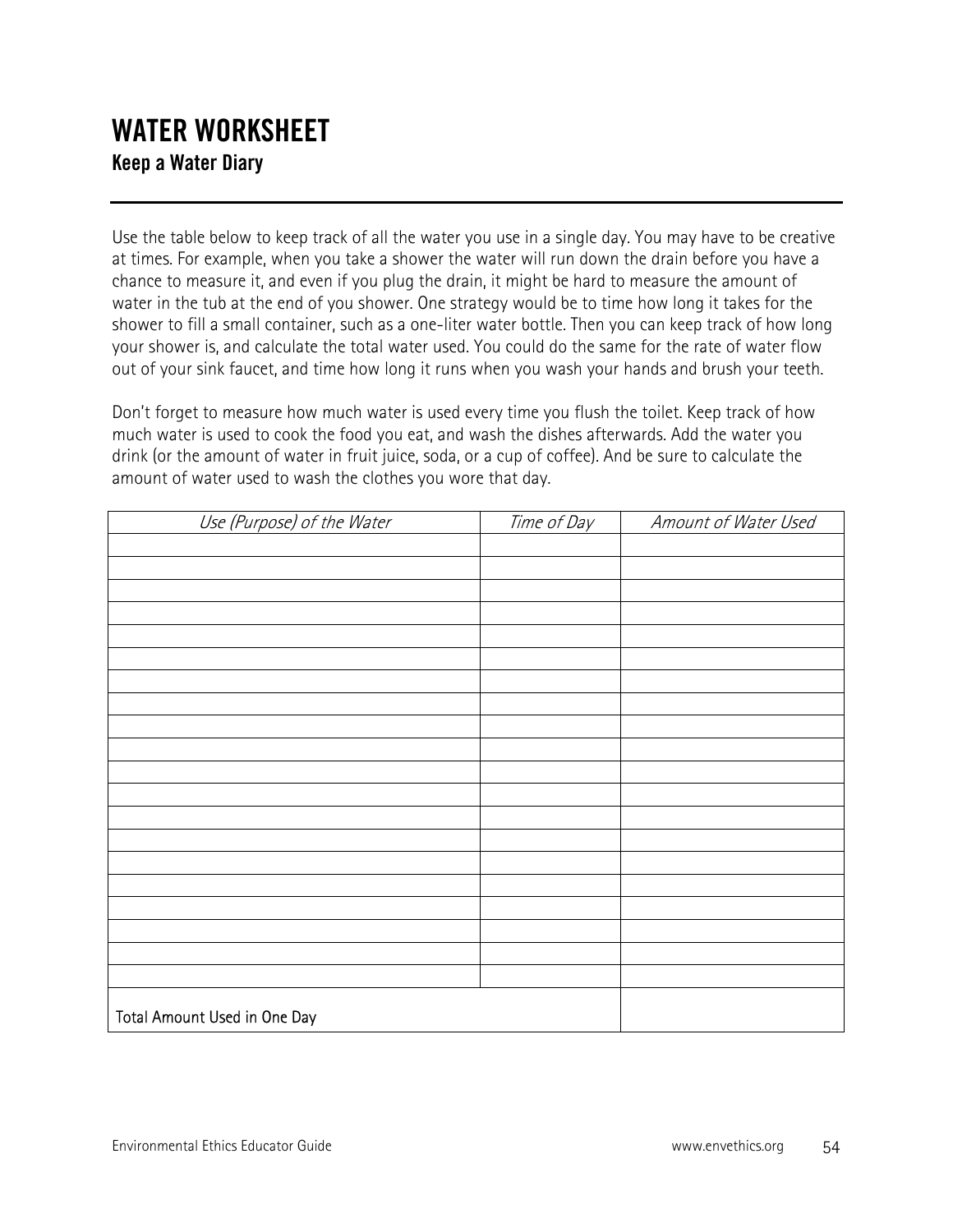# **WATER WORKSHEET Keep a Water Diary**

Use the table below to keep track of all the water you use in a single day. You may have to be creative at times. For example, when you take a shower the water will run down the drain before you have a chance to measure it, and even if you plug the drain, it might be hard to measure the amount of water in the tub at the end of you shower. One strategy would be to time how long it takes for the shower to fill a small container, such as a one-liter water bottle. Then you can keep track of how long your shower is, and calculate the total water used. You could do the same for the rate of water flow out of your sink faucet, and time how long it runs when you wash your hands and brush your teeth.

Don't forget to measure how much water is used every time you flush the toilet. Keep track of how much water is used to cook the food you eat, and wash the dishes afterwards. Add the water you drink (or the amount of water in fruit juice, soda, or a cup of coffee). And be sure to calculate the amount of water used to wash the clothes you wore that day.

| Use (Purpose) of the Water   | Time of Day | Amount of Water Used |  |  |  |
|------------------------------|-------------|----------------------|--|--|--|
|                              |             |                      |  |  |  |
|                              |             |                      |  |  |  |
|                              |             |                      |  |  |  |
|                              |             |                      |  |  |  |
|                              |             |                      |  |  |  |
|                              |             |                      |  |  |  |
|                              |             |                      |  |  |  |
|                              |             |                      |  |  |  |
|                              |             |                      |  |  |  |
|                              |             |                      |  |  |  |
|                              |             |                      |  |  |  |
|                              |             |                      |  |  |  |
|                              |             |                      |  |  |  |
|                              |             |                      |  |  |  |
|                              |             |                      |  |  |  |
|                              |             |                      |  |  |  |
|                              |             |                      |  |  |  |
|                              |             |                      |  |  |  |
|                              |             |                      |  |  |  |
|                              |             |                      |  |  |  |
| Total Amount Used in One Day |             |                      |  |  |  |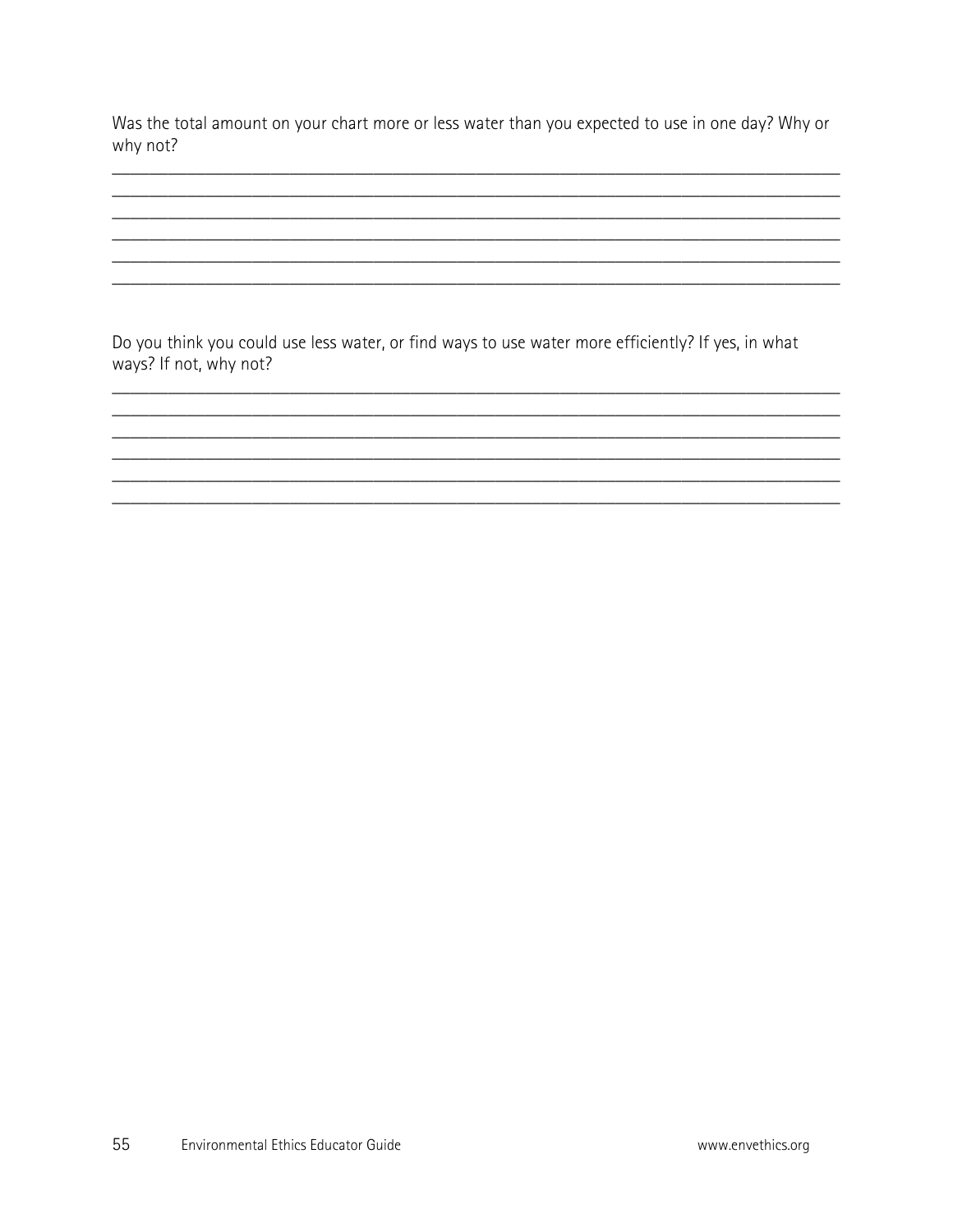Was the total amount on your chart more or less water than you expected to use in one day? Why or why not?

Do you think you could use less water, or find ways to use water more efficiently? If yes, in what ways? If not, why not?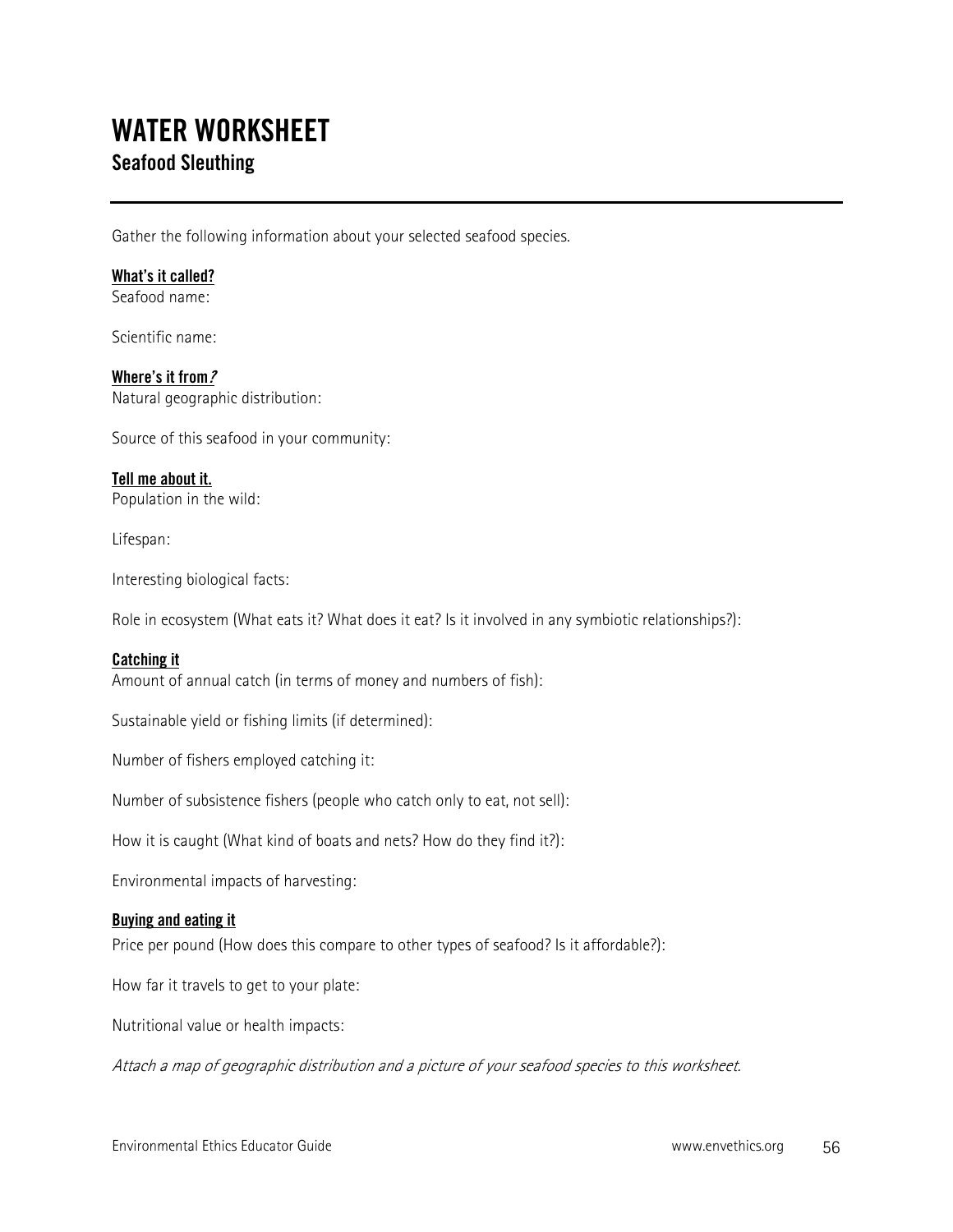# **WATER WORKSHEET Seafood Sleuthing**

Gather the following information about your selected seafood species.

#### **What's it called?**

Seafood name:

Scientific name:

**Where's it from?** Natural geographic distribution:

Source of this seafood in your community:

#### **Tell me about it.**

Population in the wild:

Lifespan:

Interesting biological facts:

Role in ecosystem (What eats it? What does it eat? Is it involved in any symbiotic relationships?):

#### **Catching it**

Amount of annual catch (in terms of money and numbers of fish):

Sustainable yield or fishing limits (if determined):

Number of fishers employed catching it:

Number of subsistence fishers (people who catch only to eat, not sell):

How it is caught (What kind of boats and nets? How do they find it?):

Environmental impacts of harvesting:

#### **Buying and eating it**

Price per pound (How does this compare to other types of seafood? Is it affordable?):

How far it travels to get to your plate:

Nutritional value or health impacts:

Attach a map of geographic distribution and a picture of your seafood species to this worksheet.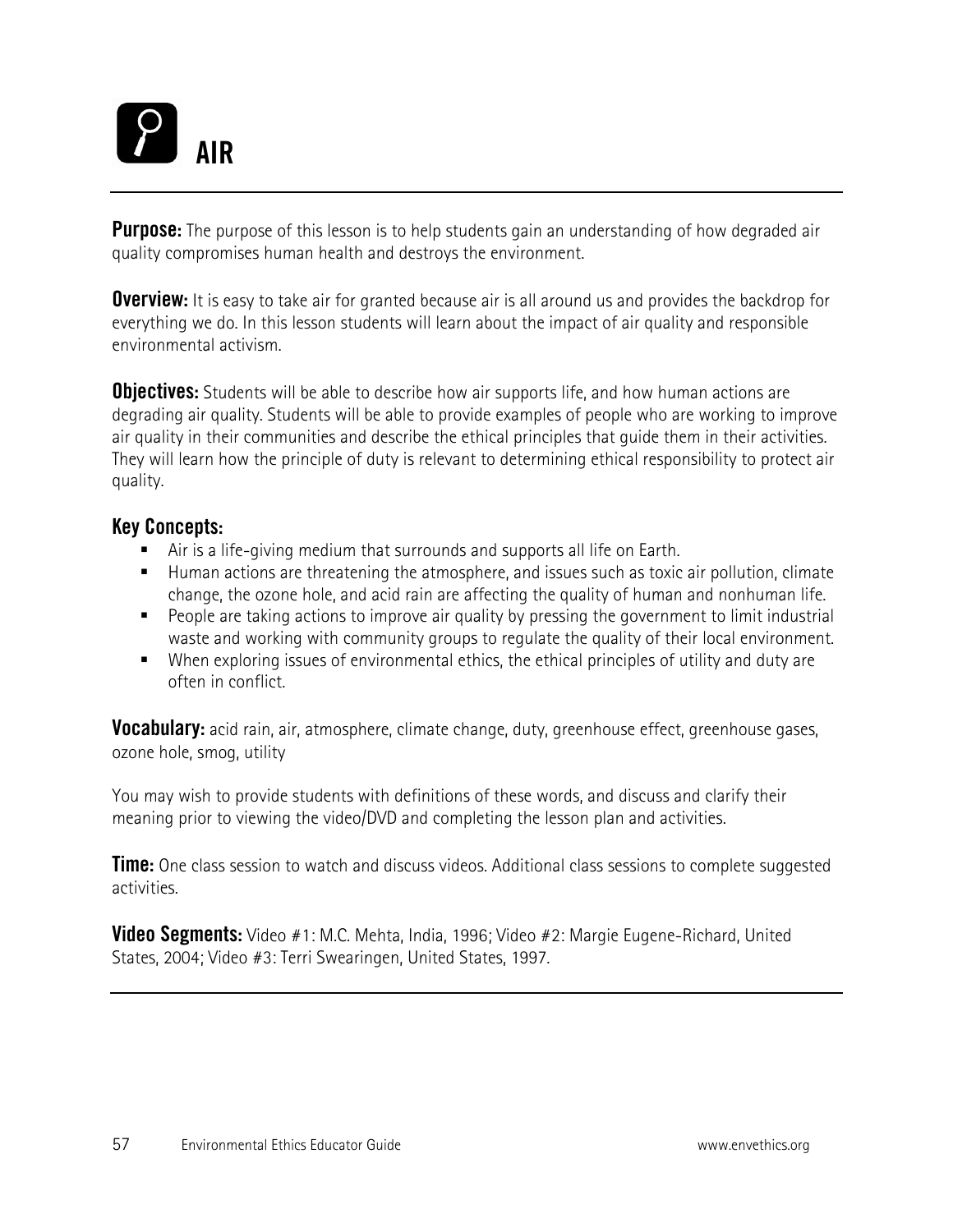

**Purpose:** The purpose of this lesson is to help students gain an understanding of how degraded air quality compromises human health and destroys the environment.

**Overview:** It is easy to take air for granted because air is all around us and provides the backdrop for everything we do. In this lesson students will learn about the impact of air quality and responsible environmental activism.

**Objectives:** Students will be able to describe how air supports life, and how human actions are degrading air quality. Students will be able to provide examples of people who are working to improve air quality in their communities and describe the ethical principles that guide them in their activities. They will learn how the principle of duty is relevant to determining ethical responsibility to protect air quality.

#### **Key Concepts:**

- Air is a life-giving medium that surrounds and supports all life on Earth.
- Human actions are threatening the atmosphere, and issues such as toxic air pollution, climate change, the ozone hole, and acid rain are affecting the quality of human and nonhuman life.
- **People are taking actions to improve air quality by pressing the government to limit industrial** waste and working with community groups to regulate the quality of their local environment.
- When exploring issues of environmental ethics, the ethical principles of utility and duty are often in conflict.

**Vocabulary:** acid rain, air, atmosphere, climate change, duty, greenhouse effect, greenhouse gases, ozone hole, smog, utility

You may wish to provide students with definitions of these words, and discuss and clarify their meaning prior to viewing the video/DVD and completing the lesson plan and activities.

**Time:** One class session to watch and discuss videos. Additional class sessions to complete suggested activities.

**Video Segments:** Video #1: M.C. Mehta, India, 1996; Video #2: Margie Eugene-Richard, United States, 2004; Video #3: Terri Swearingen, United States, 1997.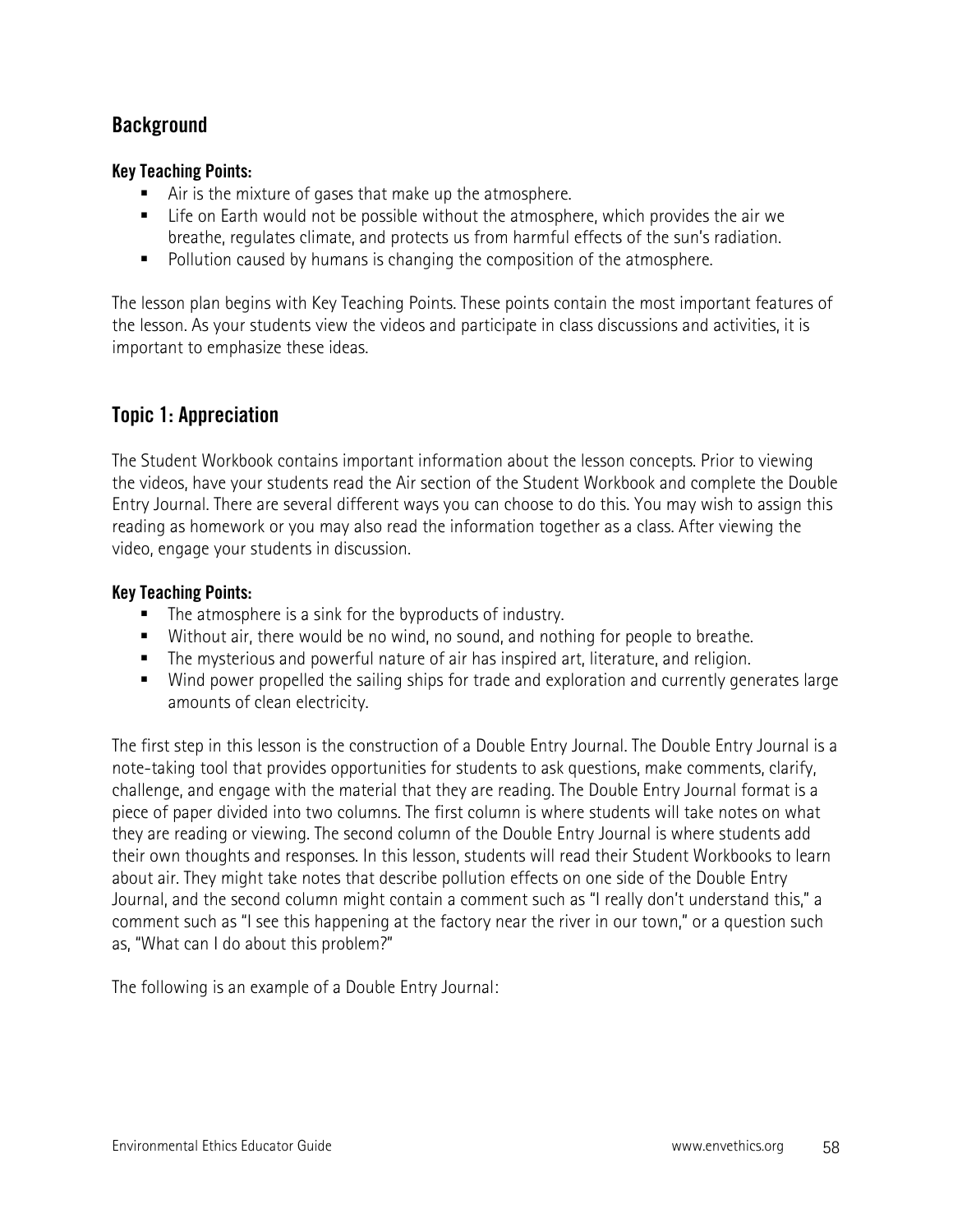#### **Background**

#### **Key Teaching Points:**

- Air is the mixture of gases that make up the atmosphere.
- Life on Earth would not be possible without the atmosphere, which provides the air we breathe, regulates climate, and protects us from harmful effects of the sun's radiation.
- Pollution caused by humans is changing the composition of the atmosphere.

The lesson plan begins with Key Teaching Points. These points contain the most important features of the lesson. As your students view the videos and participate in class discussions and activities, it is important to emphasize these ideas.

### **Topic 1: Appreciation**

The Student Workbook contains important information about the lesson concepts. Prior to viewing the videos, have your students read the Air section of the Student Workbook and complete the Double Entry Journal. There are several different ways you can choose to do this. You may wish to assign this reading as homework or you may also read the information together as a class. After viewing the video, engage your students in discussion.

#### **Key Teaching Points:**

- The atmosphere is a sink for the byproducts of industry.
- Without air, there would be no wind, no sound, and nothing for people to breathe.
- **The mysterious and powerful nature of air has inspired art, literature, and religion.**
- Wind power propelled the sailing ships for trade and exploration and currently generates large amounts of clean electricity.

The first step in this lesson is the construction of a Double Entry Journal. The Double Entry Journal is a note-taking tool that provides opportunities for students to ask questions, make comments, clarify, challenge, and engage with the material that they are reading. The Double Entry Journal format is a piece of paper divided into two columns. The first column is where students will take notes on what they are reading or viewing. The second column of the Double Entry Journal is where students add their own thoughts and responses. In this lesson, students will read their Student Workbooks to learn about air. They might take notes that describe pollution effects on one side of the Double Entry Journal, and the second column might contain a comment such as "I really don't understand this," a comment such as "I see this happening at the factory near the river in our town," or a question such as, "What can I do about this problem?"

The following is an example of a Double Entry Journal: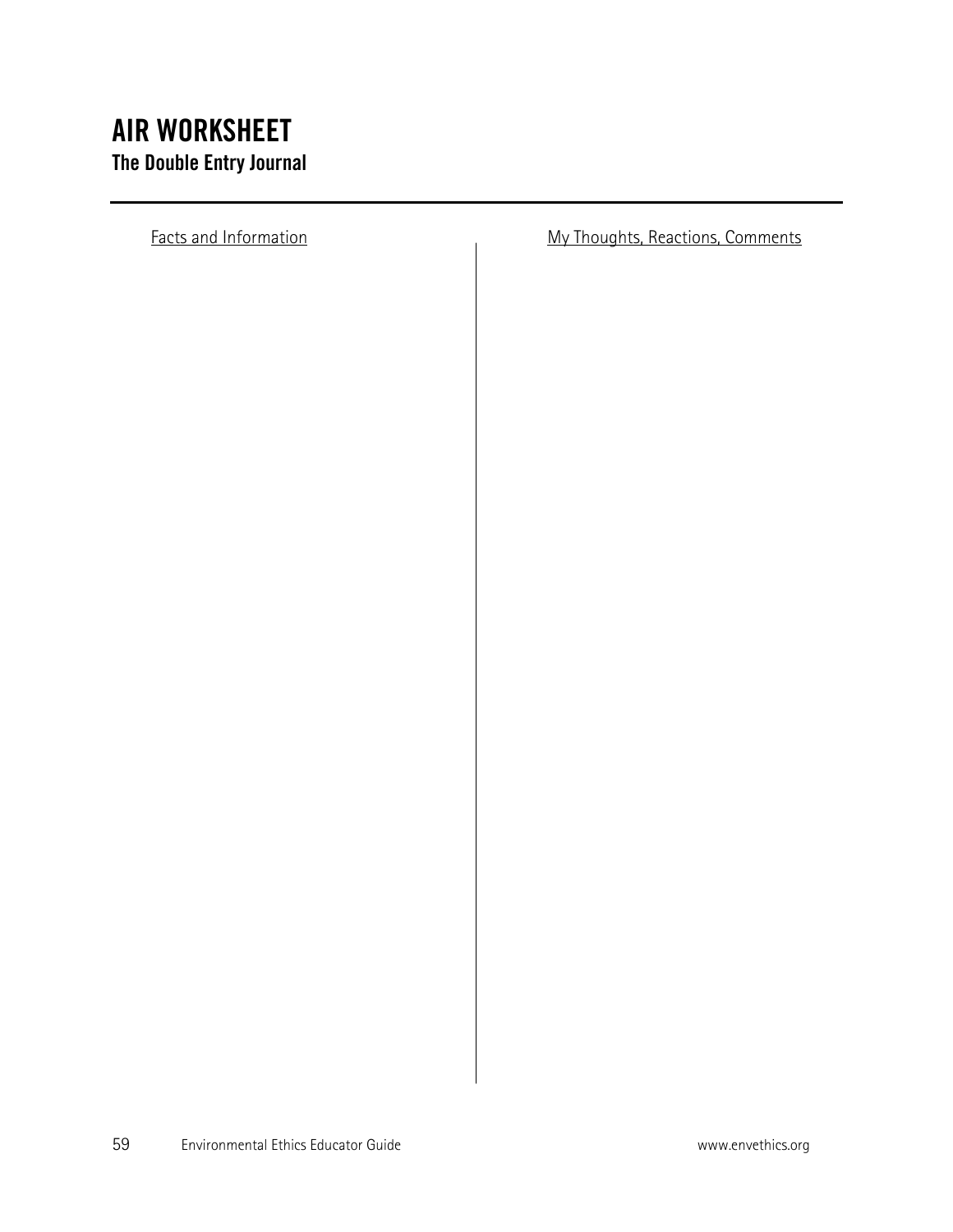# **AIR WORKSHEET The Double Entry Journal**

Facts and Information **My Thoughts, Reactions, Comments** 

 $\overline{\phantom{a}}$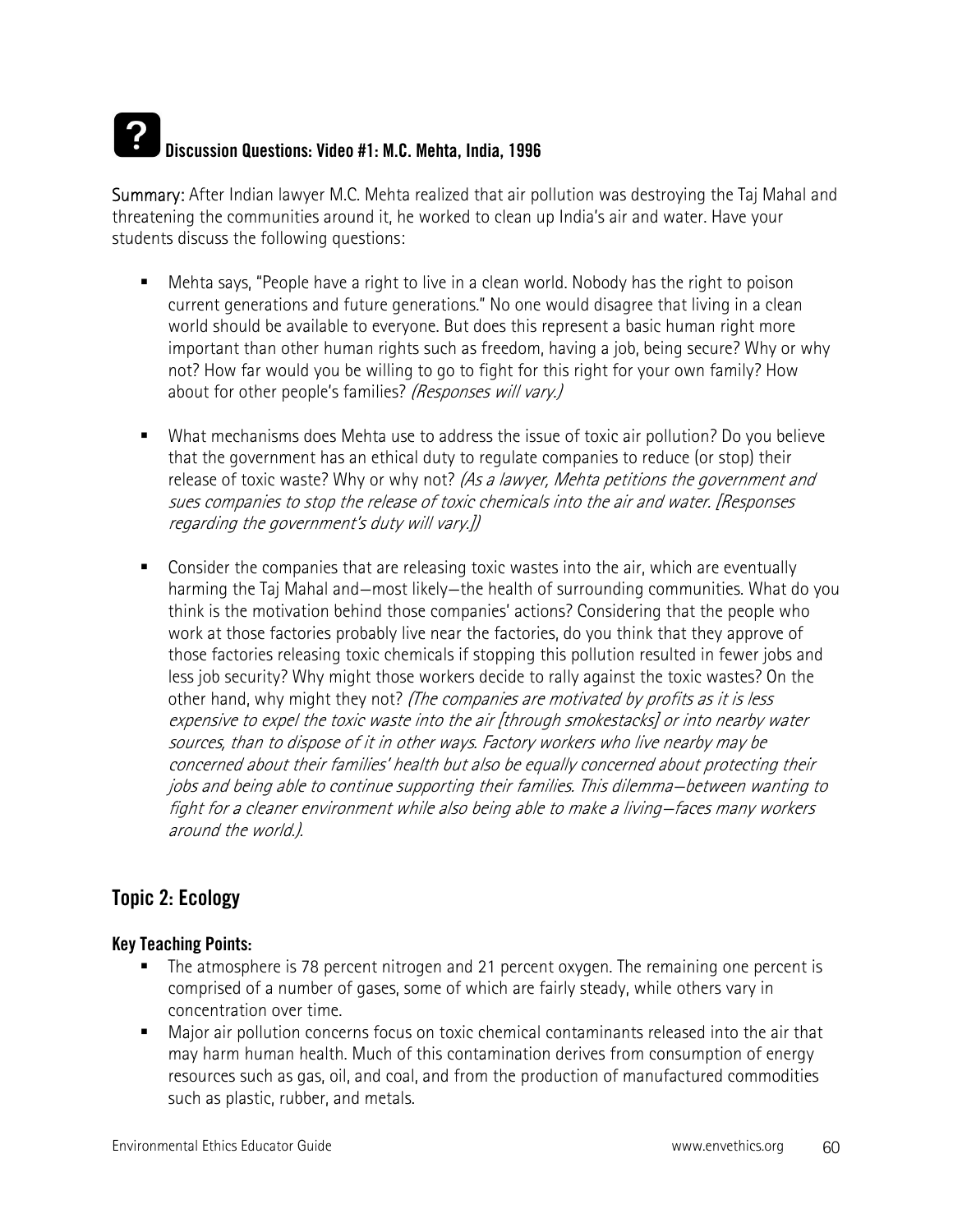# $?$  **Discussion Questions: Video #1: M.C. Mehta, India, 1996**

Summary: After Indian lawyer M.C. Mehta realized that air pollution was destroying the Taj Mahal and threatening the communities around it, he worked to clean up India's air and water. Have your students discuss the following questions:

- Mehta says, "People have a right to live in a clean world. Nobody has the right to poison current generations and future generations." No one would disagree that living in a clean world should be available to everyone. But does this represent a basic human right more important than other human rights such as freedom, having a job, being secure? Why or why not? How far would you be willing to go to fight for this right for your own family? How about for other people's families? (Responses will vary.)
- What mechanisms does Mehta use to address the issue of toxic air pollution? Do you believe that the government has an ethical duty to regulate companies to reduce (or stop) their release of toxic waste? Why or why not? (As a lawyer, Mehta petitions the government and sues companies to stop the release of toxic chemicals into the air and water. [Responses regarding the government's duty will vary.])
- **Consider the companies that are releasing toxic wastes into the air, which are eventually** harming the Taj Mahal and—most likely—the health of surrounding communities. What do you think is the motivation behind those companies' actions? Considering that the people who work at those factories probably live near the factories, do you think that they approve of those factories releasing toxic chemicals if stopping this pollution resulted in fewer jobs and less job security? Why might those workers decide to rally against the toxic wastes? On the other hand, why might they not? (The companies are motivated by profits as it is less expensive to expel the toxic waste into the air [through smokestacks] or into nearby water sources, than to dispose of it in other ways. Factory workers who live nearby may be concerned about their families' health but also be equally concerned about protecting their jobs and being able to continue supporting their families. This dilemma—between wanting to fight for a cleaner environment while also being able to make a living—faces many workers around the world.).

## **Topic 2: Ecology**

#### **Key Teaching Points:**

- The atmosphere is 78 percent nitrogen and 21 percent oxygen. The remaining one percent is comprised of a number of gases, some of which are fairly steady, while others vary in concentration over time.
- Major air pollution concerns focus on toxic chemical contaminants released into the air that may harm human health. Much of this contamination derives from consumption of energy resources such as gas, oil, and coal, and from the production of manufactured commodities such as plastic, rubber, and metals.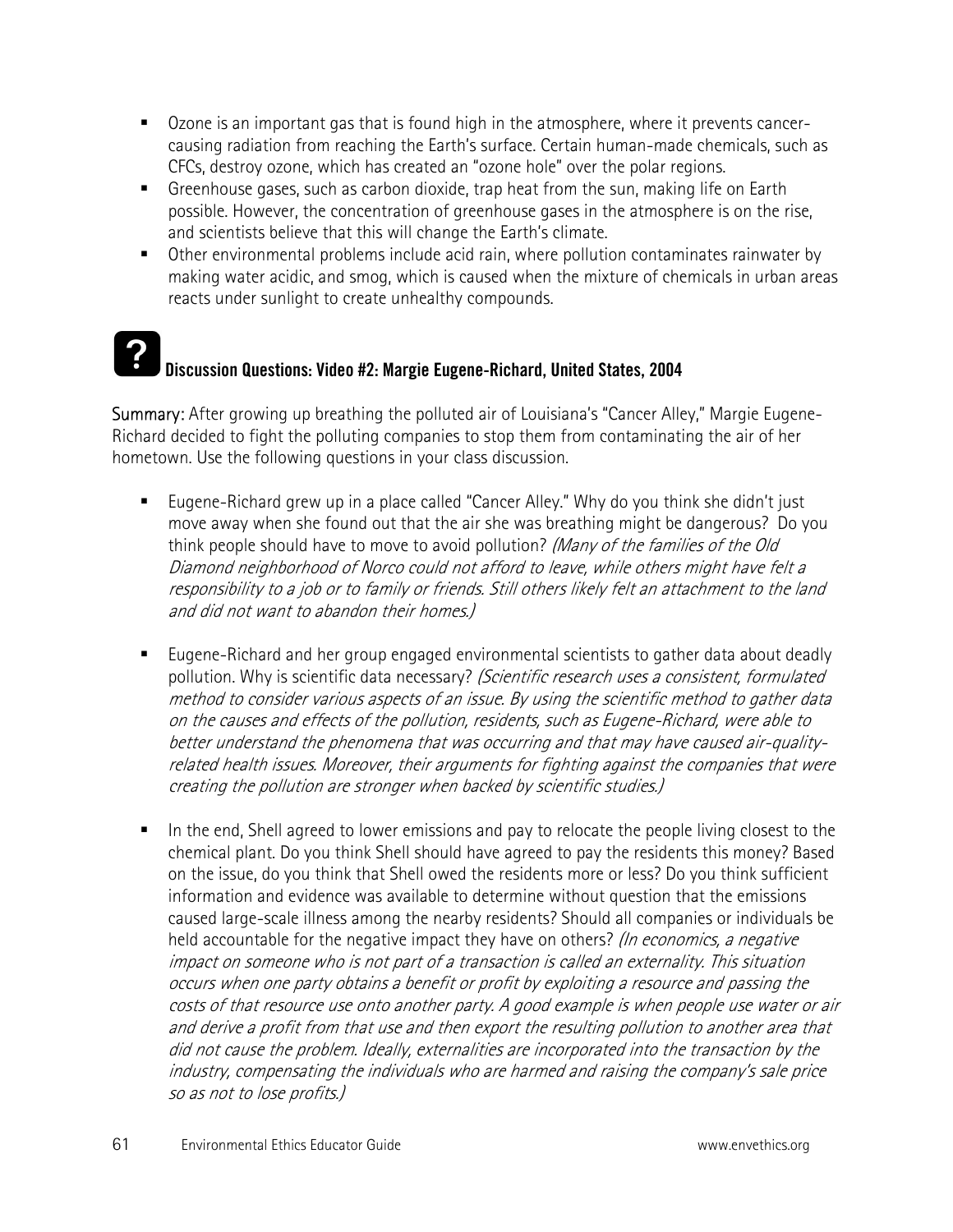- Ozone is an important gas that is found high in the atmosphere, where it prevents cancercausing radiation from reaching the Earth's surface. Certain human-made chemicals, such as CFCs, destroy ozone, which has created an "ozone hole" over the polar regions.
- Greenhouse gases, such as carbon dioxide, trap heat from the sun, making life on Earth possible. However, the concentration of greenhouse gases in the atmosphere is on the rise, and scientists believe that this will change the Earth's climate.
- Other environmental problems include acid rain, where pollution contaminates rainwater by making water acidic, and smog, which is caused when the mixture of chemicals in urban areas reacts under sunlight to create unhealthy compounds.



#### **Discussion Questions: Video #2: Margie Eugene-Richard, United States, 2004**

Summary: After growing up breathing the polluted air of Louisiana's "Cancer Alley," Margie Eugene-Richard decided to fight the polluting companies to stop them from contaminating the air of her hometown. Use the following questions in your class discussion.

- Eugene-Richard grew up in a place called "Cancer Alley." Why do you think she didn't just move away when she found out that the air she was breathing might be dangerous? Do you think people should have to move to avoid pollution? (Many of the families of the Old Diamond neighborhood of Norco could not afford to leave, while others might have felt a responsibility to a job or to family or friends. Still others likely felt an attachment to the land and did not want to abandon their homes.)
- Eugene-Richard and her group engaged environmental scientists to gather data about deadly pollution. Why is scientific data necessary? (Scientific research uses a consistent, formulated method to consider various aspects of an issue. By using the scientific method to gather data on the causes and effects of the pollution, residents, such as Eugene-Richard, were able to better understand the phenomena that was occurring and that may have caused air-qualityrelated health issues. Moreover, their arguments for fighting against the companies that were creating the pollution are stronger when backed by scientific studies.)
- In the end, Shell agreed to lower emissions and pay to relocate the people living closest to the chemical plant. Do you think Shell should have agreed to pay the residents this money? Based on the issue, do you think that Shell owed the residents more or less? Do you think sufficient information and evidence was available to determine without question that the emissions caused large-scale illness among the nearby residents? Should all companies or individuals be held accountable for the negative impact they have on others? *(In economics, a negative* impact on someone who is not part of a transaction is called an externality. This situation occurs when one party obtains a benefit or profit by exploiting a resource and passing the costs of that resource use onto another party. A good example is when people use water or air and derive a profit from that use and then export the resulting pollution to another area that did not cause the problem. Ideally, externalities are incorporated into the transaction by the industry, compensating the individuals who are harmed and raising the company's sale price so as not to lose profits.)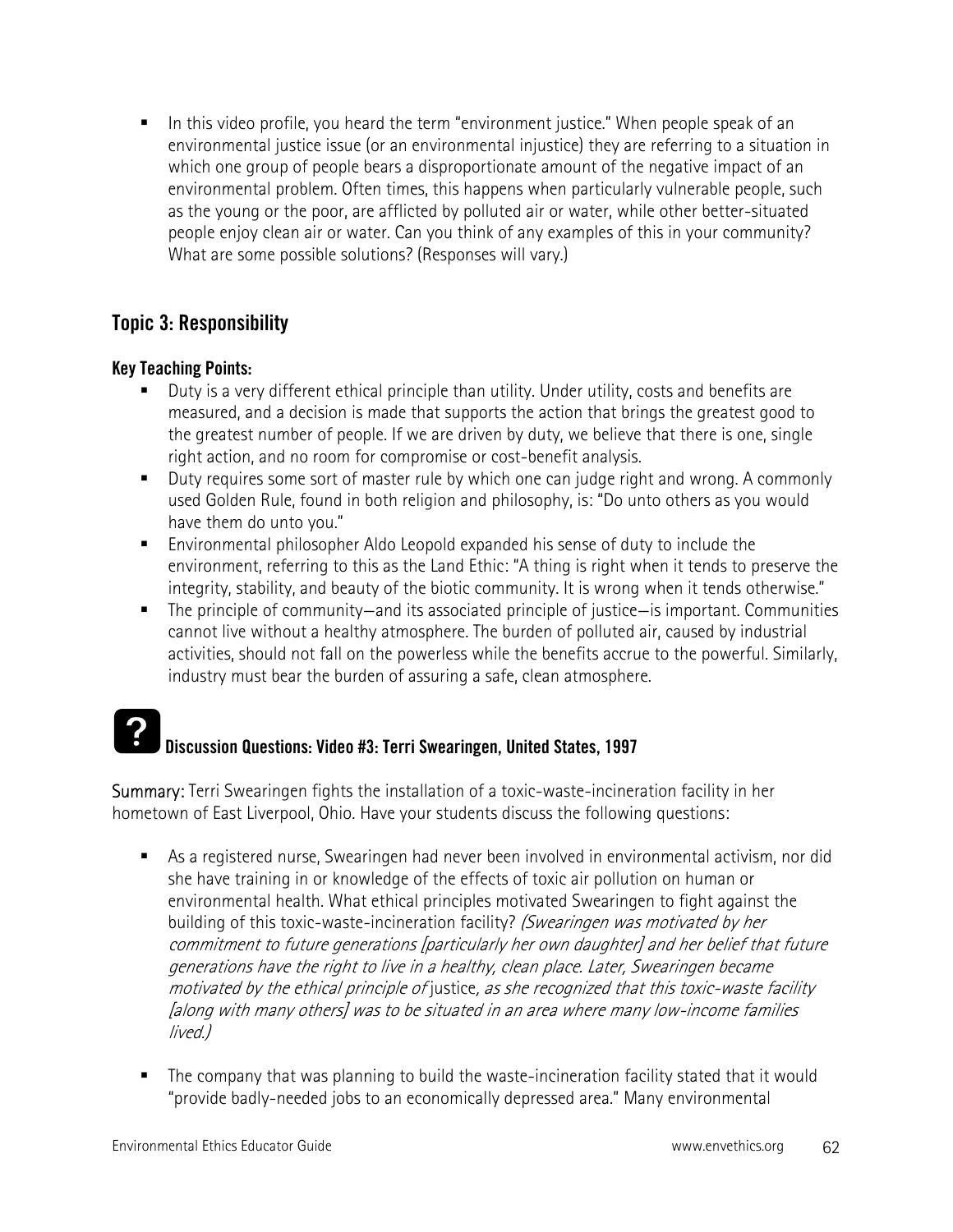In this video profile, you heard the term "environment justice." When people speak of an environmental justice issue (or an environmental injustice) they are referring to a situation in which one group of people bears a disproportionate amount of the negative impact of an environmental problem. Often times, this happens when particularly vulnerable people, such as the young or the poor, are afflicted by polluted air or water, while other better-situated people enjoy clean air or water. Can you think of any examples of this in your community? What are some possible solutions? (Responses will vary.)

### **Topic 3: Responsibility**

#### **Key Teaching Points:**

- Duty is a very different ethical principle than utility. Under utility, costs and benefits are measured, and a decision is made that supports the action that brings the greatest good to the greatest number of people. If we are driven by duty, we believe that there is one, single right action, and no room for compromise or cost-benefit analysis.
- **Duty requires some sort of master rule by which one can judge right and wrong. A commonly** used Golden Rule, found in both religion and philosophy, is: "Do unto others as you would have them do unto you."
- Environmental philosopher Aldo Leopold expanded his sense of duty to include the environment, referring to this as the Land Ethic: "A thing is right when it tends to preserve the integrity, stability, and beauty of the biotic community. It is wrong when it tends otherwise."
- The principle of community—and its associated principle of justice—is important. Communities cannot live without a healthy atmosphere. The burden of polluted air, caused by industrial activities, should not fall on the powerless while the benefits accrue to the powerful. Similarly, industry must bear the burden of assuring a safe, clean atmosphere.

# **Discussion Questions: Video #3: Terri Swearingen, United States, 1997**

Summary: Terri Swearingen fights the installation of a toxic-waste-incineration facility in her hometown of East Liverpool, Ohio. Have your students discuss the following questions:

- As a registered nurse, Swearingen had never been involved in environmental activism, nor did she have training in or knowledge of the effects of toxic air pollution on human or environmental health. What ethical principles motivated Swearingen to fight against the building of this toxic-waste-incineration facility? (Swearingen was motivated by her commitment to future generations [particularly her own daughter] and her belief that future generations have the right to live in a healthy, clean place. Later, Swearingen became motivated by the ethical principle of justice, as she recognized that this toxic-waste facility [along with many others] was to be situated in an area where many low-income families lived.)
- The company that was planning to build the waste-incineration facility stated that it would "provide badly-needed jobs to an economically depressed area." Many environmental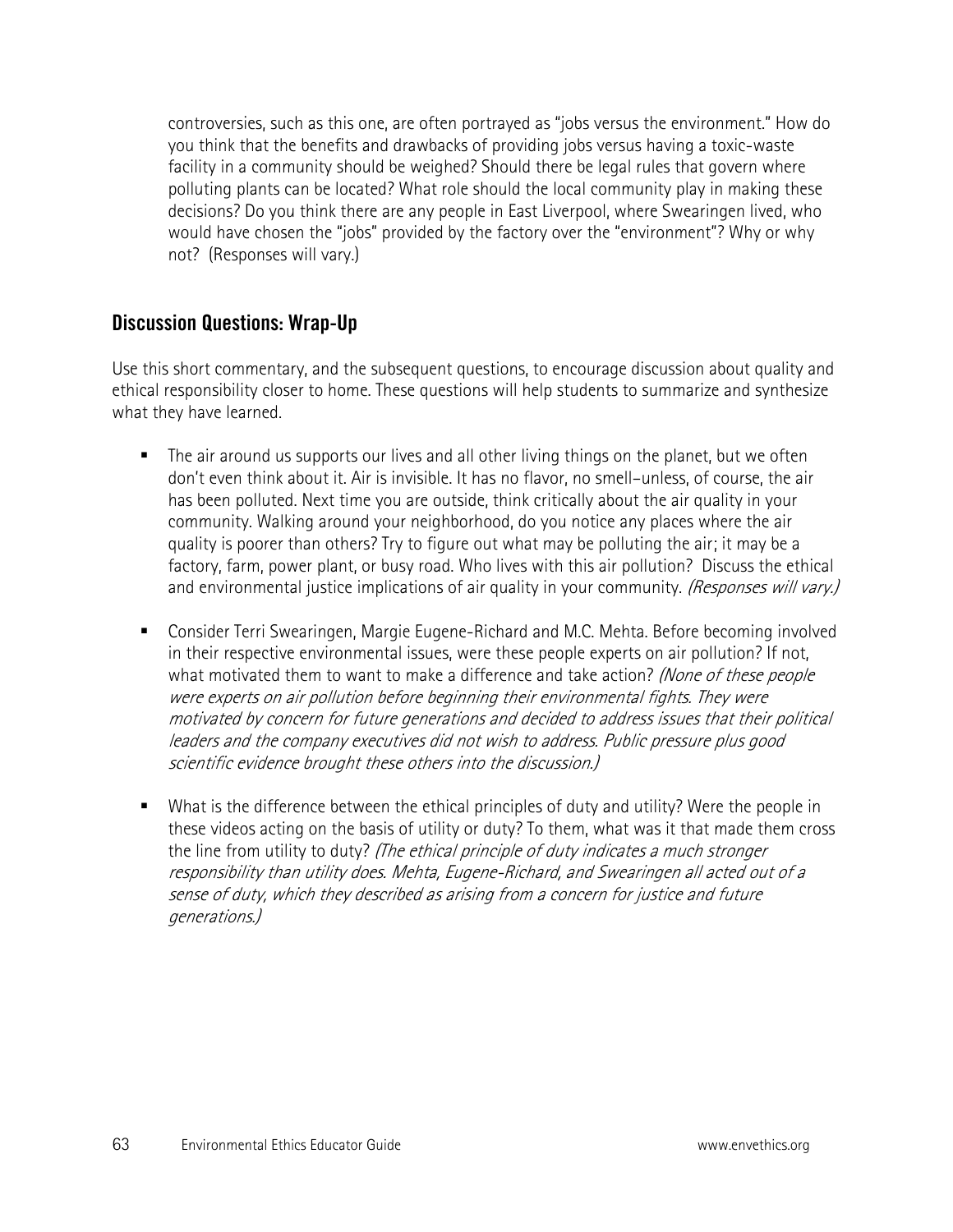controversies, such as this one, are often portrayed as "jobs versus the environment." How do you think that the benefits and drawbacks of providing jobs versus having a toxic-waste facility in a community should be weighed? Should there be legal rules that govern where polluting plants can be located? What role should the local community play in making these decisions? Do you think there are any people in East Liverpool, where Swearingen lived, who would have chosen the "jobs" provided by the factory over the "environment"? Why or why not? (Responses will vary.)

#### **Discussion Questions: Wrap-Up**

Use this short commentary, and the subsequent questions, to encourage discussion about quality and ethical responsibility closer to home. These questions will help students to summarize and synthesize what they have learned.

- The air around us supports our lives and all other living things on the planet, but we often don't even think about it. Air is invisible. It has no flavor, no smell–unless, of course, the air has been polluted. Next time you are outside, think critically about the air quality in your community. Walking around your neighborhood, do you notice any places where the air quality is poorer than others? Try to figure out what may be polluting the air; it may be a factory, farm, power plant, or busy road. Who lives with this air pollution? Discuss the ethical and environmental justice implications of air quality in your community. (Responses will vary.)
- Consider Terri Swearingen, Margie Eugene-Richard and M.C. Mehta. Before becoming involved in their respective environmental issues, were these people experts on air pollution? If not, what motivated them to want to make a difference and take action? (None of these people were experts on air pollution before beginning their environmental fights. They were motivated by concern for future generations and decided to address issues that their political leaders and the company executives did not wish to address. Public pressure plus good scientific evidence brought these others into the discussion.)
- What is the difference between the ethical principles of duty and utility? Were the people in these videos acting on the basis of utility or duty? To them, what was it that made them cross the line from utility to duty? (The ethical principle of duty indicates a much stronger responsibility than utility does. Mehta, Eugene-Richard, and Swearingen all acted out of a sense of duty, which they described as arising from a concern for justice and future generations.)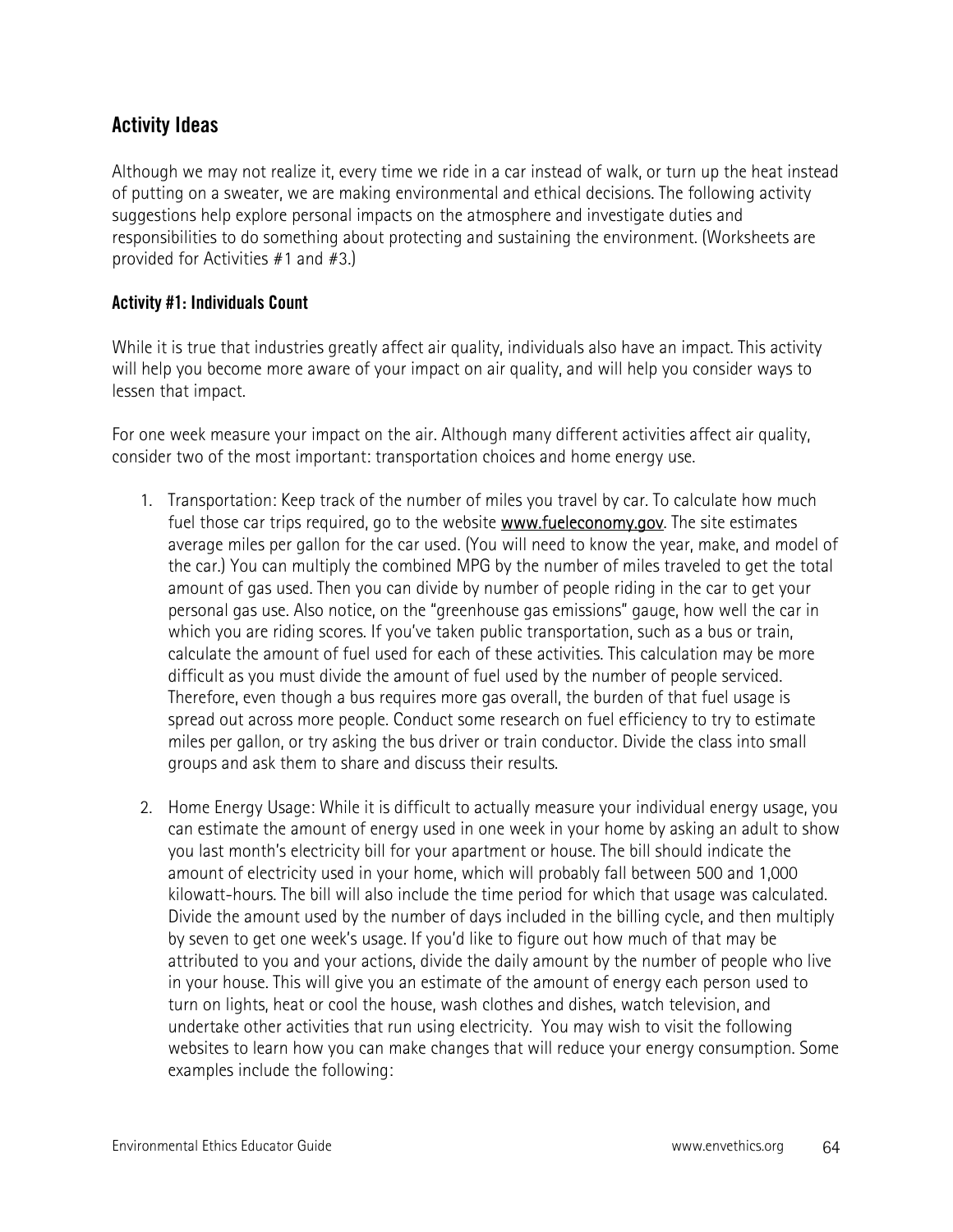#### **Activity Ideas**

Although we may not realize it, every time we ride in a car instead of walk, or turn up the heat instead of putting on a sweater, we are making environmental and ethical decisions. The following activity suggestions help explore personal impacts on the atmosphere and investigate duties and responsibilities to do something about protecting and sustaining the environment. (Worksheets are provided for Activities #1 and #3.)

#### **Activity #1: Individuals Count**

While it is true that industries greatly affect air quality, individuals also have an impact. This activity will help you become more aware of your impact on air quality, and will help you consider ways to lessen that impact.

For one week measure your impact on the air. Although many different activities affect air quality, consider two of the most important: transportation choices and home energy use.

- 1. Transportation: Keep track of the number of miles you travel by car. To calculate how much fuel those car trips required, go to the website www.fueleconomy.gov. The site estimates average miles per gallon for the car used. (You will need to know the year, make, and model of the car.) You can multiply the combined MPG by the number of miles traveled to get the total amount of gas used. Then you can divide by number of people riding in the car to get your personal gas use. Also notice, on the "greenhouse gas emissions" gauge, how well the car in which you are riding scores. If you've taken public transportation, such as a bus or train, calculate the amount of fuel used for each of these activities. This calculation may be more difficult as you must divide the amount of fuel used by the number of people serviced. Therefore, even though a bus requires more gas overall, the burden of that fuel usage is spread out across more people. Conduct some research on fuel efficiency to try to estimate miles per gallon, or try asking the bus driver or train conductor. Divide the class into small groups and ask them to share and discuss their results.
- 2. Home Energy Usage: While it is difficult to actually measure your individual energy usage, you can estimate the amount of energy used in one week in your home by asking an adult to show you last month's electricity bill for your apartment or house. The bill should indicate the amount of electricity used in your home, which will probably fall between 500 and 1,000 kilowatt-hours. The bill will also include the time period for which that usage was calculated. Divide the amount used by the number of days included in the billing cycle, and then multiply by seven to get one week's usage. If you'd like to figure out how much of that may be attributed to you and your actions, divide the daily amount by the number of people who live in your house. This will give you an estimate of the amount of energy each person used to turn on lights, heat or cool the house, wash clothes and dishes, watch television, and undertake other activities that run using electricity. You may wish to visit the following websites to learn how you can make changes that will reduce your energy consumption. Some examples include the following: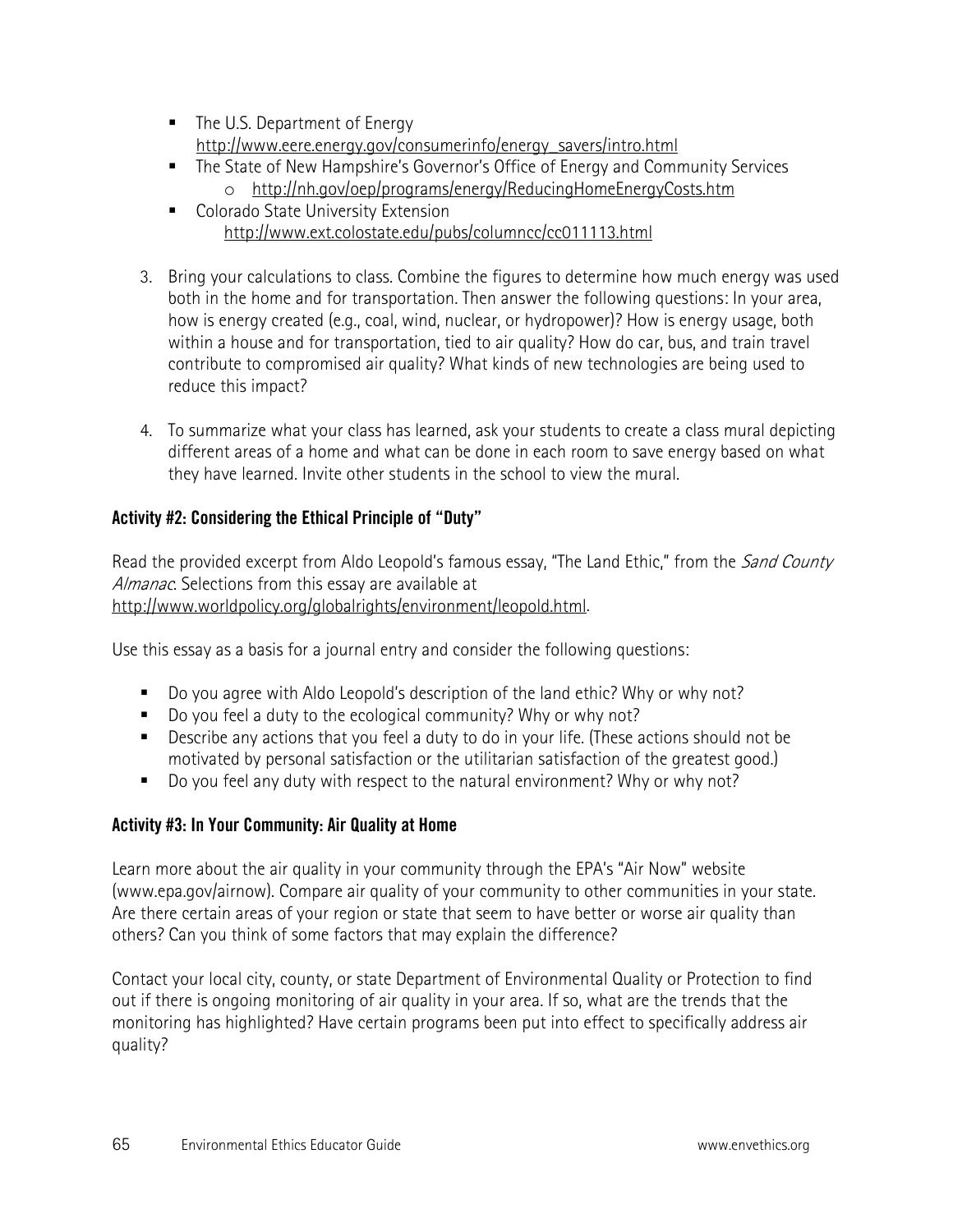- The U.S. Department of Energy http://www.eere.energy.gov/consumerinfo/energy\_savers/intro.html
- The State of New Hampshire's Governor's Office of Energy and Community Services o http://nh.gov/oep/programs/energy/ReducingHomeEnergyCosts.htm
- **Colorado State University Extension** http://www.ext.colostate.edu/pubs/columncc/cc011113.html
- 3. Bring your calculations to class. Combine the figures to determine how much energy was used both in the home and for transportation. Then answer the following questions: In your area, how is energy created (e.g., coal, wind, nuclear, or hydropower)? How is energy usage, both within a house and for transportation, tied to air quality? How do car, bus, and train travel contribute to compromised air quality? What kinds of new technologies are being used to reduce this impact?
- 4. To summarize what your class has learned, ask your students to create a class mural depicting different areas of a home and what can be done in each room to save energy based on what they have learned. Invite other students in the school to view the mural.

#### **Activity #2: Considering the Ethical Principle of "Duty"**

Read the provided excerpt from Aldo Leopold's famous essay, "The Land Ethic," from the *Sand County* Almanac. Selections from this essay are available at http://www.worldpolicy.org/globalrights/environment/leopold.html.

Use this essay as a basis for a journal entry and consider the following questions:

- Do you agree with Aldo Leopold's description of the land ethic? Why or why not?
- Do you feel a duty to the ecological community? Why or why not?
- **Describe any actions that you feel a duty to do in your life. (These actions should not be** motivated by personal satisfaction or the utilitarian satisfaction of the greatest good.)
- Do you feel any duty with respect to the natural environment? Why or why not?

#### **Activity #3: In Your Community: Air Quality at Home**

Learn more about the air quality in your community through the EPA's "Air Now" website (www.epa.gov/airnow). Compare air quality of your community to other communities in your state. Are there certain areas of your region or state that seem to have better or worse air quality than others? Can you think of some factors that may explain the difference?

Contact your local city, county, or state Department of Environmental Quality or Protection to find out if there is ongoing monitoring of air quality in your area. If so, what are the trends that the monitoring has highlighted? Have certain programs been put into effect to specifically address air quality?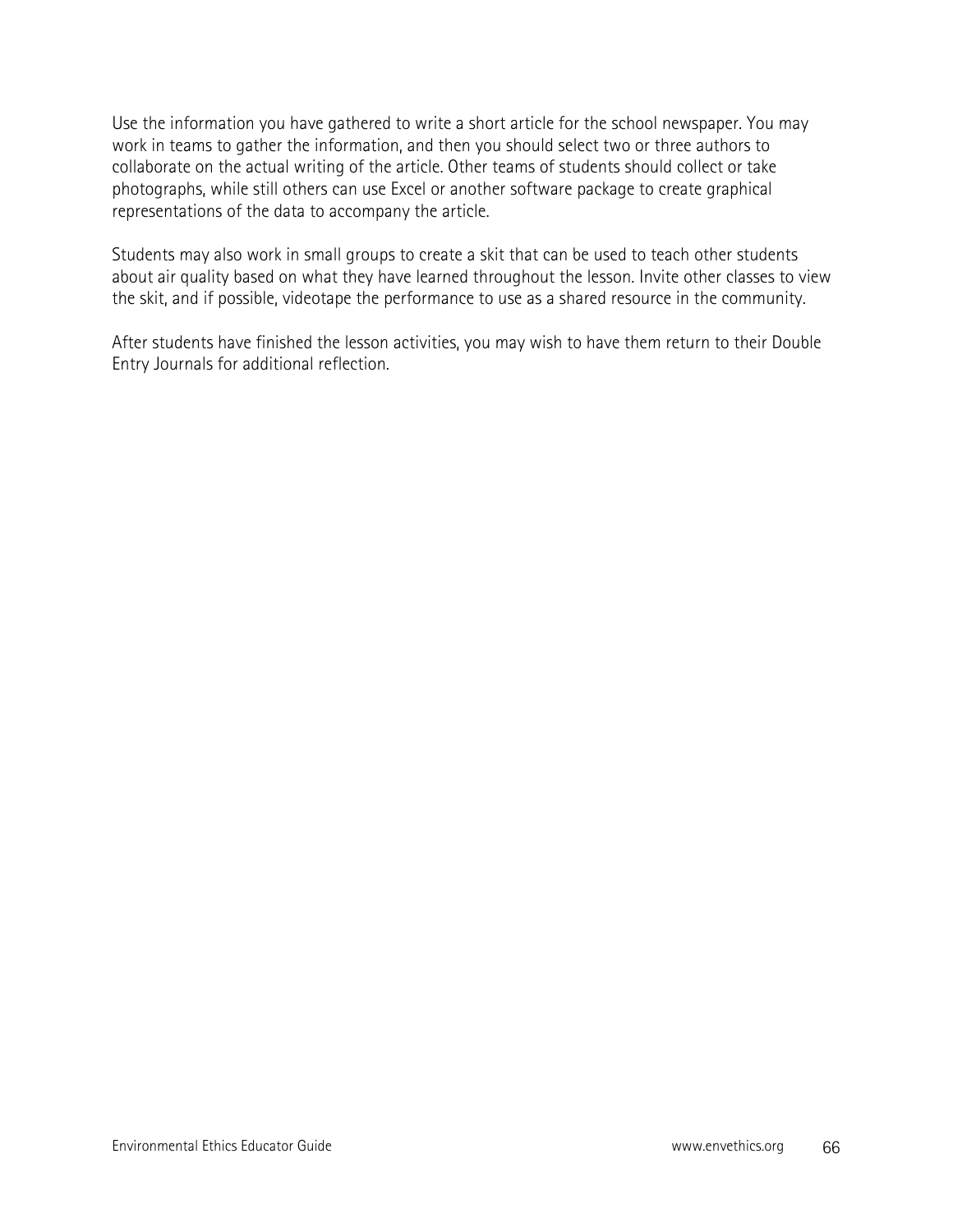Use the information you have gathered to write a short article for the school newspaper. You may work in teams to gather the information, and then you should select two or three authors to collaborate on the actual writing of the article. Other teams of students should collect or take photographs, while still others can use Excel or another software package to create graphical representations of the data to accompany the article.

Students may also work in small groups to create a skit that can be used to teach other students about air quality based on what they have learned throughout the lesson. Invite other classes to view the skit, and if possible, videotape the performance to use as a shared resource in the community.

After students have finished the lesson activities, you may wish to have them return to their Double Entry Journals for additional reflection.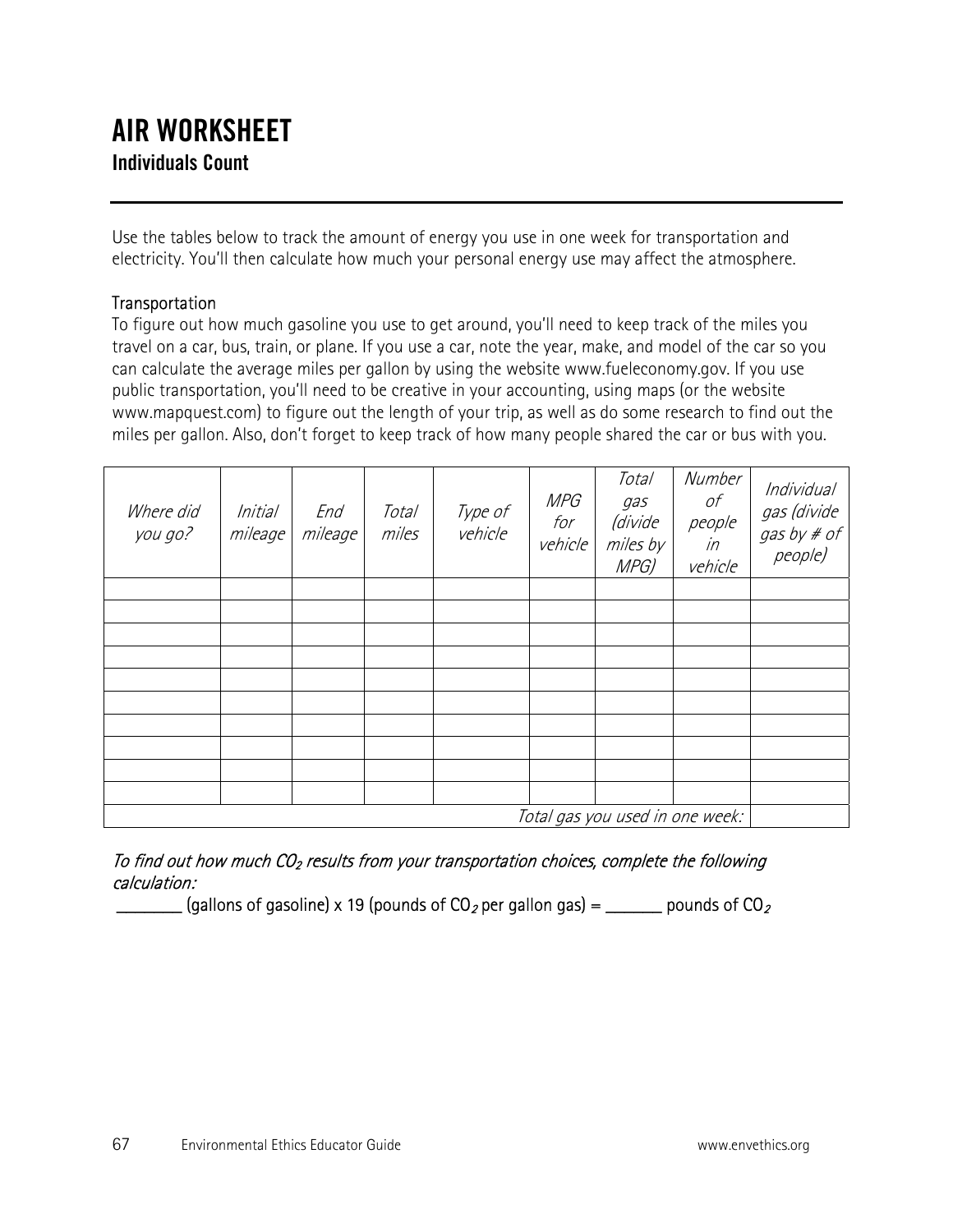# **AIR WORKSHEET Individuals Count**

Use the tables below to track the amount of energy you use in one week for transportation and electricity. You'll then calculate how much your personal energy use may affect the atmosphere.

#### **Transportation**

To figure out how much gasoline you use to get around, you'll need to keep track of the miles you travel on a car, bus, train, or plane. If you use a car, note the year, make, and model of the car so you can calculate the average miles per gallon by using the website www.fueleconomy.gov. If you use public transportation, you'll need to be creative in your accounting, using maps (or the website www.mapquest.com) to figure out the length of your trip, as well as do some research to find out the miles per gallon. Also, don't forget to keep track of how many people shared the car or bus with you.

| Where did<br>you go?            | <i>Initial</i><br>mileage | End<br>mileage | Total<br>miles | Type of<br>vehicle | <b>MPG</b><br>for<br>vehicle | Total<br>gas<br><i>(divide</i><br>miles by<br>MPG) | Number<br>оf<br>people<br>in<br>vehicle | Individual<br>gas (divide<br>gas by # of<br>people) |
|---------------------------------|---------------------------|----------------|----------------|--------------------|------------------------------|----------------------------------------------------|-----------------------------------------|-----------------------------------------------------|
|                                 |                           |                |                |                    |                              |                                                    |                                         |                                                     |
|                                 |                           |                |                |                    |                              |                                                    |                                         |                                                     |
|                                 |                           |                |                |                    |                              |                                                    |                                         |                                                     |
|                                 |                           |                |                |                    |                              |                                                    |                                         |                                                     |
|                                 |                           |                |                |                    |                              |                                                    |                                         |                                                     |
|                                 |                           |                |                |                    |                              |                                                    |                                         |                                                     |
|                                 |                           |                |                |                    |                              |                                                    |                                         |                                                     |
|                                 |                           |                |                |                    |                              |                                                    |                                         |                                                     |
|                                 |                           |                |                |                    |                              |                                                    |                                         |                                                     |
|                                 |                           |                |                |                    |                              |                                                    |                                         |                                                     |
| Total gas you used in one week: |                           |                |                |                    |                              |                                                    |                                         |                                                     |

To find out how much  $CO<sub>2</sub>$  results from your transportation choices, complete the following calculation:

\_ (gallons of gasoline) x 19 (pounds of CO<sub>2</sub> per gallon gas) = \_\_\_\_\_\_\_ pounds of CO<sub>2</sub>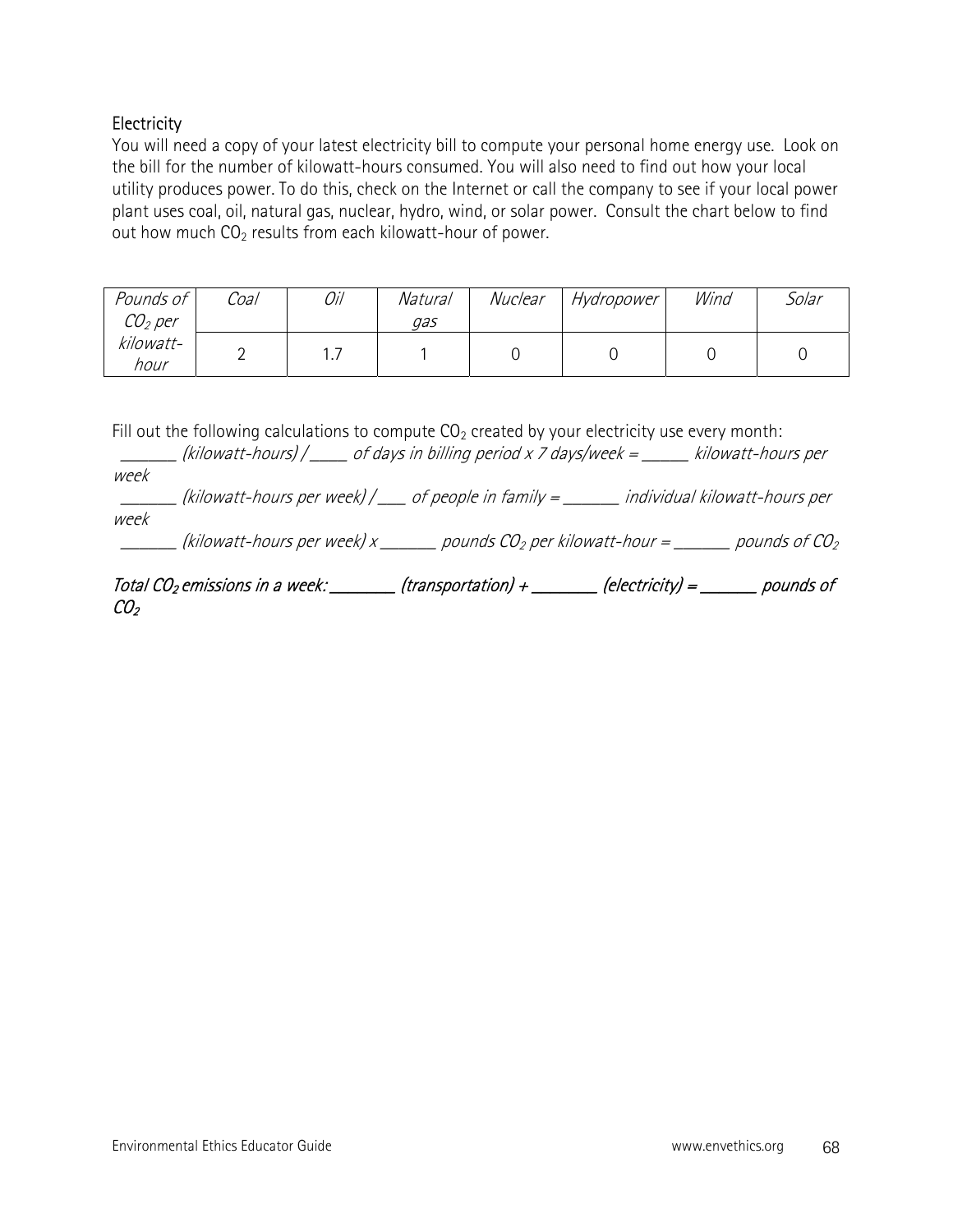#### **Electricity**

You will need a copy of your latest electricity bill to compute your personal home energy use. Look on the bill for the number of kilowatt-hours consumed. You will also need to find out how your local utility produces power. To do this, check on the Internet or call the company to see if your local power plant uses coal, oil, natural gas, nuclear, hydro, wind, or solar power. Consult the chart below to find out how much  $CO<sub>2</sub>$  results from each kilowatt-hour of power.

| Pounds of         | Coal | Oil | Natural | Nuclear | Hydropower | Wind | Solar |
|-------------------|------|-----|---------|---------|------------|------|-------|
| $CO2$ per         |      |     | gas     |         |            |      |       |
| kilowatt-<br>hour |      | .   |         |         |            |      |       |

Fill out the following calculations to compute  $CO<sub>2</sub>$  created by your electricity use every month:

| week | of days in billing period x 7 days/week $=$<br>(kilowatt-hours) /<br>kilowatt-hours per |
|------|-----------------------------------------------------------------------------------------|
| week | individual kilowatt-hours per<br>(kilowatt-hours per week) $/$ of people in family =    |
|      | (kilowatt-hours per week) x<br>pounds $CO2$ per kilowatt-hour =<br>pounds of $CO2$      |

| Total CO <sub>2</sub> emissions in a week: | (transportation) + | $(electricity) =$ | pounds of |
|--------------------------------------------|--------------------|-------------------|-----------|
| CO <sub>2</sub>                            |                    |                   |           |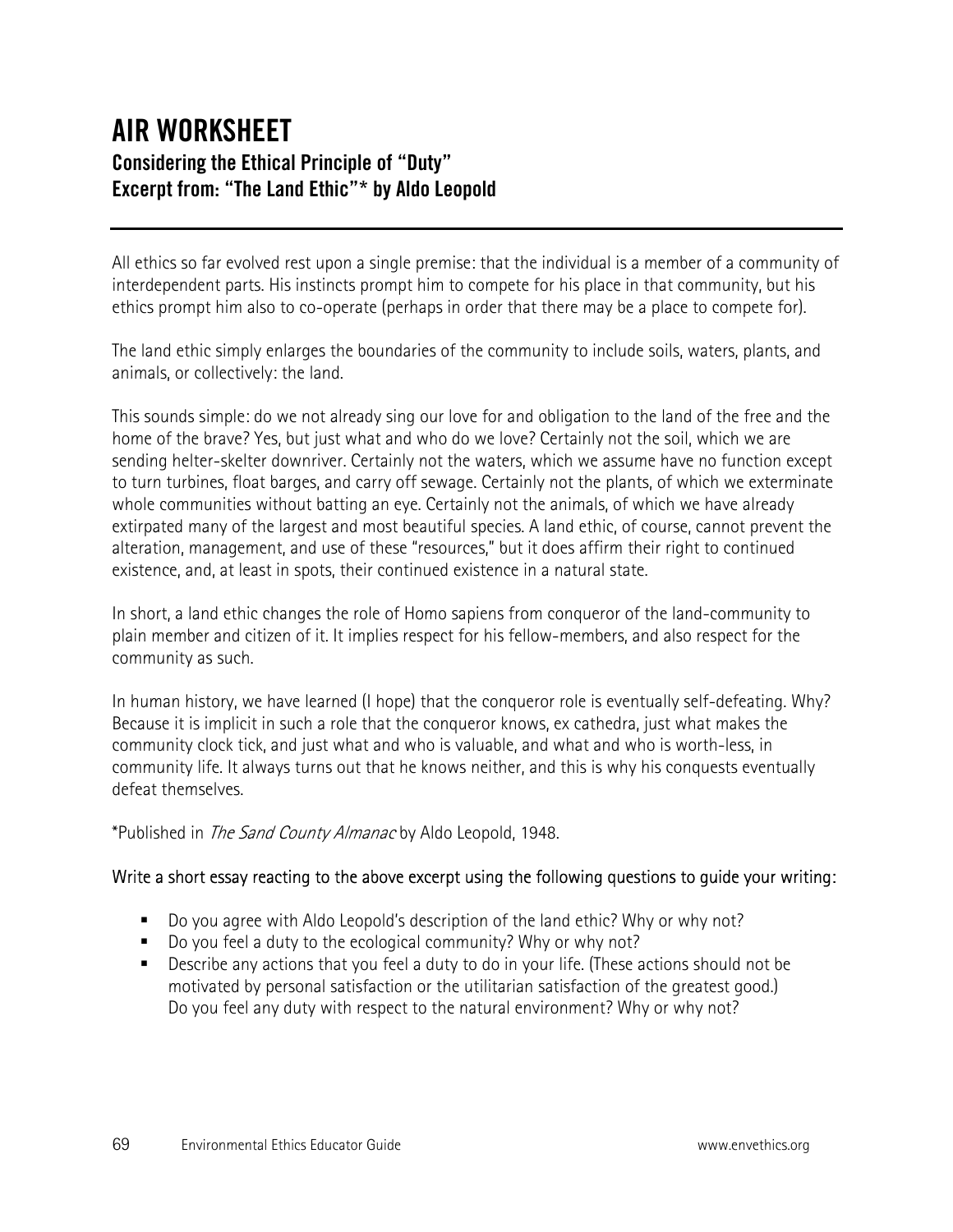# **AIR WORKSHEET Considering the Ethical Principle of "Duty" Excerpt from: "The Land Ethic"\* by Aldo Leopold**

All ethics so far evolved rest upon a single premise: that the individual is a member of a community of interdependent parts. His instincts prompt him to compete for his place in that community, but his ethics prompt him also to co-operate (perhaps in order that there may be a place to compete for).

The land ethic simply enlarges the boundaries of the community to include soils, waters, plants, and animals, or collectively: the land.

This sounds simple: do we not already sing our love for and obligation to the land of the free and the home of the brave? Yes, but just what and who do we love? Certainly not the soil, which we are sending helter-skelter downriver. Certainly not the waters, which we assume have no function except to turn turbines, float barges, and carry off sewage. Certainly not the plants, of which we exterminate whole communities without batting an eye. Certainly not the animals, of which we have already extirpated many of the largest and most beautiful species. A land ethic, of course, cannot prevent the alteration, management, and use of these "resources," but it does affirm their right to continued existence, and, at least in spots, their continued existence in a natural state.

In short, a land ethic changes the role of Homo sapiens from conqueror of the land-community to plain member and citizen of it. It implies respect for his fellow-members, and also respect for the community as such.

In human history, we have learned (I hope) that the conqueror role is eventually self-defeating. Why? Because it is implicit in such a role that the conqueror knows, ex cathedra, just what makes the community clock tick, and just what and who is valuable, and what and who is worth-less, in community life. It always turns out that he knows neither, and this is why his conquests eventually defeat themselves.

\*Published in The Sand County Almanac by Aldo Leopold, 1948.

#### Write a short essay reacting to the above excerpt using the following questions to guide your writing:

- Do you agree with Aldo Leopold's description of the land ethic? Why or why not?
- Do you feel a duty to the ecological community? Why or why not?
- Describe any actions that you feel a duty to do in your life. (These actions should not be motivated by personal satisfaction or the utilitarian satisfaction of the greatest good.) Do you feel any duty with respect to the natural environment? Why or why not?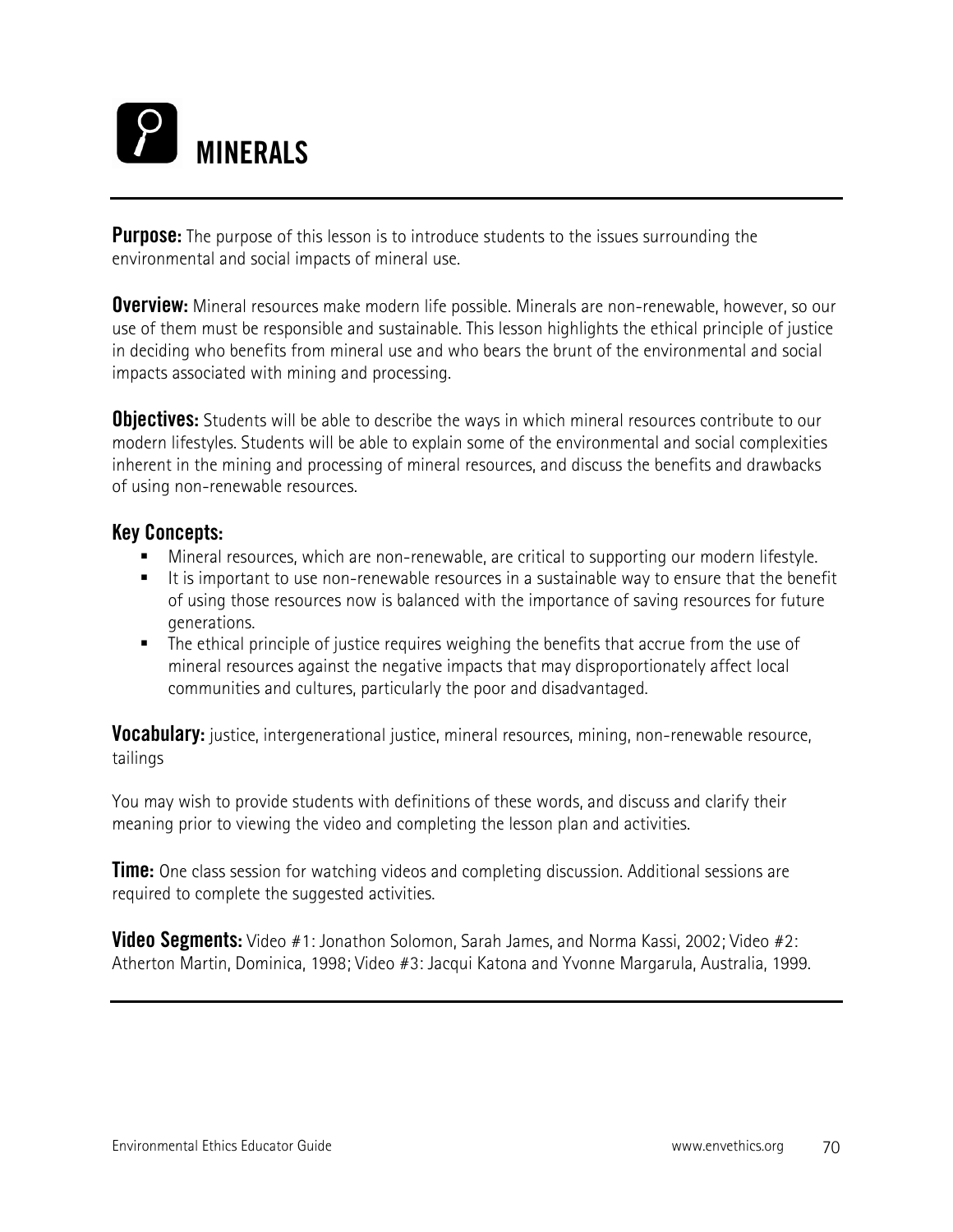

**Purpose:** The purpose of this lesson is to introduce students to the issues surrounding the environmental and social impacts of mineral use.

**Overview:** Mineral resources make modern life possible. Minerals are non-renewable, however, so our use of them must be responsible and sustainable. This lesson highlights the ethical principle of justice in deciding who benefits from mineral use and who bears the brunt of the environmental and social impacts associated with mining and processing.

**Objectives:** Students will be able to describe the ways in which mineral resources contribute to our modern lifestyles. Students will be able to explain some of the environmental and social complexities inherent in the mining and processing of mineral resources, and discuss the benefits and drawbacks of using non-renewable resources.

#### **Key Concepts:**

- Mineral resources, which are non-renewable, are critical to supporting our modern lifestyle.
- It is important to use non-renewable resources in a sustainable way to ensure that the benefit of using those resources now is balanced with the importance of saving resources for future generations.
- The ethical principle of justice requires weighing the benefits that accrue from the use of mineral resources against the negative impacts that may disproportionately affect local communities and cultures, particularly the poor and disadvantaged.

**Vocabulary:** justice, intergenerational justice, mineral resources, mining, non-renewable resource, tailings

You may wish to provide students with definitions of these words, and discuss and clarify their meaning prior to viewing the video and completing the lesson plan and activities.

**Time:** One class session for watching videos and completing discussion. Additional sessions are required to complete the suggested activities.

**Video Segments:** Video #1: Jonathon Solomon, Sarah James, and Norma Kassi, 2002; Video #2: Atherton Martin, Dominica, 1998; Video #3: Jacqui Katona and Yvonne Margarula, Australia, 1999.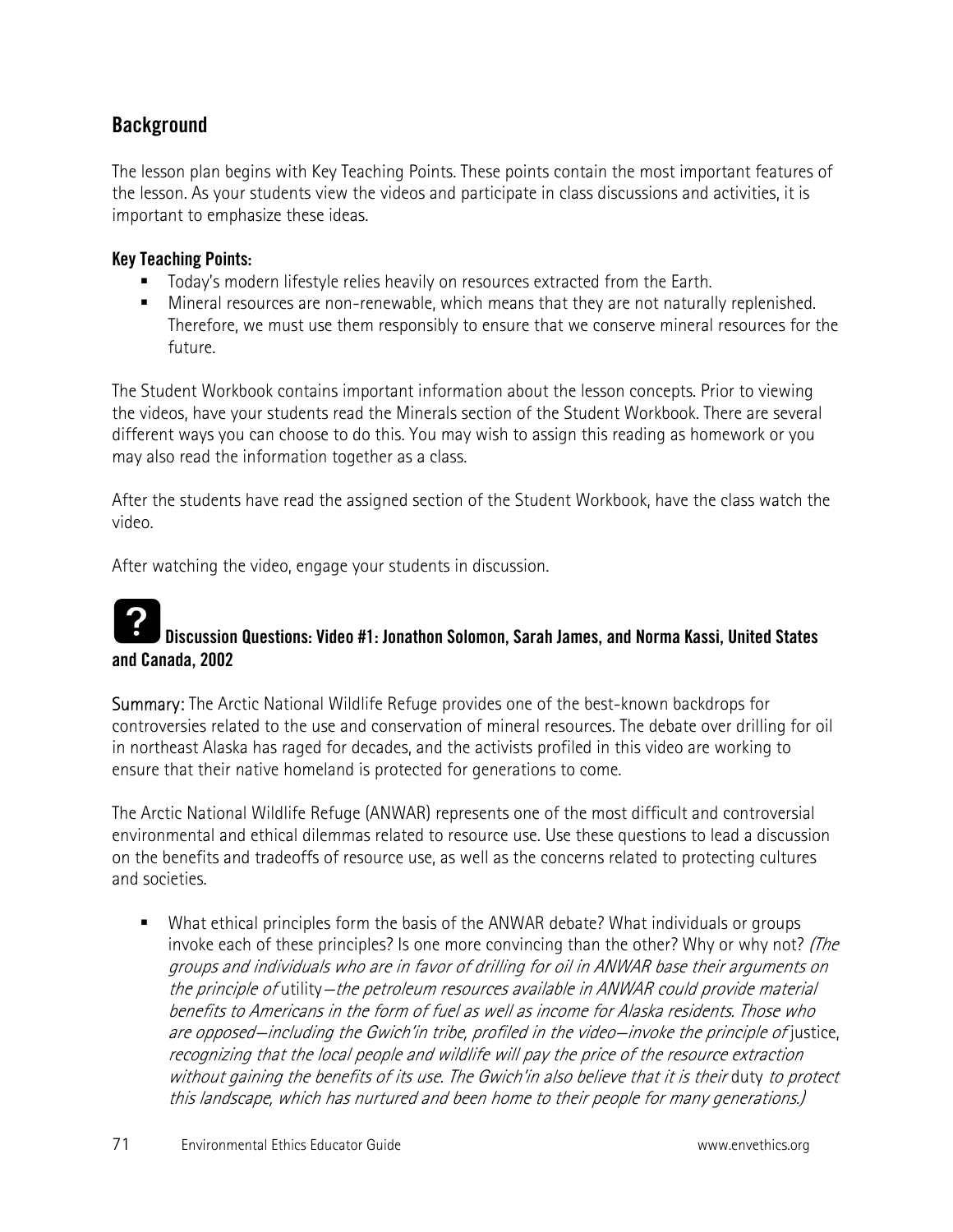# **Background**

The lesson plan begins with Key Teaching Points. These points contain the most important features of the lesson. As your students view the videos and participate in class discussions and activities, it is important to emphasize these ideas.

#### **Key Teaching Points:**

- **T** Today's modern lifestyle relies heavily on resources extracted from the Earth.
- Mineral resources are non-renewable, which means that they are not naturally replenished. Therefore, we must use them responsibly to ensure that we conserve mineral resources for the future.

The Student Workbook contains important information about the lesson concepts. Prior to viewing the videos, have your students read the Minerals section of the Student Workbook. There are several different ways you can choose to do this. You may wish to assign this reading as homework or you may also read the information together as a class.

After the students have read the assigned section of the Student Workbook, have the class watch the video.

After watching the video, engage your students in discussion.

# **Discussion Questions: Video #1: Jonathon Solomon, Sarah James, and Norma Kassi, United States and Canada, 2002**

Summary: The Arctic National Wildlife Refuge provides one of the best-known backdrops for controversies related to the use and conservation of mineral resources. The debate over drilling for oil in northeast Alaska has raged for decades, and the activists profiled in this video are working to ensure that their native homeland is protected for generations to come.

The Arctic National Wildlife Refuge (ANWAR) represents one of the most difficult and controversial environmental and ethical dilemmas related to resource use. Use these questions to lead a discussion on the benefits and tradeoffs of resource use, as well as the concerns related to protecting cultures and societies.

 What ethical principles form the basis of the ANWAR debate? What individuals or groups invoke each of these principles? Is one more convincing than the other? Why or why not? *(The* groups and individuals who are in favor of drilling for oil in ANWAR base their arguments on the principle of utility—the petroleum resources available in ANWAR could provide material benefits to Americans in the form of fuel as well as income for Alaska residents. Those who are opposed—including the Gwich'in tribe, profiled in the video—invoke the principle of justice, recognizing that the local people and wildlife will pay the price of the resource extraction without gaining the benefits of its use. The Gwich'in also believe that it is their duty to protect this landscape, which has nurtured and been home to their people for many generations.)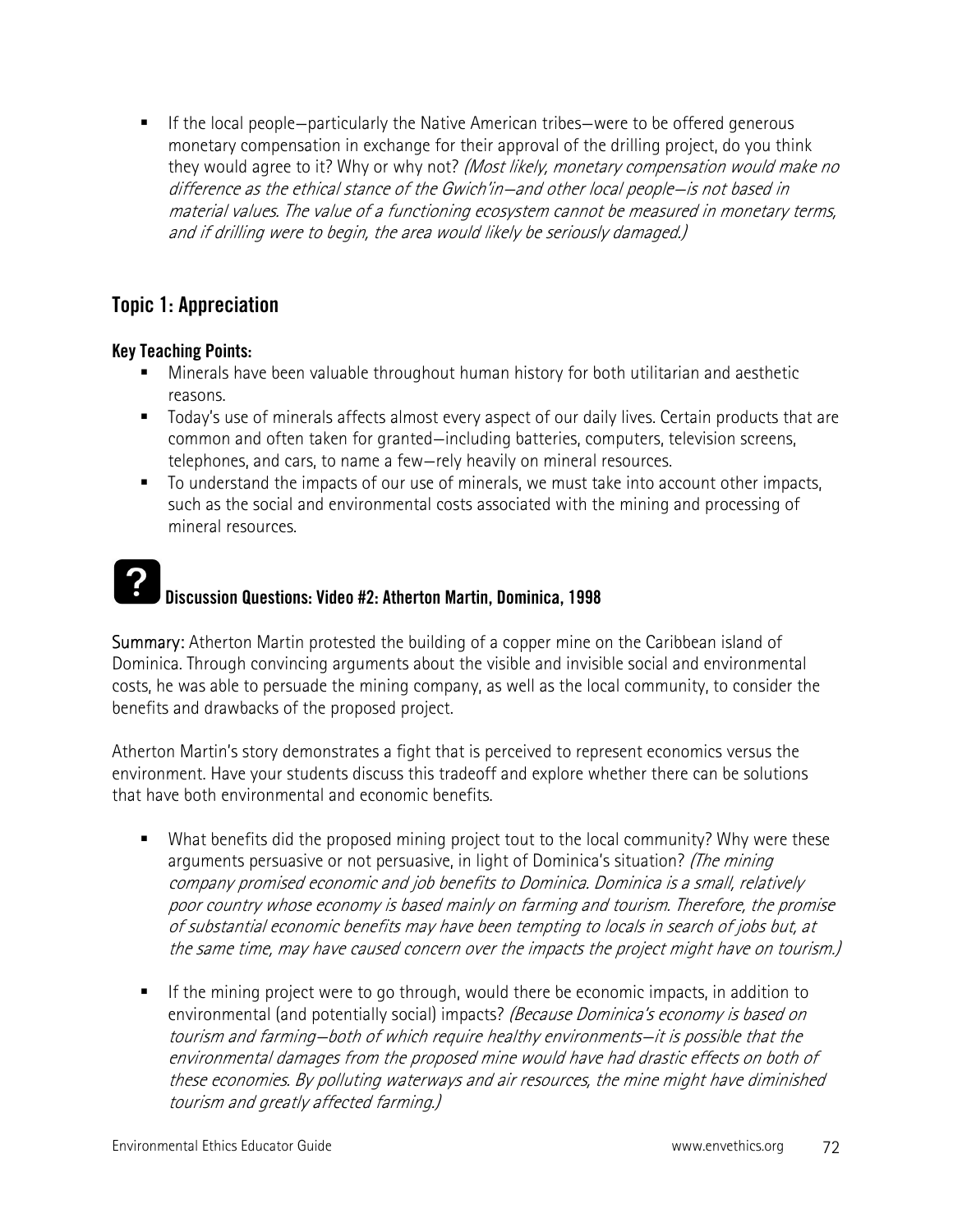■ If the local people—particularly the Native American tribes—were to be offered generous monetary compensation in exchange for their approval of the drilling project, do you think they would agree to it? Why or why not? *(Most likely, monetary compensation would make no* difference as the ethical stance of the Gwich'in—and other local people—is not based in material values. The value of a functioning ecosystem cannot be measured in monetary terms, and if drilling were to begin, the area would likely be seriously damaged.)

# **Topic 1: Appreciation**

#### **Key Teaching Points:**

- Minerals have been valuable throughout human history for both utilitarian and aesthetic reasons.
- Today's use of minerals affects almost every aspect of our daily lives. Certain products that are common and often taken for granted—including batteries, computers, television screens, telephones, and cars, to name a few—rely heavily on mineral resources.
- To understand the impacts of our use of minerals, we must take into account other impacts, such as the social and environmental costs associated with the mining and processing of mineral resources.

# **Discussion Questions: Video #2: Atherton Martin, Dominica, 1998**

Summary: Atherton Martin protested the building of a copper mine on the Caribbean island of Dominica. Through convincing arguments about the visible and invisible social and environmental costs, he was able to persuade the mining company, as well as the local community, to consider the benefits and drawbacks of the proposed project.

Atherton Martin's story demonstrates a fight that is perceived to represent economics versus the environment. Have your students discuss this tradeoff and explore whether there can be solutions that have both environmental and economic benefits.

- What benefits did the proposed mining project tout to the local community? Why were these arguments persuasive or not persuasive, in light of Dominica's situation? (The mining company promised economic and job benefits to Dominica. Dominica is a small, relatively poor country whose economy is based mainly on farming and tourism. Therefore, the promise of substantial economic benefits may have been tempting to locals in search of jobs but, at the same time, may have caused concern over the impacts the project might have on tourism.)
- If the mining project were to go through, would there be economic impacts, in addition to environmental (and potentially social) impacts? (Because Dominica's economy is based on tourism and farming—both of which require healthy environments—it is possible that the environmental damages from the proposed mine would have had drastic effects on both of these economies. By polluting waterways and air resources, the mine might have diminished tourism and greatly affected farming.)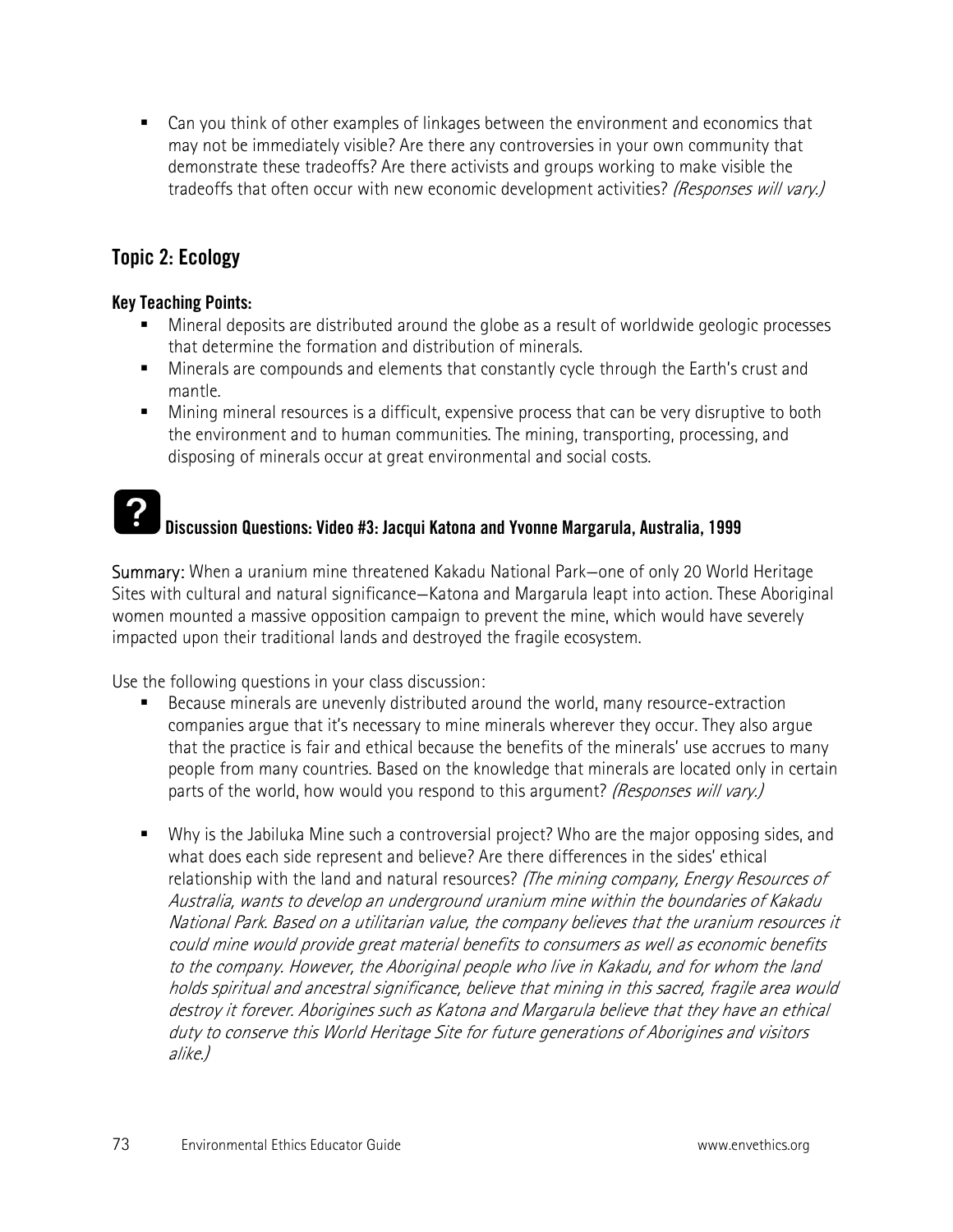Can you think of other examples of linkages between the environment and economics that may not be immediately visible? Are there any controversies in your own community that demonstrate these tradeoffs? Are there activists and groups working to make visible the tradeoffs that often occur with new economic development activities? (Responses will vary.)

# **Topic 2: Ecology**

#### **Key Teaching Points:**

- Mineral deposits are distributed around the globe as a result of worldwide geologic processes that determine the formation and distribution of minerals.
- **Minerals are compounds and elements that constantly cycle through the Earth's crust and** mantle.
- Mining mineral resources is a difficult, expensive process that can be very disruptive to both the environment and to human communities. The mining, transporting, processing, and disposing of minerals occur at great environmental and social costs.

# **Discussion Questions: Video #3: Jacqui Katona and Yvonne Margarula, Australia, 1999**

Summary: When a uranium mine threatened Kakadu National Park—one of only 20 World Heritage Sites with cultural and natural significance—Katona and Margarula leapt into action. These Aboriginal women mounted a massive opposition campaign to prevent the mine, which would have severely impacted upon their traditional lands and destroyed the fragile ecosystem.

Use the following questions in your class discussion:

- Because minerals are unevenly distributed around the world, many resource-extraction companies argue that it's necessary to mine minerals wherever they occur. They also argue that the practice is fair and ethical because the benefits of the minerals' use accrues to many people from many countries. Based on the knowledge that minerals are located only in certain parts of the world, how would you respond to this argument? (Responses will vary.)
- Why is the Jabiluka Mine such a controversial project? Who are the major opposing sides, and what does each side represent and believe? Are there differences in the sides' ethical relationship with the land and natural resources? (The mining company, Energy Resources of Australia, wants to develop an underground uranium mine within the boundaries of Kakadu National Park. Based on a utilitarian value, the company believes that the uranium resources it could mine would provide great material benefits to consumers as well as economic benefits to the company. However, the Aboriginal people who live in Kakadu, and for whom the land holds spiritual and ancestral significance, believe that mining in this sacred, fragile area would destroy it forever. Aborigines such as Katona and Margarula believe that they have an ethical duty to conserve this World Heritage Site for future generations of Aborigines and visitors alike.)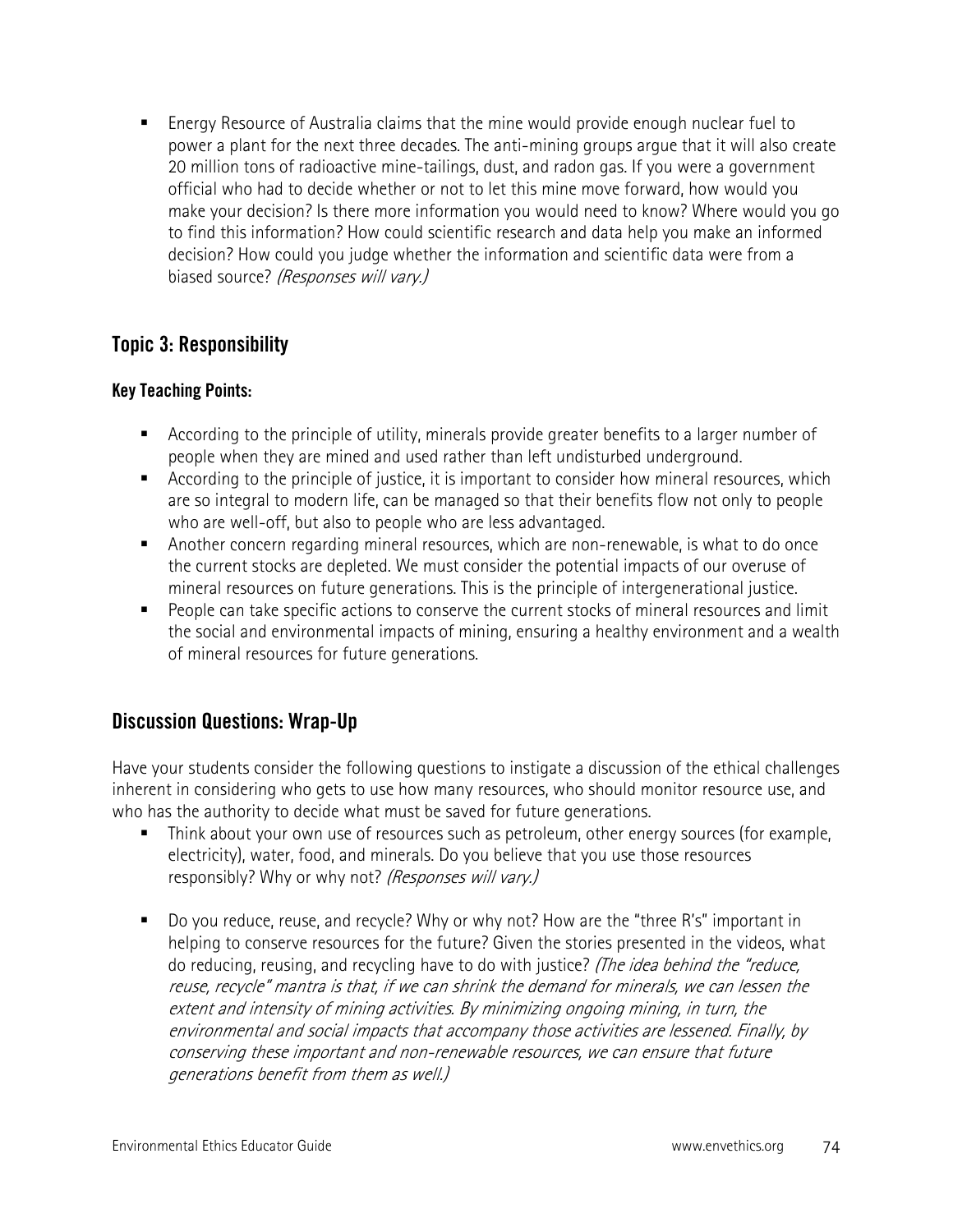Energy Resource of Australia claims that the mine would provide enough nuclear fuel to power a plant for the next three decades. The anti-mining groups argue that it will also create 20 million tons of radioactive mine-tailings, dust, and radon gas. If you were a government official who had to decide whether or not to let this mine move forward, how would you make your decision? Is there more information you would need to know? Where would you go to find this information? How could scientific research and data help you make an informed decision? How could you judge whether the information and scientific data were from a biased source? (Responses will vary.)

## **Topic 3: Responsibility**

#### **Key Teaching Points:**

- According to the principle of utility, minerals provide greater benefits to a larger number of people when they are mined and used rather than left undisturbed underground.
- **EXT** According to the principle of justice, it is important to consider how mineral resources, which are so integral to modern life, can be managed so that their benefits flow not only to people who are well-off, but also to people who are less advantaged.
- Another concern regarding mineral resources, which are non-renewable, is what to do once the current stocks are depleted. We must consider the potential impacts of our overuse of mineral resources on future generations. This is the principle of intergenerational justice.
- People can take specific actions to conserve the current stocks of mineral resources and limit the social and environmental impacts of mining, ensuring a healthy environment and a wealth of mineral resources for future generations.

## **Discussion Questions: Wrap-Up**

Have your students consider the following questions to instigate a discussion of the ethical challenges inherent in considering who gets to use how many resources, who should monitor resource use, and who has the authority to decide what must be saved for future generations.

- Think about your own use of resources such as petroleum, other energy sources (for example, electricity), water, food, and minerals. Do you believe that you use those resources responsibly? Why or why not? (Responses will vary.)
- Do you reduce, reuse, and recycle? Why or why not? How are the "three R's" important in helping to conserve resources for the future? Given the stories presented in the videos, what do reducing, reusing, and recycling have to do with justice? (The idea behind the "reduce, reuse, recycle" mantra is that, if we can shrink the demand for minerals, we can lessen the extent and intensity of mining activities. By minimizing ongoing mining, in turn, the environmental and social impacts that accompany those activities are lessened. Finally, by conserving these important and non-renewable resources, we can ensure that future generations benefit from them as well.)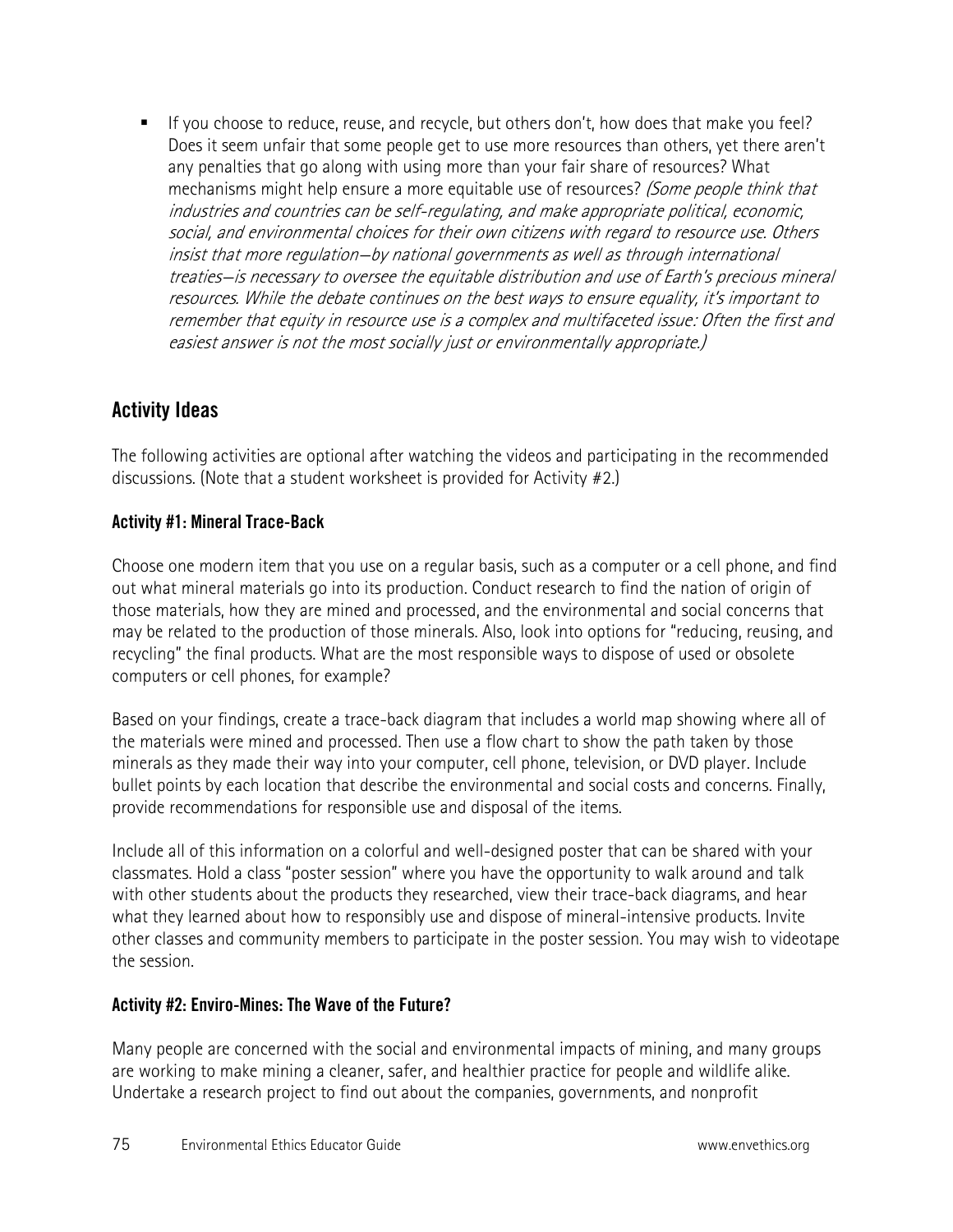If you choose to reduce, reuse, and recycle, but others don't, how does that make you feel? Does it seem unfair that some people get to use more resources than others, yet there aren't any penalties that go along with using more than your fair share of resources? What mechanisms might help ensure a more equitable use of resources? (Some people think that industries and countries can be self-regulating, and make appropriate political, economic, social, and environmental choices for their own citizens with regard to resource use. Others insist that more regulation—by national governments as well as through international treaties—is necessary to oversee the equitable distribution and use of Earth's precious mineral resources. While the debate continues on the best ways to ensure equality, it's important to remember that equity in resource use is a complex and multifaceted issue: Often the first and easiest answer is not the most socially just or environmentally appropriate.)

# **Activity Ideas**

The following activities are optional after watching the videos and participating in the recommended discussions. (Note that a student worksheet is provided for Activity #2.)

#### **Activity #1: Mineral Trace-Back**

Choose one modern item that you use on a regular basis, such as a computer or a cell phone, and find out what mineral materials go into its production. Conduct research to find the nation of origin of those materials, how they are mined and processed, and the environmental and social concerns that may be related to the production of those minerals. Also, look into options for "reducing, reusing, and recycling" the final products. What are the most responsible ways to dispose of used or obsolete computers or cell phones, for example?

Based on your findings, create a trace-back diagram that includes a world map showing where all of the materials were mined and processed. Then use a flow chart to show the path taken by those minerals as they made their way into your computer, cell phone, television, or DVD player. Include bullet points by each location that describe the environmental and social costs and concerns. Finally, provide recommendations for responsible use and disposal of the items.

Include all of this information on a colorful and well-designed poster that can be shared with your classmates. Hold a class "poster session" where you have the opportunity to walk around and talk with other students about the products they researched, view their trace-back diagrams, and hear what they learned about how to responsibly use and dispose of mineral-intensive products. Invite other classes and community members to participate in the poster session. You may wish to videotape the session.

#### **Activity #2: Enviro-Mines: The Wave of the Future?**

Many people are concerned with the social and environmental impacts of mining, and many groups are working to make mining a cleaner, safer, and healthier practice for people and wildlife alike. Undertake a research project to find out about the companies, governments, and nonprofit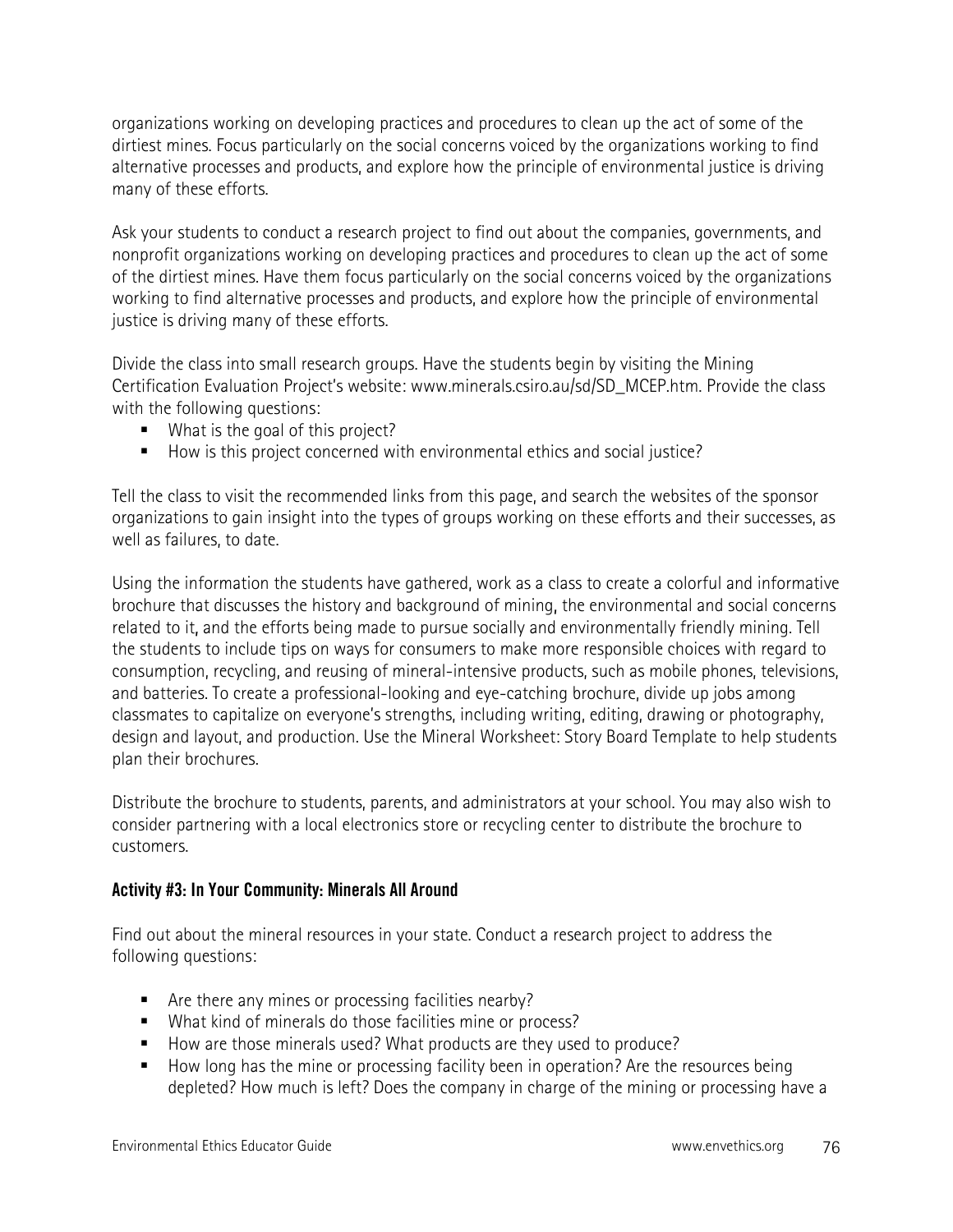organizations working on developing practices and procedures to clean up the act of some of the dirtiest mines. Focus particularly on the social concerns voiced by the organizations working to find alternative processes and products, and explore how the principle of environmental justice is driving many of these efforts.

Ask your students to conduct a research project to find out about the companies, governments, and nonprofit organizations working on developing practices and procedures to clean up the act of some of the dirtiest mines. Have them focus particularly on the social concerns voiced by the organizations working to find alternative processes and products, and explore how the principle of environmental justice is driving many of these efforts.

Divide the class into small research groups. Have the students begin by visiting the Mining Certification Evaluation Project's website: www.minerals.csiro.au/sd/SD\_MCEP.htm. Provide the class with the following questions:

- What is the goal of this project?
- How is this project concerned with environmental ethics and social justice?

Tell the class to visit the recommended links from this page, and search the websites of the sponsor organizations to gain insight into the types of groups working on these efforts and their successes, as well as failures, to date.

Using the information the students have gathered, work as a class to create a colorful and informative brochure that discusses the history and background of mining, the environmental and social concerns related to it, and the efforts being made to pursue socially and environmentally friendly mining. Tell the students to include tips on ways for consumers to make more responsible choices with regard to consumption, recycling, and reusing of mineral-intensive products, such as mobile phones, televisions, and batteries. To create a professional-looking and eye-catching brochure, divide up jobs among classmates to capitalize on everyone's strengths, including writing, editing, drawing or photography, design and layout, and production. Use the Mineral Worksheet: Story Board Template to help students plan their brochures.

Distribute the brochure to students, parents, and administrators at your school. You may also wish to consider partnering with a local electronics store or recycling center to distribute the brochure to customers.

#### **Activity #3: In Your Community: Minerals All Around**

Find out about the mineral resources in your state. Conduct a research project to address the following questions:

- Are there any mines or processing facilities nearby?
- What kind of minerals do those facilities mine or process?
- How are those minerals used? What products are they used to produce?
- How long has the mine or processing facility been in operation? Are the resources being depleted? How much is left? Does the company in charge of the mining or processing have a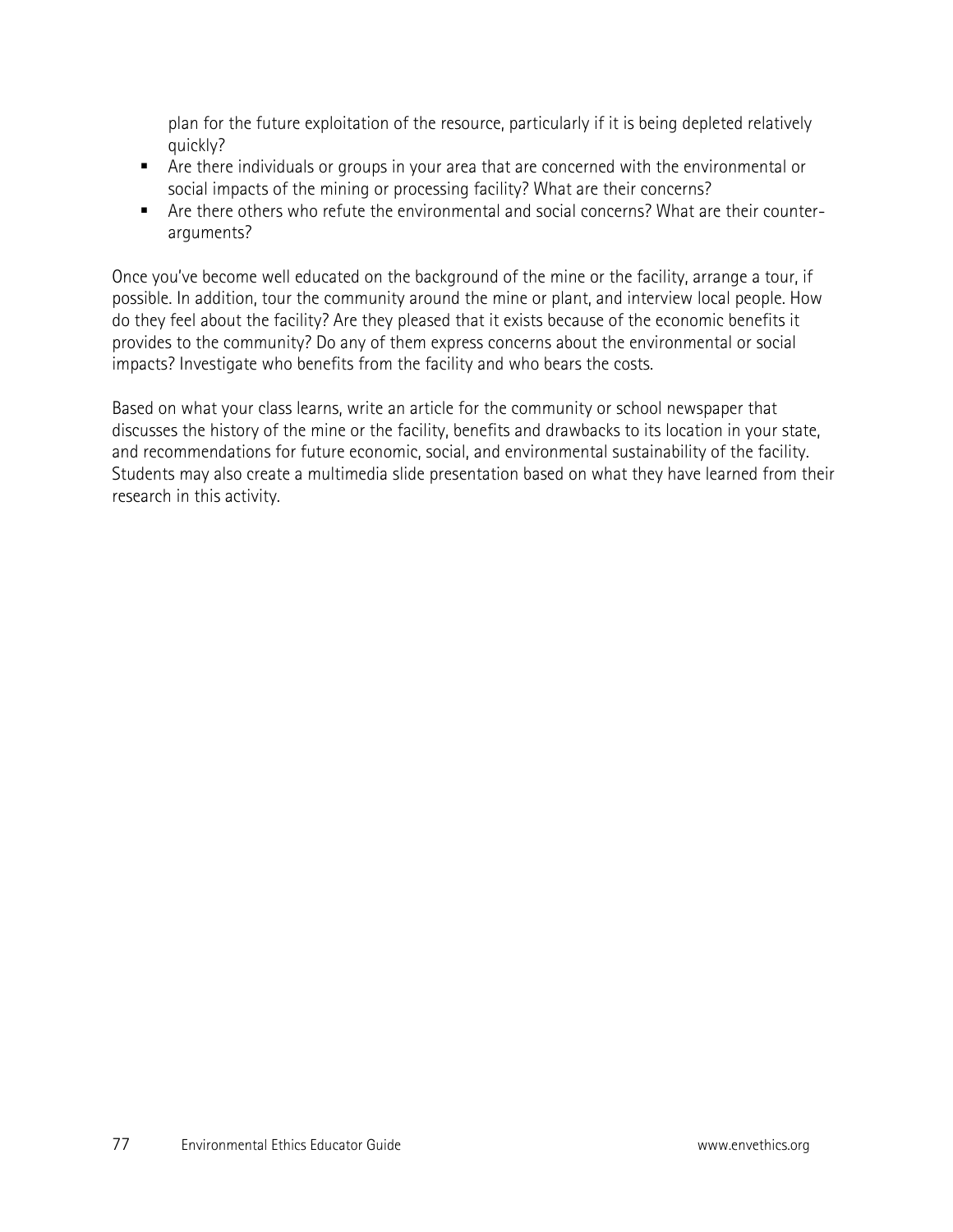plan for the future exploitation of the resource, particularly if it is being depleted relatively quickly?

- Are there individuals or groups in your area that are concerned with the environmental or social impacts of the mining or processing facility? What are their concerns?
- Are there others who refute the environmental and social concerns? What are their counterarguments?

Once you've become well educated on the background of the mine or the facility, arrange a tour, if possible. In addition, tour the community around the mine or plant, and interview local people. How do they feel about the facility? Are they pleased that it exists because of the economic benefits it provides to the community? Do any of them express concerns about the environmental or social impacts? Investigate who benefits from the facility and who bears the costs.

Based on what your class learns, write an article for the community or school newspaper that discusses the history of the mine or the facility, benefits and drawbacks to its location in your state, and recommendations for future economic, social, and environmental sustainability of the facility. Students may also create a multimedia slide presentation based on what they have learned from their research in this activity.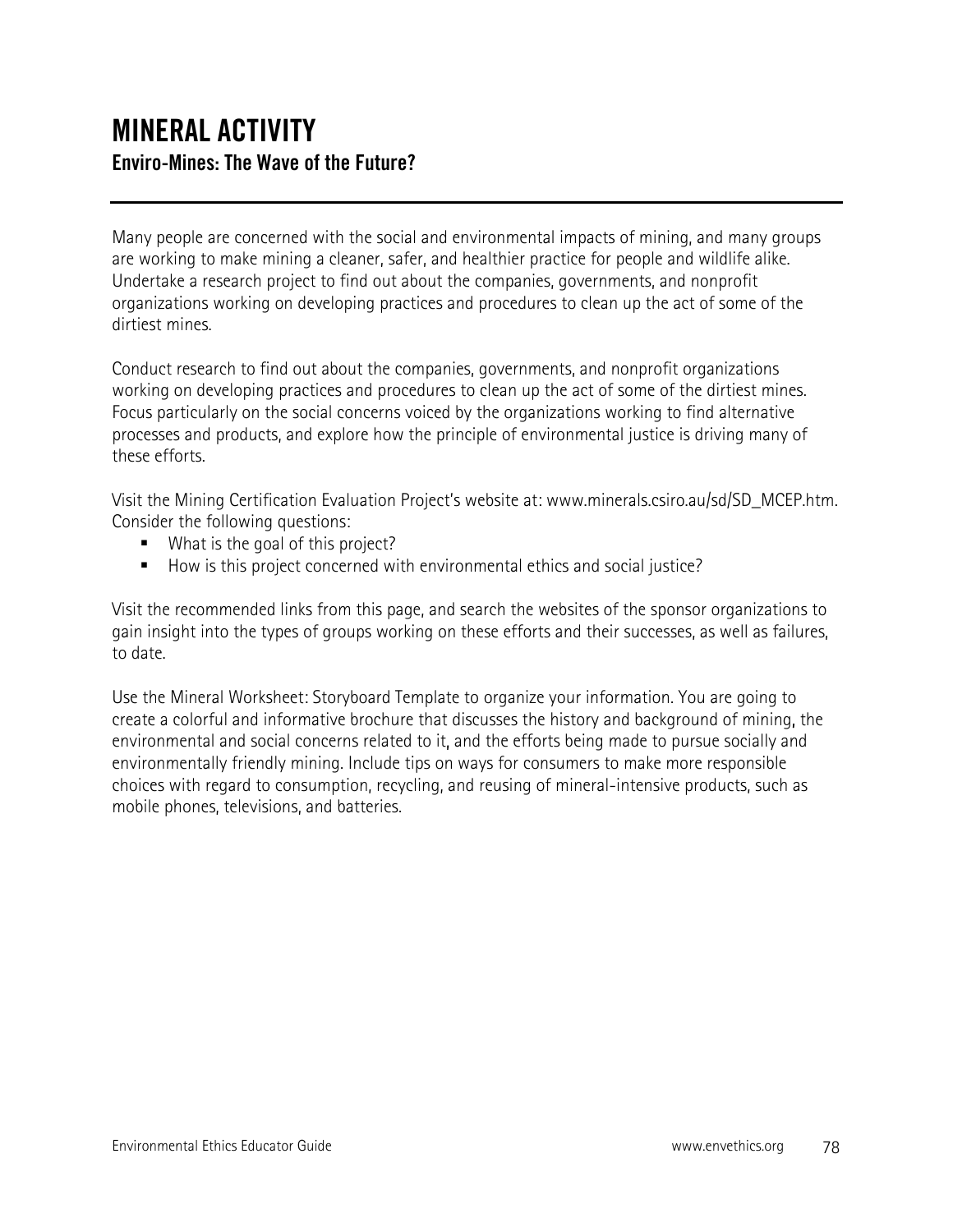# **MINERAL ACTIVITY Enviro-Mines: The Wave of the Future?**

Many people are concerned with the social and environmental impacts of mining, and many groups are working to make mining a cleaner, safer, and healthier practice for people and wildlife alike. Undertake a research project to find out about the companies, governments, and nonprofit organizations working on developing practices and procedures to clean up the act of some of the dirtiest mines.

Conduct research to find out about the companies, governments, and nonprofit organizations working on developing practices and procedures to clean up the act of some of the dirtiest mines. Focus particularly on the social concerns voiced by the organizations working to find alternative processes and products, and explore how the principle of environmental justice is driving many of these efforts.

Visit the Mining Certification Evaluation Project's website at: www.minerals.csiro.au/sd/SD\_MCEP.htm. Consider the following questions:

- What is the goal of this project?
- How is this project concerned with environmental ethics and social justice?

Visit the recommended links from this page, and search the websites of the sponsor organizations to gain insight into the types of groups working on these efforts and their successes, as well as failures, to date.

Use the Mineral Worksheet: Storyboard Template to organize your information. You are going to create a colorful and informative brochure that discusses the history and background of mining, the environmental and social concerns related to it, and the efforts being made to pursue socially and environmentally friendly mining. Include tips on ways for consumers to make more responsible choices with regard to consumption, recycling, and reusing of mineral-intensive products, such as mobile phones, televisions, and batteries.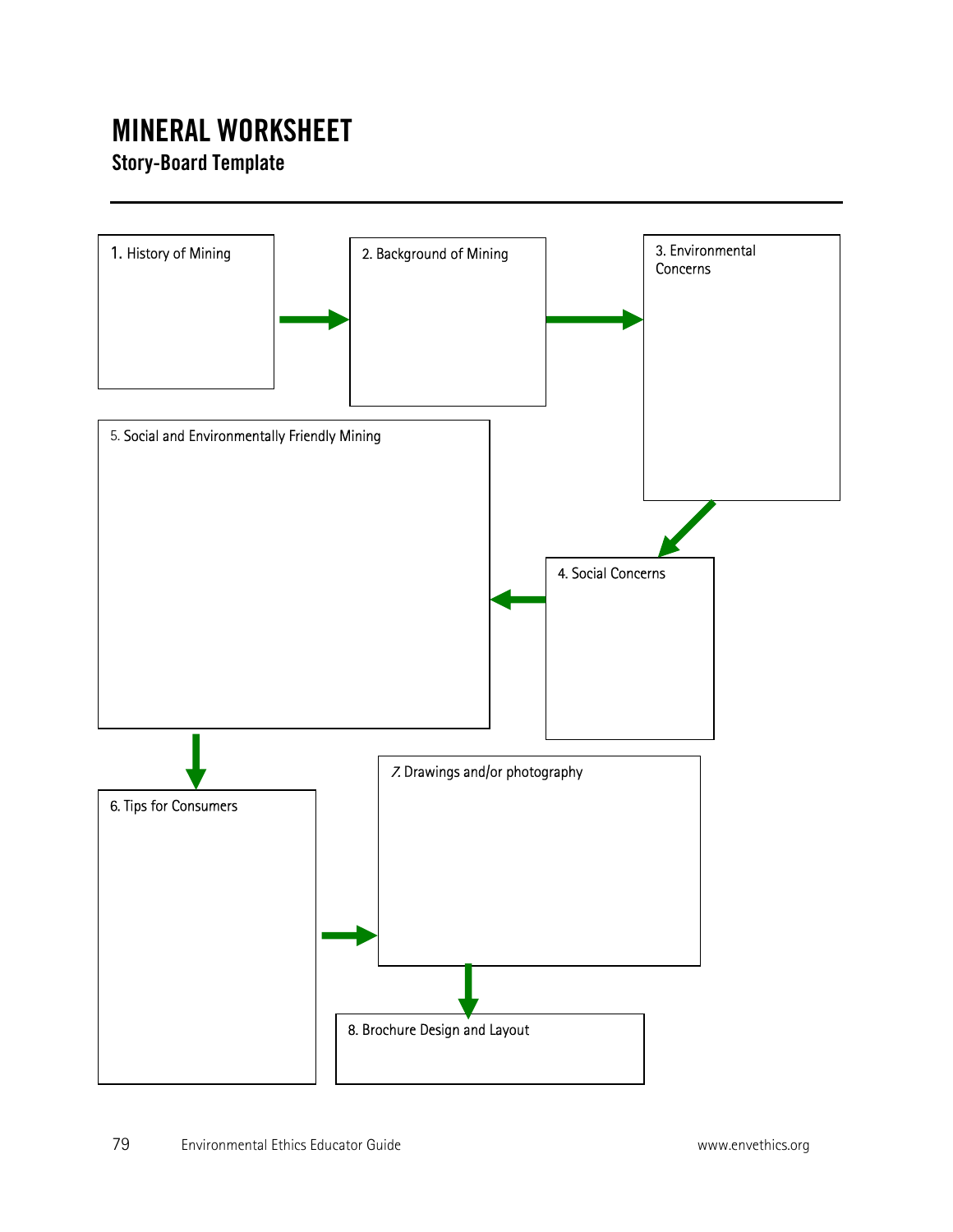# **MINERAL WORKSHEET**

# **Story-Board Template**

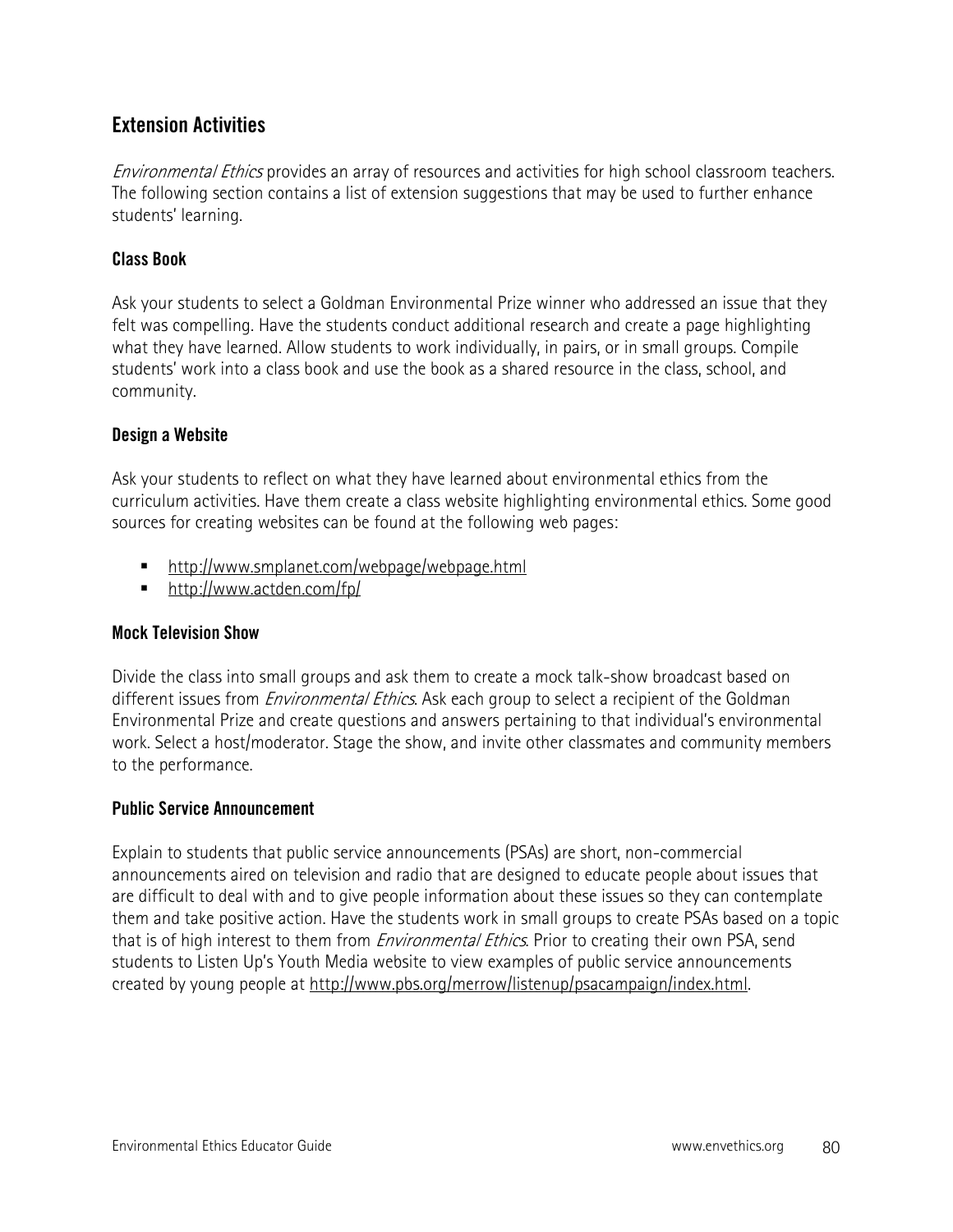# **Extension Activities**

Environmental Ethics provides an array of resources and activities for high school classroom teachers. The following section contains a list of extension suggestions that may be used to further enhance students' learning.

#### **Class Book**

Ask your students to select a Goldman Environmental Prize winner who addressed an issue that they felt was compelling. Have the students conduct additional research and create a page highlighting what they have learned. Allow students to work individually, in pairs, or in small groups. Compile students' work into a class book and use the book as a shared resource in the class, school, and community.

#### **Design a Website**

Ask your students to reflect on what they have learned about environmental ethics from the curriculum activities. Have them create a class website highlighting environmental ethics. Some good sources for creating websites can be found at the following web pages:

- http://www.smplanet.com/webpage/webpage.html
- http://www.actden.com/fp/

#### **Mock Television Show**

Divide the class into small groups and ask them to create a mock talk-show broadcast based on different issues from *Environmental Ethics*. Ask each group to select a recipient of the Goldman Environmental Prize and create questions and answers pertaining to that individual's environmental work. Select a host/moderator. Stage the show, and invite other classmates and community members to the performance.

#### **Public Service Announcement**

Explain to students that public service announcements (PSAs) are short, non-commercial announcements aired on television and radio that are designed to educate people about issues that are difficult to deal with and to give people information about these issues so they can contemplate them and take positive action. Have the students work in small groups to create PSAs based on a topic that is of high interest to them from *Environmental Ethics*. Prior to creating their own PSA, send students to Listen Up's Youth Media website to view examples of public service announcements created by young people at http://www.pbs.org/merrow/listenup/psacampaign/index.html.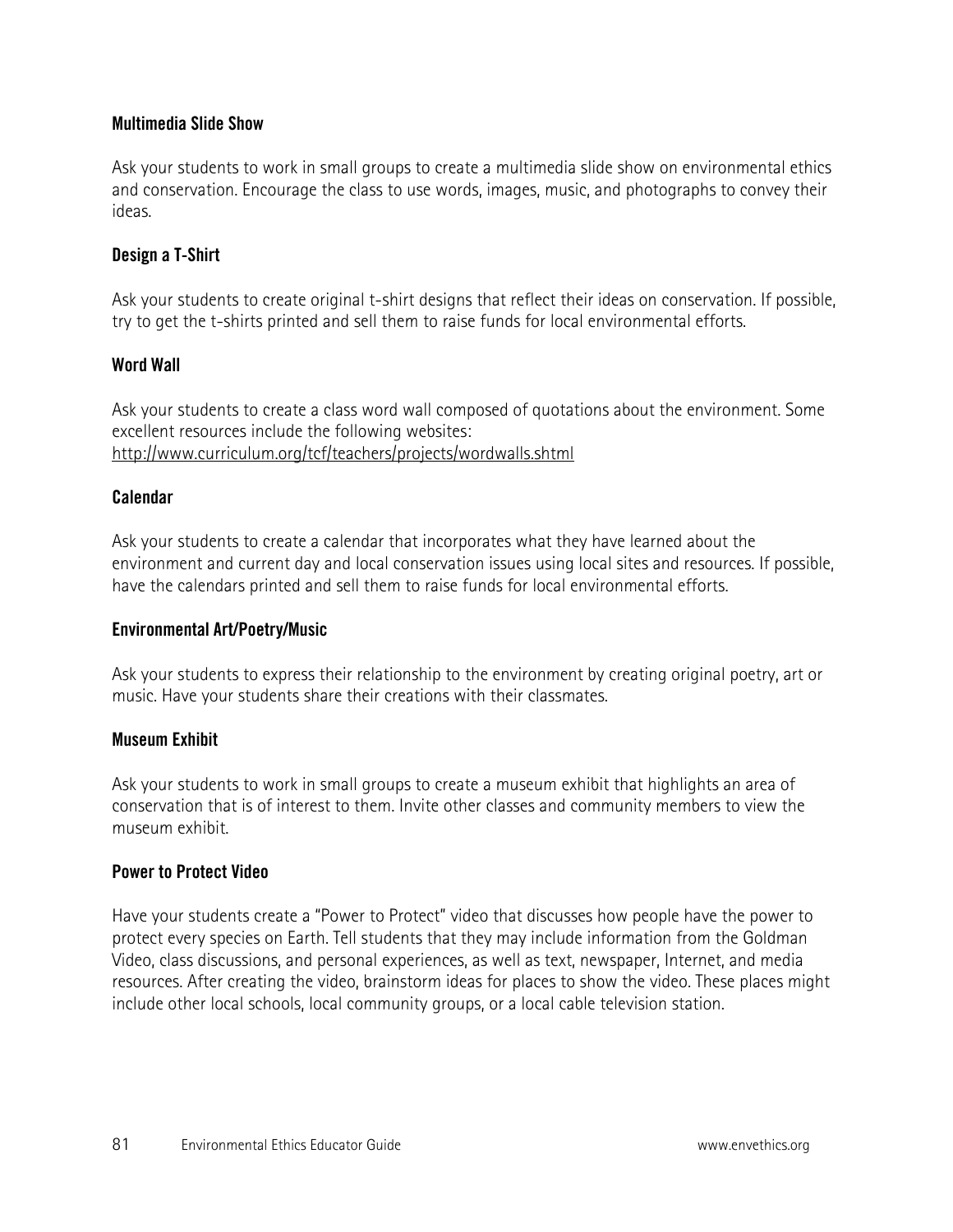#### **Multimedia Slide Show**

Ask your students to work in small groups to create a multimedia slide show on environmental ethics and conservation. Encourage the class to use words, images, music, and photographs to convey their ideas.

#### **Design a T-Shirt**

Ask your students to create original t-shirt designs that reflect their ideas on conservation. If possible, try to get the t-shirts printed and sell them to raise funds for local environmental efforts.

#### **Word Wall**

Ask your students to create a class word wall composed of quotations about the environment. Some excellent resources include the following websites: http://www.curriculum.org/tcf/teachers/projects/wordwalls.shtml

#### **Calendar**

Ask your students to create a calendar that incorporates what they have learned about the environment and current day and local conservation issues using local sites and resources. If possible, have the calendars printed and sell them to raise funds for local environmental efforts.

#### **Environmental Art/Poetry/Music**

Ask your students to express their relationship to the environment by creating original poetry, art or music. Have your students share their creations with their classmates.

#### **Museum Exhibit**

Ask your students to work in small groups to create a museum exhibit that highlights an area of conservation that is of interest to them. Invite other classes and community members to view the museum exhibit.

#### **Power to Protect Video**

Have your students create a "Power to Protect" video that discusses how people have the power to protect every species on Earth. Tell students that they may include information from the Goldman Video, class discussions, and personal experiences, as well as text, newspaper, Internet, and media resources. After creating the video, brainstorm ideas for places to show the video. These places might include other local schools, local community groups, or a local cable television station.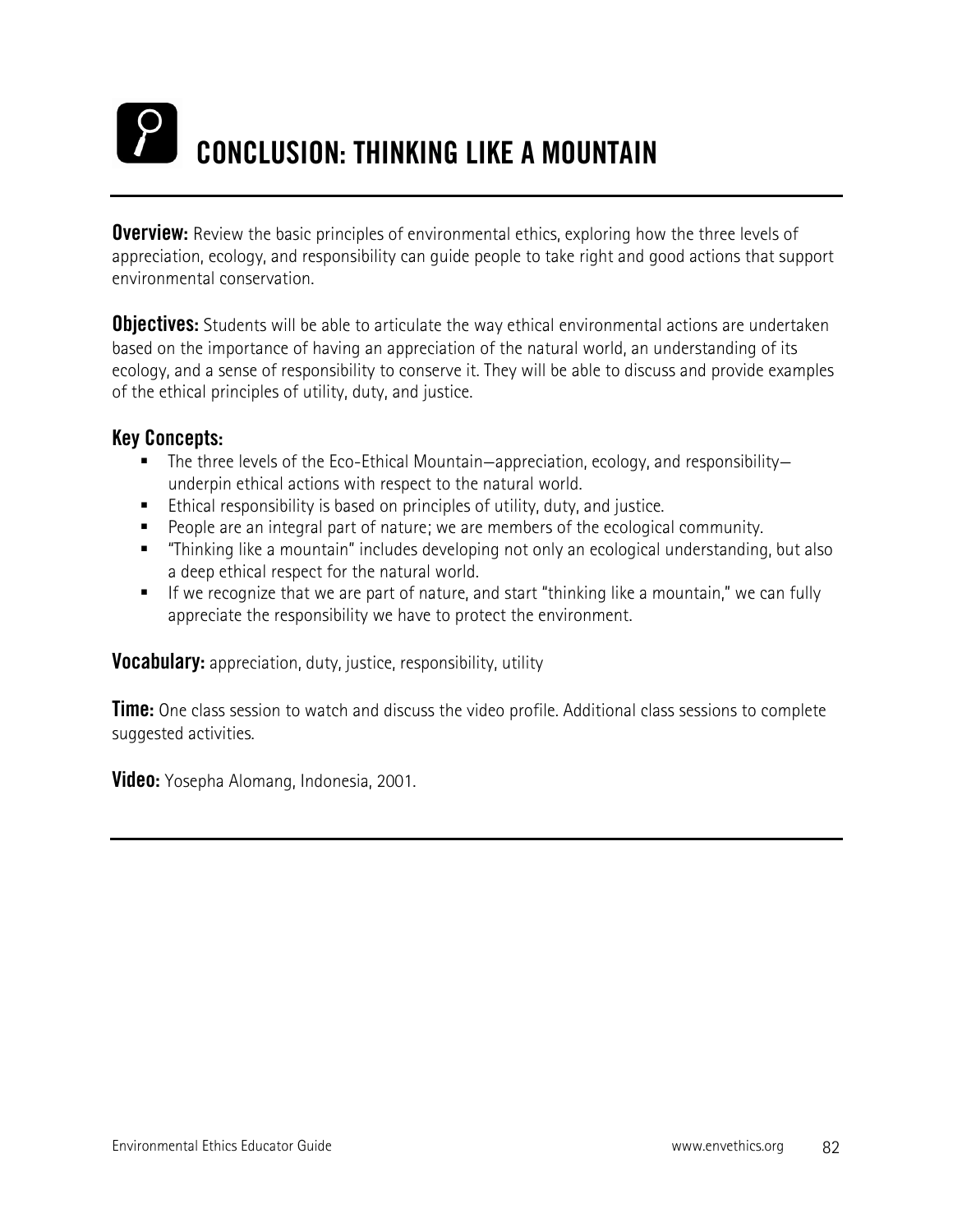# **CONCLUSION: THINKING LIKE A MOUNTAIN**

**Overview:** Review the basic principles of environmental ethics, exploring how the three levels of appreciation, ecology, and responsibility can guide people to take right and good actions that support environmental conservation.

**Objectives:** Students will be able to articulate the way ethical environmental actions are undertaken based on the importance of having an appreciation of the natural world, an understanding of its ecology, and a sense of responsibility to conserve it. They will be able to discuss and provide examples of the ethical principles of utility, duty, and justice.

## **Key Concepts:**

- The three levels of the Eco-Ethical Mountain—appreciation, ecology, and responsibility underpin ethical actions with respect to the natural world.
- Ethical responsibility is based on principles of utility, duty, and justice.
- People are an integral part of nature; we are members of the ecological community.
- "Thinking like a mountain" includes developing not only an ecological understanding, but also a deep ethical respect for the natural world.
- If we recognize that we are part of nature, and start "thinking like a mountain," we can fully appreciate the responsibility we have to protect the environment.

**Vocabulary:** appreciation, duty, justice, responsibility, utility

**Time:** One class session to watch and discuss the video profile. Additional class sessions to complete suggested activities.

**Video:** Yosepha Alomang, Indonesia, 2001.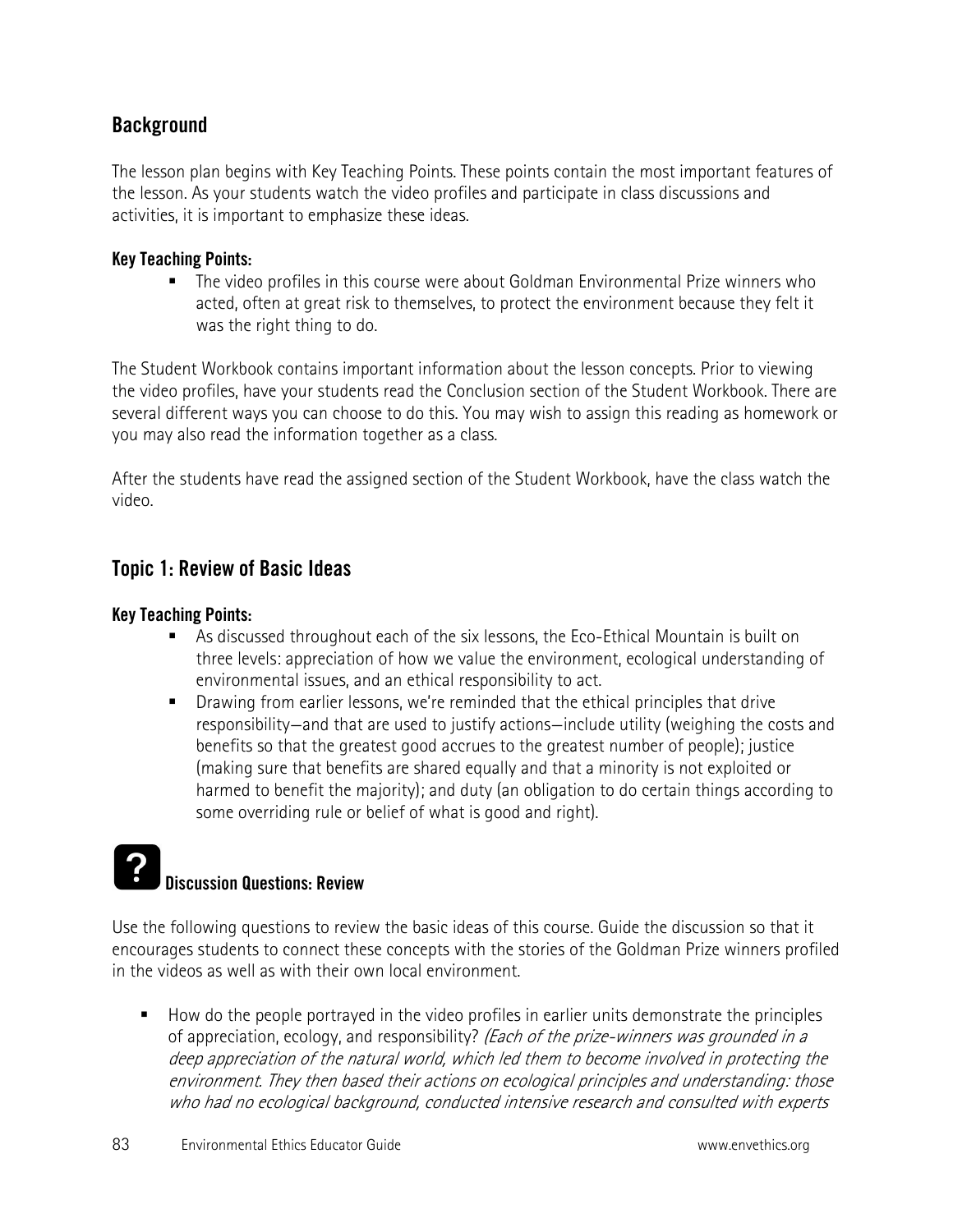# **Background**

The lesson plan begins with Key Teaching Points. These points contain the most important features of the lesson. As your students watch the video profiles and participate in class discussions and activities, it is important to emphasize these ideas.

#### **Key Teaching Points:**

 The video profiles in this course were about Goldman Environmental Prize winners who acted, often at great risk to themselves, to protect the environment because they felt it was the right thing to do.

The Student Workbook contains important information about the lesson concepts. Prior to viewing the video profiles, have your students read the Conclusion section of the Student Workbook. There are several different ways you can choose to do this. You may wish to assign this reading as homework or you may also read the information together as a class.

After the students have read the assigned section of the Student Workbook, have the class watch the video.

# **Topic 1: Review of Basic Ideas**

#### **Key Teaching Points:**

- As discussed throughout each of the six lessons, the Eco-Ethical Mountain is built on three levels: appreciation of how we value the environment, ecological understanding of environmental issues, and an ethical responsibility to act.
- **Drawing from earlier lessons, we're reminded that the ethical principles that drive** responsibility—and that are used to justify actions—include utility (weighing the costs and benefits so that the greatest good accrues to the greatest number of people); justice (making sure that benefits are shared equally and that a minority is not exploited or harmed to benefit the majority); and duty (an obligation to do certain things according to some overriding rule or belief of what is good and right).

# **Discussion Questions: Review**

Use the following questions to review the basic ideas of this course. Guide the discussion so that it encourages students to connect these concepts with the stories of the Goldman Prize winners profiled in the videos as well as with their own local environment.

 How do the people portrayed in the video profiles in earlier units demonstrate the principles of appreciation, ecology, and responsibility? (Each of the prize-winners was grounded in a deep appreciation of the natural world, which led them to become involved in protecting the environment. They then based their actions on ecological principles and understanding: those who had no ecological background, conducted intensive research and consulted with experts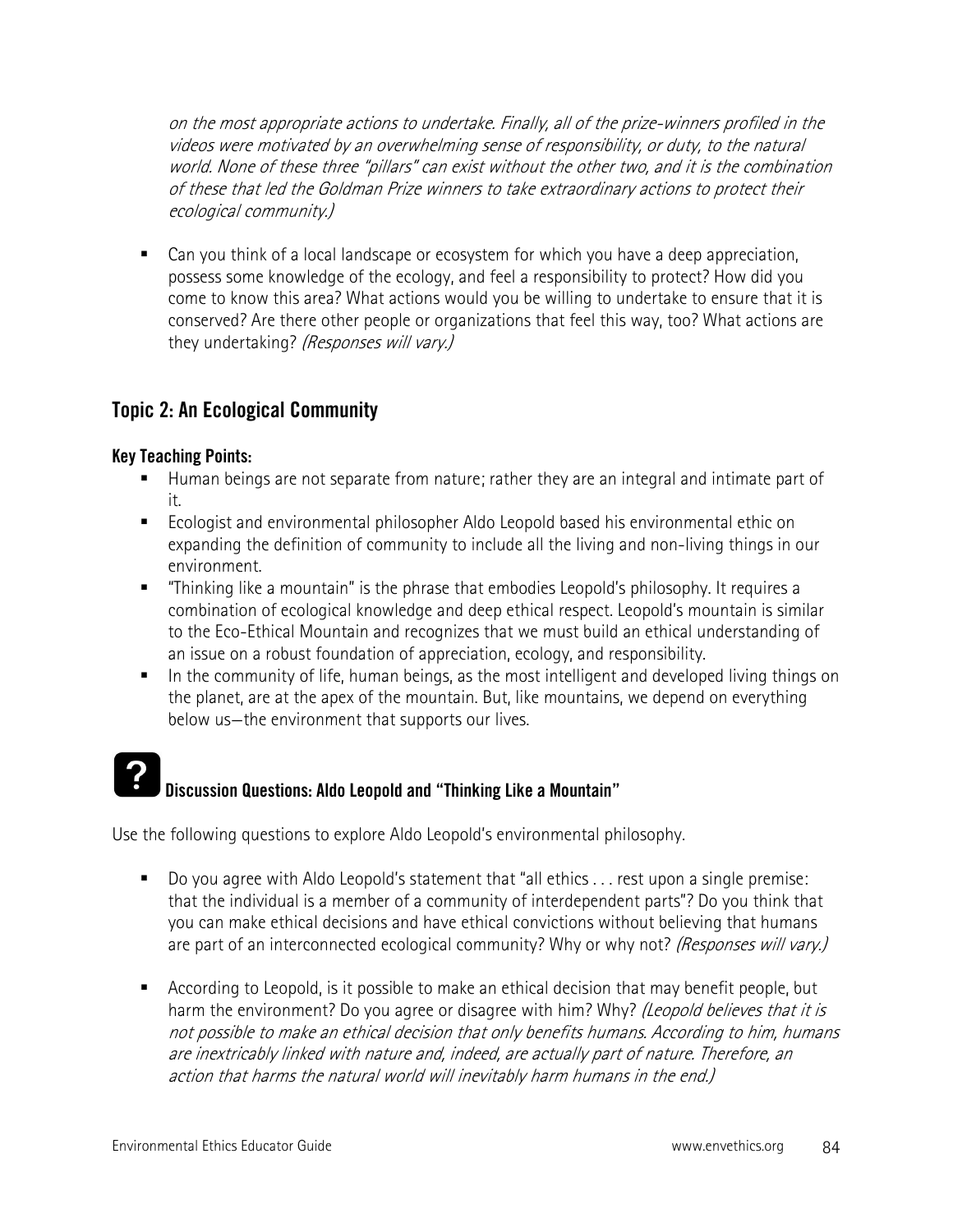on the most appropriate actions to undertake. Finally, all of the prize-winners profiled in the videos were motivated by an overwhelming sense of responsibility, or duty, to the natural world. None of these three "pillars" can exist without the other two, and it is the combination of these that led the Goldman Prize winners to take extraordinary actions to protect their ecological community.)

 Can you think of a local landscape or ecosystem for which you have a deep appreciation, possess some knowledge of the ecology, and feel a responsibility to protect? How did you come to know this area? What actions would you be willing to undertake to ensure that it is conserved? Are there other people or organizations that feel this way, too? What actions are they undertaking? (Responses will vary.)

## **Topic 2: An Ecological Community**

#### **Key Teaching Points:**

- Human beings are not separate from nature; rather they are an integral and intimate part of it.
- Ecologist and environmental philosopher Aldo Leopold based his environmental ethic on expanding the definition of community to include all the living and non-living things in our environment.
- "Thinking like a mountain" is the phrase that embodies Leopold's philosophy. It requires a combination of ecological knowledge and deep ethical respect. Leopold's mountain is similar to the Eco-Ethical Mountain and recognizes that we must build an ethical understanding of an issue on a robust foundation of appreciation, ecology, and responsibility.
- In the community of life, human beings, as the most intelligent and developed living things on the planet, are at the apex of the mountain. But, like mountains, we depend on everything below us—the environment that supports our lives.

# **Discussion Questions: Aldo Leopold and "Thinking Like a Mountain"**

Use the following questions to explore Aldo Leopold's environmental philosophy.

- Do you agree with Aldo Leopold's statement that "all ethics . . . rest upon a single premise: that the individual is a member of a community of interdependent parts"? Do you think that you can make ethical decisions and have ethical convictions without believing that humans are part of an interconnected ecological community? Why or why not? (Responses will vary.)
- According to Leopold, is it possible to make an ethical decision that may benefit people, but harm the environment? Do you agree or disagree with him? Why? (Leopold believes that it is not possible to make an ethical decision that only benefits humans. According to him, humans are inextricably linked with nature and, indeed, are actually part of nature. Therefore, an action that harms the natural world will inevitably harm humans in the end.)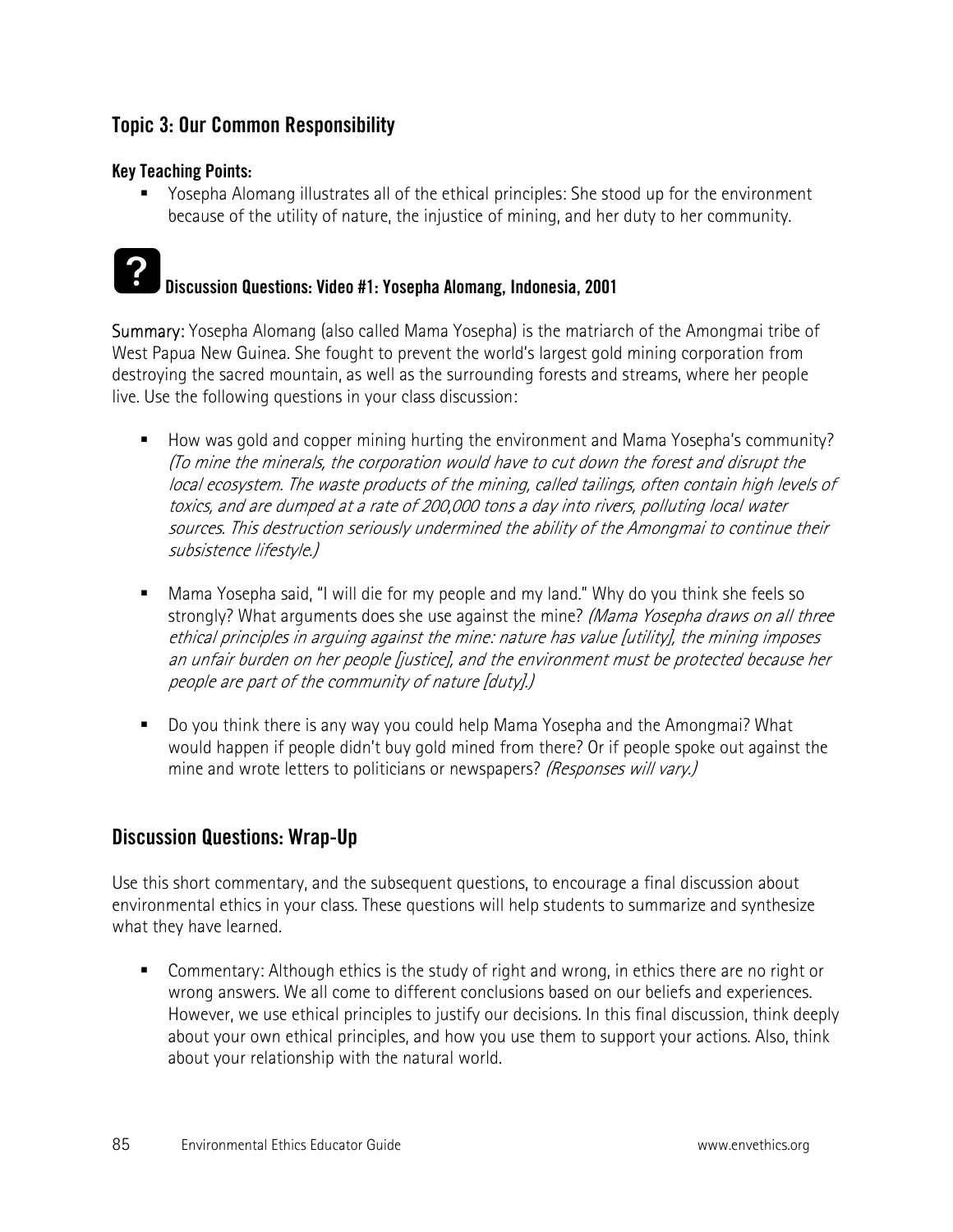# **Topic 3: Our Common Responsibility**

#### **Key Teaching Points:**

 Yosepha Alomang illustrates all of the ethical principles: She stood up for the environment because of the utility of nature, the injustice of mining, and her duty to her community.



# **Discussion Questions: Video #1: Yosepha Alomang, Indonesia, 2001**

Summary: Yosepha Alomang (also called Mama Yosepha) is the matriarch of the Amongmai tribe of West Papua New Guinea. She fought to prevent the world's largest gold mining corporation from destroying the sacred mountain, as well as the surrounding forests and streams, where her people live. Use the following questions in your class discussion:

- How was gold and copper mining hurting the environment and Mama Yosepha's community? (To mine the minerals, the corporation would have to cut down the forest and disrupt the local ecosystem. The waste products of the mining, called tailings, often contain high levels of toxics, and are dumped at a rate of 200,000 tons a day into rivers, polluting local water sources. This destruction seriously undermined the ability of the Amongmai to continue their subsistence lifestyle.)
- Mama Yosepha said, "I will die for my people and my land." Why do you think she feels so strongly? What arguments does she use against the mine? (Mama Yosepha draws on all three ethical principles in arguing against the mine: nature has value [utility], the mining imposes an unfair burden on her people [justice], and the environment must be protected because her people are part of the community of nature [duty].)
- Do you think there is any way you could help Mama Yosepha and the Amongmai? What would happen if people didn't buy gold mined from there? Or if people spoke out against the mine and wrote letters to politicians or newspapers? (Responses will vary.)

#### **Discussion Questions: Wrap-Up**

Use this short commentary, and the subsequent questions, to encourage a final discussion about environmental ethics in your class. These questions will help students to summarize and synthesize what they have learned.

**Commentary:** Although ethics is the study of right and wrong, in ethics there are no right or wrong answers. We all come to different conclusions based on our beliefs and experiences. However, we use ethical principles to justify our decisions. In this final discussion, think deeply about your own ethical principles, and how you use them to support your actions. Also, think about your relationship with the natural world.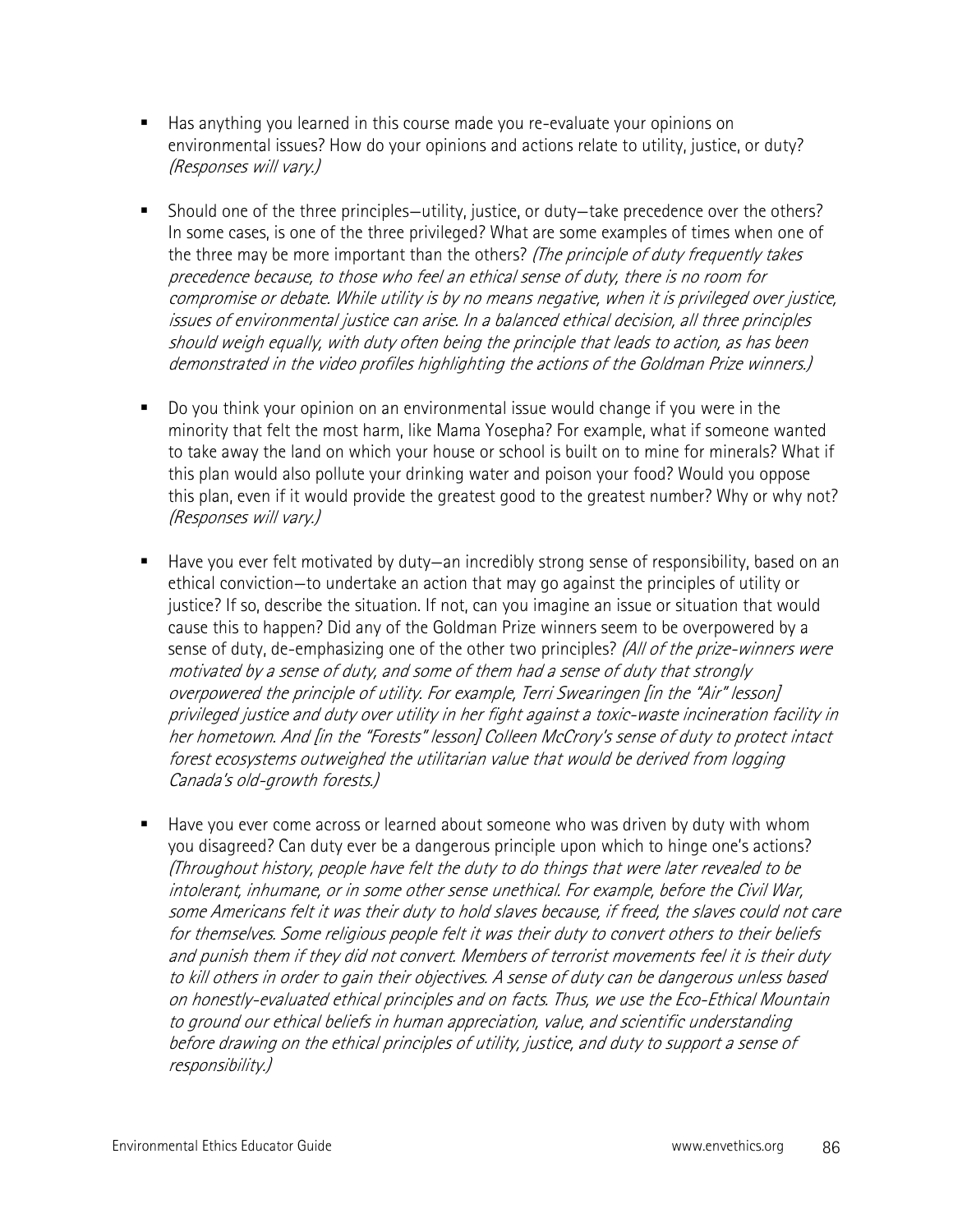- Has anything you learned in this course made you re-evaluate your opinions on environmental issues? How do your opinions and actions relate to utility, justice, or duty? (Responses will vary.)
- Should one of the three principles—utility, justice, or duty—take precedence over the others? In some cases, is one of the three privileged? What are some examples of times when one of the three may be more important than the others? (The principle of duty frequently takes precedence because, to those who feel an ethical sense of duty, there is no room for compromise or debate. While utility is by no means negative, when it is privileged over justice, issues of environmental justice can arise. In a balanced ethical decision, all three principles should weigh equally, with duty often being the principle that leads to action, as has been demonstrated in the video profiles highlighting the actions of the Goldman Prize winners.)
- Do you think your opinion on an environmental issue would change if you were in the minority that felt the most harm, like Mama Yosepha? For example, what if someone wanted to take away the land on which your house or school is built on to mine for minerals? What if this plan would also pollute your drinking water and poison your food? Would you oppose this plan, even if it would provide the greatest good to the greatest number? Why or why not? (Responses will vary.)
- Have you ever felt motivated by duty—an incredibly strong sense of responsibility, based on an ethical conviction—to undertake an action that may go against the principles of utility or justice? If so, describe the situation. If not, can you imagine an issue or situation that would cause this to happen? Did any of the Goldman Prize winners seem to be overpowered by a sense of duty, de-emphasizing one of the other two principles? (All of the prize-winners were motivated by a sense of duty, and some of them had a sense of duty that strongly overpowered the principle of utility. For example, Terri Swearingen [in the "Air" lesson] privileged justice and duty over utility in her fight against a toxic-waste incineration facility in her hometown. And [in the "Forests" lesson] Colleen McCrory's sense of duty to protect intact forest ecosystems outweighed the utilitarian value that would be derived from logging Canada's old-growth forests.)
- Have you ever come across or learned about someone who was driven by duty with whom you disagreed? Can duty ever be a dangerous principle upon which to hinge one's actions? (Throughout history, people have felt the duty to do things that were later revealed to be intolerant, inhumane, or in some other sense unethical. For example, before the Civil War, some Americans felt it was their duty to hold slaves because, if freed, the slaves could not care for themselves. Some religious people felt it was their duty to convert others to their beliefs and punish them if they did not convert. Members of terrorist movements feel it is their duty to kill others in order to gain their objectives. A sense of duty can be dangerous unless based on honestly-evaluated ethical principles and on facts. Thus, we use the Eco-Ethical Mountain to ground our ethical beliefs in human appreciation, value, and scientific understanding before drawing on the ethical principles of utility, justice, and duty to support a sense of responsibility.)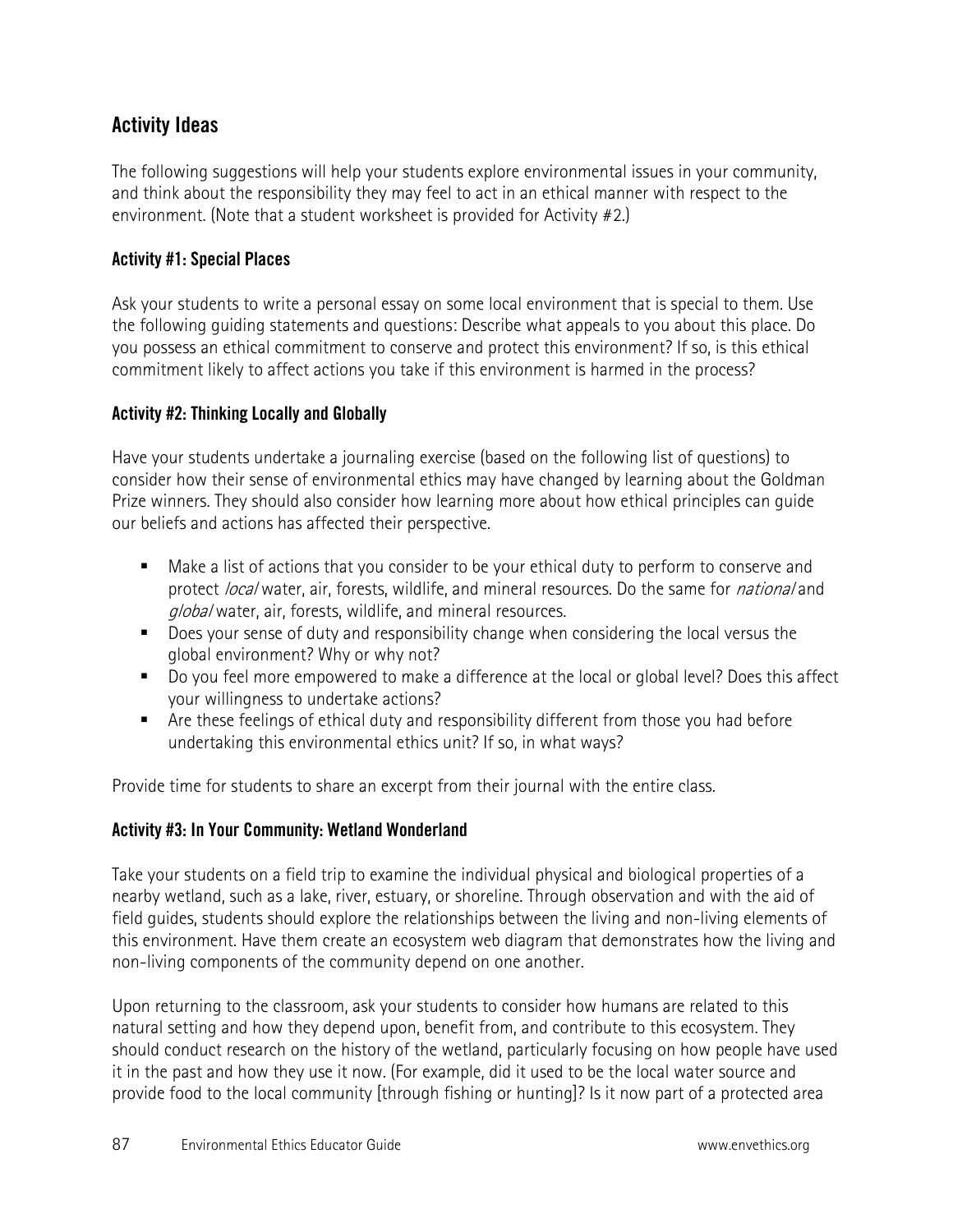# **Activity Ideas**

The following suggestions will help your students explore environmental issues in your community, and think about the responsibility they may feel to act in an ethical manner with respect to the environment. (Note that a student worksheet is provided for Activity #2.)

#### **Activity #1: Special Places**

Ask your students to write a personal essay on some local environment that is special to them. Use the following guiding statements and questions: Describe what appeals to you about this place. Do you possess an ethical commitment to conserve and protect this environment? If so, is this ethical commitment likely to affect actions you take if this environment is harmed in the process?

#### **Activity #2: Thinking Locally and Globally**

Have your students undertake a journaling exercise (based on the following list of questions) to consider how their sense of environmental ethics may have changed by learning about the Goldman Prize winners. They should also consider how learning more about how ethical principles can guide our beliefs and actions has affected their perspective.

- Make a list of actions that you consider to be your ethical duty to perform to conserve and protect *local* water, air, forests, wildlife, and mineral resources. Do the same for *national* and global water, air, forests, wildlife, and mineral resources.
- Does your sense of duty and responsibility change when considering the local versus the global environment? Why or why not?
- Do you feel more empowered to make a difference at the local or global level? Does this affect your willingness to undertake actions?
- Are these feelings of ethical duty and responsibility different from those you had before undertaking this environmental ethics unit? If so, in what ways?

Provide time for students to share an excerpt from their journal with the entire class.

#### **Activity #3: In Your Community: Wetland Wonderland**

Take your students on a field trip to examine the individual physical and biological properties of a nearby wetland, such as a lake, river, estuary, or shoreline. Through observation and with the aid of field guides, students should explore the relationships between the living and non-living elements of this environment. Have them create an ecosystem web diagram that demonstrates how the living and non-living components of the community depend on one another.

Upon returning to the classroom, ask your students to consider how humans are related to this natural setting and how they depend upon, benefit from, and contribute to this ecosystem. They should conduct research on the history of the wetland, particularly focusing on how people have used it in the past and how they use it now. (For example, did it used to be the local water source and provide food to the local community [through fishing or hunting]? Is it now part of a protected area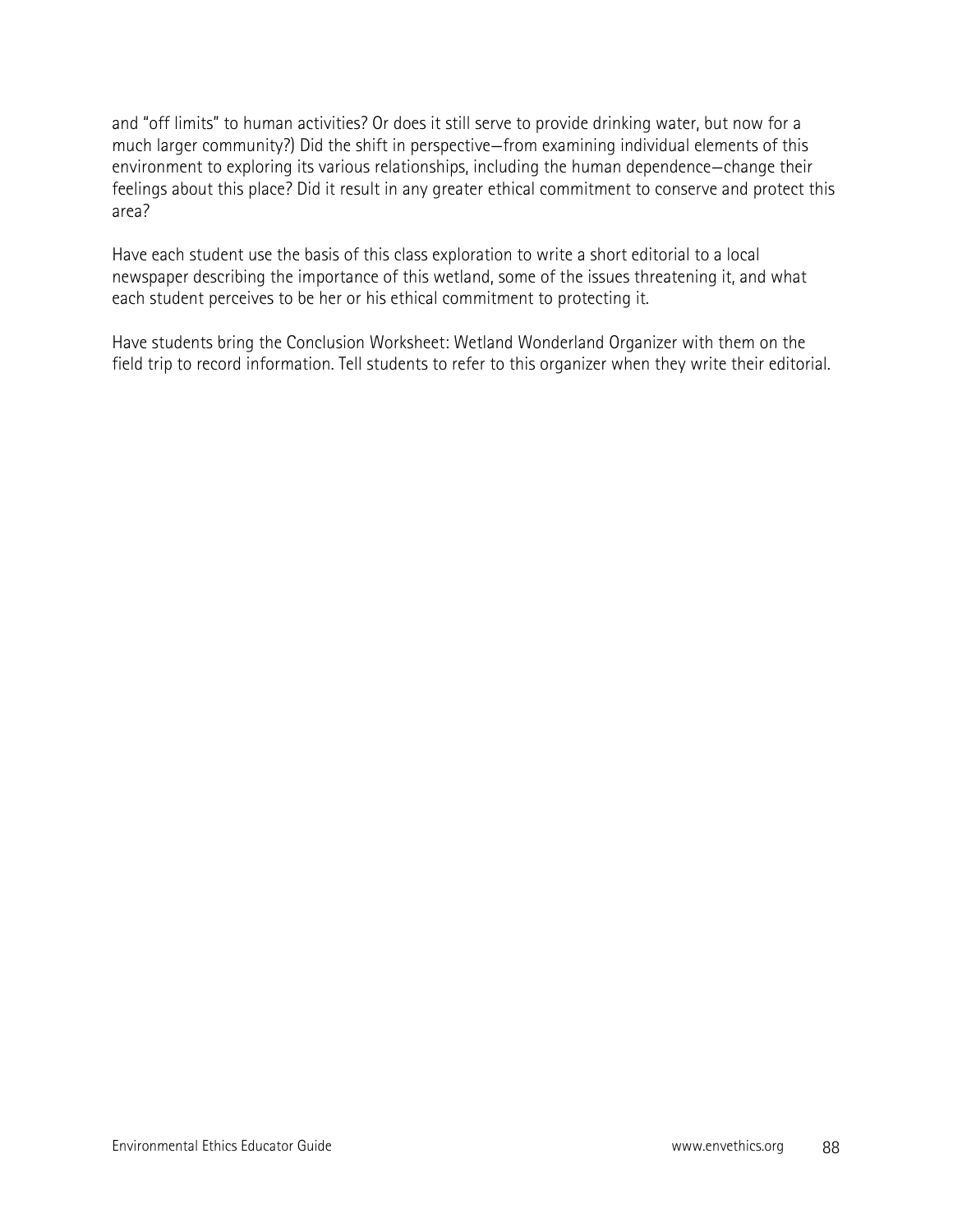and "off limits" to human activities? Or does it still serve to provide drinking water, but now for a much larger community?) Did the shift in perspective—from examining individual elements of this environment to exploring its various relationships, including the human dependence—change their feelings about this place? Did it result in any greater ethical commitment to conserve and protect this area?

Have each student use the basis of this class exploration to write a short editorial to a local newspaper describing the importance of this wetland, some of the issues threatening it, and what each student perceives to be her or his ethical commitment to protecting it.

Have students bring the Conclusion Worksheet: Wetland Wonderland Organizer with them on the field trip to record information. Tell students to refer to this organizer when they write their editorial.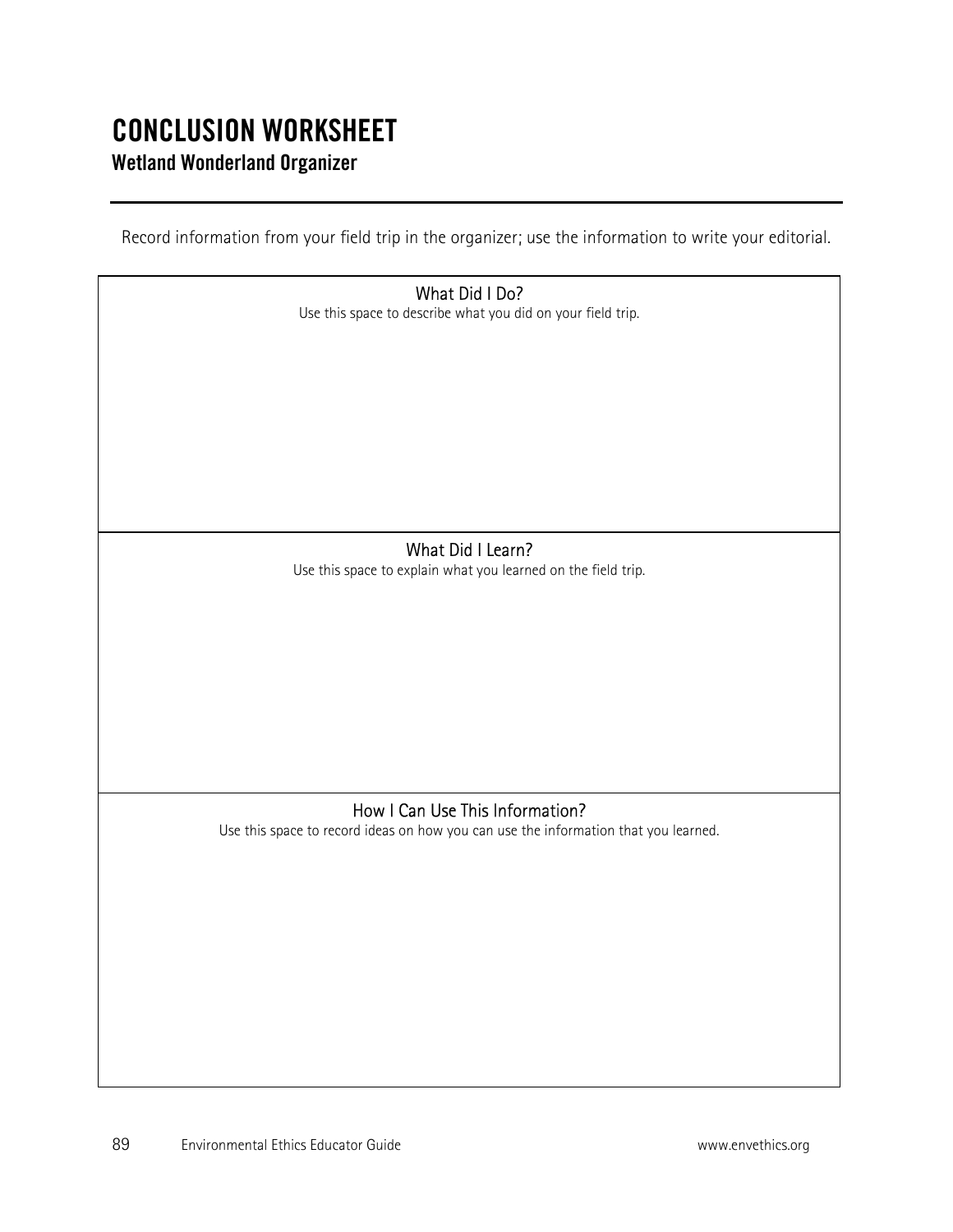# **CONCLUSION WORKSHEET Wetland Wonderland Organizer**

Record information from your field trip in the organizer; use the information to write your editorial.

| What Did I Do?                                                                      |  |
|-------------------------------------------------------------------------------------|--|
| Use this space to describe what you did on your field trip.                         |  |
|                                                                                     |  |
|                                                                                     |  |
|                                                                                     |  |
|                                                                                     |  |
|                                                                                     |  |
|                                                                                     |  |
|                                                                                     |  |
|                                                                                     |  |
|                                                                                     |  |
|                                                                                     |  |
| What Did I Learn?                                                                   |  |
| Use this space to explain what you learned on the field trip.                       |  |
|                                                                                     |  |
|                                                                                     |  |
|                                                                                     |  |
|                                                                                     |  |
|                                                                                     |  |
|                                                                                     |  |
|                                                                                     |  |
|                                                                                     |  |
|                                                                                     |  |
| How I Can Use This Information?                                                     |  |
| Use this space to record ideas on how you can use the information that you learned. |  |
|                                                                                     |  |
|                                                                                     |  |
|                                                                                     |  |
|                                                                                     |  |
|                                                                                     |  |
|                                                                                     |  |
|                                                                                     |  |
|                                                                                     |  |
|                                                                                     |  |
|                                                                                     |  |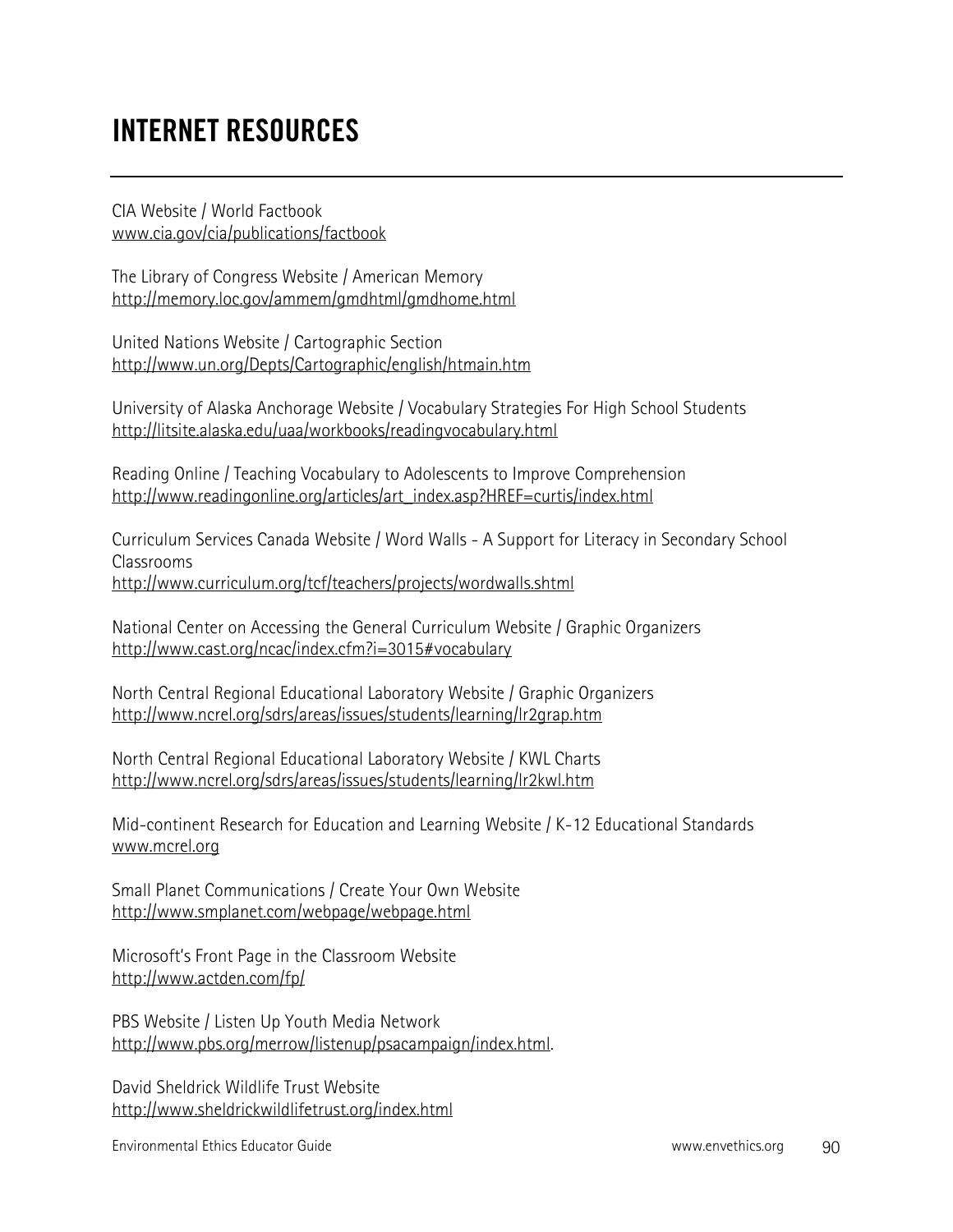# **INTERNET RESOURCES**

CIA Website / World Factbook www.cia.gov/cia/publications/factbook

The Library of Congress Website / American Memory http://memory.loc.gov/ammem/gmdhtml/gmdhome.html

United Nations Website / Cartographic Section http://www.un.org/Depts/Cartographic/english/htmain.htm

University of Alaska Anchorage Website / Vocabulary Strategies For High School Students http://litsite.alaska.edu/uaa/workbooks/readingvocabulary.html

Reading Online / Teaching Vocabulary to Adolescents to Improve Comprehension http://www.readingonline.org/articles/art\_index.asp?HREF=curtis/index.html

Curriculum Services Canada Website / Word Walls - A Support for Literacy in Secondary School Classrooms http://www.curriculum.org/tcf/teachers/projects/wordwalls.shtml

National Center on Accessing the General Curriculum Website / Graphic Organizers http://www.cast.org/ncac/index.cfm?i=3015#vocabulary

North Central Regional Educational Laboratory Website / Graphic Organizers http://www.ncrel.org/sdrs/areas/issues/students/learning/lr2grap.htm

North Central Regional Educational Laboratory Website / KWL Charts http://www.ncrel.org/sdrs/areas/issues/students/learning/lr2kwl.htm

Mid-continent Research for Education and Learning Website / K-12 Educational Standards www.mcrel.org

Small Planet Communications / Create Your Own Website http://www.smplanet.com/webpage/webpage.html

Microsoft's Front Page in the Classroom Website http://www.actden.com/fp/

PBS Website / Listen Up Youth Media Network http://www.pbs.org/merrow/listenup/psacampaign/index.html.

David Sheldrick Wildlife Trust Website http://www.sheldrickwildlifetrust.org/index.html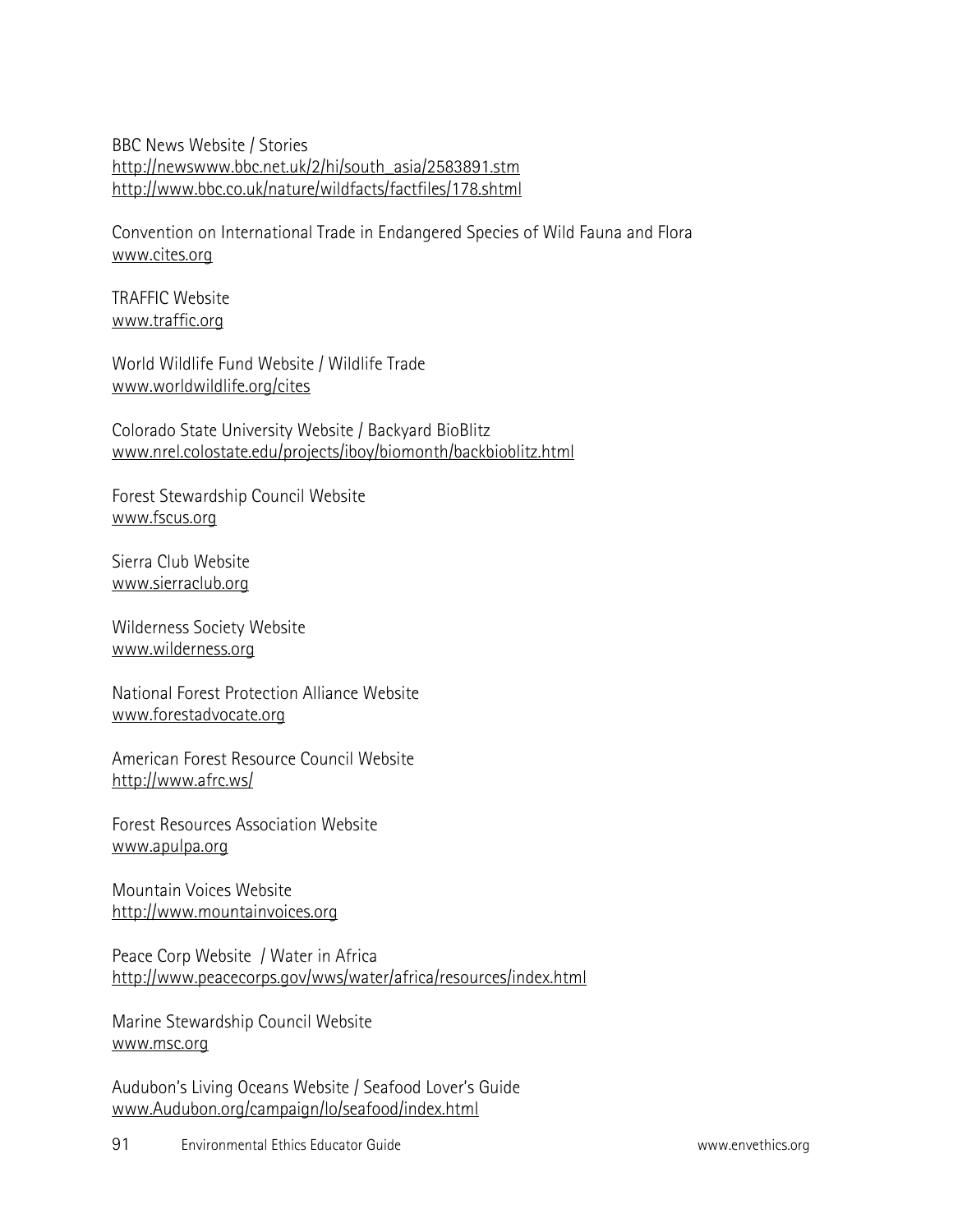BBC News Website / Stories http://newswww.bbc.net.uk/2/hi/south\_asia/2583891.stm http://www.bbc.co.uk/nature/wildfacts/factfiles/178.shtml

Convention on International Trade in Endangered Species of Wild Fauna and Flora www.cites.org

TRAFFIC Website www.traffic.org

World Wildlife Fund Website / Wildlife Trade www.worldwildlife.org/cites

Colorado State University Website / Backyard BioBlitz www.nrel.colostate.edu/projects/iboy/biomonth/backbioblitz.html

Forest Stewardship Council Website www.fscus.org

Sierra Club Website www.sierraclub.org

Wilderness Society Website www.wilderness.org

National Forest Protection Alliance Website www.forestadvocate.org

American Forest Resource Council Website http://www.afrc.ws/

Forest Resources Association Website www.apulpa.org

Mountain Voices Website http://www.mountainvoices.org

Peace Corp Website / Water in Africa http://www.peacecorps.gov/wws/water/africa/resources/index.html

Marine Stewardship Council Website www.msc.org

Audubon's Living Oceans Website / Seafood Lover's Guide www.Audubon.org/campaign/lo/seafood/index.html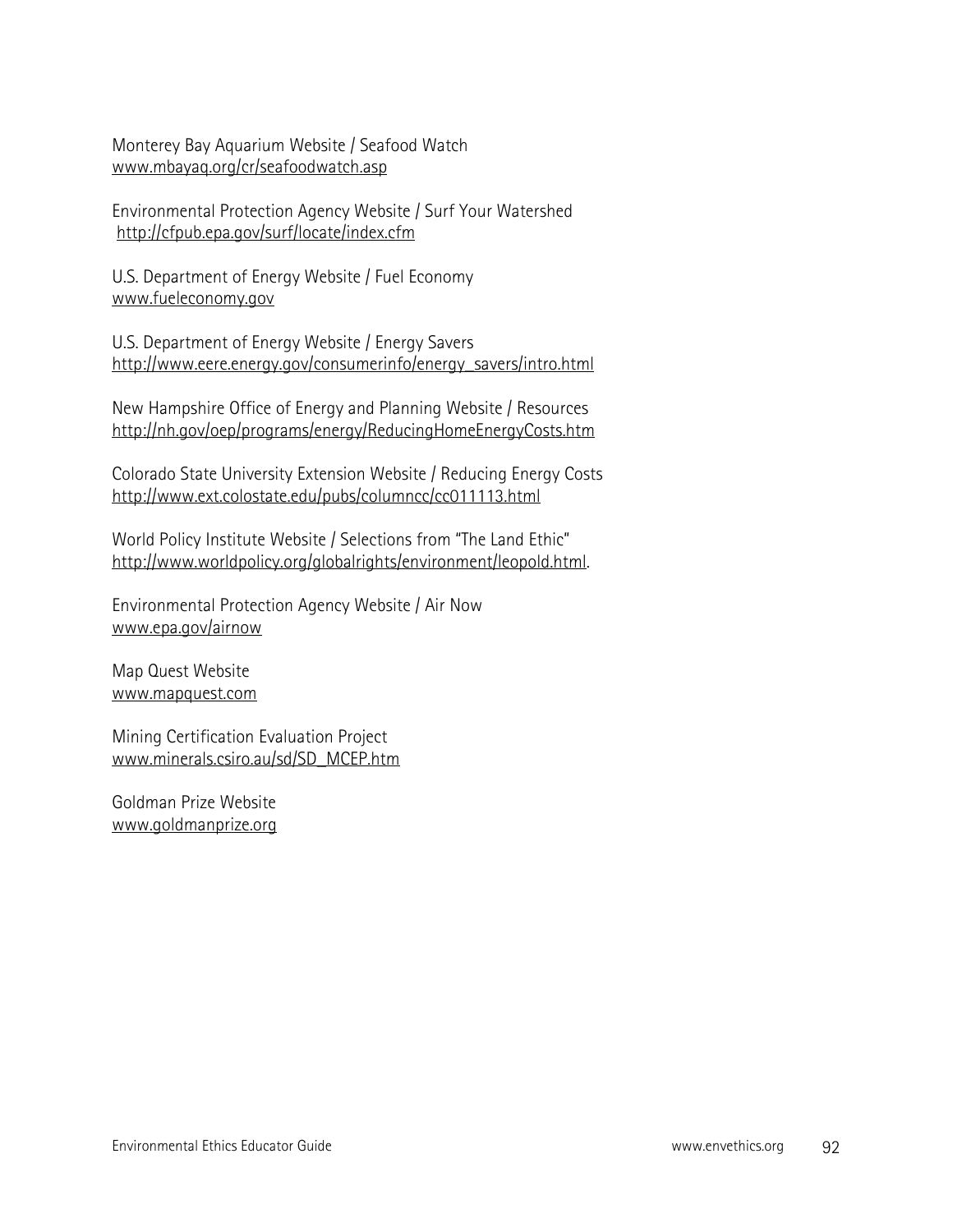Monterey Bay Aquarium Website / Seafood Watch www.mbayaq.org/cr/seafoodwatch.asp

Environmental Protection Agency Website / Surf Your Watershed http://cfpub.epa.gov/surf/locate/index.cfm

U.S. Department of Energy Website / Fuel Economy www.fueleconomy.gov

U.S. Department of Energy Website / Energy Savers http://www.eere.energy.gov/consumerinfo/energy\_savers/intro.html

New Hampshire Office of Energy and Planning Website / Resources http://nh.gov/oep/programs/energy/ReducingHomeEnergyCosts.htm

Colorado State University Extension Website / Reducing Energy Costs http://www.ext.colostate.edu/pubs/columncc/cc011113.html

World Policy Institute Website / Selections from "The Land Ethic" http://www.worldpolicy.org/globalrights/environment/leopold.html.

Environmental Protection Agency Website / Air Now www.epa.gov/airnow

Map Quest Website www.mapquest.com

Mining Certification Evaluation Project www.minerals.csiro.au/sd/SD\_MCEP.htm

Goldman Prize Website www.goldmanprize.org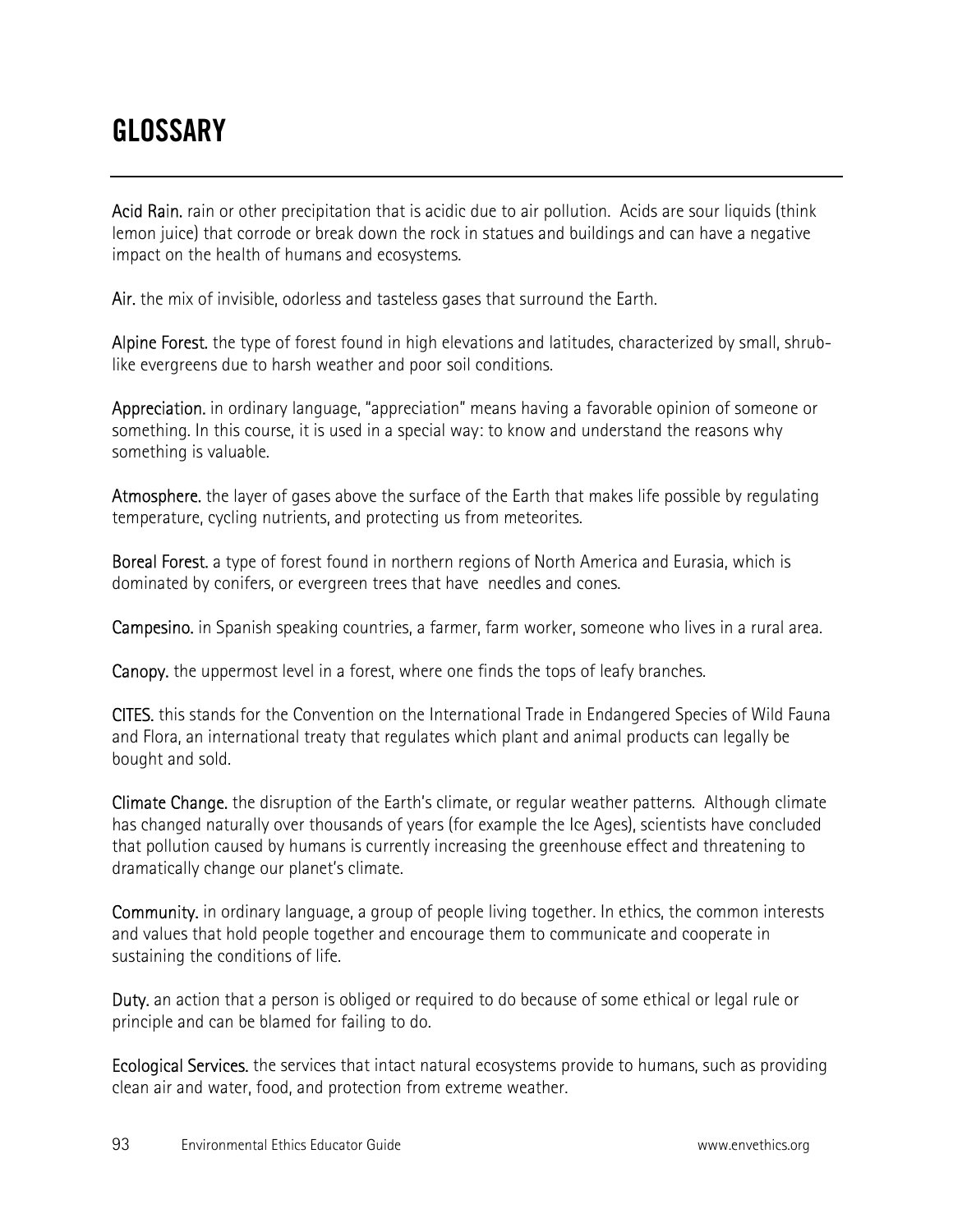# **GLOSSARY**

Acid Rain, rain or other precipitation that is acidic due to air pollution. Acids are sour liquids (think lemon juice) that corrode or break down the rock in statues and buildings and can have a negative impact on the health of humans and ecosystems.

Air. the mix of invisible, odorless and tasteless gases that surround the Earth.

Alpine Forest. the type of forest found in high elevations and latitudes, characterized by small, shrublike evergreens due to harsh weather and poor soil conditions.

Appreciation. in ordinary language, "appreciation" means having a favorable opinion of someone or something. In this course, it is used in a special way: to know and understand the reasons why something is valuable.

Atmosphere. the layer of gases above the surface of the Earth that makes life possible by regulating temperature, cycling nutrients, and protecting us from meteorites.

Boreal Forest. a type of forest found in northern regions of North America and Eurasia, which is dominated by conifers, or evergreen trees that have needles and cones.

Campesino. in Spanish speaking countries, a farmer, farm worker, someone who lives in a rural area.

Canopy. the uppermost level in a forest, where one finds the tops of leafy branches.

CITES. this stands for the Convention on the International Trade in Endangered Species of Wild Fauna and Flora, an international treaty that regulates which plant and animal products can legally be bought and sold.

Climate Change. the disruption of the Earth's climate, or regular weather patterns. Although climate has changed naturally over thousands of years (for example the Ice Ages), scientists have concluded that pollution caused by humans is currently increasing the greenhouse effect and threatening to dramatically change our planet's climate.

Community. in ordinary language, a group of people living together. In ethics, the common interests and values that hold people together and encourage them to communicate and cooperate in sustaining the conditions of life.

Duty. an action that a person is obliged or required to do because of some ethical or legal rule or principle and can be blamed for failing to do.

Ecological Services. the services that intact natural ecosystems provide to humans, such as providing clean air and water, food, and protection from extreme weather.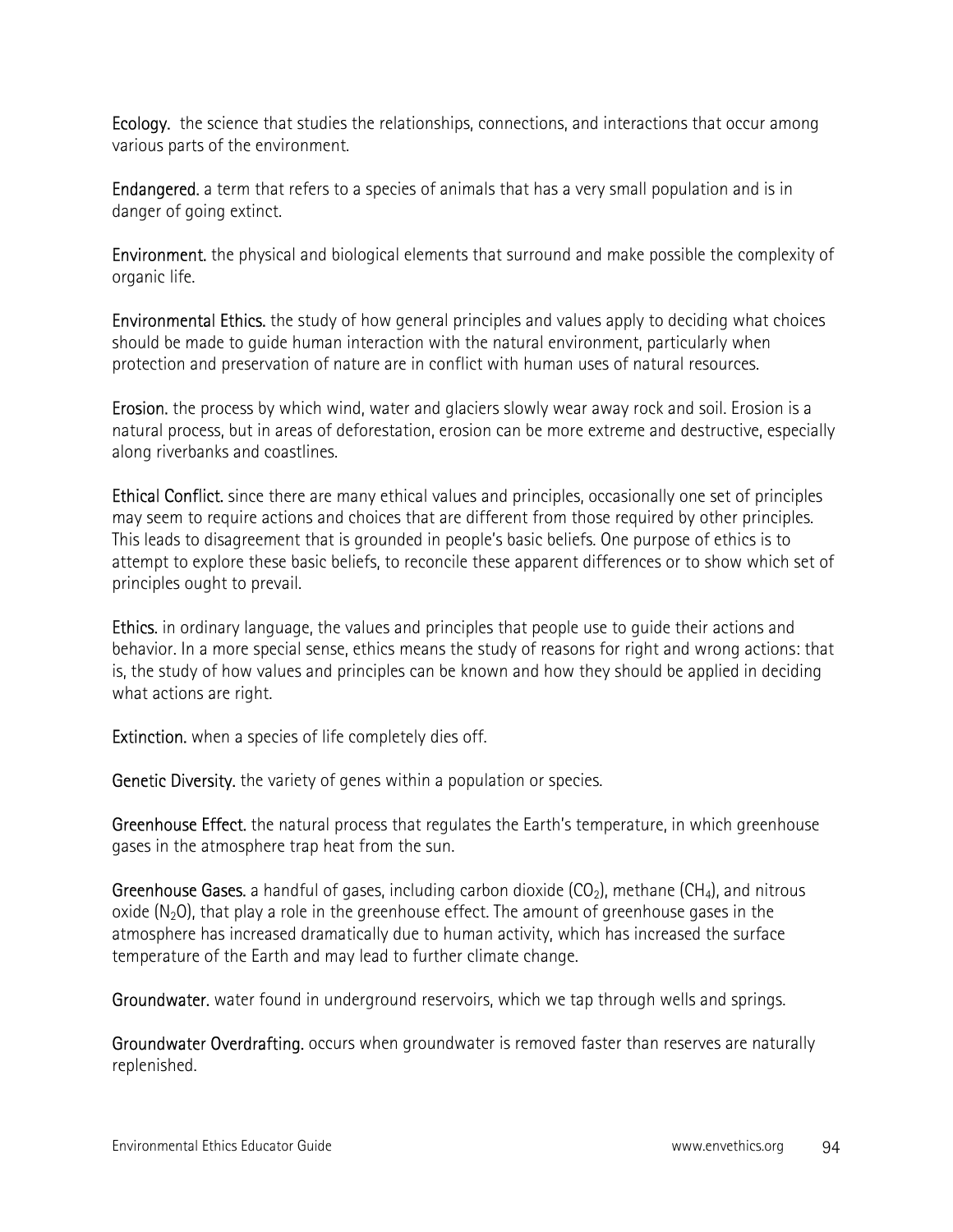Ecology. the science that studies the relationships, connections, and interactions that occur among various parts of the environment.

Endangered. a term that refers to a species of animals that has a very small population and is in danger of going extinct.

Environment. the physical and biological elements that surround and make possible the complexity of organic life.

Environmental Ethics. the study of how general principles and values apply to deciding what choices should be made to guide human interaction with the natural environment, particularly when protection and preservation of nature are in conflict with human uses of natural resources.

Erosion. the process by which wind, water and glaciers slowly wear away rock and soil. Erosion is a natural process, but in areas of deforestation, erosion can be more extreme and destructive, especially along riverbanks and coastlines.

Ethical Conflict. since there are many ethical values and principles, occasionally one set of principles may seem to require actions and choices that are different from those required by other principles. This leads to disagreement that is grounded in people's basic beliefs. One purpose of ethics is to attempt to explore these basic beliefs, to reconcile these apparent differences or to show which set of principles ought to prevail.

Ethics. in ordinary language, the values and principles that people use to guide their actions and behavior. In a more special sense, ethics means the study of reasons for right and wrong actions: that is, the study of how values and principles can be known and how they should be applied in deciding what actions are right.

**Extinction.** when a species of life completely dies off.

Genetic Diversity, the variety of genes within a population or species.

Greenhouse Effect. the natural process that regulates the Earth's temperature, in which greenhouse gases in the atmosphere trap heat from the sun.

Greenhouse Gases. a handful of gases, including carbon dioxide  $(CO_2)$ , methane  $(CH_4)$ , and nitrous oxide  $(N<sub>2</sub>O)$ , that play a role in the greenhouse effect. The amount of greenhouse gases in the atmosphere has increased dramatically due to human activity, which has increased the surface temperature of the Earth and may lead to further climate change.

Groundwater. water found in underground reservoirs, which we tap through wells and springs.

Groundwater Overdrafting. occurs when groundwater is removed faster than reserves are naturally replenished.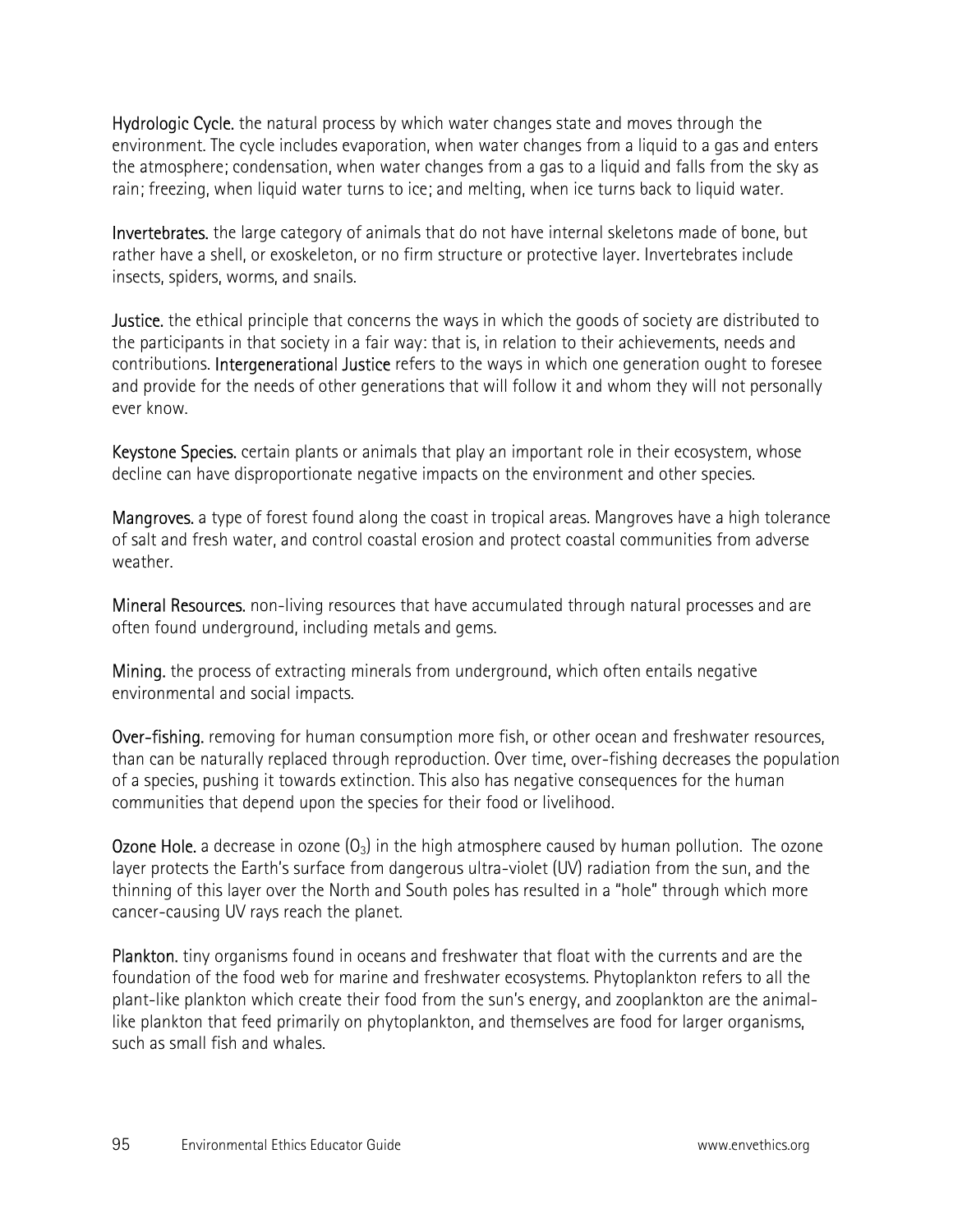Hydrologic Cycle. the natural process by which water changes state and moves through the environment. The cycle includes evaporation, when water changes from a liquid to a gas and enters the atmosphere; condensation, when water changes from a gas to a liquid and falls from the sky as rain; freezing, when liquid water turns to ice; and melting, when ice turns back to liquid water.

Invertebrates. the large category of animals that do not have internal skeletons made of bone, but rather have a shell, or exoskeleton, or no firm structure or protective layer. Invertebrates include insects, spiders, worms, and snails.

**Justice.** the ethical principle that concerns the ways in which the goods of society are distributed to the participants in that society in a fair way: that is, in relation to their achievements, needs and contributions. Intergenerational Justice refers to the ways in which one generation ought to foresee and provide for the needs of other generations that will follow it and whom they will not personally ever know.

Keystone Species. certain plants or animals that play an important role in their ecosystem, whose decline can have disproportionate negative impacts on the environment and other species.

Mangroves. a type of forest found along the coast in tropical areas. Mangroves have a high tolerance of salt and fresh water, and control coastal erosion and protect coastal communities from adverse weather.

Mineral Resources. non-living resources that have accumulated through natural processes and are often found underground, including metals and gems.

Mining. the process of extracting minerals from underground, which often entails negative environmental and social impacts.

Over-fishing. removing for human consumption more fish, or other ocean and freshwater resources, than can be naturally replaced through reproduction. Over time, over-fishing decreases the population of a species, pushing it towards extinction. This also has negative consequences for the human communities that depend upon the species for their food or livelihood.

Ozone Hole. a decrease in ozone  $(0<sub>3</sub>)$  in the high atmosphere caused by human pollution. The ozone layer protects the Earth's surface from dangerous ultra-violet (UV) radiation from the sun, and the thinning of this layer over the North and South poles has resulted in a "hole" through which more cancer-causing UV rays reach the planet.

Plankton. tiny organisms found in oceans and freshwater that float with the currents and are the foundation of the food web for marine and freshwater ecosystems. Phytoplankton refers to all the plant-like plankton which create their food from the sun's energy, and zooplankton are the animallike plankton that feed primarily on phytoplankton, and themselves are food for larger organisms, such as small fish and whales.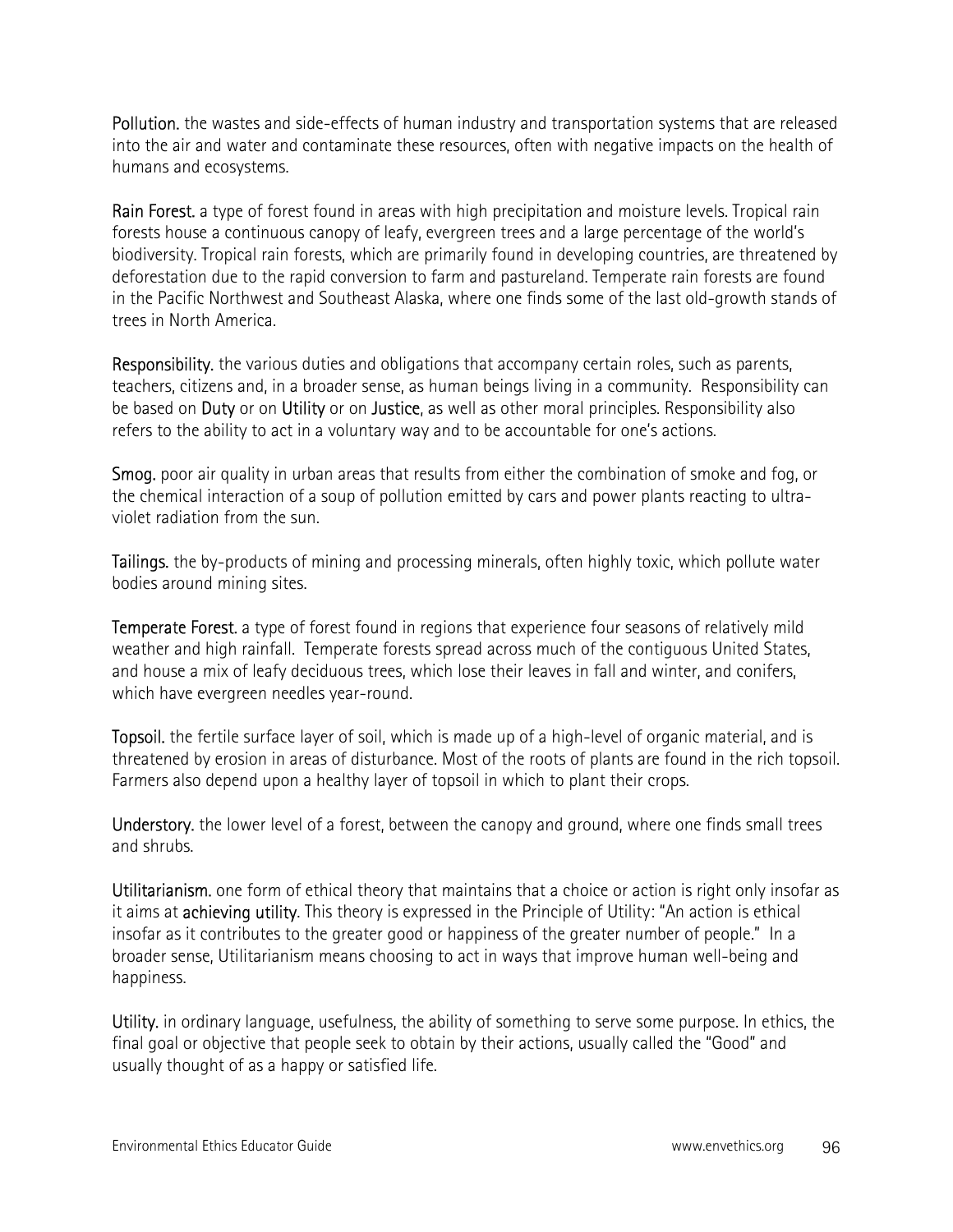Pollution. the wastes and side-effects of human industry and transportation systems that are released into the air and water and contaminate these resources, often with negative impacts on the health of humans and ecosystems.

Rain Forest. a type of forest found in areas with high precipitation and moisture levels. Tropical rain forests house a continuous canopy of leafy, evergreen trees and a large percentage of the world's biodiversity. Tropical rain forests, which are primarily found in developing countries, are threatened by deforestation due to the rapid conversion to farm and pastureland. Temperate rain forests are found in the Pacific Northwest and Southeast Alaska, where one finds some of the last old-growth stands of trees in North America.

Responsibility. the various duties and obligations that accompany certain roles, such as parents, teachers, citizens and, in a broader sense, as human beings living in a community. Responsibility can be based on Duty or on Utility or on Justice, as well as other moral principles. Responsibility also refers to the ability to act in a voluntary way and to be accountable for one's actions.

Smog. poor air quality in urban areas that results from either the combination of smoke and fog, or the chemical interaction of a soup of pollution emitted by cars and power plants reacting to ultraviolet radiation from the sun.

Tailings. the by-products of mining and processing minerals, often highly toxic, which pollute water bodies around mining sites.

Temperate Forest. a type of forest found in regions that experience four seasons of relatively mild weather and high rainfall. Temperate forests spread across much of the contiguous United States, and house a mix of leafy deciduous trees, which lose their leaves in fall and winter, and conifers, which have evergreen needles year-round.

Topsoil. the fertile surface layer of soil, which is made up of a high-level of organic material, and is threatened by erosion in areas of disturbance. Most of the roots of plants are found in the rich topsoil. Farmers also depend upon a healthy layer of topsoil in which to plant their crops.

Understory, the lower level of a forest, between the canopy and ground, where one finds small trees and shrubs.

Utilitarianism. one form of ethical theory that maintains that a choice or action is right only insofar as it aims at **achieving utility**. This theory is expressed in the Principle of Utility: "An action is ethical insofar as it contributes to the greater good or happiness of the greater number of people." In a broader sense, Utilitarianism means choosing to act in ways that improve human well-being and happiness.

Utility. in ordinary language, usefulness, the ability of something to serve some purpose. In ethics, the final goal or objective that people seek to obtain by their actions, usually called the "Good" and usually thought of as a happy or satisfied life.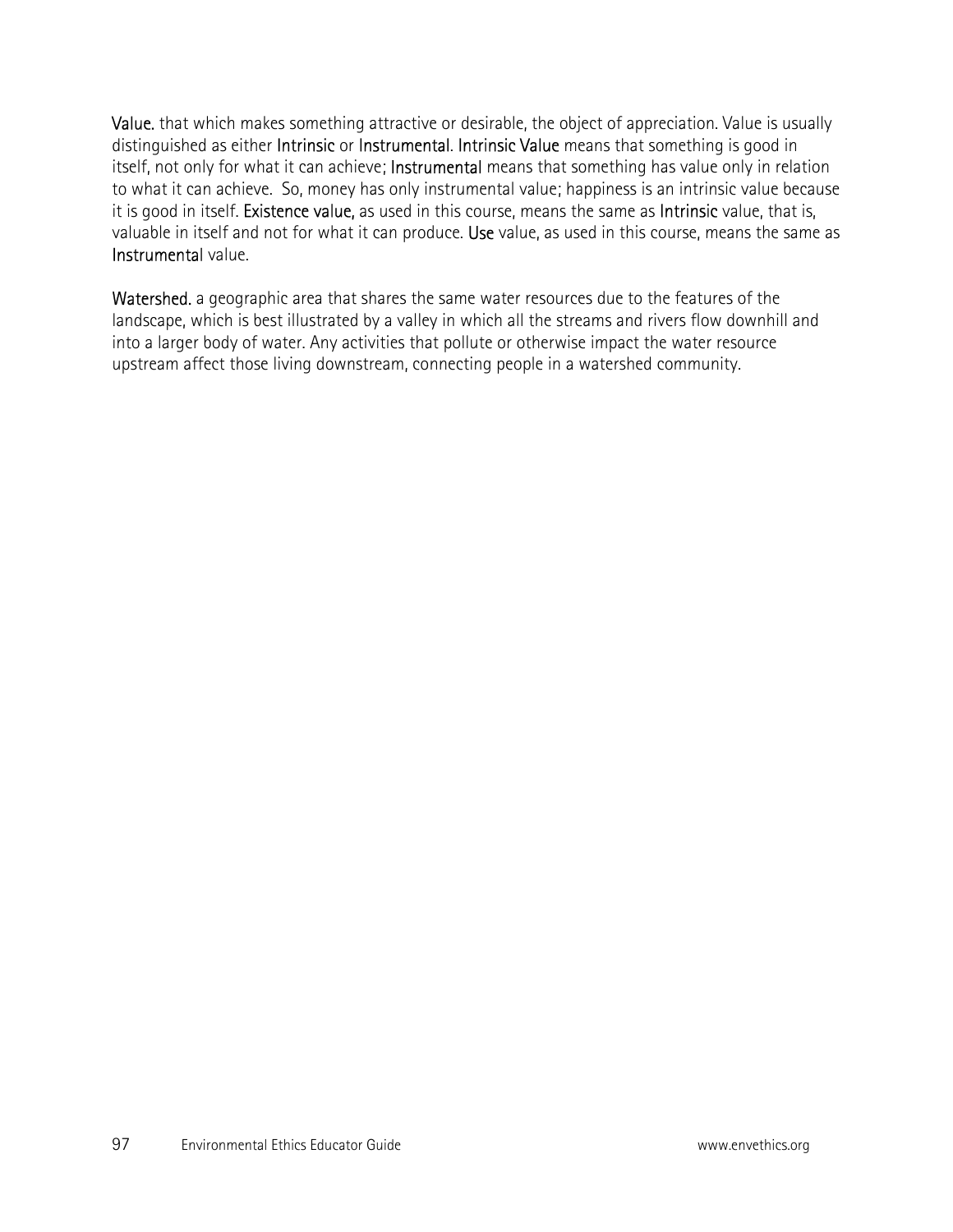Value. that which makes something attractive or desirable, the object of appreciation. Value is usually distinguished as either Intrinsic or Instrumental. Intrinsic Value means that something is good in itself, not only for what it can achieve; Instrumental means that something has value only in relation to what it can achieve. So, money has only instrumental value; happiness is an intrinsic value because it is good in itself. Existence value, as used in this course, means the same as Intrinsic value, that is, valuable in itself and not for what it can produce. Use value, as used in this course, means the same as Instrumental value.

Watershed. a geographic area that shares the same water resources due to the features of the landscape, which is best illustrated by a valley in which all the streams and rivers flow downhill and into a larger body of water. Any activities that pollute or otherwise impact the water resource upstream affect those living downstream, connecting people in a watershed community.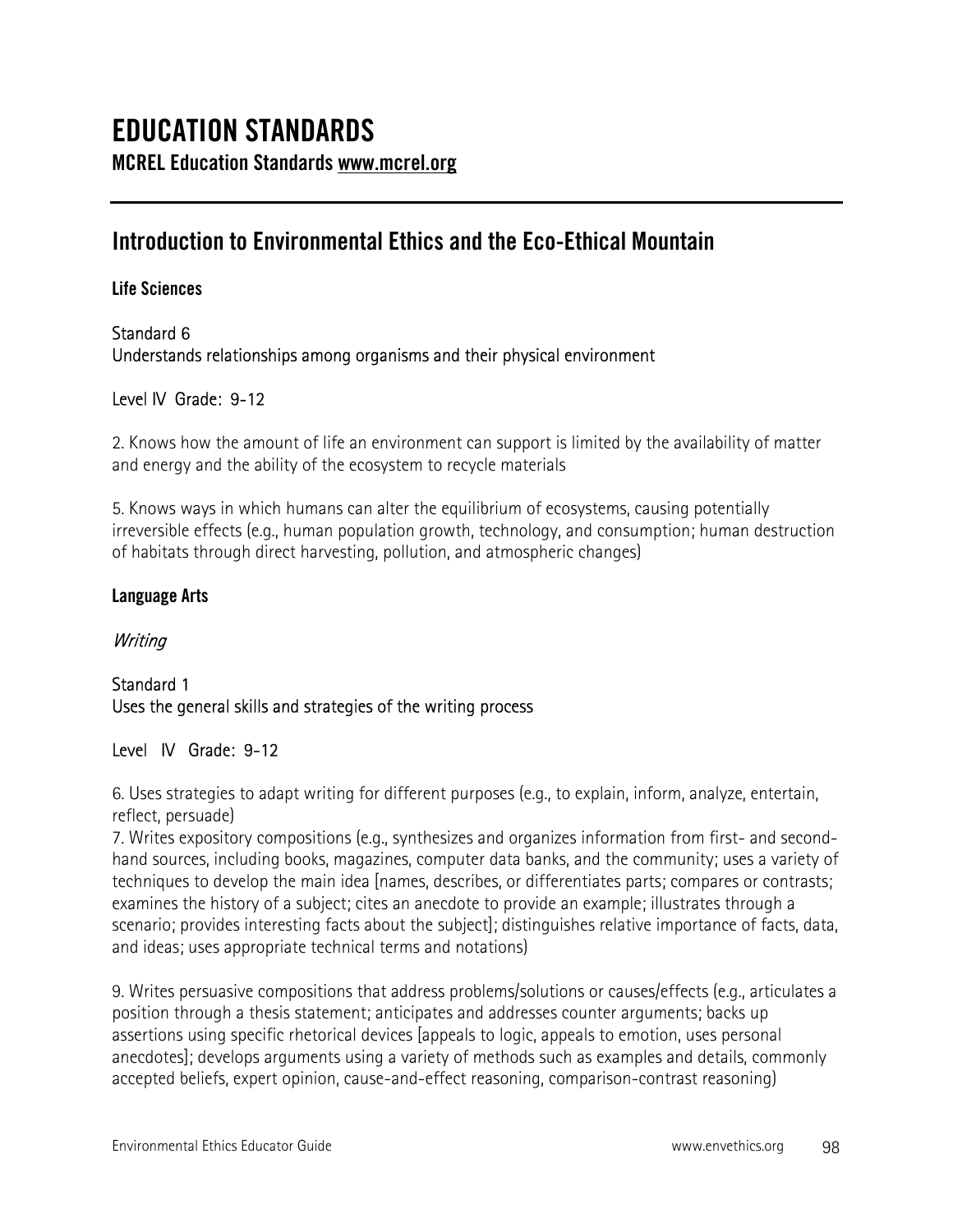# **EDUCATION STANDARDS**

**MCREL Education Standards www.mcrel.org**

# **Introduction to Environmental Ethics and the Eco-Ethical Mountain**

**Life Sciences** 

#### Standard 6 Understands relationships among organisms and their physical environment

#### Level IV Grade: 9-12

2. Knows how the amount of life an environment can support is limited by the availability of matter and energy and the ability of the ecosystem to recycle materials

5. Knows ways in which humans can alter the equilibrium of ecosystems, causing potentially irreversible effects (e.g., human population growth, technology, and consumption; human destruction of habitats through direct harvesting, pollution, and atmospheric changes)

#### **Language Arts**

#### **Writing**

#### Standard 1 Uses the general skills and strategies of the writing process

#### Level IV Grade: 9-12

6. Uses strategies to adapt writing for different purposes (e.g., to explain, inform, analyze, entertain, reflect, persuade)

7. Writes expository compositions (e.g., synthesizes and organizes information from first- and secondhand sources, including books, magazines, computer data banks, and the community; uses a variety of techniques to develop the main idea [names, describes, or differentiates parts; compares or contrasts; examines the history of a subject; cites an anecdote to provide an example; illustrates through a scenario; provides interesting facts about the subject]; distinguishes relative importance of facts, data, and ideas; uses appropriate technical terms and notations)

9. Writes persuasive compositions that address problems/solutions or causes/effects (e.g., articulates a position through a thesis statement; anticipates and addresses counter arguments; backs up assertions using specific rhetorical devices [appeals to logic, appeals to emotion, uses personal anecdotes]; develops arguments using a variety of methods such as examples and details, commonly accepted beliefs, expert opinion, cause-and-effect reasoning, comparison-contrast reasoning)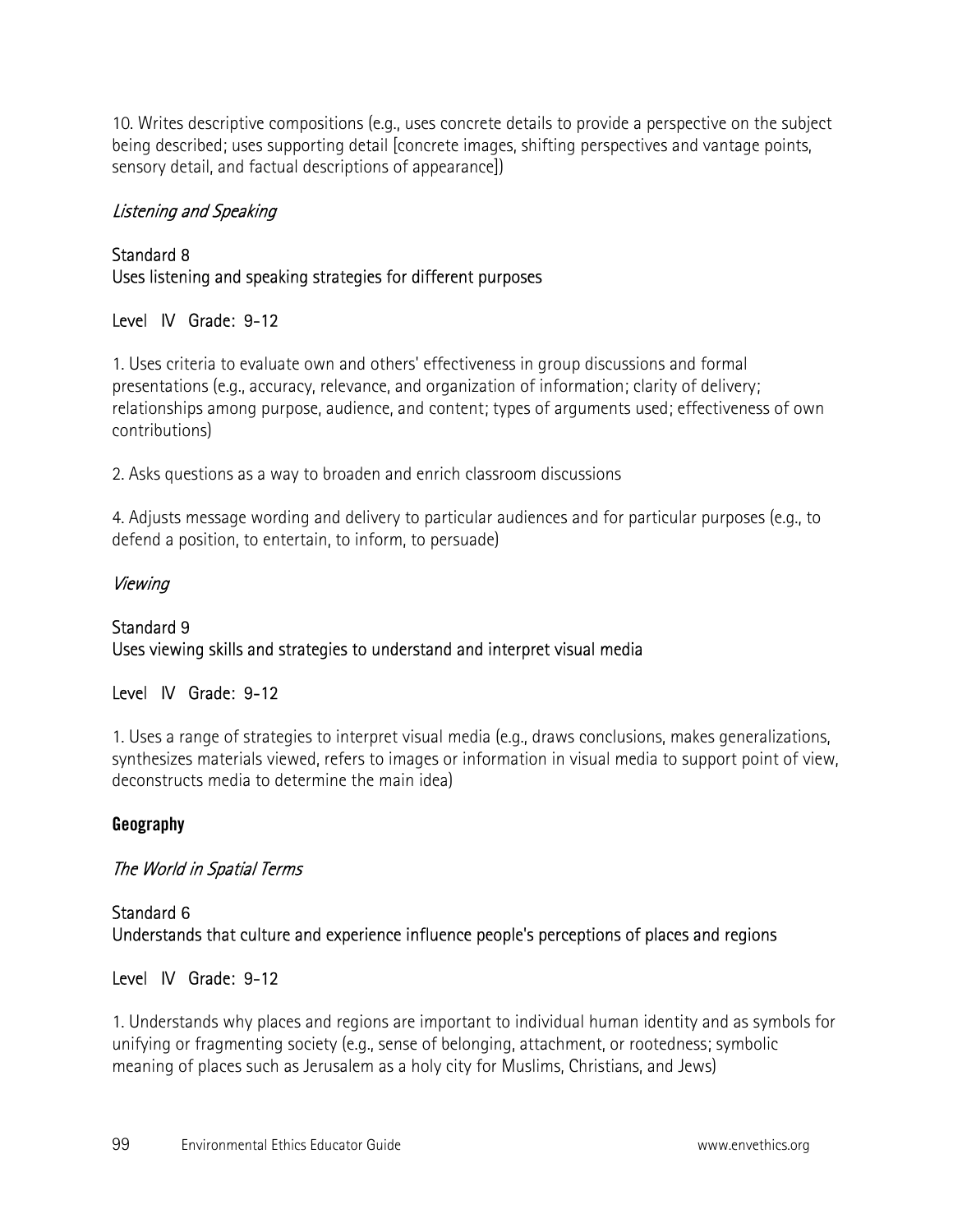10. Writes descriptive compositions (e.g., uses concrete details to provide a perspective on the subject being described; uses supporting detail [concrete images, shifting perspectives and vantage points, sensory detail, and factual descriptions of appearance])

#### Listening and Speaking

#### Standard 8 Uses listening and speaking strategies for different purposes

#### Level IV Grade: 9-12

1. Uses criteria to evaluate own and others' effectiveness in group discussions and formal presentations (e.g., accuracy, relevance, and organization of information; clarity of delivery; relationships among purpose, audience, and content; types of arguments used; effectiveness of own contributions)

2. Asks questions as a way to broaden and enrich classroom discussions

4. Adjusts message wording and delivery to particular audiences and for particular purposes (e.g., to defend a position, to entertain, to inform, to persuade)

#### Viewing

#### Standard 9 Uses viewing skills and strategies to understand and interpret visual media

#### Level IV Grade: 9-12

1. Uses a range of strategies to interpret visual media (e.g., draws conclusions, makes generalizations, synthesizes materials viewed, refers to images or information in visual media to support point of view, deconstructs media to determine the main idea)

#### **Geography**

#### The World in Spatial Terms

#### Standard 6 Understands that culture and experience influence people's perceptions of places and regions

#### Level IV Grade: 9-12

1. Understands why places and regions are important to individual human identity and as symbols for unifying or fragmenting society (e.g., sense of belonging, attachment, or rootedness; symbolic meaning of places such as Jerusalem as a holy city for Muslims, Christians, and Jews)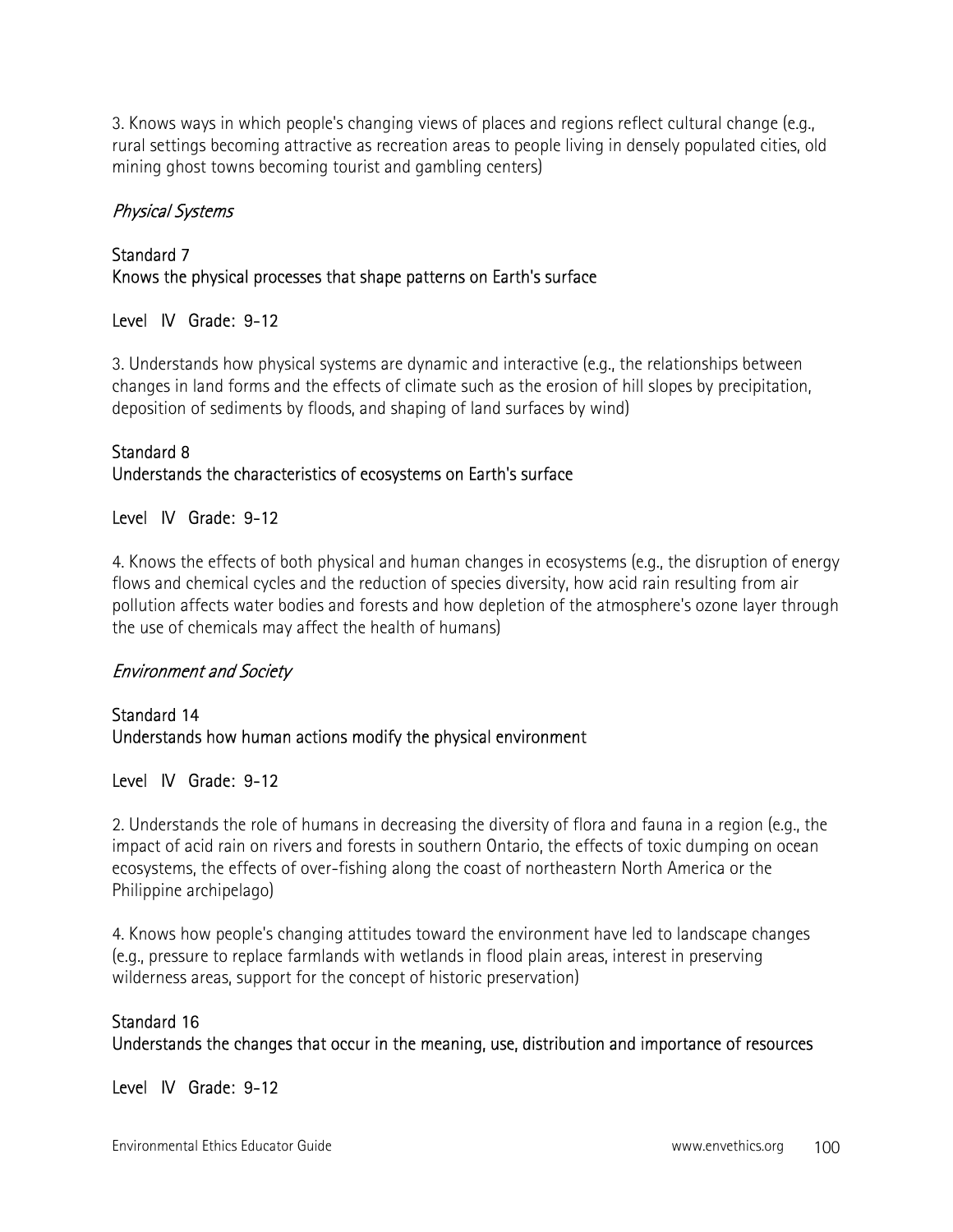3. Knows ways in which people's changing views of places and regions reflect cultural change (e.g., rural settings becoming attractive as recreation areas to people living in densely populated cities, old mining ghost towns becoming tourist and gambling centers)

#### Physical Systems

#### Standard 7 Knows the physical processes that shape patterns on Earth's surface

#### Level IV Grade: 9-12

3. Understands how physical systems are dynamic and interactive (e.g., the relationships between changes in land forms and the effects of climate such as the erosion of hill slopes by precipitation, deposition of sediments by floods, and shaping of land surfaces by wind)

#### Standard 8 Understands the characteristics of ecosystems on Earth's surface

#### Level IV Grade: 9-12

4. Knows the effects of both physical and human changes in ecosystems (e.g., the disruption of energy flows and chemical cycles and the reduction of species diversity, how acid rain resulting from air pollution affects water bodies and forests and how depletion of the atmosphere's ozone layer through the use of chemicals may affect the health of humans)

#### Environment and Society

#### Standard 14 Understands how human actions modify the physical environment

#### Level IV Grade: 9-12

2. Understands the role of humans in decreasing the diversity of flora and fauna in a region (e.g., the impact of acid rain on rivers and forests in southern Ontario, the effects of toxic dumping on ocean ecosystems, the effects of over-fishing along the coast of northeastern North America or the Philippine archipelago)

4. Knows how people's changing attitudes toward the environment have led to landscape changes (e.g., pressure to replace farmlands with wetlands in flood plain areas, interest in preserving wilderness areas, support for the concept of historic preservation)

#### Standard 16 Understands the changes that occur in the meaning, use, distribution and importance of resources

#### Level IV Grade: 9-12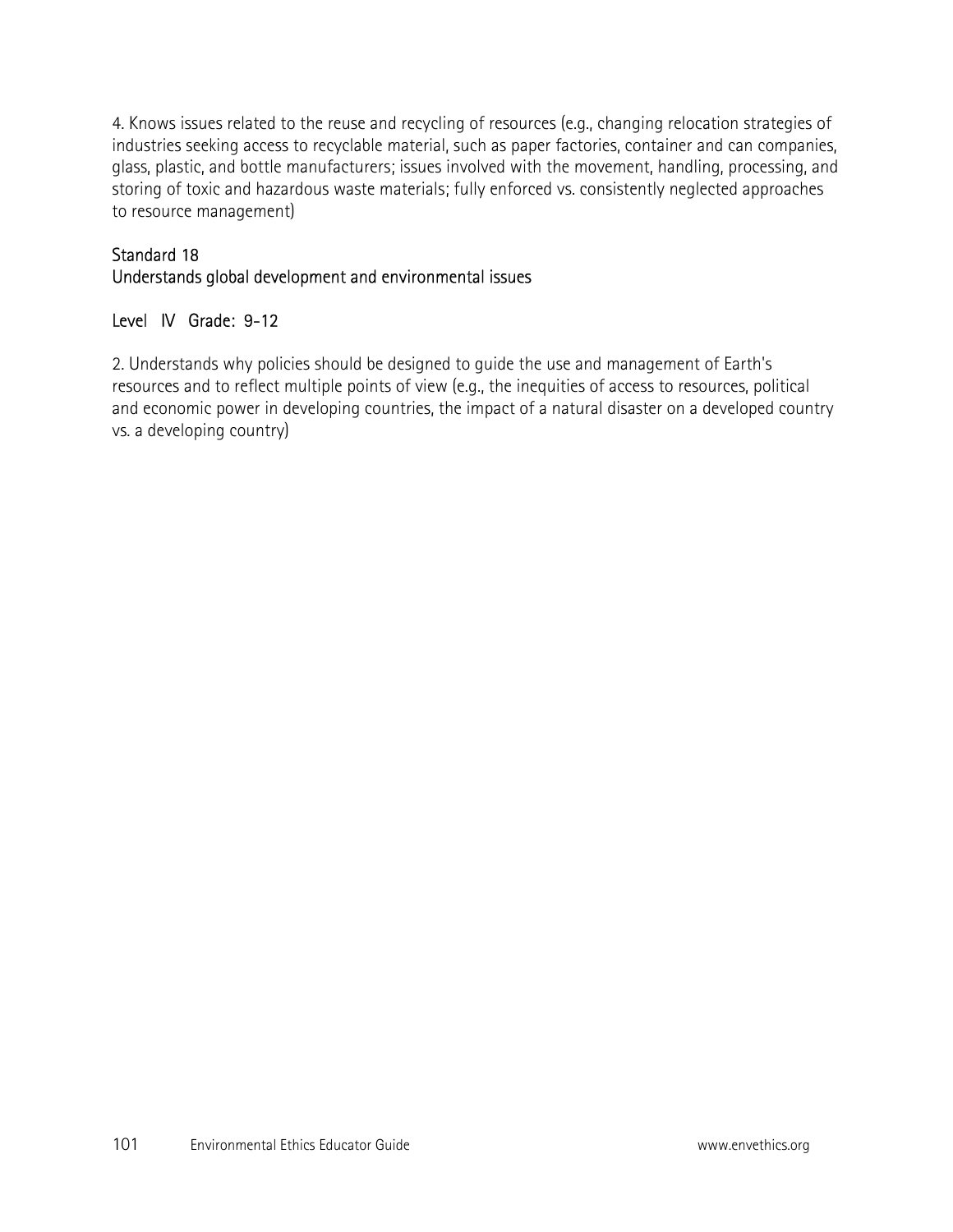4. Knows issues related to the reuse and recycling of resources (e.g., changing relocation strategies of industries seeking access to recyclable material, such as paper factories, container and can companies, glass, plastic, and bottle manufacturers; issues involved with the movement, handling, processing, and storing of toxic and hazardous waste materials; fully enforced vs. consistently neglected approaches to resource management)

#### Standard 18 Understands global development and environmental issues

#### Level IV Grade: 9-12

2. Understands why policies should be designed to guide the use and management of Earth's resources and to reflect multiple points of view (e.g., the inequities of access to resources, political and economic power in developing countries, the impact of a natural disaster on a developed country vs. a developing country)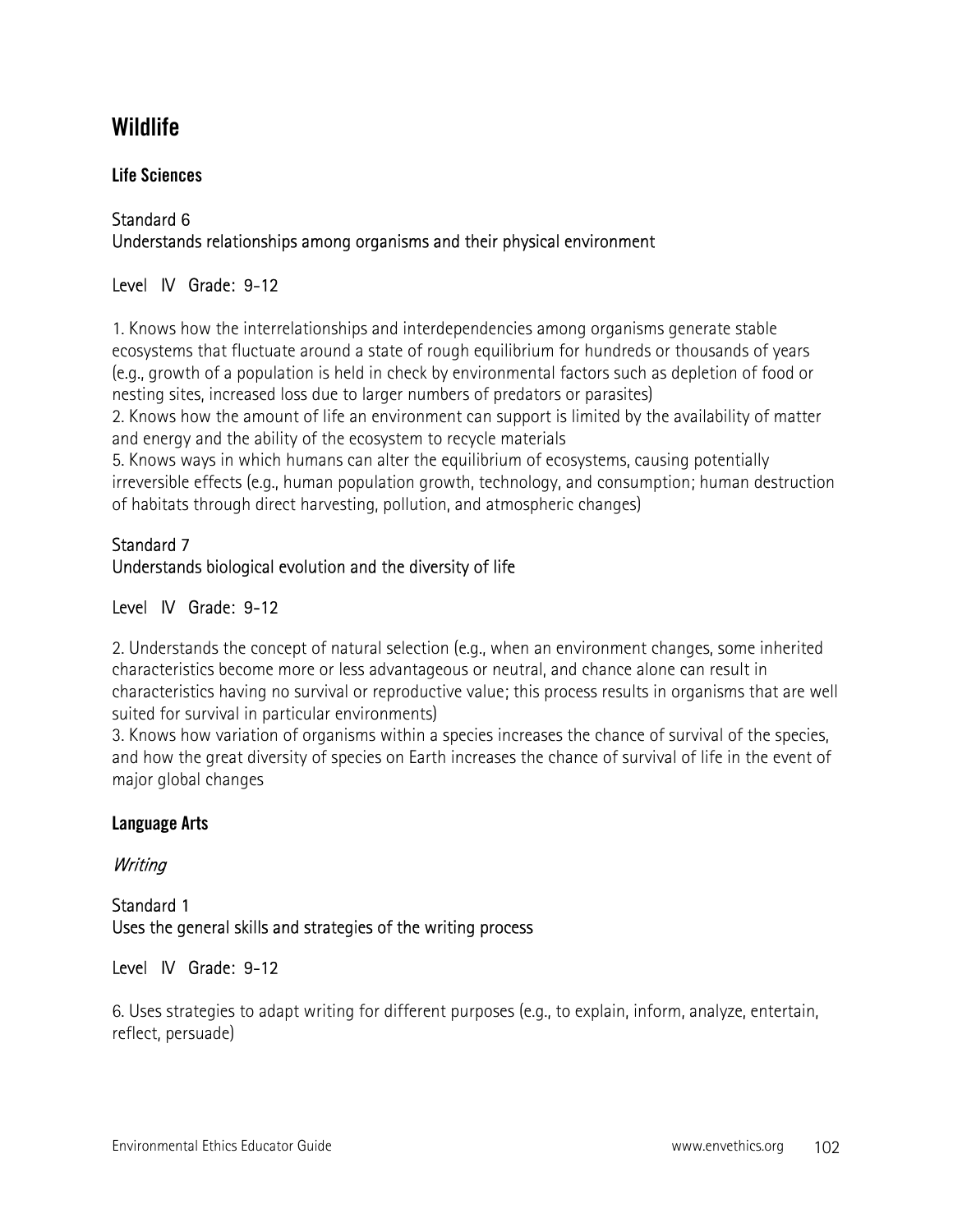# **Wildlife**

**Life Sciences** 

#### Standard 6

Understands relationships among organisms and their physical environment

#### Level IV Grade: 9-12

1. Knows how the interrelationships and interdependencies among organisms generate stable ecosystems that fluctuate around a state of rough equilibrium for hundreds or thousands of years (e.g., growth of a population is held in check by environmental factors such as depletion of food or nesting sites, increased loss due to larger numbers of predators or parasites)

2. Knows how the amount of life an environment can support is limited by the availability of matter and energy and the ability of the ecosystem to recycle materials

5. Knows ways in which humans can alter the equilibrium of ecosystems, causing potentially irreversible effects (e.g., human population growth, technology, and consumption; human destruction of habitats through direct harvesting, pollution, and atmospheric changes)

#### Standard 7 Understands biological evolution and the diversity of life

#### Level IV Grade: 9-12

2. Understands the concept of natural selection (e.g., when an environment changes, some inherited characteristics become more or less advantageous or neutral, and chance alone can result in characteristics having no survival or reproductive value; this process results in organisms that are well suited for survival in particular environments)

3. Knows how variation of organisms within a species increases the chance of survival of the species, and how the great diversity of species on Earth increases the chance of survival of life in the event of major global changes

#### **Language Arts**

#### **Writing**

Standard 1 Uses the general skills and strategies of the writing process

#### Level IV Grade: 9-12

6. Uses strategies to adapt writing for different purposes (e.g., to explain, inform, analyze, entertain, reflect, persuade)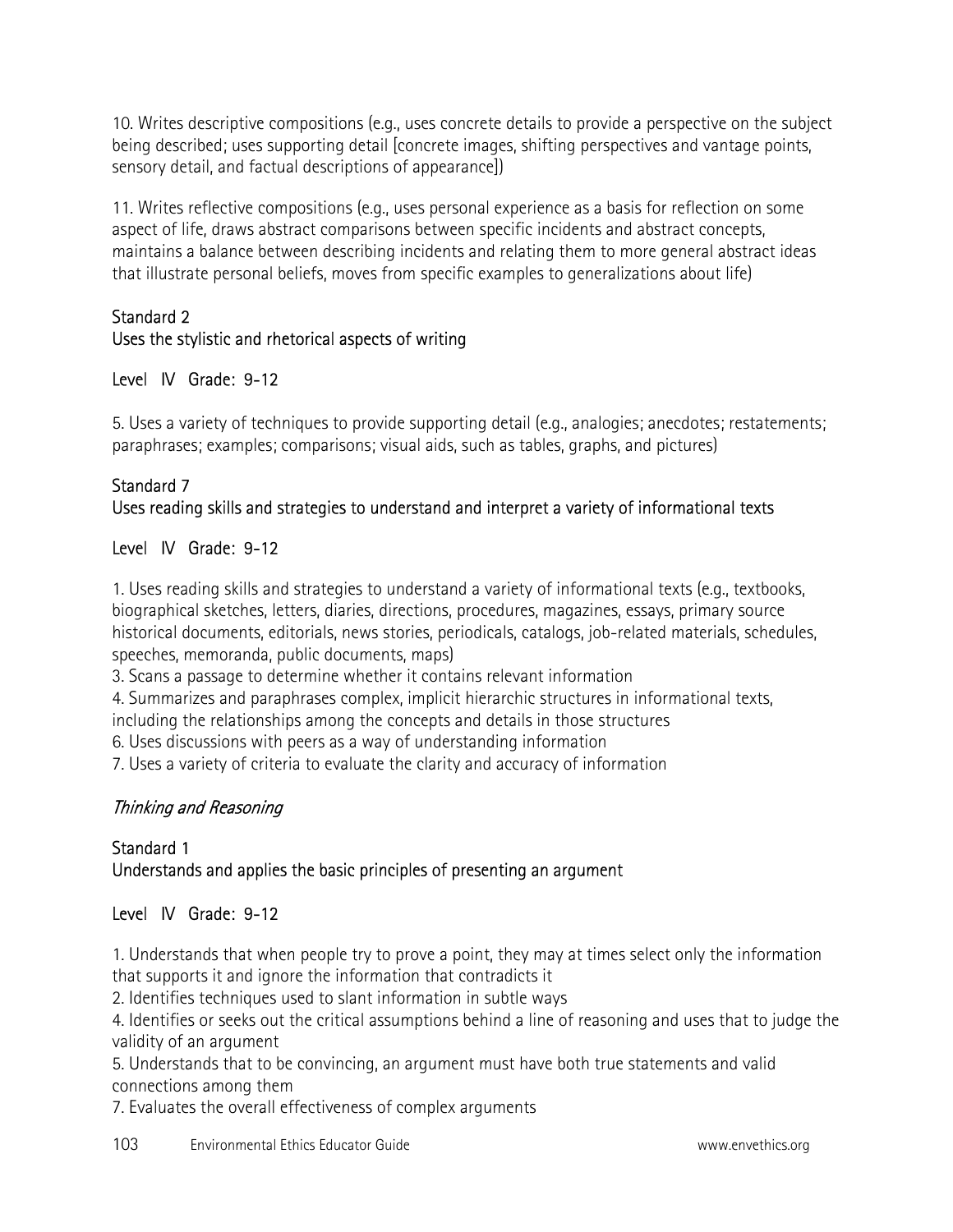10. Writes descriptive compositions (e.g., uses concrete details to provide a perspective on the subject being described; uses supporting detail [concrete images, shifting perspectives and vantage points, sensory detail, and factual descriptions of appearance])

11. Writes reflective compositions (e.g., uses personal experience as a basis for reflection on some aspect of life, draws abstract comparisons between specific incidents and abstract concepts, maintains a balance between describing incidents and relating them to more general abstract ideas that illustrate personal beliefs, moves from specific examples to generalizations about life)

#### Standard 2

## Uses the stylistic and rhetorical aspects of writing

## Level IV Grade: 9-12

5. Uses a variety of techniques to provide supporting detail (e.g., analogies; anecdotes; restatements; paraphrases; examples; comparisons; visual aids, such as tables, graphs, and pictures)

#### Standard 7

## Uses reading skills and strategies to understand and interpret a variety of informational texts

#### Level IV Grade: 9-12

1. Uses reading skills and strategies to understand a variety of informational texts (e.g., textbooks, biographical sketches, letters, diaries, directions, procedures, magazines, essays, primary source historical documents, editorials, news stories, periodicals, catalogs, job-related materials, schedules, speeches, memoranda, public documents, maps)

3. Scans a passage to determine whether it contains relevant information

4. Summarizes and paraphrases complex, implicit hierarchic structures in informational texts,

including the relationships among the concepts and details in those structures

6. Uses discussions with peers as a way of understanding information

7. Uses a variety of criteria to evaluate the clarity and accuracy of information

## Thinking and Reasoning

#### Standard 1

## Understands and applies the basic principles of presenting an argument

#### Level IV Grade: 9-12

1. Understands that when people try to prove a point, they may at times select only the information that supports it and ignore the information that contradicts it

2. Identifies techniques used to slant information in subtle ways

4. Identifies or seeks out the critical assumptions behind a line of reasoning and uses that to judge the validity of an argument

5. Understands that to be convincing, an argument must have both true statements and valid connections among them

7. Evaluates the overall effectiveness of complex arguments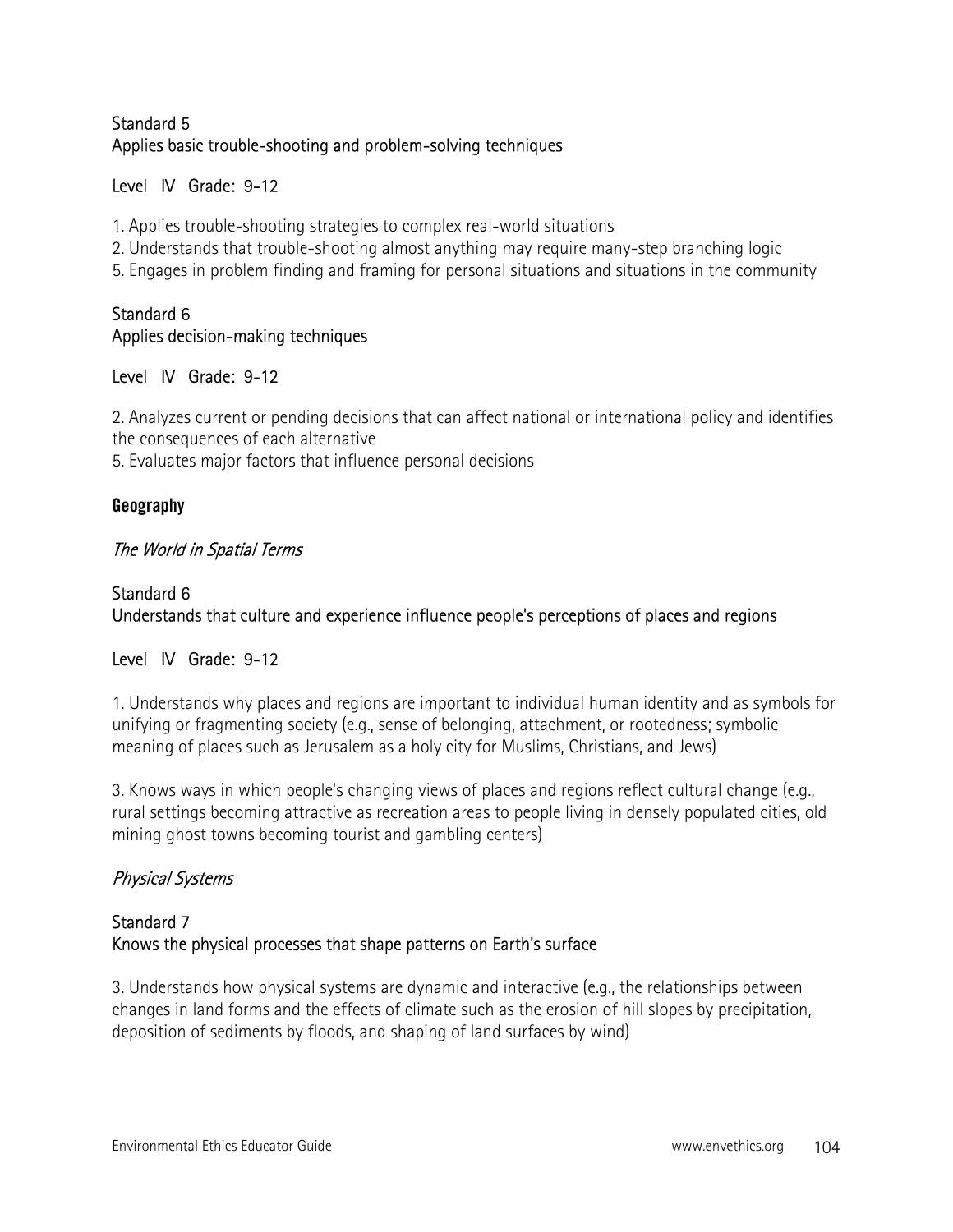#### Standard 5 Applies basic trouble-shooting and problem-solving techniques

#### Level IV Grade: 9-12

1. Applies trouble-shooting strategies to complex real-world situations

2. Understands that trouble-shooting almost anything may require many-step branching logic

5. Engages in problem finding and framing for personal situations and situations in the community

#### Standard 6 Applies decision-making techniques

#### Level IV Grade: 9-12

2. Analyzes current or pending decisions that can affect national or international policy and identifies the consequences of each alternative 5. Evaluates major factors that influence personal decisions

#### **Geography**

#### The World in Spatial Terms

#### Standard 6 Understands that culture and experience influence people's perceptions of places and regions

#### Level IV Grade: 9-12

1. Understands why places and regions are important to individual human identity and as symbols for unifying or fragmenting society (e.g., sense of belonging, attachment, or rootedness; symbolic meaning of places such as Jerusalem as a holy city for Muslims, Christians, and Jews)

3. Knows ways in which people's changing views of places and regions reflect cultural change (e.g., rural settings becoming attractive as recreation areas to people living in densely populated cities, old mining ghost towns becoming tourist and gambling centers)

#### Physical Systems

#### Standard 7 Knows the physical processes that shape patterns on Earth's surface

3. Understands how physical systems are dynamic and interactive (e.g., the relationships between changes in land forms and the effects of climate such as the erosion of hill slopes by precipitation, deposition of sediments by floods, and shaping of land surfaces by wind)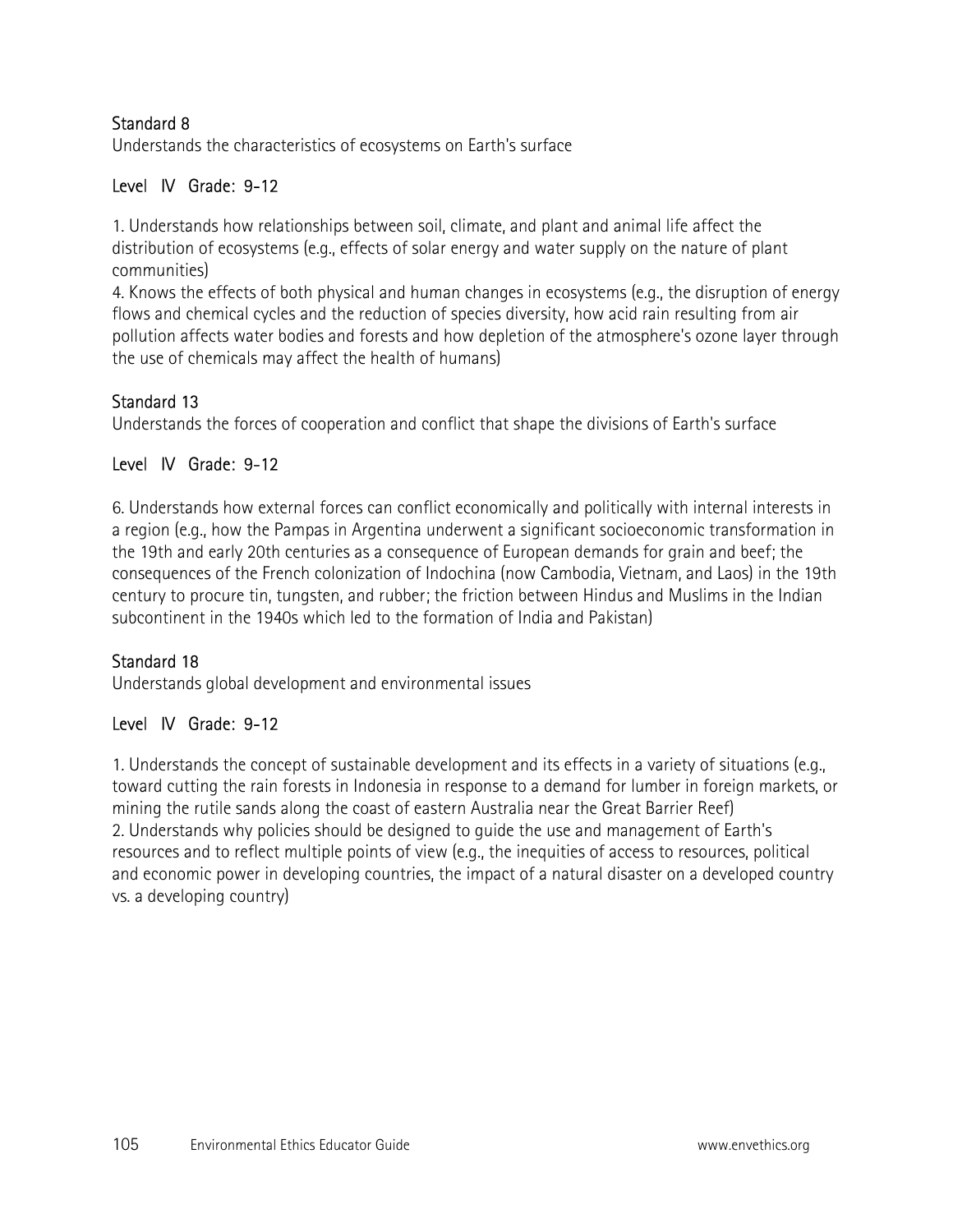#### Standard 8

Understands the characteristics of ecosystems on Earth's surface

#### Level IV Grade: 9-12

1. Understands how relationships between soil, climate, and plant and animal life affect the distribution of ecosystems (e.g., effects of solar energy and water supply on the nature of plant communities)

4. Knows the effects of both physical and human changes in ecosystems (e.g., the disruption of energy flows and chemical cycles and the reduction of species diversity, how acid rain resulting from air pollution affects water bodies and forests and how depletion of the atmosphere's ozone layer through the use of chemicals may affect the health of humans)

#### Standard 13

Understands the forces of cooperation and conflict that shape the divisions of Earth's surface

#### Level IV Grade: 9-12

6. Understands how external forces can conflict economically and politically with internal interests in a region (e.g., how the Pampas in Argentina underwent a significant socioeconomic transformation in the 19th and early 20th centuries as a consequence of European demands for grain and beef; the consequences of the French colonization of Indochina (now Cambodia, Vietnam, and Laos) in the 19th century to procure tin, tungsten, and rubber; the friction between Hindus and Muslims in the Indian subcontinent in the 1940s which led to the formation of India and Pakistan)

#### Standard 18

Understands global development and environmental issues

#### Level IV Grade: 9-12

1. Understands the concept of sustainable development and its effects in a variety of situations (e.g., toward cutting the rain forests in Indonesia in response to a demand for lumber in foreign markets, or mining the rutile sands along the coast of eastern Australia near the Great Barrier Reef) 2. Understands why policies should be designed to guide the use and management of Earth's resources and to reflect multiple points of view (e.g., the inequities of access to resources, political and economic power in developing countries, the impact of a natural disaster on a developed country vs. a developing country)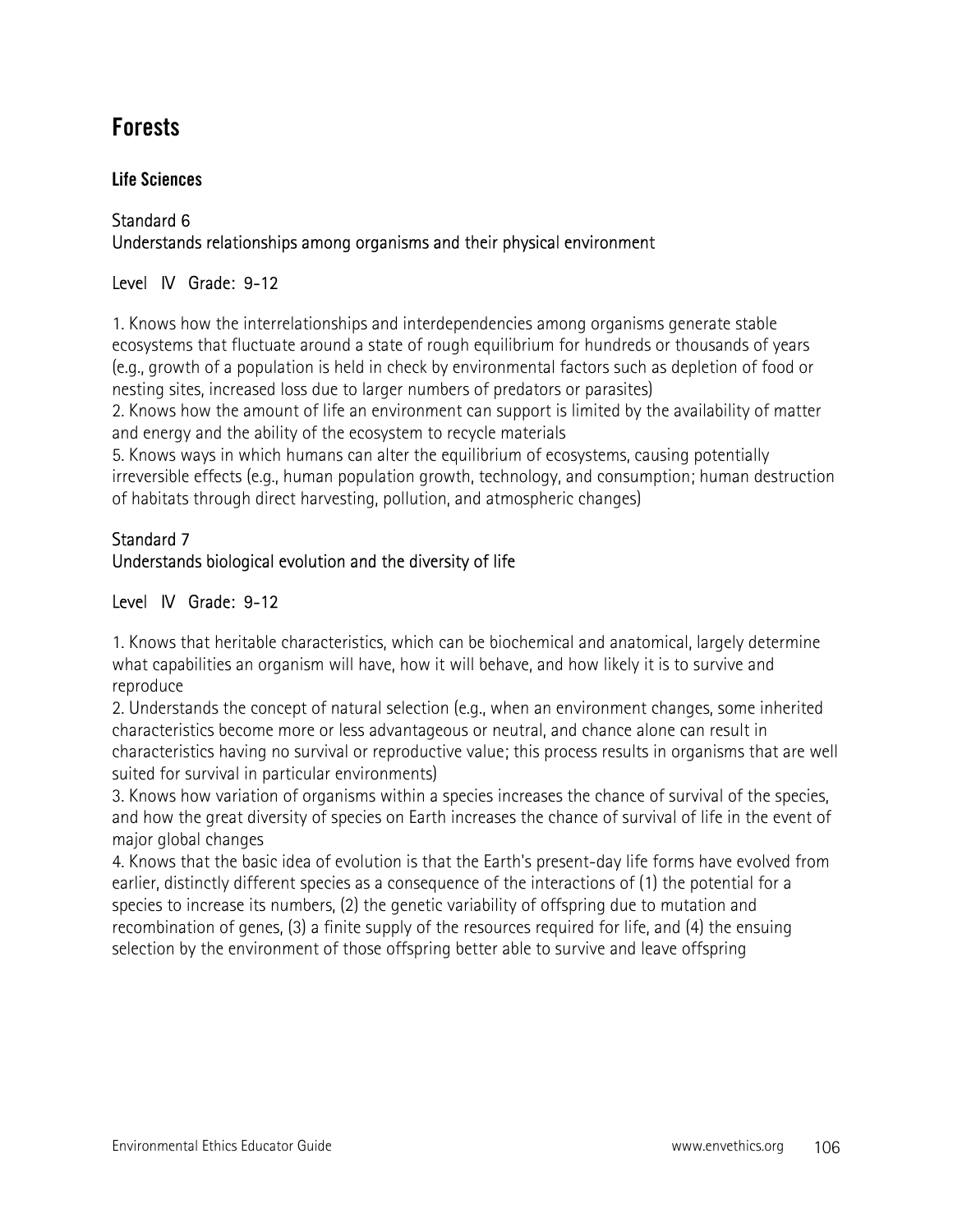# **Forests**

#### **Life Sciences**

#### Standard 6

#### Understands relationships among organisms and their physical environment

#### Level IV Grade: 9-12

1. Knows how the interrelationships and interdependencies among organisms generate stable ecosystems that fluctuate around a state of rough equilibrium for hundreds or thousands of years (e.g., growth of a population is held in check by environmental factors such as depletion of food or nesting sites, increased loss due to larger numbers of predators or parasites)

2. Knows how the amount of life an environment can support is limited by the availability of matter and energy and the ability of the ecosystem to recycle materials

5. Knows ways in which humans can alter the equilibrium of ecosystems, causing potentially irreversible effects (e.g., human population growth, technology, and consumption; human destruction of habitats through direct harvesting, pollution, and atmospheric changes)

#### Standard 7

#### Understands biological evolution and the diversity of life

#### Level IV Grade: 9-12

1. Knows that heritable characteristics, which can be biochemical and anatomical, largely determine what capabilities an organism will have, how it will behave, and how likely it is to survive and reproduce

2. Understands the concept of natural selection (e.g., when an environment changes, some inherited characteristics become more or less advantageous or neutral, and chance alone can result in characteristics having no survival or reproductive value; this process results in organisms that are well suited for survival in particular environments)

3. Knows how variation of organisms within a species increases the chance of survival of the species, and how the great diversity of species on Earth increases the chance of survival of life in the event of major global changes

4. Knows that the basic idea of evolution is that the Earth's present-day life forms have evolved from earlier, distinctly different species as a consequence of the interactions of (1) the potential for a species to increase its numbers, (2) the genetic variability of offspring due to mutation and recombination of genes, (3) a finite supply of the resources required for life, and (4) the ensuing selection by the environment of those offspring better able to survive and leave offspring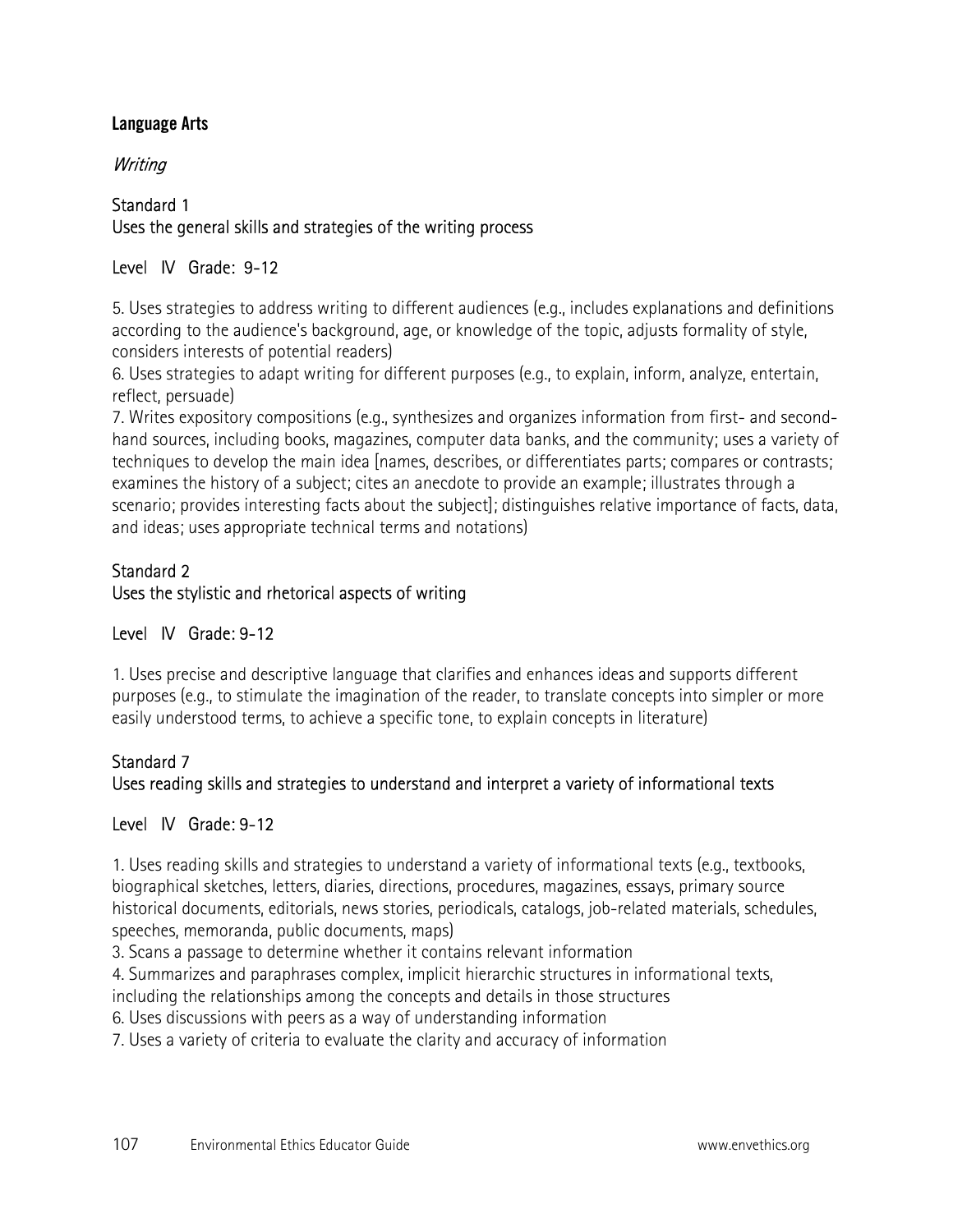# **Language Arts**

# **Writing**

#### Standard 1 Uses the general skills and strategies of the writing process

# Level IV Grade: 9-12

5. Uses strategies to address writing to different audiences (e.g., includes explanations and definitions according to the audience's background, age, or knowledge of the topic, adjusts formality of style, considers interests of potential readers)

6. Uses strategies to adapt writing for different purposes (e.g., to explain, inform, analyze, entertain, reflect, persuade)

7. Writes expository compositions (e.g., synthesizes and organizes information from first- and secondhand sources, including books, magazines, computer data banks, and the community; uses a variety of techniques to develop the main idea [names, describes, or differentiates parts; compares or contrasts; examines the history of a subject; cites an anecdote to provide an example; illustrates through a scenario; provides interesting facts about the subject]; distinguishes relative importance of facts, data, and ideas; uses appropriate technical terms and notations)

## Standard 2 Uses the stylistic and rhetorical aspects of writing

# Level IV Grade: 9-12

1. Uses precise and descriptive language that clarifies and enhances ideas and supports different purposes (e.g., to stimulate the imagination of the reader, to translate concepts into simpler or more easily understood terms, to achieve a specific tone, to explain concepts in literature)

# Standard 7

# Uses reading skills and strategies to understand and interpret a variety of informational texts

# Level IV Grade: 9-12

1. Uses reading skills and strategies to understand a variety of informational texts (e.g., textbooks, biographical sketches, letters, diaries, directions, procedures, magazines, essays, primary source historical documents, editorials, news stories, periodicals, catalogs, job-related materials, schedules, speeches, memoranda, public documents, maps)

3. Scans a passage to determine whether it contains relevant information

4. Summarizes and paraphrases complex, implicit hierarchic structures in informational texts, including the relationships among the concepts and details in those structures

6. Uses discussions with peers as a way of understanding information

7. Uses a variety of criteria to evaluate the clarity and accuracy of information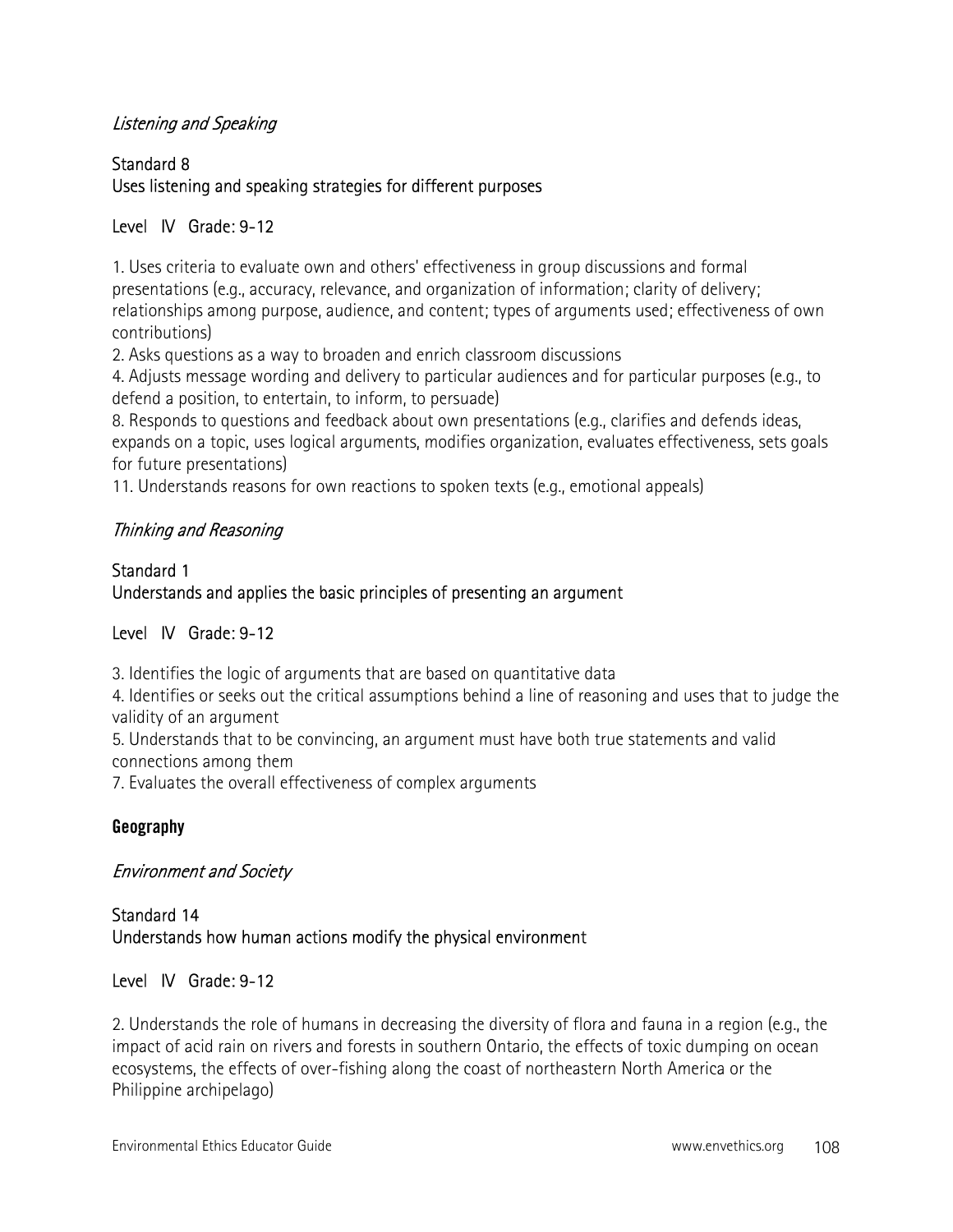# Listening and Speaking

## Standard 8 Uses listening and speaking strategies for different purposes

## Level IV Grade: 9-12

1. Uses criteria to evaluate own and others' effectiveness in group discussions and formal presentations (e.g., accuracy, relevance, and organization of information; clarity of delivery; relationships among purpose, audience, and content; types of arguments used; effectiveness of own contributions)

2. Asks questions as a way to broaden and enrich classroom discussions

4. Adjusts message wording and delivery to particular audiences and for particular purposes (e.g., to defend a position, to entertain, to inform, to persuade)

8. Responds to questions and feedback about own presentations (e.g., clarifies and defends ideas, expands on a topic, uses logical arguments, modifies organization, evaluates effectiveness, sets goals for future presentations)

11. Understands reasons for own reactions to spoken texts (e.g., emotional appeals)

## Thinking and Reasoning

#### Standard 1 Understands and applies the basic principles of presenting an argument

#### Level IV Grade: 9-12

3. Identifies the logic of arguments that are based on quantitative data

4. Identifies or seeks out the critical assumptions behind a line of reasoning and uses that to judge the validity of an argument

5. Understands that to be convincing, an argument must have both true statements and valid connections among them

7. Evaluates the overall effectiveness of complex arguments

# **Geography**

# Environment and Society

#### Standard 14 Understands how human actions modify the physical environment

#### Level IV Grade: 9-12

2. Understands the role of humans in decreasing the diversity of flora and fauna in a region (e.g., the impact of acid rain on rivers and forests in southern Ontario, the effects of toxic dumping on ocean ecosystems, the effects of over-fishing along the coast of northeastern North America or the Philippine archipelago)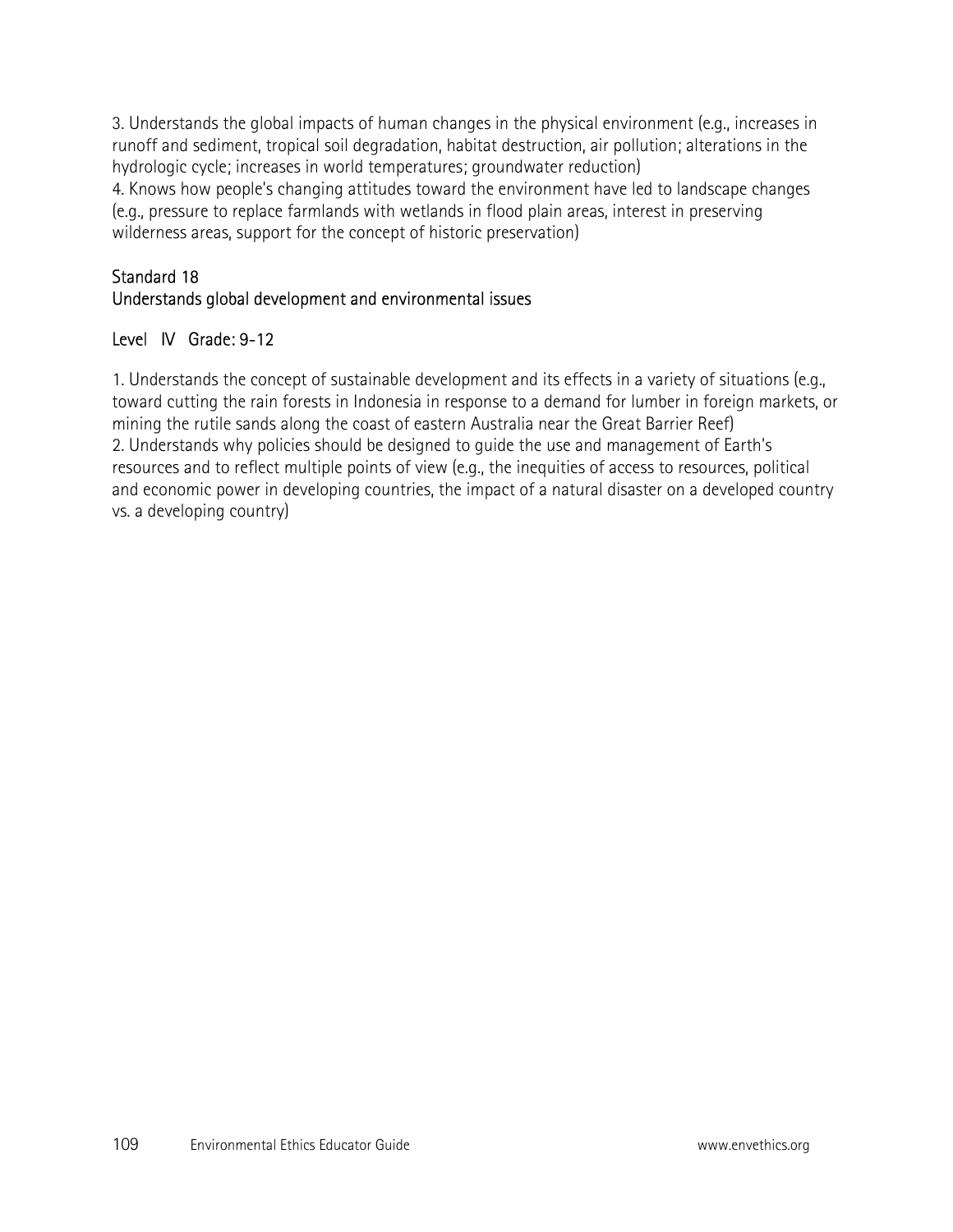3. Understands the global impacts of human changes in the physical environment (e.g., increases in runoff and sediment, tropical soil degradation, habitat destruction, air pollution; alterations in the hydrologic cycle; increases in world temperatures; groundwater reduction)

4. Knows how people's changing attitudes toward the environment have led to landscape changes (e.g., pressure to replace farmlands with wetlands in flood plain areas, interest in preserving wilderness areas, support for the concept of historic preservation)

# Standard 18 Understands global development and environmental issues

# Level IV Grade: 9-12

1. Understands the concept of sustainable development and its effects in a variety of situations (e.g., toward cutting the rain forests in Indonesia in response to a demand for lumber in foreign markets, or mining the rutile sands along the coast of eastern Australia near the Great Barrier Reef) 2. Understands why policies should be designed to guide the use and management of Earth's resources and to reflect multiple points of view (e.g., the inequities of access to resources, political and economic power in developing countries, the impact of a natural disaster on a developed country vs. a developing country)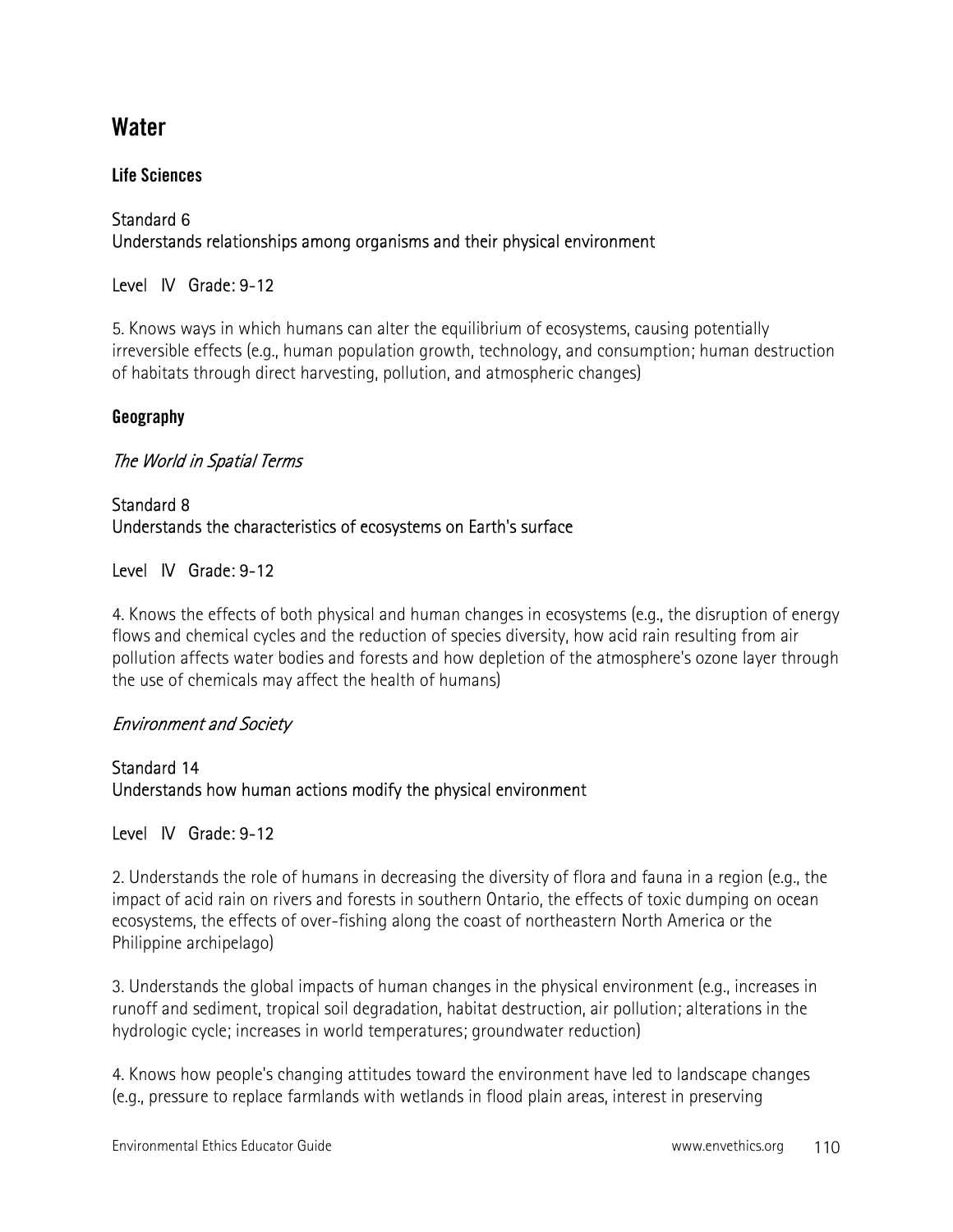# **Water**

## **Life Sciences**

# Standard 6 Understands relationships among organisms and their physical environment

#### Level IV Grade: 9-12

5. Knows ways in which humans can alter the equilibrium of ecosystems, causing potentially irreversible effects (e.g., human population growth, technology, and consumption; human destruction of habitats through direct harvesting, pollution, and atmospheric changes)

## **Geography**

## The World in Spatial Terms

#### Standard 8 Understands the characteristics of ecosystems on Earth's surface

## Level IV Grade: 9-12

4. Knows the effects of both physical and human changes in ecosystems (e.g., the disruption of energy flows and chemical cycles and the reduction of species diversity, how acid rain resulting from air pollution affects water bodies and forests and how depletion of the atmosphere's ozone layer through the use of chemicals may affect the health of humans)

#### Environment and Society

## Standard 14 Understands how human actions modify the physical environment

#### Level IV Grade: 9-12

2. Understands the role of humans in decreasing the diversity of flora and fauna in a region (e.g., the impact of acid rain on rivers and forests in southern Ontario, the effects of toxic dumping on ocean ecosystems, the effects of over-fishing along the coast of northeastern North America or the Philippine archipelago)

3. Understands the global impacts of human changes in the physical environment (e.g., increases in runoff and sediment, tropical soil degradation, habitat destruction, air pollution; alterations in the hydrologic cycle; increases in world temperatures; groundwater reduction)

4. Knows how people's changing attitudes toward the environment have led to landscape changes (e.g., pressure to replace farmlands with wetlands in flood plain areas, interest in preserving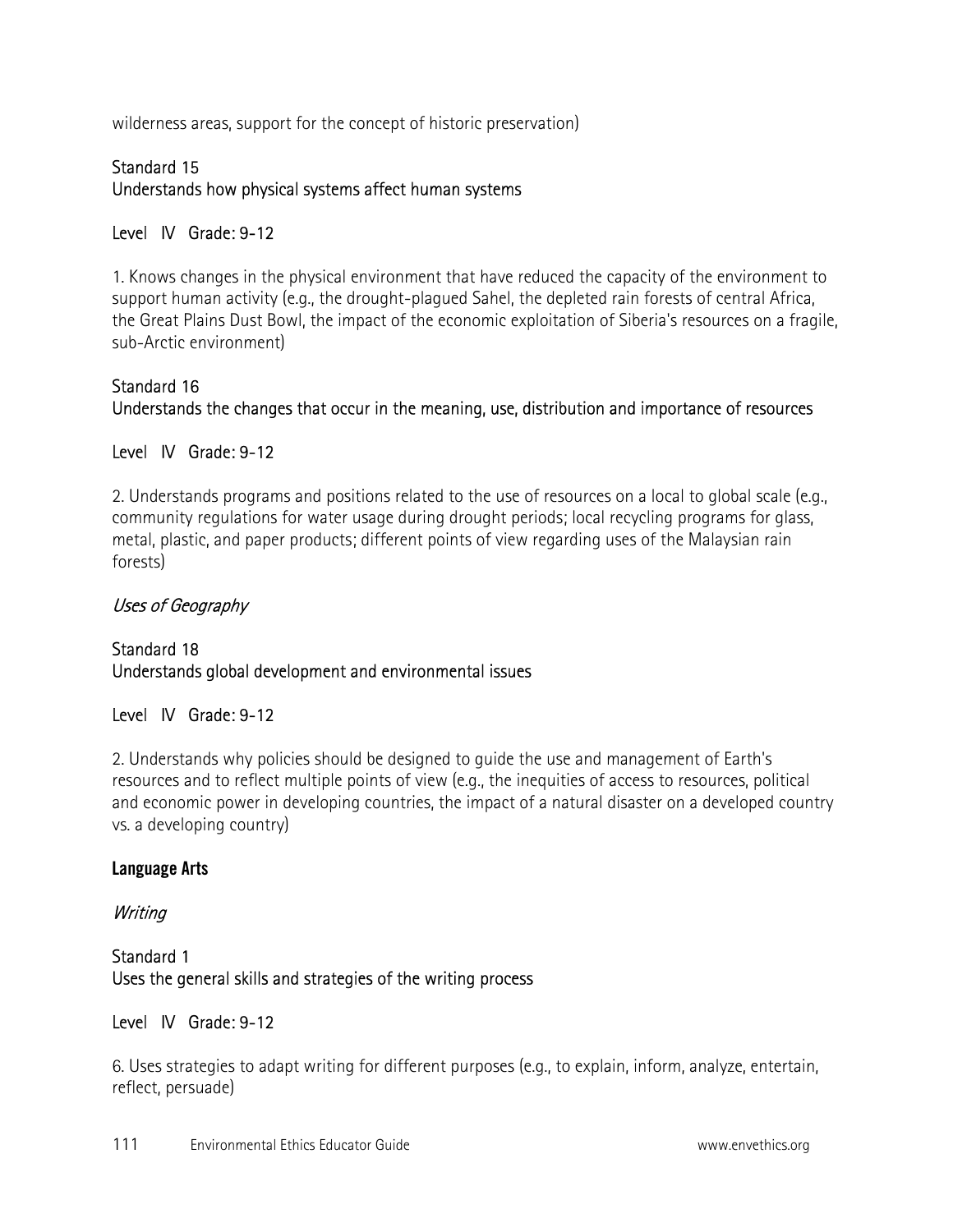wilderness areas, support for the concept of historic preservation)

# Standard 15 Understands how physical systems affect human systems

## Level IV Grade: 9-12

1. Knows changes in the physical environment that have reduced the capacity of the environment to support human activity (e.g., the drought-plagued Sahel, the depleted rain forests of central Africa, the Great Plains Dust Bowl, the impact of the economic exploitation of Siberia's resources on a fragile, sub-Arctic environment)

## Standard 16 Understands the changes that occur in the meaning, use, distribution and importance of resources

## Level IV Grade: 9-12

2. Understands programs and positions related to the use of resources on a local to global scale (e.g., community regulations for water usage during drought periods; local recycling programs for glass, metal, plastic, and paper products; different points of view regarding uses of the Malaysian rain forests)

# Uses of Geography

#### Standard 18 Understands global development and environmental issues

#### Level IV Grade: 9-12

2. Understands why policies should be designed to guide the use and management of Earth's resources and to reflect multiple points of view (e.g., the inequities of access to resources, political and economic power in developing countries, the impact of a natural disaster on a developed country vs. a developing country)

#### **Language Arts**

#### Writing

# Standard 1 Uses the general skills and strategies of the writing process

#### Level IV Grade: 9-12

6. Uses strategies to adapt writing for different purposes (e.g., to explain, inform, analyze, entertain, reflect, persuade)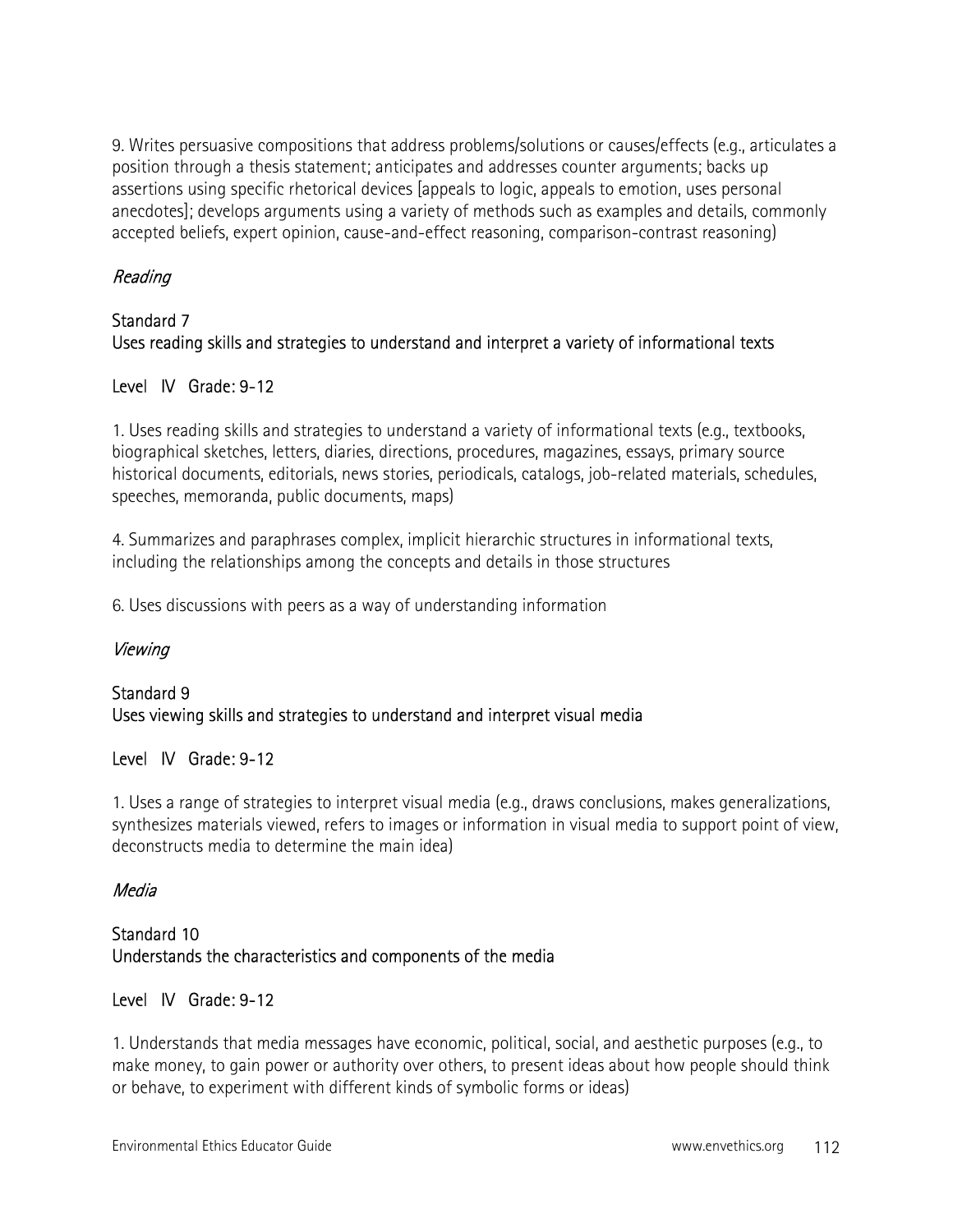9. Writes persuasive compositions that address problems/solutions or causes/effects (e.g., articulates a position through a thesis statement; anticipates and addresses counter arguments; backs up assertions using specific rhetorical devices [appeals to logic, appeals to emotion, uses personal anecdotes]; develops arguments using a variety of methods such as examples and details, commonly accepted beliefs, expert opinion, cause-and-effect reasoning, comparison-contrast reasoning)

# **Reading**

# Standard 7 Uses reading skills and strategies to understand and interpret a variety of informational texts

# Level IV Grade: 9-12

1. Uses reading skills and strategies to understand a variety of informational texts (e.g., textbooks, biographical sketches, letters, diaries, directions, procedures, magazines, essays, primary source historical documents, editorials, news stories, periodicals, catalogs, job-related materials, schedules, speeches, memoranda, public documents, maps)

4. Summarizes and paraphrases complex, implicit hierarchic structures in informational texts, including the relationships among the concepts and details in those structures

6. Uses discussions with peers as a way of understanding information

# Viewing

## Standard 9 Uses viewing skills and strategies to understand and interpret visual media

# Level IV Grade: 9-12

1. Uses a range of strategies to interpret visual media (e.g., draws conclusions, makes generalizations, synthesizes materials viewed, refers to images or information in visual media to support point of view, deconstructs media to determine the main idea)

# Media

# Standard 10 Understands the characteristics and components of the media

# Level IV Grade: 9-12

1. Understands that media messages have economic, political, social, and aesthetic purposes (e.g., to make money, to gain power or authority over others, to present ideas about how people should think or behave, to experiment with different kinds of symbolic forms or ideas)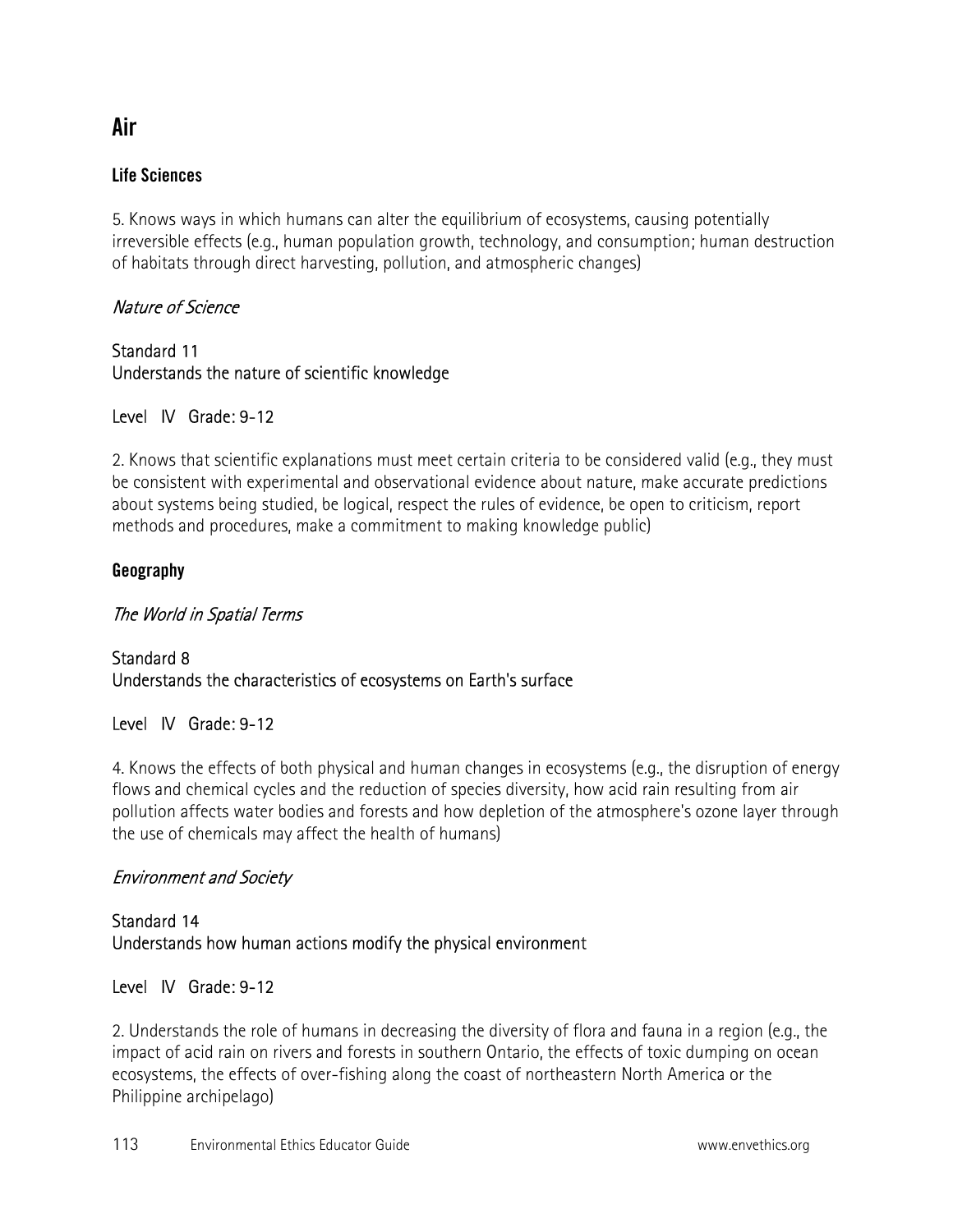# **Air**

# **Life Sciences**

5. Knows ways in which humans can alter the equilibrium of ecosystems, causing potentially irreversible effects (e.g., human population growth, technology, and consumption; human destruction of habitats through direct harvesting, pollution, and atmospheric changes)

#### Nature of Science

#### Standard 11 Understands the nature of scientific knowledge

#### Level IV Grade: 9-12

2. Knows that scientific explanations must meet certain criteria to be considered valid (e.g., they must be consistent with experimental and observational evidence about nature, make accurate predictions about systems being studied, be logical, respect the rules of evidence, be open to criticism, report methods and procedures, make a commitment to making knowledge public)

#### **Geography**

# The World in Spatial Terms

## Standard 8 Understands the characteristics of ecosystems on Earth's surface

#### Level IV Grade: 9-12

4. Knows the effects of both physical and human changes in ecosystems (e.g., the disruption of energy flows and chemical cycles and the reduction of species diversity, how acid rain resulting from air pollution affects water bodies and forests and how depletion of the atmosphere's ozone layer through the use of chemicals may affect the health of humans)

#### Environment and Society

## Standard 14 Understands how human actions modify the physical environment

#### Level IV Grade: 9-12

2. Understands the role of humans in decreasing the diversity of flora and fauna in a region (e.g., the impact of acid rain on rivers and forests in southern Ontario, the effects of toxic dumping on ocean ecosystems, the effects of over-fishing along the coast of northeastern North America or the Philippine archipelago)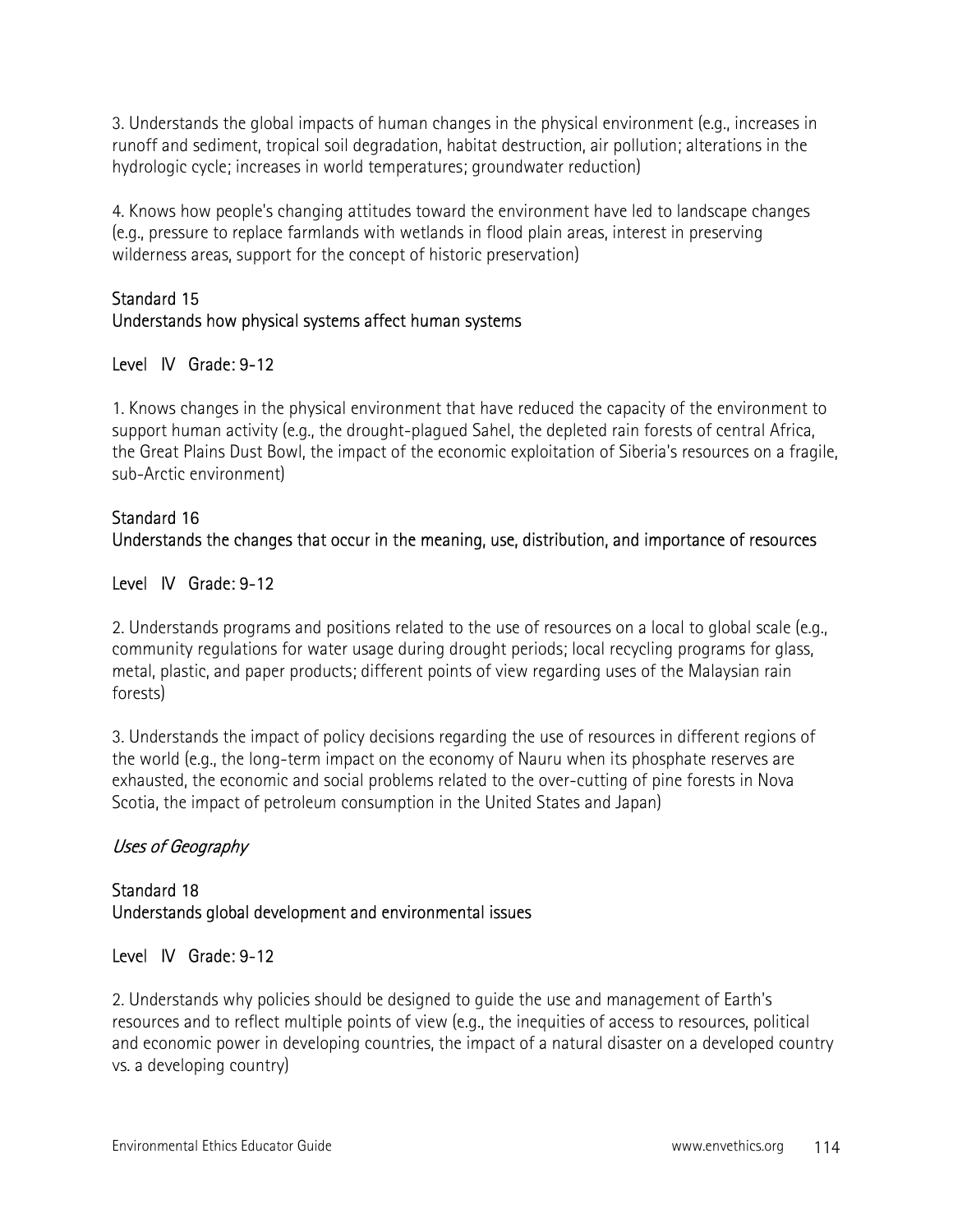3. Understands the global impacts of human changes in the physical environment (e.g., increases in runoff and sediment, tropical soil degradation, habitat destruction, air pollution; alterations in the hydrologic cycle; increases in world temperatures; groundwater reduction)

4. Knows how people's changing attitudes toward the environment have led to landscape changes (e.g., pressure to replace farmlands with wetlands in flood plain areas, interest in preserving wilderness areas, support for the concept of historic preservation)

## Standard 15 Understands how physical systems affect human systems

# Level IV Grade: 9-12

1. Knows changes in the physical environment that have reduced the capacity of the environment to support human activity (e.g., the drought-plagued Sahel, the depleted rain forests of central Africa, the Great Plains Dust Bowl, the impact of the economic exploitation of Siberia's resources on a fragile, sub-Arctic environment)

#### Standard 16 Understands the changes that occur in the meaning, use, distribution, and importance of resources

## Level IV Grade: 9-12

2. Understands programs and positions related to the use of resources on a local to global scale (e.g., community regulations for water usage during drought periods; local recycling programs for glass, metal, plastic, and paper products; different points of view regarding uses of the Malaysian rain forests)

3. Understands the impact of policy decisions regarding the use of resources in different regions of the world (e.g., the long-term impact on the economy of Nauru when its phosphate reserves are exhausted, the economic and social problems related to the over-cutting of pine forests in Nova Scotia, the impact of petroleum consumption in the United States and Japan)

# Uses of Geography

## Standard 18 Understands global development and environmental issues

#### Level IV Grade: 9-12

2. Understands why policies should be designed to guide the use and management of Earth's resources and to reflect multiple points of view (e.g., the inequities of access to resources, political and economic power in developing countries, the impact of a natural disaster on a developed country vs. a developing country)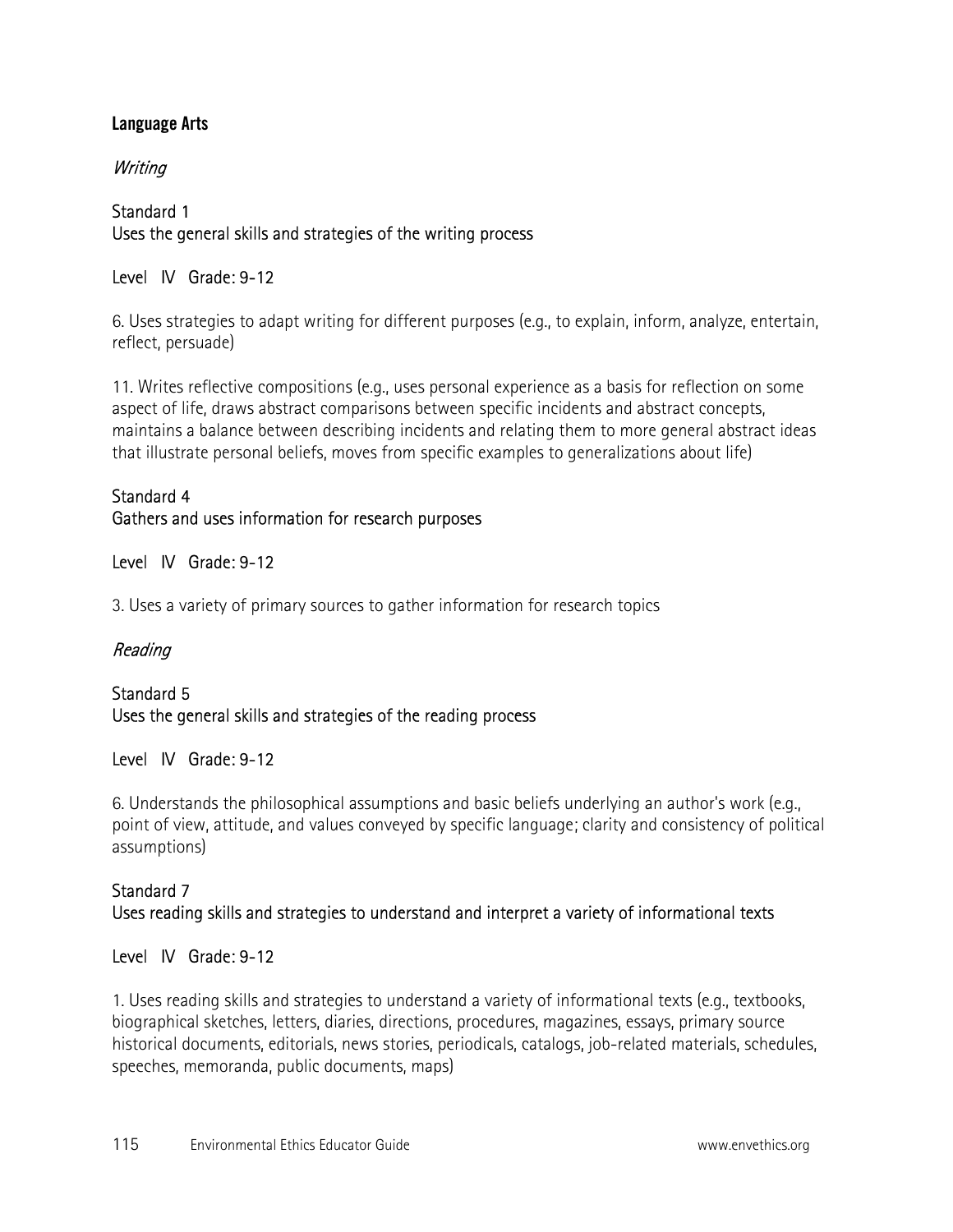## **Language Arts**

# **Writing**

# Standard 1 Uses the general skills and strategies of the writing process

#### Level IV Grade: 9-12

6. Uses strategies to adapt writing for different purposes (e.g., to explain, inform, analyze, entertain, reflect, persuade)

11. Writes reflective compositions (e.g., uses personal experience as a basis for reflection on some aspect of life, draws abstract comparisons between specific incidents and abstract concepts, maintains a balance between describing incidents and relating them to more general abstract ideas that illustrate personal beliefs, moves from specific examples to generalizations about life)

#### Standard 4 Gathers and uses information for research purposes

## Level IV Grade: 9-12

3. Uses a variety of primary sources to gather information for research topics

# **Reading**

## Standard 5 Uses the general skills and strategies of the reading process

#### Level IV Grade: 9-12

6. Understands the philosophical assumptions and basic beliefs underlying an author's work (e.g., point of view, attitude, and values conveyed by specific language; clarity and consistency of political assumptions)

# Standard 7 Uses reading skills and strategies to understand and interpret a variety of informational texts

# Level IV Grade: 9-12

1. Uses reading skills and strategies to understand a variety of informational texts (e.g., textbooks, biographical sketches, letters, diaries, directions, procedures, magazines, essays, primary source historical documents, editorials, news stories, periodicals, catalogs, job-related materials, schedules, speeches, memoranda, public documents, maps)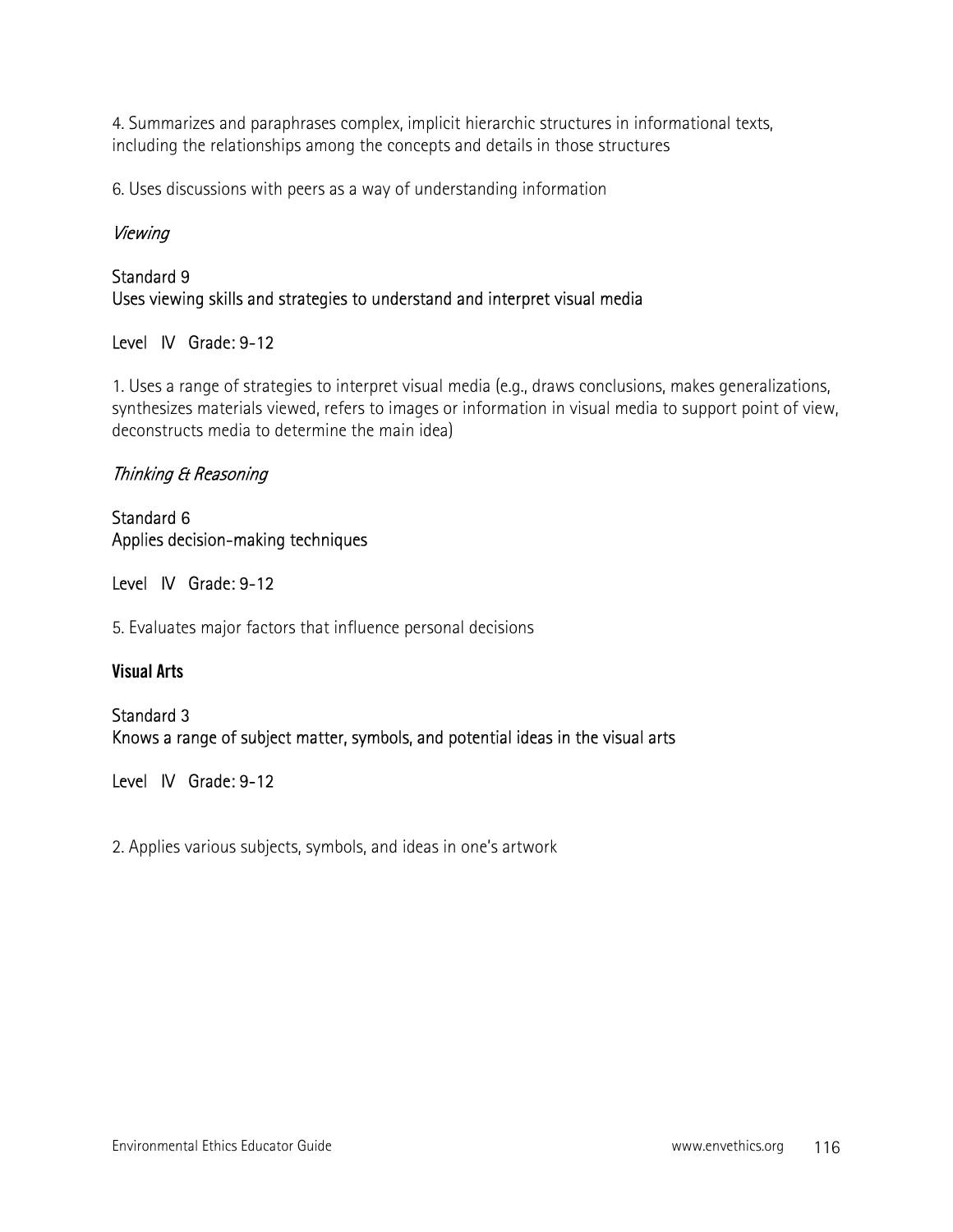4. Summarizes and paraphrases complex, implicit hierarchic structures in informational texts, including the relationships among the concepts and details in those structures

6. Uses discussions with peers as a way of understanding information

# Viewing

# Standard 9 Uses viewing skills and strategies to understand and interpret visual media

# Level IV Grade: 9-12

1. Uses a range of strategies to interpret visual media (e.g., draws conclusions, makes generalizations, synthesizes materials viewed, refers to images or information in visual media to support point of view, deconstructs media to determine the main idea)

# Thinking & Reasoning

# Standard 6 Applies decision-making techniques

Level IV Grade: 9-12

5. Evaluates major factors that influence personal decisions

# **Visual Arts**

# Standard 3 Knows a range of subject matter, symbols, and potential ideas in the visual arts

# Level IV Grade: 9-12

2. Applies various subjects, symbols, and ideas in one's artwork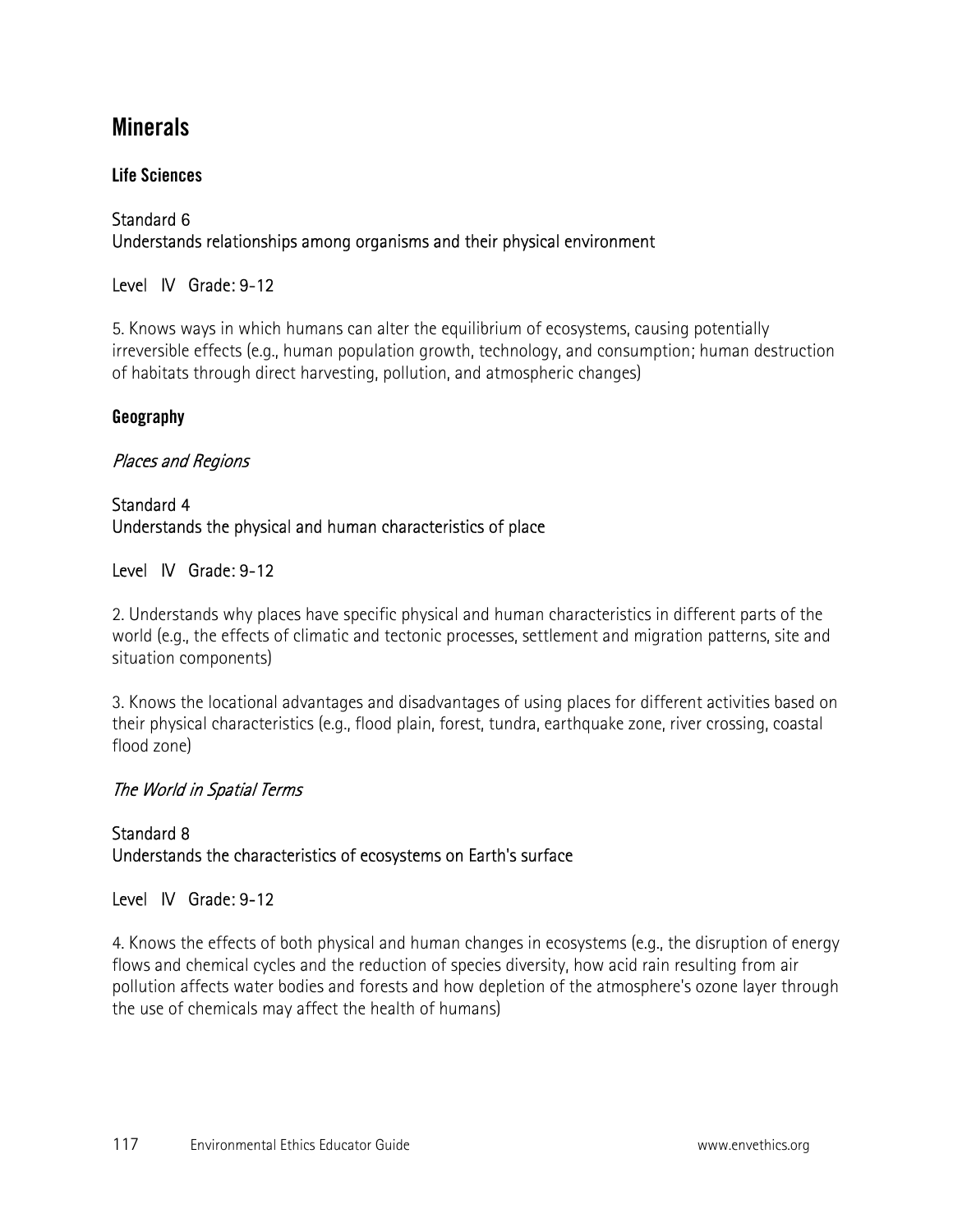# **Minerals**

# **Life Sciences**

# Standard 6 Understands relationships among organisms and their physical environment

#### Level IV Grade: 9-12

5. Knows ways in which humans can alter the equilibrium of ecosystems, causing potentially irreversible effects (e.g., human population growth, technology, and consumption; human destruction of habitats through direct harvesting, pollution, and atmospheric changes)

## **Geography**

## Places and Regions

#### Standard 4 Understands the physical and human characteristics of place

#### Level IV Grade: 9-12

2. Understands why places have specific physical and human characteristics in different parts of the world (e.g., the effects of climatic and tectonic processes, settlement and migration patterns, site and situation components)

3. Knows the locational advantages and disadvantages of using places for different activities based on their physical characteristics (e.g., flood plain, forest, tundra, earthquake zone, river crossing, coastal flood zone)

#### The World in Spatial Terms

# Standard 8 Understands the characteristics of ecosystems on Earth's surface

#### Level IV Grade: 9-12

4. Knows the effects of both physical and human changes in ecosystems (e.g., the disruption of energy flows and chemical cycles and the reduction of species diversity, how acid rain resulting from air pollution affects water bodies and forests and how depletion of the atmosphere's ozone layer through the use of chemicals may affect the health of humans)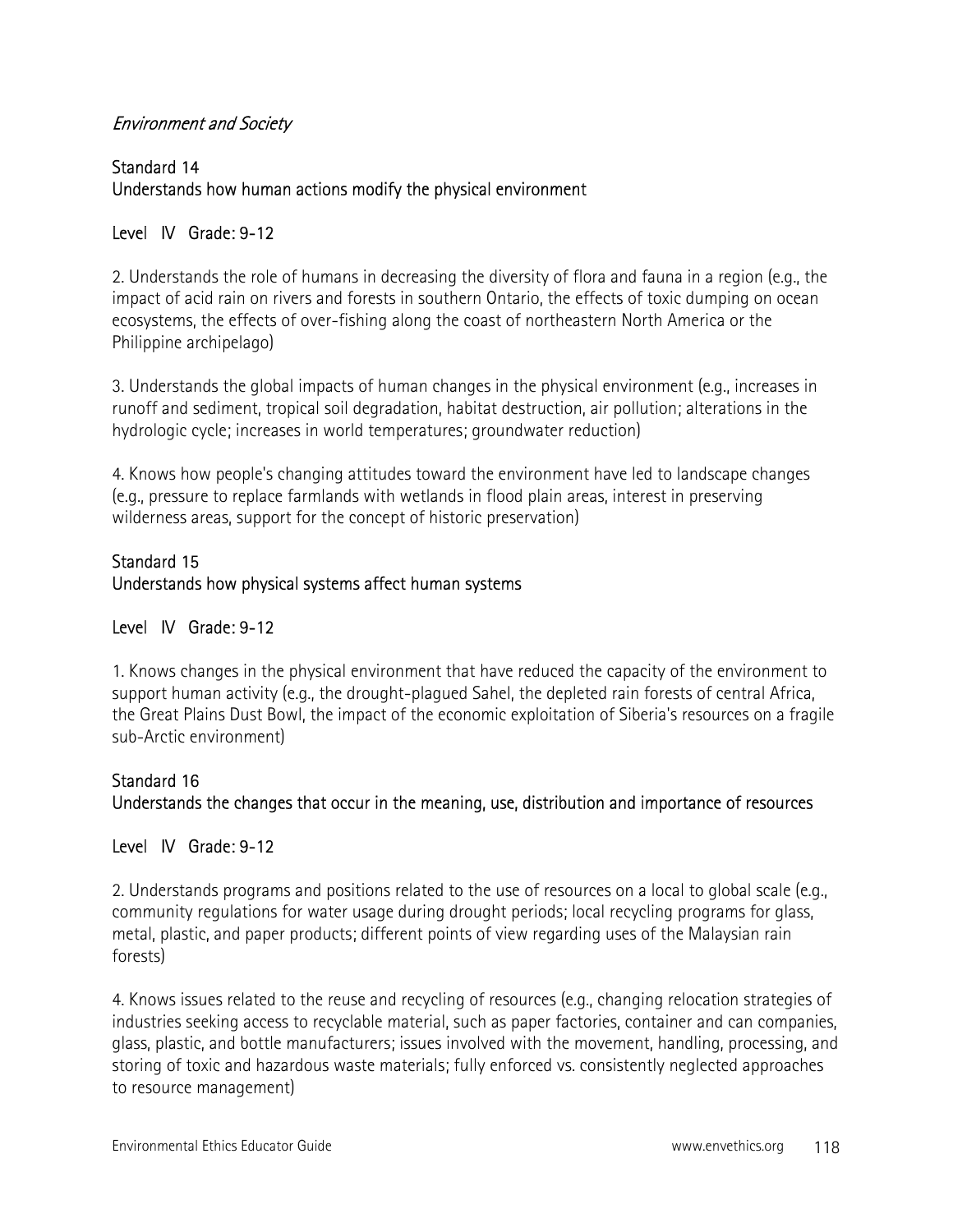# Environment and Society

#### Standard 14 Understands how human actions modify the physical environment

#### Level IV Grade: 9-12

2. Understands the role of humans in decreasing the diversity of flora and fauna in a region (e.g., the impact of acid rain on rivers and forests in southern Ontario, the effects of toxic dumping on ocean ecosystems, the effects of over-fishing along the coast of northeastern North America or the Philippine archipelago)

3. Understands the global impacts of human changes in the physical environment (e.g., increases in runoff and sediment, tropical soil degradation, habitat destruction, air pollution; alterations in the hydrologic cycle; increases in world temperatures; groundwater reduction)

4. Knows how people's changing attitudes toward the environment have led to landscape changes (e.g., pressure to replace farmlands with wetlands in flood plain areas, interest in preserving wilderness areas, support for the concept of historic preservation)

# Standard 15 Understands how physical systems affect human systems

## Level IV Grade: 9-12

1. Knows changes in the physical environment that have reduced the capacity of the environment to support human activity (e.g., the drought-plagued Sahel, the depleted rain forests of central Africa, the Great Plains Dust Bowl, the impact of the economic exploitation of Siberia's resources on a fragile sub-Arctic environment)

#### Standard 16

Understands the changes that occur in the meaning, use, distribution and importance of resources

# Level IV Grade: 9-12

2. Understands programs and positions related to the use of resources on a local to global scale (e.g., community regulations for water usage during drought periods; local recycling programs for glass, metal, plastic, and paper products; different points of view regarding uses of the Malaysian rain forests)

4. Knows issues related to the reuse and recycling of resources (e.g., changing relocation strategies of industries seeking access to recyclable material, such as paper factories, container and can companies, glass, plastic, and bottle manufacturers; issues involved with the movement, handling, processing, and storing of toxic and hazardous waste materials; fully enforced vs. consistently neglected approaches to resource management)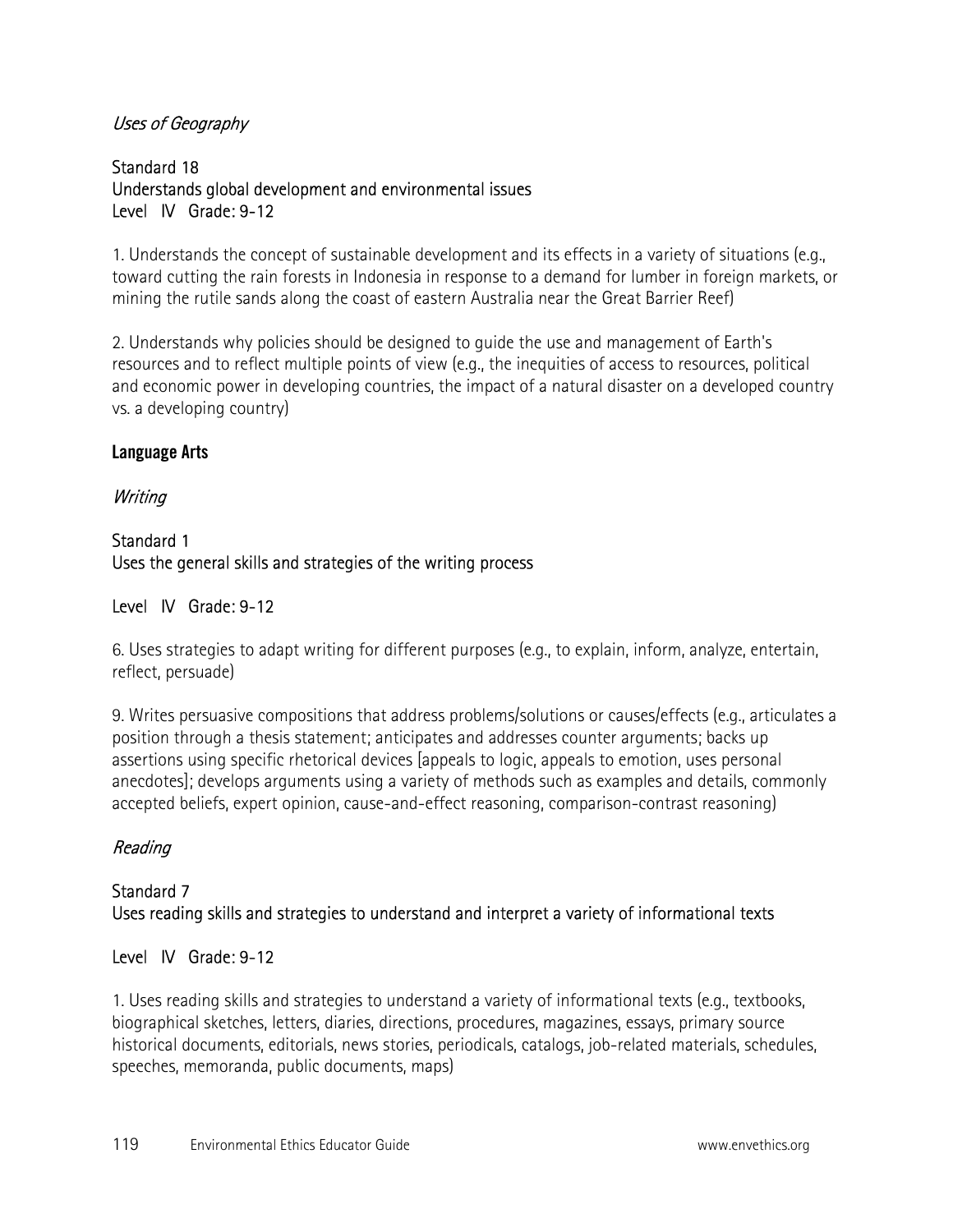## Uses of Geography

#### Standard 18 Understands global development and environmental issues Level IV Grade: 9-12

1. Understands the concept of sustainable development and its effects in a variety of situations (e.g., toward cutting the rain forests in Indonesia in response to a demand for lumber in foreign markets, or mining the rutile sands along the coast of eastern Australia near the Great Barrier Reef)

2. Understands why policies should be designed to guide the use and management of Earth's resources and to reflect multiple points of view (e.g., the inequities of access to resources, political and economic power in developing countries, the impact of a natural disaster on a developed country vs. a developing country)

#### **Language Arts**

#### **Writing**

#### Standard 1 Uses the general skills and strategies of the writing process

#### Level IV Grade: 9-12

6. Uses strategies to adapt writing for different purposes (e.g., to explain, inform, analyze, entertain, reflect, persuade)

9. Writes persuasive compositions that address problems/solutions or causes/effects (e.g., articulates a position through a thesis statement; anticipates and addresses counter arguments; backs up assertions using specific rhetorical devices [appeals to logic, appeals to emotion, uses personal anecdotes]; develops arguments using a variety of methods such as examples and details, commonly accepted beliefs, expert opinion, cause-and-effect reasoning, comparison-contrast reasoning)

#### **Reading**

# Standard 7 Uses reading skills and strategies to understand and interpret a variety of informational texts

#### Level IV Grade: 9-12

1. Uses reading skills and strategies to understand a variety of informational texts (e.g., textbooks, biographical sketches, letters, diaries, directions, procedures, magazines, essays, primary source historical documents, editorials, news stories, periodicals, catalogs, job-related materials, schedules, speeches, memoranda, public documents, maps)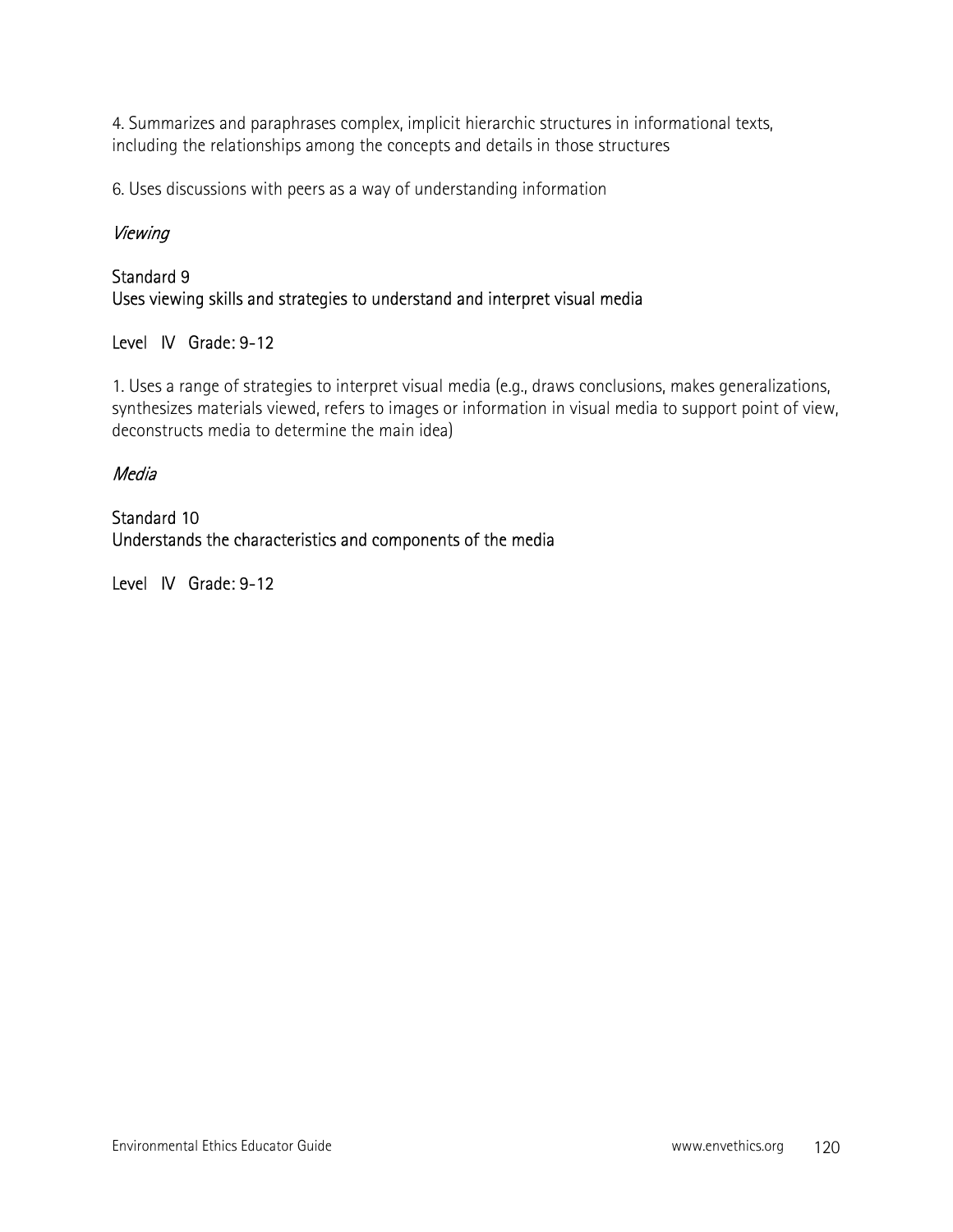4. Summarizes and paraphrases complex, implicit hierarchic structures in informational texts, including the relationships among the concepts and details in those structures

6. Uses discussions with peers as a way of understanding information

# Viewing

# Standard 9 Uses viewing skills and strategies to understand and interpret visual media

# Level IV Grade: 9-12

1. Uses a range of strategies to interpret visual media (e.g., draws conclusions, makes generalizations, synthesizes materials viewed, refers to images or information in visual media to support point of view, deconstructs media to determine the main idea)

# Media

Standard 10 Understands the characteristics and components of the media

Level IV Grade: 9-12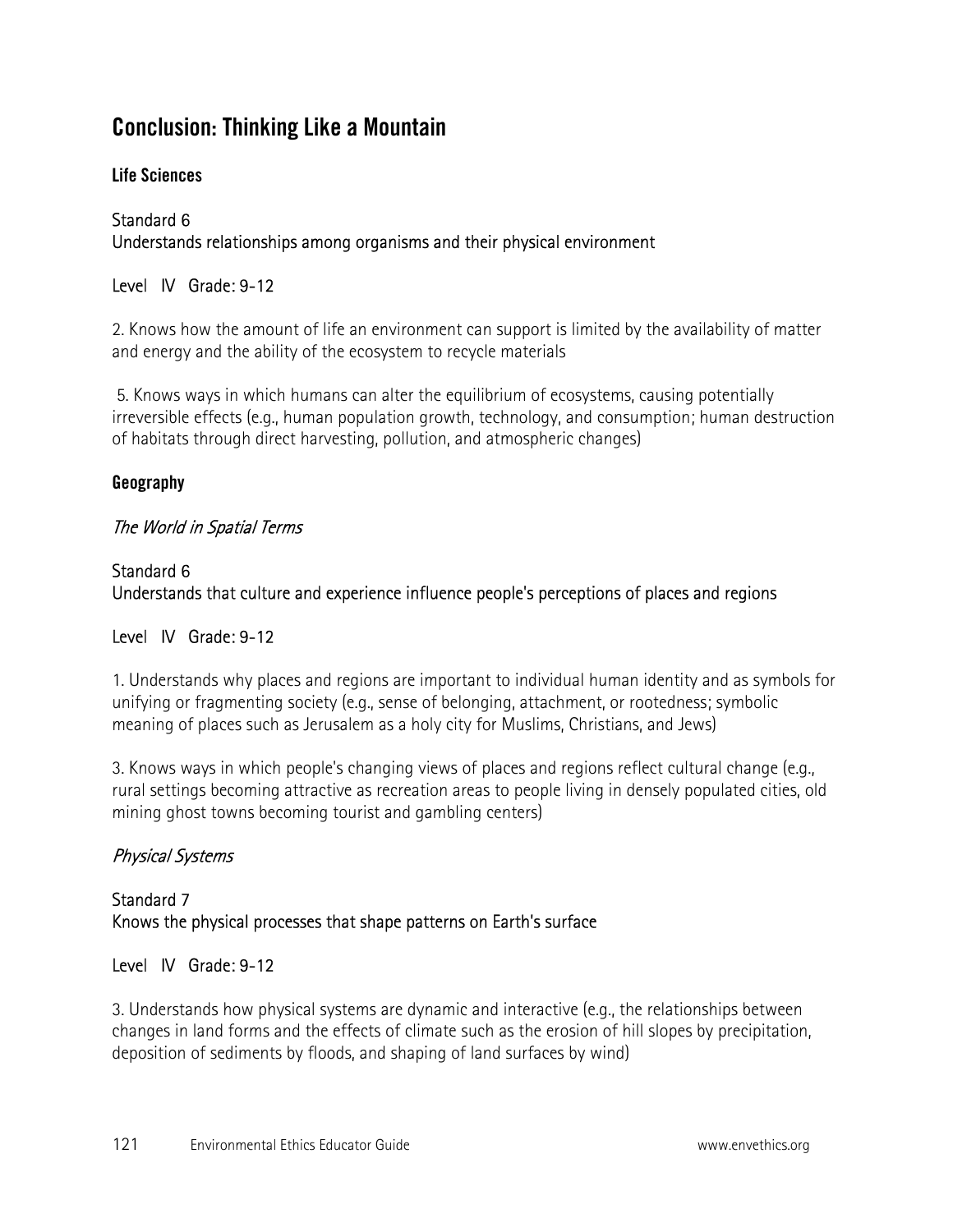# **Conclusion: Thinking Like a Mountain**

# **Life Sciences**

## Standard 6

Understands relationships among organisms and their physical environment

## Level IV Grade: 9-12

2. Knows how the amount of life an environment can support is limited by the availability of matter and energy and the ability of the ecosystem to recycle materials

 5. Knows ways in which humans can alter the equilibrium of ecosystems, causing potentially irreversible effects (e.g., human population growth, technology, and consumption; human destruction of habitats through direct harvesting, pollution, and atmospheric changes)

#### **Geography**

## The World in Spatial Terms

#### Standard 6

# Understands that culture and experience influence people's perceptions of places and regions

# Level IV Grade: 9-12

1. Understands why places and regions are important to individual human identity and as symbols for unifying or fragmenting society (e.g., sense of belonging, attachment, or rootedness; symbolic meaning of places such as Jerusalem as a holy city for Muslims, Christians, and Jews)

3. Knows ways in which people's changing views of places and regions reflect cultural change (e.g., rural settings becoming attractive as recreation areas to people living in densely populated cities, old mining ghost towns becoming tourist and gambling centers)

# Physical Systems

# Standard 7 Knows the physical processes that shape patterns on Earth's surface

# Level IV Grade: 9-12

3. Understands how physical systems are dynamic and interactive (e.g., the relationships between changes in land forms and the effects of climate such as the erosion of hill slopes by precipitation, deposition of sediments by floods, and shaping of land surfaces by wind)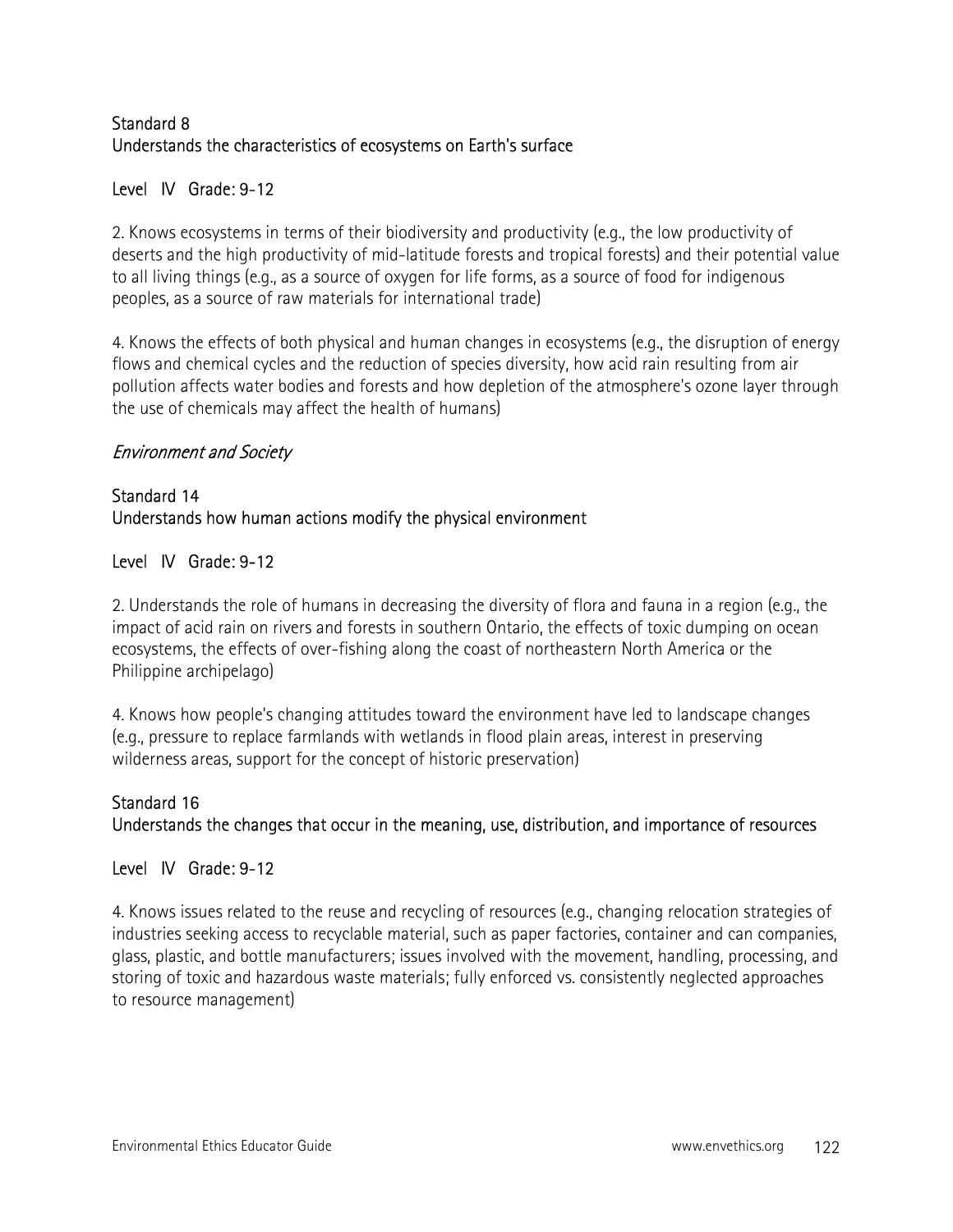# Standard 8 Understands the characteristics of ecosystems on Earth's surface

# Level IV Grade: 9-12

2. Knows ecosystems in terms of their biodiversity and productivity (e.g., the low productivity of deserts and the high productivity of mid-latitude forests and tropical forests) and their potential value to all living things (e.g., as a source of oxygen for life forms, as a source of food for indigenous peoples, as a source of raw materials for international trade)

4. Knows the effects of both physical and human changes in ecosystems (e.g., the disruption of energy flows and chemical cycles and the reduction of species diversity, how acid rain resulting from air pollution affects water bodies and forests and how depletion of the atmosphere's ozone layer through the use of chemicals may affect the health of humans)

## Environment and Society

#### Standard 14 Understands how human actions modify the physical environment

#### Level IV Grade: 9-12

2. Understands the role of humans in decreasing the diversity of flora and fauna in a region (e.g., the impact of acid rain on rivers and forests in southern Ontario, the effects of toxic dumping on ocean ecosystems, the effects of over-fishing along the coast of northeastern North America or the Philippine archipelago)

4. Knows how people's changing attitudes toward the environment have led to landscape changes (e.g., pressure to replace farmlands with wetlands in flood plain areas, interest in preserving wilderness areas, support for the concept of historic preservation)

## Standard 16 Understands the changes that occur in the meaning, use, distribution, and importance of resources

#### Level IV Grade: 9-12

4. Knows issues related to the reuse and recycling of resources (e.g., changing relocation strategies of industries seeking access to recyclable material, such as paper factories, container and can companies, glass, plastic, and bottle manufacturers; issues involved with the movement, handling, processing, and storing of toxic and hazardous waste materials; fully enforced vs. consistently neglected approaches to resource management)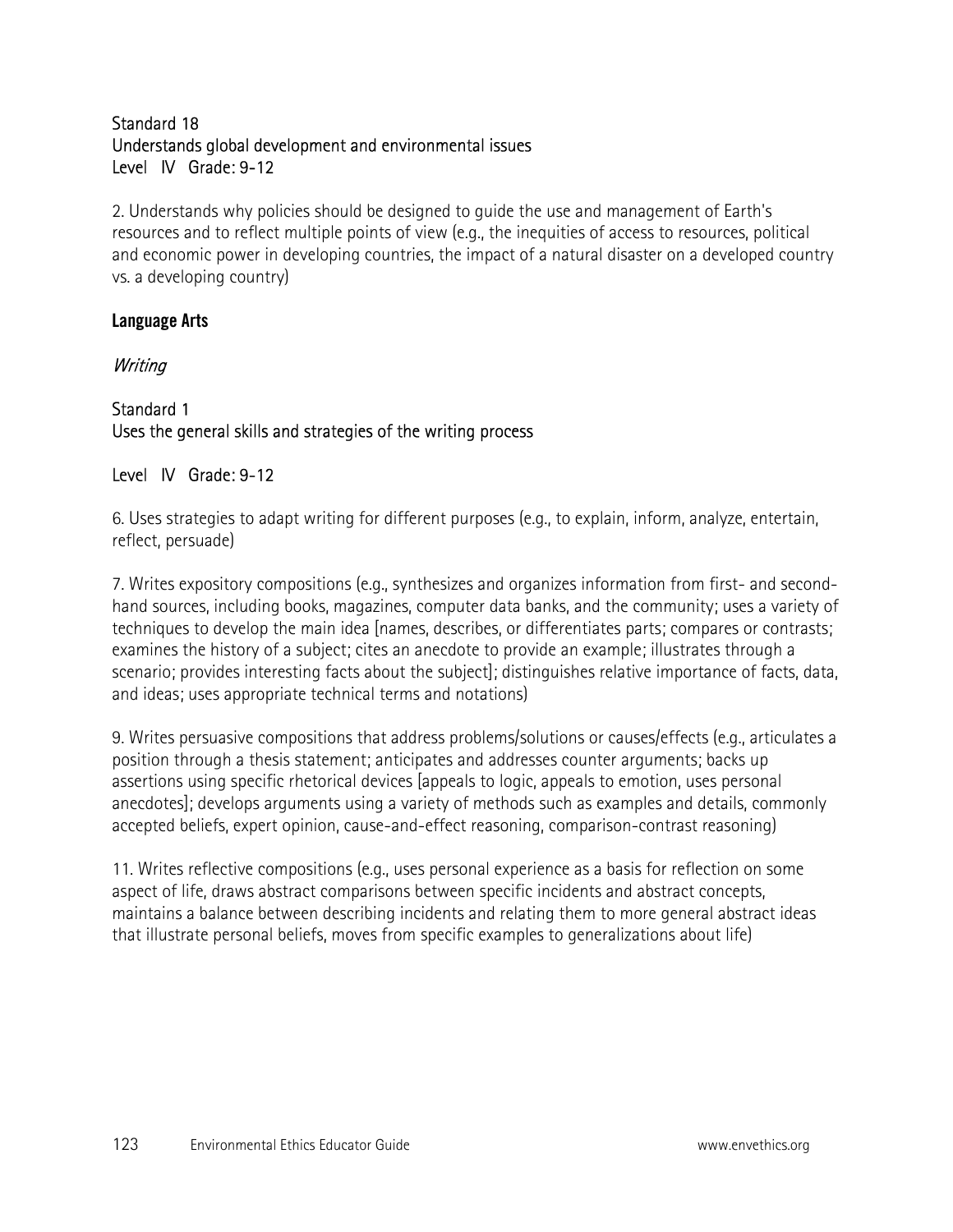## Standard 18 Understands global development and environmental issues Level IV Grade: 9-12

2. Understands why policies should be designed to guide the use and management of Earth's resources and to reflect multiple points of view (e.g., the inequities of access to resources, political and economic power in developing countries, the impact of a natural disaster on a developed country vs. a developing country)

## **Language Arts**

Writing

# Standard 1 Uses the general skills and strategies of the writing process

## Level IV Grade: 9-12

6. Uses strategies to adapt writing for different purposes (e.g., to explain, inform, analyze, entertain, reflect, persuade)

7. Writes expository compositions (e.g., synthesizes and organizes information from first- and secondhand sources, including books, magazines, computer data banks, and the community; uses a variety of techniques to develop the main idea [names, describes, or differentiates parts; compares or contrasts; examines the history of a subject; cites an anecdote to provide an example; illustrates through a scenario; provides interesting facts about the subject]; distinguishes relative importance of facts, data, and ideas; uses appropriate technical terms and notations)

9. Writes persuasive compositions that address problems/solutions or causes/effects (e.g., articulates a position through a thesis statement; anticipates and addresses counter arguments; backs up assertions using specific rhetorical devices [appeals to logic, appeals to emotion, uses personal anecdotes]; develops arguments using a variety of methods such as examples and details, commonly accepted beliefs, expert opinion, cause-and-effect reasoning, comparison-contrast reasoning)

11. Writes reflective compositions (e.g., uses personal experience as a basis for reflection on some aspect of life, draws abstract comparisons between specific incidents and abstract concepts, maintains a balance between describing incidents and relating them to more general abstract ideas that illustrate personal beliefs, moves from specific examples to generalizations about life)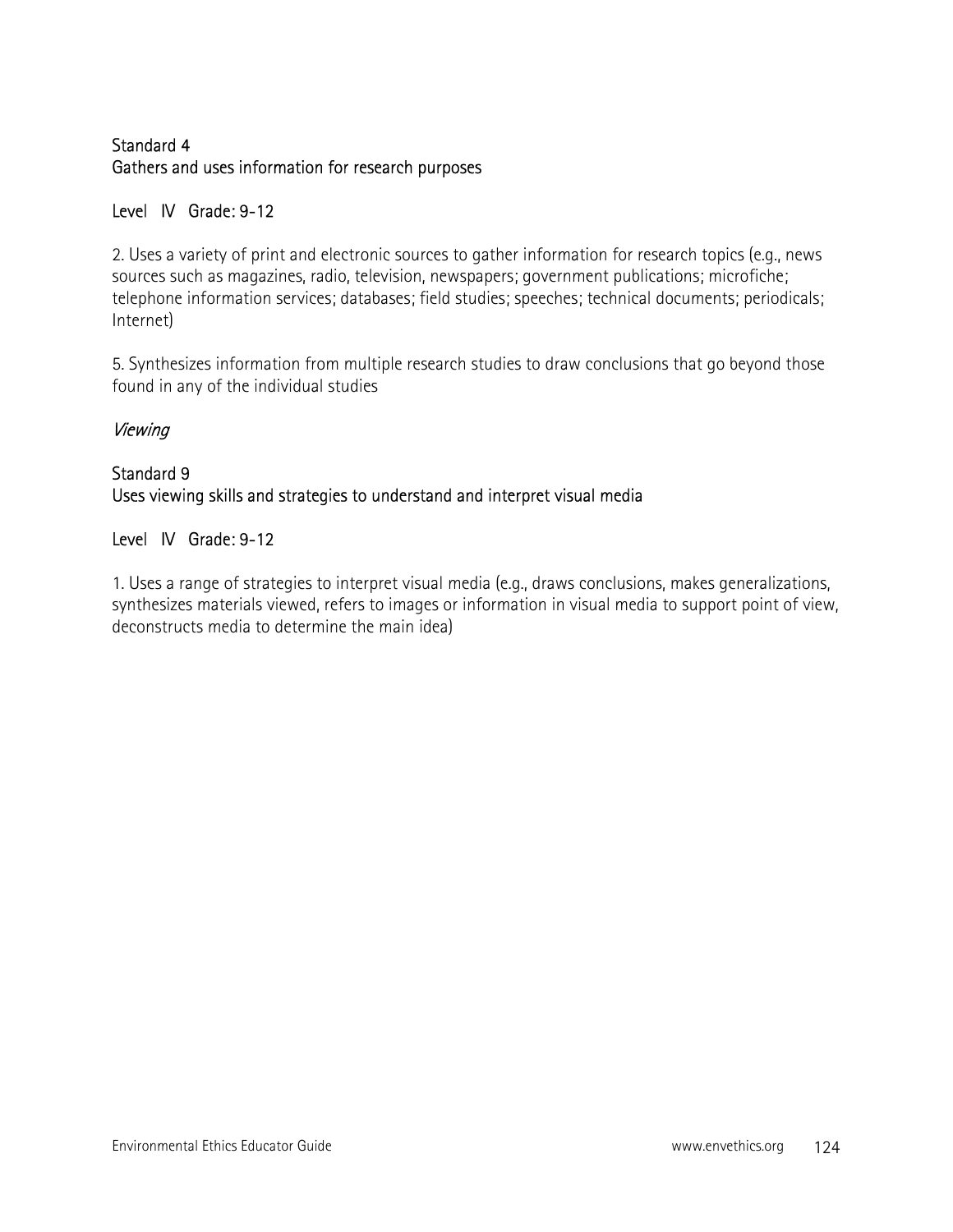# Standard 4 Gathers and uses information for research purposes

## Level IV Grade: 9-12

2. Uses a variety of print and electronic sources to gather information for research topics (e.g., news sources such as magazines, radio, television, newspapers; government publications; microfiche; telephone information services; databases; field studies; speeches; technical documents; periodicals; Internet)

5. Synthesizes information from multiple research studies to draw conclusions that go beyond those found in any of the individual studies

## Viewing

## Standard 9 Uses viewing skills and strategies to understand and interpret visual media

#### Level IV Grade: 9-12

1. Uses a range of strategies to interpret visual media (e.g., draws conclusions, makes generalizations, synthesizes materials viewed, refers to images or information in visual media to support point of view, deconstructs media to determine the main idea)